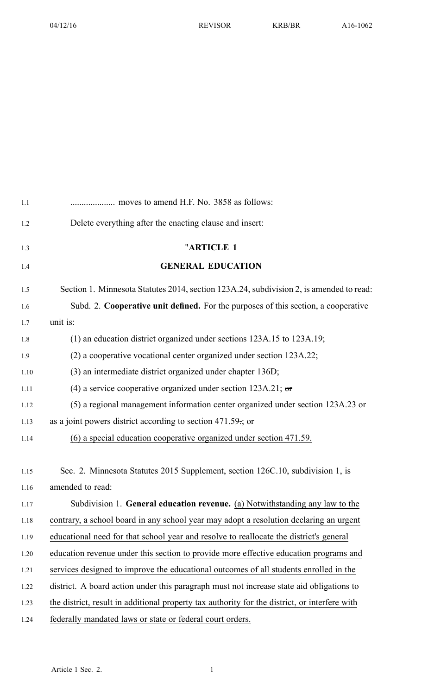| 1.1   |                                                                                               |
|-------|-----------------------------------------------------------------------------------------------|
| 1.2   | Delete everything after the enacting clause and insert:                                       |
| 1.3   | "ARTICLE 1                                                                                    |
| $1.4$ | <b>GENERAL EDUCATION</b>                                                                      |
| 1.5   | Section 1. Minnesota Statutes 2014, section 123A.24, subdivision 2, is amended to read:       |
| 1.6   | Subd. 2. Cooperative unit defined. For the purposes of this section, a cooperative            |
| 1.7   | unit is:                                                                                      |
| 1.8   | $(1)$ an education district organized under sections 123A.15 to 123A.19;                      |
| 1.9   | (2) a cooperative vocational center organized under section 123A.22;                          |
| 1.10  | (3) an intermediate district organized under chapter 136D;                                    |
| 1.11  | (4) a service cooperative organized under section $123A.21$ ; or                              |
| 1.12  | (5) a regional management information center organized under section 123A.23 or               |
| 1.13  | as a joint powers district according to section $471.59$ ; or                                 |
| 1.14  | (6) a special education cooperative organized under section 471.59.                           |
| 1.15  | Sec. 2. Minnesota Statutes 2015 Supplement, section 126C.10, subdivision 1, is                |
| 1.16  | amended to read:                                                                              |
| 1.17  | Subdivision 1. General education revenue. (a) Notwithstanding any law to the                  |
| 1.18  | contrary, a school board in any school year may adopt a resolution declaring an urgent        |
| 1.19  | educational need for that school year and resolve to reallocate the district's general        |
| 1.20  | education revenue under this section to provide more effective education programs and         |
| 1.21  | services designed to improve the educational outcomes of all students enrolled in the         |
| 1.22  | district. A board action under this paragraph must not increase state aid obligations to      |
| 1.23  | the district, result in additional property tax authority for the district, or interfere with |
| 1.24  | federally mandated laws or state or federal court orders.                                     |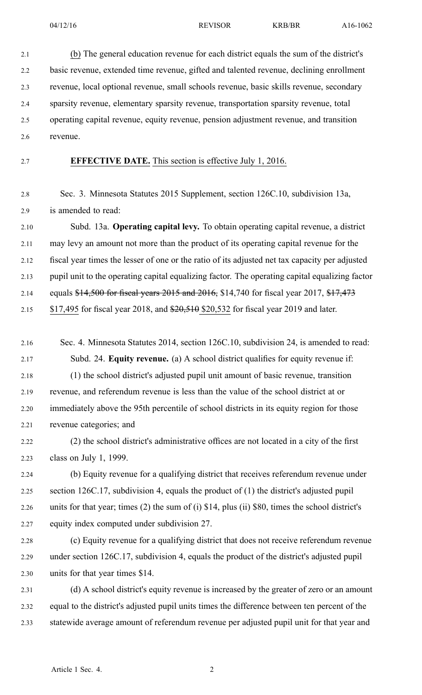2.1 (b) The general education revenue for each district equals the sum of the district's 2.2 basic revenue, extended time revenue, gifted and talented revenue, declining enrollment 2.3 revenue, local optional revenue, small schools revenue, basic skills revenue, secondary 2.4 sparsity revenue, elementary sparsity revenue, transportation sparsity revenue, total 2.5 operating capital revenue, equity revenue, pension adjustment revenue, and transition 2.6 revenue.

2.7 **EFFECTIVE DATE.** This section is effective July 1, 2016.

2.8 Sec. 3. Minnesota Statutes 2015 Supplement, section 126C.10, subdivision 13a, 2.9 is amended to read:

2.10 Subd. 13a. **Operating capital levy.** To obtain operating capital revenue, <sup>a</sup> district 2.11 may levy an amount not more than the product of its operating capital revenue for the 2.12 fiscal year times the lesser of one or the ratio of its adjusted net tax capacity per adjusted 2.13 pupil unit to the operating capital equalizing factor. The operating capital equalizing factor 2.14 equals \$14,500 for fiscal years 2015 and 2016, \$14,740 for fiscal year 2017, \$17,473 2.15 \$17,495 for fiscal year 2018, and \$20,510 \$20,532 for fiscal year 2019 and later.

- 2.16 Sec. 4. Minnesota Statutes 2014, section 126C.10, subdivision 24, is amended to read: 2.17 Subd. 24. **Equity revenue.** (a) A school district qualifies for equity revenue if: 2.18 (1) the school district's adjusted pupil unit amount of basic revenue, transition 2.19 revenue, and referendum revenue is less than the value of the school district at or 2.20 immediately above the 95th percentile of school districts in its equity region for those 2.21 revenue categories; and
- 2.22 (2) the school district's administrative offices are not located in <sup>a</sup> city of the first 2.23 class on July 1, 1999.

2.24 (b) Equity revenue for <sup>a</sup> qualifying district that receives referendum revenue under 2.25 section 126C.17, subdivision 4, equals the product of (1) the district's adjusted pupil 2.26 units for that year; times (2) the sum of (i) \$14, plus (ii) \$80, times the school district's 2.27 equity index computed under subdivision 27.

- 2.28 (c) Equity revenue for <sup>a</sup> qualifying district that does not receive referendum revenue 2.29 under section 126C.17, subdivision 4, equals the product of the district's adjusted pupil 2.30 units for that year times \$14.
- 2.31 (d) A school district's equity revenue is increased by the greater of zero or an amount 2.32 equal to the district's adjusted pupil units times the difference between ten percen<sup>t</sup> of the 2.33 statewide average amount of referendum revenue per adjusted pupil unit for that year and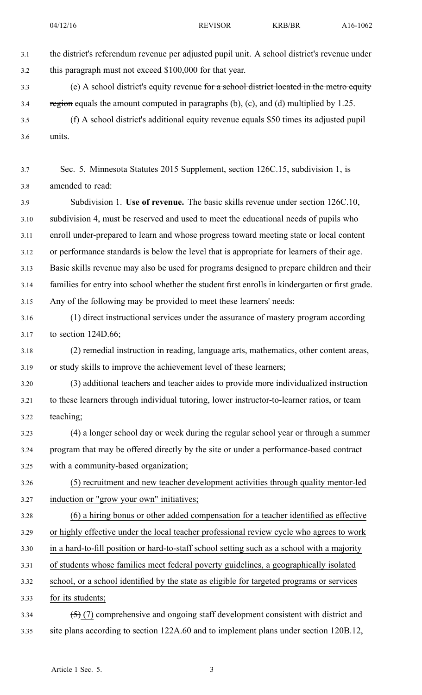| 3.1  | the district's referendum revenue per adjusted pupil unit. A school district's revenue under     |
|------|--------------------------------------------------------------------------------------------------|
| 3.2  | this paragraph must not exceed \$100,000 for that year.                                          |
| 3.3  | (e) A school district's equity revenue for a school district located in the metro equity         |
| 3.4  | region equals the amount computed in paragraphs $(b)$ , $(c)$ , and $(d)$ multiplied by 1.25.    |
| 3.5  | (f) A school district's additional equity revenue equals \$50 times its adjusted pupil           |
| 3.6  | units.                                                                                           |
|      |                                                                                                  |
| 3.7  | Sec. 5. Minnesota Statutes 2015 Supplement, section 126C.15, subdivision 1, is                   |
| 3.8  | amended to read:                                                                                 |
| 3.9  | Subdivision 1. Use of revenue. The basic skills revenue under section 126C.10,                   |
| 3.10 | subdivision 4, must be reserved and used to meet the educational needs of pupils who             |
| 3.11 | enroll under-prepared to learn and whose progress toward meeting state or local content          |
| 3.12 | or performance standards is below the level that is appropriate for learners of their age.       |
| 3.13 | Basic skills revenue may also be used for programs designed to prepare children and their        |
| 3.14 | families for entry into school whether the student first enrolls in kindergarten or first grade. |
| 3.15 | Any of the following may be provided to meet these learners' needs:                              |
| 3.16 | (1) direct instructional services under the assurance of mastery program according               |
| 3.17 | to section 124D.66;                                                                              |
| 3.18 | (2) remedial instruction in reading, language arts, mathematics, other content areas,            |
| 3.19 | or study skills to improve the achievement level of these learners;                              |
| 3.20 | (3) additional teachers and teacher aides to provide more individualized instruction             |
| 3.21 | to these learners through individual tutoring, lower instructor-to-learner ratios, or team       |
| 3.22 | teaching;                                                                                        |
| 3.23 | (4) a longer school day or week during the regular school year or through a summer               |
| 3.24 | program that may be offered directly by the site or under a performance-based contract           |
| 3.25 | with a community-based organization;                                                             |
| 3.26 | (5) recruitment and new teacher development activities through quality mentor-led                |
| 3.27 | induction or "grow your own" initiatives;                                                        |
| 3.28 | (6) a hiring bonus or other added compensation for a teacher identified as effective             |
| 3.29 | or highly effective under the local teacher professional review cycle who agrees to work         |
| 3.30 | in a hard-to-fill position or hard-to-staff school setting such as a school with a majority      |
| 3.31 | of students whose families meet federal poverty guidelines, a geographically isolated            |
| 3.32 | school, or a school identified by the state as eligible for targeted programs or services        |
| 3.33 | for its students;                                                                                |
| 3.34 | $(5)$ (7) comprehensive and ongoing staff development consistent with district and               |

3.35 site plans according to section 122A.60 and to implement plans under section 120B.12,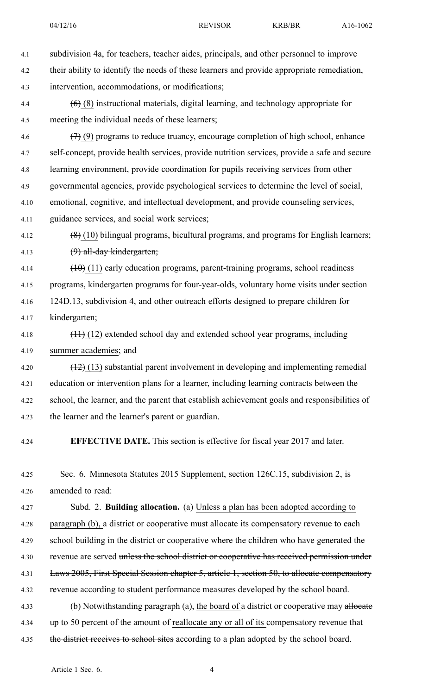- 4.1 subdivision 4a, for teachers, teacher aides, principals, and other personnel to improve 4.2 their ability to identify the needs of these learners and provide appropriate remediation, 4.3 intervention, accommodations, or modifications; 4.4 (6) (8) instructional materials, digital learning, and technology appropriate for 4.5 meeting the individual needs of these learners; 4.6  $(7)(9)$  programs to reduce truancy, encourage completion of high school, enhance
- 4.7 self-concept, provide health services, provide nutrition services, provide <sup>a</sup> safe and secure 4.8 learning environment, provide coordination for pupils receiving services from other 4.9 governmental agencies, provide psychological services to determine the level of social, 4.10 emotional, cognitive, and intellectual development, and provide counseling services,
- 4.11 guidance services, and social work services;
- 4.12  $(8)(10)$  bilingual programs, bicultural programs, and programs for English learners; 4.13 (9) all-day kindergarten;
- $4.14$  (10) (11) early education programs, parent-training programs, school readiness 4.15 programs, kindergarten programs for four-year-olds, voluntary home visits under section 4.16 124D.13, subdivision 4, and other outreach efforts designed to prepare children for 4.17 kindergarten;
- 4.18 (11) (12) extended school day and extended school year programs, including 4.19 summer academies; and
- 4.20 (12) (13) substantial paren<sup>t</sup> involvement in developing and implementing remedial 4.21 education or intervention plans for <sup>a</sup> learner, including learning contracts between the 4.22 school, the learner, and the paren<sup>t</sup> that establish achievement goals and responsibilities of 4.23 the learner and the learner's paren<sup>t</sup> or guardian.
- 

## 4.24 **EFFECTIVE DATE.** This section is effective for fiscal year 2017 and later.

4.25 Sec. 6. Minnesota Statutes 2015 Supplement, section 126C.15, subdivision 2, is 4.26 amended to read:

- 4.27 Subd. 2. **Building allocation.** (a) Unless <sup>a</sup> plan has been adopted according to 4.28 paragraph (b), <sup>a</sup> district or cooperative must allocate its compensatory revenue to each 4.29 school building in the district or cooperative where the children who have generated the 4.30 revenue are served unless the school district or cooperative has received permission under 4.31 Laws 2005, First Special Session chapter 5, article 1, section 50, to allocate compensatory 4.32 revenue according to student performance measures developed by the school board. 4.33 (b) Notwithstanding paragraph (a), the board of a district or cooperative may allocate
- 4.34 up to 50 percent of the amount of reallocate any or all of its compensatory revenue that
- 4.35 the district receives to school sites according to a plan adopted by the school board.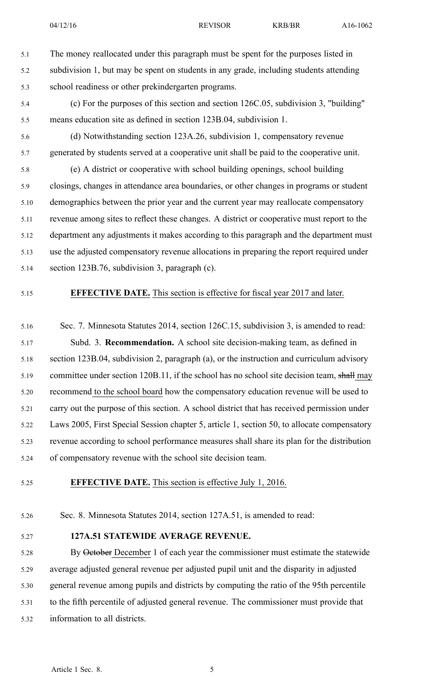5.1 The money reallocated under this paragraph must be spen<sup>t</sup> for the purposes listed in 5.2 subdivision 1, but may be spen<sup>t</sup> on students in any grade, including students attending 5.3 school readiness or other prekindergarten programs.

- 5.4 (c) For the purposes of this section and section 126C.05, subdivision 3, "building" 5.5 means education site as defined in section 123B.04, subdivision 1.
- 5.6 (d) Notwithstanding section 123A.26, subdivision 1, compensatory revenue 5.7 generated by students served at <sup>a</sup> cooperative unit shall be paid to the cooperative unit.

5.8 (e) A district or cooperative with school building openings, school building 5.9 closings, changes in attendance area boundaries, or other changes in programs or student 5.10 demographics between the prior year and the current year may reallocate compensatory 5.11 revenue among sites to reflect these changes. A district or cooperative must repor<sup>t</sup> to the 5.12 department any adjustments it makes according to this paragraph and the department must 5.13 use the adjusted compensatory revenue allocations in preparing the repor<sup>t</sup> required under 5.14 section 123B.76, subdivision 3, paragraph (c).

### 5.15 **EFFECTIVE DATE.** This section is effective for fiscal year 2017 and later.

5.16 Sec. 7. Minnesota Statutes 2014, section 126C.15, subdivision 3, is amended to read: 5.17 Subd. 3. **Recommendation.** A school site decision-making team, as defined in 5.18 section 123B.04, subdivision 2, paragraph (a), or the instruction and curriculum advisory 5.19 committee under section 120B.11, if the school has no school site decision team, shall may 5.20 recommend to the school board how the compensatory education revenue will be used to 5.21 carry out the purpose of this section. A school district that has received permission under 5.22 Laws 2005, First Special Session chapter 5, article 1, section 50, to allocate compensatory 5.23 revenue according to school performance measures shall share its plan for the distribution 5.24 of compensatory revenue with the school site decision team.

## 5.25 **EFFECTIVE DATE.** This section is effective July 1, 2016.

- 5.26 Sec. 8. Minnesota Statutes 2014, section 127A.51, is amended to read:
- 

#### 5.27 **127A.51 STATEWIDE AVERAGE REVENUE.**

5.28 By October December 1 of each year the commissioner must estimate the statewide 5.29 average adjusted general revenue per adjusted pupil unit and the disparity in adjusted 5.30 general revenue among pupils and districts by computing the ratio of the 95th percentile 5.31 to the fifth percentile of adjusted general revenue. The commissioner must provide that 5.32 information to all districts.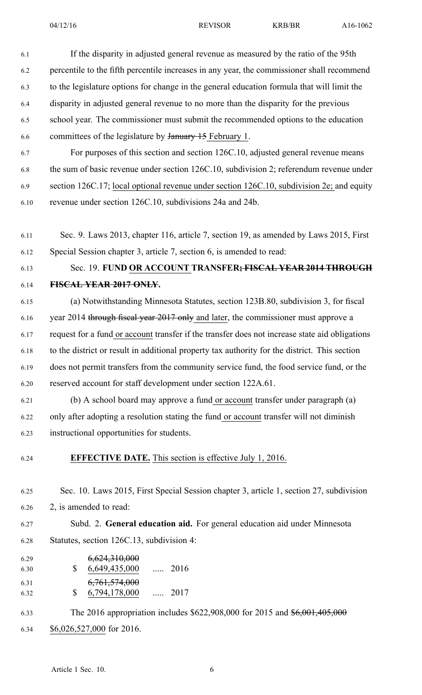| 6.1          | If the disparity in adjusted general revenue as measured by the ratio of the 95th              |
|--------------|------------------------------------------------------------------------------------------------|
| 6.2          | percentile to the fifth percentile increases in any year, the commissioner shall recommend     |
| 6.3          | to the legislature options for change in the general education formula that will limit the     |
| 6.4          | disparity in adjusted general revenue to no more than the disparity for the previous           |
| 6.5          | school year. The commissioner must submit the recommended options to the education             |
| 6.6          | committees of the legislature by January 15 February 1.                                        |
| 6.7          | For purposes of this section and section 126C.10, adjusted general revenue means               |
| 6.8          | the sum of basic revenue under section 126C.10, subdivision 2; referendum revenue under        |
| 6.9          | section 126C.17; local optional revenue under section 126C.10, subdivision 2e; and equity      |
| 6.10         | revenue under section 126C.10, subdivisions 24a and 24b.                                       |
|              |                                                                                                |
| 6.11         | Sec. 9. Laws 2013, chapter 116, article 7, section 19, as amended by Laws 2015, First          |
| 6.12         | Special Session chapter 3, article 7, section 6, is amended to read:                           |
| 6.13         | Sec. 19. FUND OR ACCOUNT TRANSFER; FISCAL YEAR 2014 THROUGH                                    |
| 6.14         | FISCAL YEAR 2017 ONLY.                                                                         |
| 6.15         | (a) Notwithstanding Minnesota Statutes, section 123B.80, subdivision 3, for fiscal             |
| 6.16         | year 2014 through fiscal year 2017 only and later, the commissioner must approve a             |
| 6.17         | request for a fund or account transfer if the transfer does not increase state aid obligations |
| 6.18         | to the district or result in additional property tax authority for the district. This section  |
| 6.19         | does not permit transfers from the community service fund, the food service fund, or the       |
| 6.20         | reserved account for staff development under section 122A.61.                                  |
| 6.21         | (b) A school board may approve a fund or account transfer under paragraph (a)                  |
| 6.22         | only after adopting a resolution stating the fund or account transfer will not diminish        |
| 6.23         | instructional opportunities for students.                                                      |
| 6.24         | <b>EFFECTIVE DATE.</b> This section is effective July 1, 2016.                                 |
| 6.25         | Sec. 10. Laws 2015, First Special Session chapter 3, article 1, section 27, subdivision        |
| 6.26         | 2, is amended to read:                                                                         |
| 6.27         | Subd. 2. General education aid. For general education aid under Minnesota                      |
| 6.28         | Statutes, section 126C.13, subdivision 4:                                                      |
| 6.29         | 6,624,310,000                                                                                  |
| 6.30<br>6.31 | $\mathbb{S}$<br>6,649,435,000<br>$\ldots$ 2016<br>6, 761, 574, 000                             |
| 6.32         | 6,794,178,000  2017<br>\$                                                                      |

6.33 The 2016 appropriation includes \$622,908,000 for 2015 and \$6,001,405,000

6.34 \$6,026,527,000 for 2016.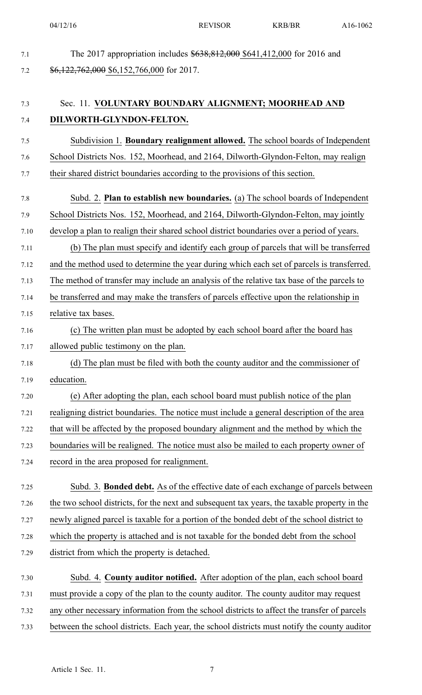7.1 The 2017 appropriation includes  $$638,812,000$  \$641,412,000 for 2016 and

| DILWORTH-GLYNDON-FELTON.                                                                     |
|----------------------------------------------------------------------------------------------|
| Subdivision 1. <b>Boundary realignment allowed.</b> The school boards of Independent         |
| School Districts Nos. 152, Moorhead, and 2164, Dilworth-Glyndon-Felton, may realign          |
| their shared district boundaries according to the provisions of this section.                |
| Subd. 2. Plan to establish new boundaries. (a) The school boards of Independent              |
| School Districts Nos. 152, Moorhead, and 2164, Dilworth-Glyndon-Felton, may jointly          |
| develop a plan to realign their shared school district boundaries over a period of years.    |
| (b) The plan must specify and identify each group of parcels that will be transferred        |
| and the method used to determine the year during which each set of parcels is transferred.   |
| The method of transfer may include an analysis of the relative tax base of the parcels to    |
| be transferred and may make the transfers of parcels effective upon the relationship in      |
| relative tax bases.                                                                          |
| (c) The written plan must be adopted by each school board after the board has                |
| allowed public testimony on the plan.                                                        |
| (d) The plan must be filed with both the county auditor and the commissioner of              |
| education.                                                                                   |
| (e) After adopting the plan, each school board must publish notice of the plan               |
| realigning district boundaries. The notice must include a general description of the area    |
| that will be affected by the proposed boundary alignment and the method by which the         |
| boundaries will be realigned. The notice must also be mailed to each property owner of       |
| record in the area proposed for realignment.                                                 |
| Subd. 3. Bonded debt. As of the effective date of each exchange of parcels between           |
| the two school districts, for the next and subsequent tax years, the taxable property in the |
| newly aligned parcel is taxable for a portion of the bonded debt of the school district to   |
| which the property is attached and is not taxable for the bonded debt from the school        |
| district from which the property is detached.                                                |
| Subd. 4. County auditor notified. After adoption of the plan, each school board              |
| must provide a copy of the plan to the county auditor. The county auditor may request        |

- 7.32 any other necessary information from the school districts to affect the transfer of parcels
- 7.33 between the school districts. Each year, the school districts must notify the county auditor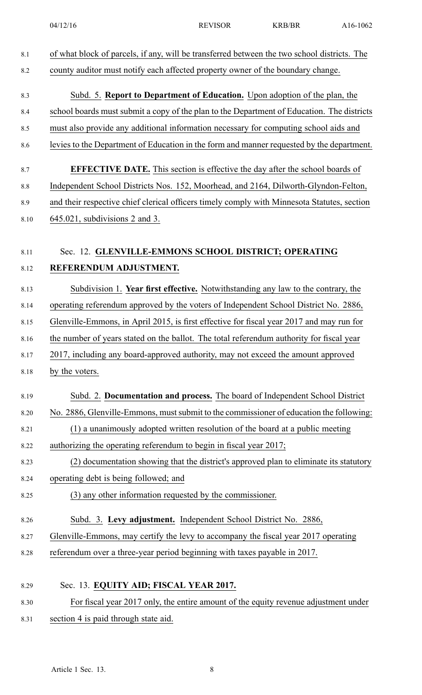| 8.1     | of what block of parcels, if any, will be transferred between the two school districts. The |
|---------|---------------------------------------------------------------------------------------------|
| 8.2     | county auditor must notify each affected property owner of the boundary change.             |
|         |                                                                                             |
| 8.3     | Subd. 5. Report to Department of Education. Upon adoption of the plan, the                  |
| 8.4     | school boards must submit a copy of the plan to the Department of Education. The districts  |
| 8.5     | must also provide any additional information necessary for computing school aids and        |
| 8.6     | levies to the Department of Education in the form and manner requested by the department.   |
| 8.7     | <b>EFFECTIVE DATE.</b> This section is effective the day after the school boards of         |
| $8.8\,$ | Independent School Districts Nos. 152, Moorhead, and 2164, Dilworth-Glyndon-Felton,         |
| 8.9     | and their respective chief clerical officers timely comply with Minnesota Statutes, section |
| 8.10    | $645.021$ , subdivisions 2 and 3.                                                           |
|         |                                                                                             |
| 8.11    | Sec. 12. GLENVILLE-EMMONS SCHOOL DISTRICT; OPERATING                                        |
| 8.12    | REFERENDUM ADJUSTMENT.                                                                      |
|         | Subdivision 1. Year first effective. Notwithstanding any law to the contrary, the           |
| 8.13    |                                                                                             |
| 8.14    | operating referendum approved by the voters of Independent School District No. 2886,        |
| 8.15    | Glenville-Emmons, in April 2015, is first effective for fiscal year 2017 and may run for    |
| 8.16    | the number of years stated on the ballot. The total referendum authority for fiscal year    |
| 8.17    | 2017, including any board-approved authority, may not exceed the amount approved            |
| 8.18    | by the voters.                                                                              |
| 8.19    | Subd. 2. Documentation and process. The board of Independent School District                |
| 8.20    | No. 2886, Glenville-Emmons, must submit to the commissioner of education the following:     |
| 8.21    | (1) a unanimously adopted written resolution of the board at a public meeting               |
| 8.22    | authorizing the operating referendum to begin in fiscal year 2017;                          |
| 8.23    | (2) documentation showing that the district's approved plan to eliminate its statutory      |
| 8.24    | operating debt is being followed; and                                                       |
| 8.25    | (3) any other information requested by the commissioner.                                    |
|         |                                                                                             |
| 8.26    | Subd. 3. Levy adjustment. Independent School District No. 2886,                             |
| 8.27    | Glenville-Emmons, may certify the levy to accompany the fiscal year 2017 operating          |
| 8.28    | referendum over a three-year period beginning with taxes payable in 2017.                   |
|         |                                                                                             |
| 8.29    | Sec. 13. EQUITY AID; FISCAL YEAR 2017.                                                      |
| 8.30    | For fiscal year 2017 only, the entire amount of the equity revenue adjustment under         |
| 8.31    | section 4 is paid through state aid.                                                        |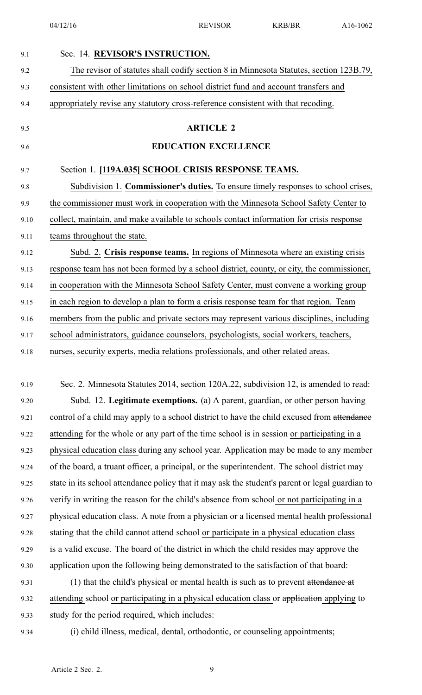04/12/16 REVISOR KRB/BR A16-1062

| Sec. 14. REVISOR'S INSTRUCTION.                                                                 |
|-------------------------------------------------------------------------------------------------|
| The revisor of statutes shall codify section 8 in Minnesota Statutes, section 123B.79,          |
| consistent with other limitations on school district fund and account transfers and             |
| appropriately revise any statutory cross-reference consistent with that recoding.               |
| <b>ARTICLE 2</b>                                                                                |
| <b>EDUCATION EXCELLENCE</b>                                                                     |
| Section 1. [119A.035] SCHOOL CRISIS RESPONSE TEAMS.                                             |
| Subdivision 1. <b>Commissioner's duties.</b> To ensure timely responses to school crises,       |
| the commissioner must work in cooperation with the Minnesota School Safety Center to            |
| collect, maintain, and make available to schools contact information for crisis response        |
| teams throughout the state.                                                                     |
| Subd. 2. Crisis response teams. In regions of Minnesota where an existing crisis                |
| response team has not been formed by a school district, county, or city, the commissioner,      |
| in cooperation with the Minnesota School Safety Center, must convene a working group            |
| in each region to develop a plan to form a crisis response team for that region. Team           |
| members from the public and private sectors may represent various disciplines, including        |
| school administrators, guidance counselors, psychologists, social workers, teachers,            |
| nurses, security experts, media relations professionals, and other related areas.               |
|                                                                                                 |
| Sec. 2. Minnesota Statutes 2014, section 120A.22, subdivision 12, is amended to read:           |
| Subd. 12. Legitimate exemptions. (a) A parent, guardian, or other person having                 |
| control of a child may apply to a school district to have the child excused from attendance     |
| attending for the whole or any part of the time school is in session or participating in a      |
| physical education class during any school year. Application may be made to any member          |
| of the board, a truant officer, a principal, or the superintendent. The school district may     |
| state in its school attendance policy that it may ask the student's parent or legal guardian to |
| verify in writing the reason for the child's absence from school or not participating in a      |
| physical education class. A note from a physician or a licensed mental health professional      |
| stating that the child cannot attend school or participate in a physical education class        |
| is a valid excuse. The board of the district in which the child resides may approve the         |
| application upon the following being demonstrated to the satisfaction of that board:            |
| (1) that the child's physical or mental health is such as to prevent attendance at              |
| attending school or participating in a physical education class or application applying to      |
| study for the period required, which includes:                                                  |
| (i) child illness, medical, dental, orthodontic, or counseling appointments;                    |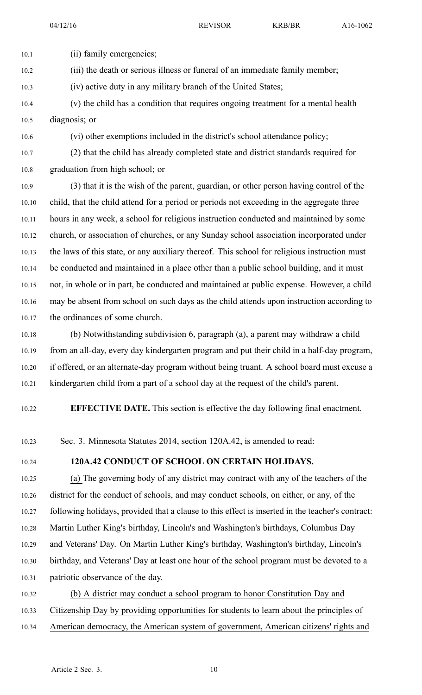10.1 (ii) family emergencies; 10.2 (iii) the death or serious illness or funeral of an immediate family member; 10.3 (iv) active duty in any military branch of the United States;

10.4 (v) the child has <sup>a</sup> condition that requires ongoing treatment for <sup>a</sup> mental health 10.5 diagnosis; or

10.6 (vi) other exemptions included in the district's school attendance policy;

10.7 (2) that the child has already completed state and district standards required for 10.8 graduation from high school; or

10.9 (3) that it is the wish of the parent, guardian, or other person having control of the 10.10 child, that the child attend for <sup>a</sup> period or periods not exceeding in the aggregate three 10.11 hours in any week, <sup>a</sup> school for religious instruction conducted and maintained by some 10.12 church, or association of churches, or any Sunday school association incorporated under 10.13 the laws of this state, or any auxiliary thereof. This school for religious instruction must 10.14 be conducted and maintained in <sup>a</sup> place other than <sup>a</sup> public school building, and it must 10.15 not, in whole or in part, be conducted and maintained at public expense. However, <sup>a</sup> child 10.16 may be absent from school on such days as the child attends upon instruction according to 10.17 the ordinances of some church.

10.18 (b) Notwithstanding subdivision 6, paragraph (a), <sup>a</sup> paren<sup>t</sup> may withdraw <sup>a</sup> child 10.19 from an all-day, every day kindergarten program and pu<sup>t</sup> their child in <sup>a</sup> half-day program, 10.20 if offered, or an alternate-day program without being truant. A school board must excuse <sup>a</sup> 10.21 kindergarten child from <sup>a</sup> par<sup>t</sup> of <sup>a</sup> school day at the reques<sup>t</sup> of the child's parent.

10.22 **EFFECTIVE DATE.** This section is effective the day following final enactment.

10.23 Sec. 3. Minnesota Statutes 2014, section 120A.42, is amended to read:

## 10.24 **120A.42 CONDUCT OF SCHOOL ON CERTAIN HOLIDAYS.**

10.25 (a) The governing body of any district may contract with any of the teachers of the 10.26 district for the conduct of schools, and may conduct schools, on either, or any, of the 10.27 following holidays, provided that <sup>a</sup> clause to this effect is inserted in the teacher's contract: 10.28 Martin Luther King's birthday, Lincoln's and Washington's birthdays, Columbus Day 10.29 and Veterans' Day. On Martin Luther King's birthday, Washington's birthday, Lincoln's 10.30 birthday, and Veterans' Day at least one hour of the school program must be devoted to <sup>a</sup> 10.31 patriotic observance of the day.

10.32 (b) A district may conduct <sup>a</sup> school program to honor Constitution Day and 10.33 Citizenship Day by providing opportunities for students to learn about the principles of 10.34 American democracy, the American system of government, American citizens' rights and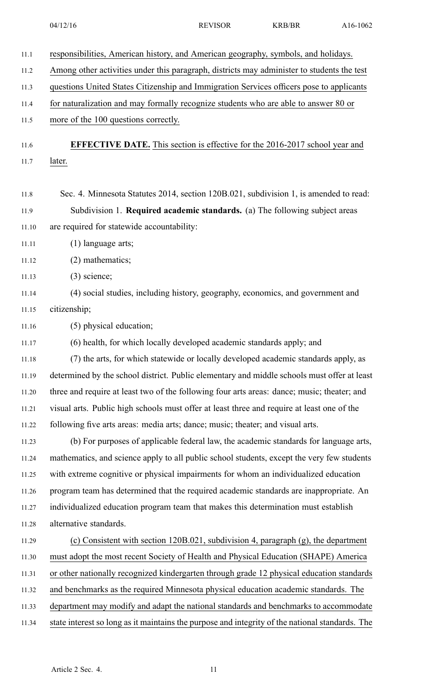| 11.1  | responsibilities, American history, and American geography, symbols, and holidays.              |
|-------|-------------------------------------------------------------------------------------------------|
| 11.2  | Among other activities under this paragraph, districts may administer to students the test      |
| 11.3  | questions United States Citizenship and Immigration Services officers pose to applicants        |
| 11.4  | for naturalization and may formally recognize students who are able to answer 80 or             |
| 11.5  | more of the 100 questions correctly.                                                            |
| 11.6  | <b>EFFECTIVE DATE.</b> This section is effective for the 2016-2017 school year and              |
| 11.7  | later.                                                                                          |
|       |                                                                                                 |
| 11.8  | Sec. 4. Minnesota Statutes 2014, section 120B.021, subdivision 1, is amended to read:           |
| 11.9  | Subdivision 1. Required academic standards. (a) The following subject areas                     |
| 11.10 | are required for statewide accountability:                                                      |
| 11.11 | $(1)$ language arts;                                                                            |
| 11.12 | $(2)$ mathematics;                                                                              |
| 11.13 | $(3)$ science;                                                                                  |
| 11.14 | (4) social studies, including history, geography, economics, and government and                 |
| 11.15 | citizenship;                                                                                    |
| 11.16 | (5) physical education;                                                                         |
| 11.17 | (6) health, for which locally developed academic standards apply; and                           |
| 11.18 | (7) the arts, for which statewide or locally developed academic standards apply, as             |
| 11.19 | determined by the school district. Public elementary and middle schools must offer at least     |
| 11.20 | three and require at least two of the following four arts areas: dance; music; theater; and     |
| 11.21 | visual arts. Public high schools must offer at least three and require at least one of the      |
| 11.22 | following five arts areas: media arts; dance; music; theater; and visual arts.                  |
| 11.23 | (b) For purposes of applicable federal law, the academic standards for language arts,           |
| 11.24 | mathematics, and science apply to all public school students, except the very few students      |
| 11.25 | with extreme cognitive or physical impairments for whom an individualized education             |
| 11.26 | program team has determined that the required academic standards are inappropriate. An          |
| 11.27 | individualized education program team that makes this determination must establish              |
| 11.28 | alternative standards.                                                                          |
| 11.29 | (c) Consistent with section 120B.021, subdivision 4, paragraph (g), the department              |
| 11.30 | must adopt the most recent Society of Health and Physical Education (SHAPE) America             |
| 11.31 | or other nationally recognized kindergarten through grade 12 physical education standards       |
| 11.32 | and benchmarks as the required Minnesota physical education academic standards. The             |
| 11.33 | department may modify and adapt the national standards and benchmarks to accommodate            |
| 11.34 | state interest so long as it maintains the purpose and integrity of the national standards. The |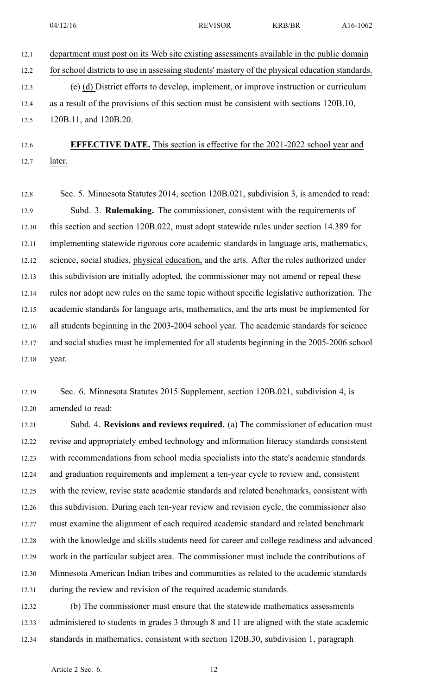12.1 department must pos<sup>t</sup> on its Web site existing assessments available in the public domain 12.2 for school districts to use in assessing students' mastery of the physical education standards. 12.3 (c) (d) District efforts to develop, implement, or improve instruction or curriculum 12.4 as <sup>a</sup> result of the provisions of this section must be consistent with sections 120B.10, 12.5 120B.11, and 120B.20.

12.6 **EFFECTIVE DATE.** This section is effective for the 2021-2022 school year and 12.7 later.

12.8 Sec. 5. Minnesota Statutes 2014, section 120B.021, subdivision 3, is amended to read: 12.9 Subd. 3. **Rulemaking.** The commissioner, consistent with the requirements of 12.10 this section and section 120B.022, must adopt statewide rules under section 14.389 for 12.11 implementing statewide rigorous core academic standards in language arts, mathematics, 12.12 science, social studies, physical education, and the arts. After the rules authorized under 12.13 this subdivision are initially adopted, the commissioner may not amend or repeal these 12.14 rules nor adopt new rules on the same topic without specific legislative authorization. The 12.15 academic standards for language arts, mathematics, and the arts must be implemented for 12.16 all students beginning in the 2003-2004 school year. The academic standards for science 12.17 and social studies must be implemented for all students beginning in the 2005-2006 school 12.18 year.

12.19 Sec. 6. Minnesota Statutes 2015 Supplement, section 120B.021, subdivision 4, is 12.20 amended to read:

12.21 Subd. 4. **Revisions and reviews required.** (a) The commissioner of education must 12.22 revise and appropriately embed technology and information literacy standards consistent 12.23 with recommendations from school media specialists into the state's academic standards 12.24 and graduation requirements and implement <sup>a</sup> ten-year cycle to review and, consistent 12.25 with the review, revise state academic standards and related benchmarks, consistent with 12.26 this subdivision. During each ten-year review and revision cycle, the commissioner also 12.27 must examine the alignment of each required academic standard and related benchmark 12.28 with the knowledge and skills students need for career and college readiness and advanced 12.29 work in the particular subject area. The commissioner must include the contributions of 12.30 Minnesota American Indian tribes and communities as related to the academic standards 12.31 during the review and revision of the required academic standards.

12.32 (b) The commissioner must ensure that the statewide mathematics assessments 12.33 administered to students in grades 3 through 8 and 11 are aligned with the state academic 12.34 standards in mathematics, consistent with section 120B.30, subdivision 1, paragraph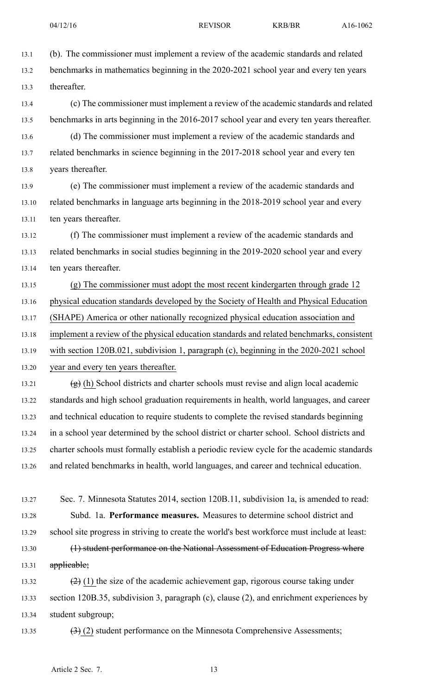13.1 (b). The commissioner must implement <sup>a</sup> review of the academic standards and related 13.2 benchmarks in mathematics beginning in the 2020-2021 school year and every ten years 13.3 thereafter. 13.4 (c) The commissioner must implement <sup>a</sup> review of the academic standards and related 13.5 benchmarks in arts beginning in the 2016-2017 school year and every ten years thereafter. 13.6 (d) The commissioner must implement <sup>a</sup> review of the academic standards and 13.7 related benchmarks in science beginning in the 2017-2018 school year and every ten 13.8 years thereafter. 13.9 (e) The commissioner must implement <sup>a</sup> review of the academic standards and 13.10 related benchmarks in language arts beginning in the 2018-2019 school year and every 13.11 ten years thereafter. 13.12 (f) The commissioner must implement <sup>a</sup> review of the academic standards and 13.13 related benchmarks in social studies beginning in the 2019-2020 school year and every 13.14 ten years thereafter. 13.15 (g) The commissioner must adopt the most recent kindergarten through grade 12 13.16 physical education standards developed by the Society of Health and Physical Education 13.17 (SHAPE) America or other nationally recognized physical education association and 13.18 implement <sup>a</sup> review of the physical education standards and related benchmarks, consistent 13.19 with section 120B.021, subdivision 1, paragraph (c), beginning in the 2020-2021 school 13.20 year and every ten years thereafter. 13.21  $(g)$  (h) School districts and charter schools must revise and align local academic 13.22 standards and high school graduation requirements in health, world languages, and career 13.23 and technical education to require students to complete the revised standards beginning 13.24 in <sup>a</sup> school year determined by the school district or charter school. School districts and 13.25 charter schools must formally establish <sup>a</sup> periodic review cycle for the academic standards 13.26 and related benchmarks in health, world languages, and career and technical education. 13.27 Sec. 7. Minnesota Statutes 2014, section 120B.11, subdivision 1a, is amended to read: 13.28 Subd. 1a. **Performance measures.** Measures to determine school district and 13.29 school site progress in striving to create the world's best workforce must include at least: 13.30 (1) student performance on the National Assessment of Education Progress where 13.31 applicable; 13.32  $(2)$  (1) the size of the academic achievement gap, rigorous course taking under 13.33 section 120B.35, subdivision 3, paragraph (c), clause (2), and enrichment experiences by 13.34 student subgroup; 13.35  $(3)(2)$  student performance on the Minnesota Comprehensive Assessments;

Article 2 Sec. 7. 13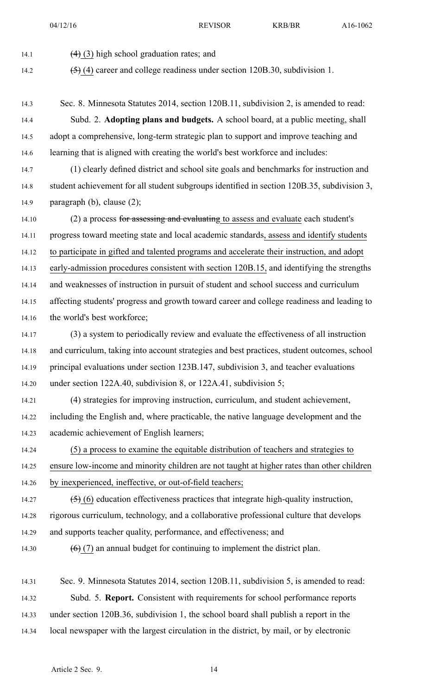14.1  $(4)$  (3) high school graduation rates; and

14.2 (5) (4) career and college readiness under section 120B.30, subdivision 1.

14.3 Sec. 8. Minnesota Statutes 2014, section 120B.11, subdivision 2, is amended to read:

14.4 Subd. 2. **Adopting plans and budgets.** A school board, at <sup>a</sup> public meeting, shall 14.5 adopt <sup>a</sup> comprehensive, long-term strategic plan to suppor<sup>t</sup> and improve teaching and 14.6 learning that is aligned with creating the world's best workforce and includes:

14.7 (1) clearly defined district and school site goals and benchmarks for instruction and 14.8 student achievement for all student subgroups identified in section 120B.35, subdivision 3, 14.9 paragraph (b), clause (2);

14.10 (2) a process for assessing and evaluating to assess and evaluate each student's 14.11 progress toward meeting state and local academic standards, assess and identify students 14.12 to participate in gifted and talented programs and accelerate their instruction, and adopt 14.13 early-admission procedures consistent with section 120B.15, and identifying the strengths 14.14 and weaknesses of instruction in pursuit of student and school success and curriculum 14.15 affecting students' progress and growth toward career and college readiness and leading to 14.16 the world's best workforce;

14.17 (3) <sup>a</sup> system to periodically review and evaluate the effectiveness of all instruction 14.18 and curriculum, taking into account strategies and best practices, student outcomes, school 14.19 principal evaluations under section 123B.147, subdivision 3, and teacher evaluations 14.20 under section 122A.40, subdivision 8, or 122A.41, subdivision 5;

14.21 (4) strategies for improving instruction, curriculum, and student achievement, 14.22 including the English and, where practicable, the native language development and the 14.23 academic achievement of English learners;

14.24 (5) <sup>a</sup> process to examine the equitable distribution of teachers and strategies to 14.25 ensure low-income and minority children are not taught at higher rates than other children

14.26 by inexperienced, ineffective, or out-of-field teachers;

14.27  $(5)$  (6) education effectiveness practices that integrate high-quality instruction, 14.28 rigorous curriculum, technology, and <sup>a</sup> collaborative professional culture that develops

14.29 and supports teacher quality, performance, and effectiveness; and

14.30  $(6)$  (7) an annual budget for continuing to implement the district plan.

14.31 Sec. 9. Minnesota Statutes 2014, section 120B.11, subdivision 5, is amended to read: 14.32 Subd. 5. **Report.** Consistent with requirements for school performance reports 14.33 under section 120B.36, subdivision 1, the school board shall publish <sup>a</sup> repor<sup>t</sup> in the 14.34 local newspaper with the largest circulation in the district, by mail, or by electronic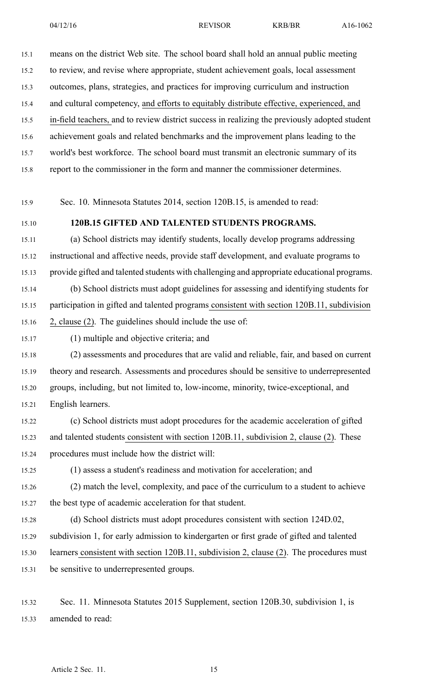15.1 means on the district Web site. The school board shall hold an annual public meeting 15.2 to review, and revise where appropriate, student achievement goals, local assessment 15.3 outcomes, plans, strategies, and practices for improving curriculum and instruction 15.4 and cultural competency, and efforts to equitably distribute effective, experienced, and 15.5 in-field teachers, and to review district success in realizing the previously adopted student 15.6 achievement goals and related benchmarks and the improvement plans leading to the 15.7 world's best workforce. The school board must transmit an electronic summary of its 15.8 repor<sup>t</sup> to the commissioner in the form and manner the commissioner determines.

15.9 Sec. 10. Minnesota Statutes 2014, section 120B.15, is amended to read:

#### 15.10 **120B.15 GIFTED AND TALENTED STUDENTS PROGRAMS.**

15.11 (a) School districts may identify students, locally develop programs addressing 15.12 instructional and affective needs, provide staff development, and evaluate programs to 15.13 provide gifted and talented students with challenging and appropriate educational programs.

15.14 (b) School districts must adopt guidelines for assessing and identifying students for 15.15 participation in gifted and talented programs consistent with section 120B.11, subdivision 15.16 2, clause (2). The guidelines should include the use of:

15.17 (1) multiple and objective criteria; and

15.18 (2) assessments and procedures that are valid and reliable, fair, and based on current 15.19 theory and research. Assessments and procedures should be sensitive to underrepresented 15.20 groups, including, but not limited to, low-income, minority, twice-exceptional, and 15.21 English learners.

15.22 (c) School districts must adopt procedures for the academic acceleration of gifted 15.23 and talented students consistent with section 120B.11, subdivision 2, clause (2). These 15.24 procedures must include how the district will:

15.25 (1) assess <sup>a</sup> student's readiness and motivation for acceleration; and

15.26 (2) match the level, complexity, and pace of the curriculum to <sup>a</sup> student to achieve 15.27 the best type of academic acceleration for that student.

15.28 (d) School districts must adopt procedures consistent with section 124D.02,

15.29 subdivision 1, for early admission to kindergarten or first grade of gifted and talented

15.30 learners consistent with section 120B.11, subdivision 2, clause (2). The procedures must

15.31 be sensitive to underrepresented groups.

15.32 Sec. 11. Minnesota Statutes 2015 Supplement, section 120B.30, subdivision 1, is 15.33 amended to read: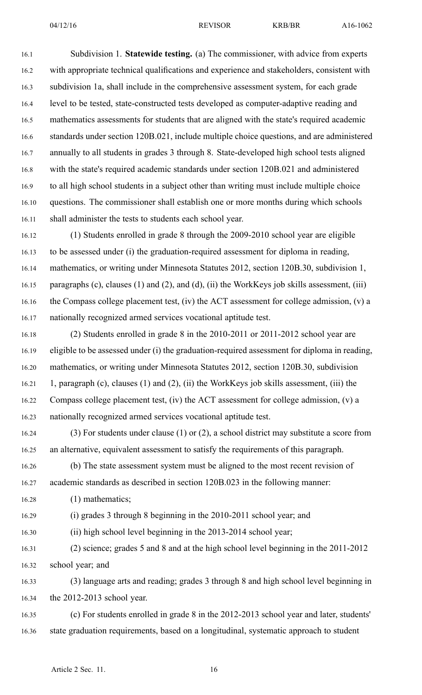16.1 Subdivision 1. **Statewide testing.** (a) The commissioner, with advice from experts 16.2 with appropriate technical qualifications and experience and stakeholders, consistent with 16.3 subdivision 1a, shall include in the comprehensive assessment system, for each grade 16.4 level to be tested, state-constructed tests developed as computer-adaptive reading and 16.5 mathematics assessments for students that are aligned with the state's required academic 16.6 standards under section 120B.021, include multiple choice questions, and are administered 16.7 annually to all students in grades 3 through 8. State-developed high school tests aligned 16.8 with the state's required academic standards under section 120B.021 and administered 16.9 to all high school students in <sup>a</sup> subject other than writing must include multiple choice 16.10 questions. The commissioner shall establish one or more months during which schools 16.11 shall administer the tests to students each school year.

16.12 (1) Students enrolled in grade 8 through the 2009-2010 school year are eligible 16.13 to be assessed under (i) the graduation-required assessment for diploma in reading, 16.14 mathematics, or writing under Minnesota Statutes 2012, section 120B.30, subdivision 1, 16.15 paragraphs (c), clauses (1) and (2), and (d), (ii) the WorkKeys job skills assessment, (iii) 16.16 the Compass college placement test, (iv) the ACT assessment for college admission, (v) <sup>a</sup> 16.17 nationally recognized armed services vocational aptitude test.

16.18 (2) Students enrolled in grade 8 in the 2010-2011 or 2011-2012 school year are 16.19 eligible to be assessed under (i) the graduation-required assessment for diploma in reading, 16.20 mathematics, or writing under Minnesota Statutes 2012, section 120B.30, subdivision 16.21 1, paragraph (c), clauses (1) and (2), (ii) the WorkKeys job skills assessment, (iii) the 16.22 Compass college placement test, (iv) the ACT assessment for college admission, (v) <sup>a</sup> 16.23 nationally recognized armed services vocational aptitude test.

16.24 (3) For students under clause (1) or (2), <sup>a</sup> school district may substitute <sup>a</sup> score from 16.25 an alternative, equivalent assessment to satisfy the requirements of this paragraph.

16.26 (b) The state assessment system must be aligned to the most recent revision of 16.27 academic standards as described in section 120B.023 in the following manner:

16.28 (1) mathematics;

16.29 (i) grades 3 through 8 beginning in the 2010-2011 school year; and

16.30 (ii) high school level beginning in the 2013-2014 school year;

16.31 (2) science; grades 5 and 8 and at the high school level beginning in the 2011-2012 16.32 school year; and

16.33 (3) language arts and reading; grades 3 through 8 and high school level beginning in 16.34 the 2012-2013 school year.

16.35 (c) For students enrolled in grade 8 in the 2012-2013 school year and later, students' 16.36 state graduation requirements, based on <sup>a</sup> longitudinal, systematic approach to student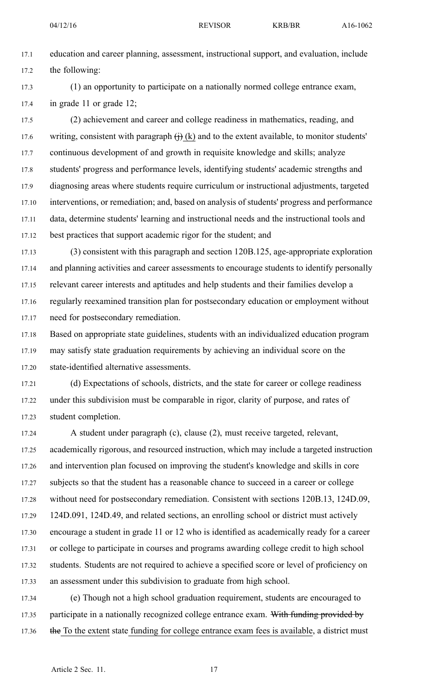17.1 education and career planning, assessment, instructional support, and evaluation, include 17.2 the following:

17.3 (1) an opportunity to participate on <sup>a</sup> nationally normed college entrance exam, 17.4 in grade 11 or grade 12;

17.5 (2) achievement and career and college readiness in mathematics, reading, and 17.6 writing, consistent with paragraph  $\leftrightarrow$  (k) and to the extent available, to monitor students' 17.7 continuous development of and growth in requisite knowledge and skills; analyze 17.8 students' progress and performance levels, identifying students' academic strengths and 17.9 diagnosing areas where students require curriculum or instructional adjustments, targeted 17.10 interventions, or remediation; and, based on analysis of students' progress and performance 17.11 data, determine students' learning and instructional needs and the instructional tools and 17.12 best practices that suppor<sup>t</sup> academic rigor for the student; and

17.13 (3) consistent with this paragraph and section 120B.125, age-appropriate exploration 17.14 and planning activities and career assessments to encourage students to identify personally 17.15 relevant career interests and aptitudes and help students and their families develop <sup>a</sup> 17.16 regularly reexamined transition plan for postsecondary education or employment without 17.17 need for postsecondary remediation.

17.18 Based on appropriate state guidelines, students with an individualized education program 17.19 may satisfy state graduation requirements by achieving an individual score on the 17.20 state-identified alternative assessments.

17.21 (d) Expectations of schools, districts, and the state for career or college readiness 17.22 under this subdivision must be comparable in rigor, clarity of purpose, and rates of 17.23 student completion.

17.24 A student under paragraph (c), clause (2), must receive targeted, relevant, 17.25 academically rigorous, and resourced instruction, which may include <sup>a</sup> targeted instruction 17.26 and intervention plan focused on improving the student's knowledge and skills in core 17.27 subjects so that the student has <sup>a</sup> reasonable chance to succeed in <sup>a</sup> career or college 17.28 without need for postsecondary remediation. Consistent with sections 120B.13, 124D.09, 17.29 124D.091, 124D.49, and related sections, an enrolling school or district must actively 17.30 encourage <sup>a</sup> student in grade 11 or 12 who is identified as academically ready for <sup>a</sup> career 17.31 or college to participate in courses and programs awarding college credit to high school 17.32 students. Students are not required to achieve <sup>a</sup> specified score or level of proficiency on 17.33 an assessment under this subdivision to graduate from high school.

17.34 (e) Though not <sup>a</sup> high school graduation requirement, students are encouraged to 17.35 participate in a nationally recognized college entrance exam. With funding provided by 17.36 the To the extent state funding for college entrance exam fees is available, a district must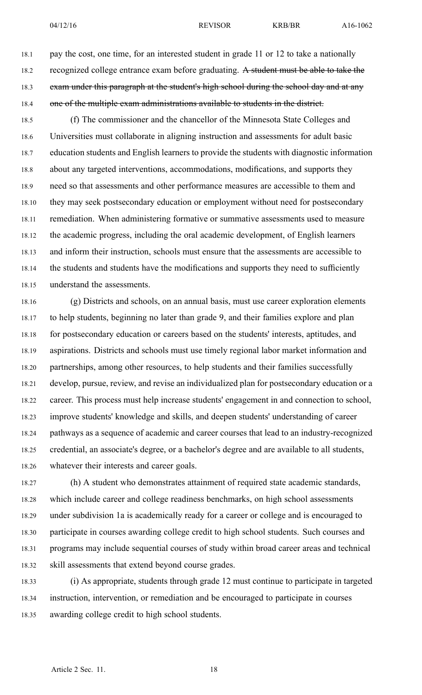18.1 pay the cost, one time, for an interested student in grade 11 or 12 to take <sup>a</sup> nationally 18.2 recognized college entrance exam before graduating. A student must be able to take the 18.3 exam under this paragraph at the student's high school during the school day and at any 18.4 one of the multiple exam administrations available to students in the district.

18.5 (f) The commissioner and the chancellor of the Minnesota State Colleges and 18.6 Universities must collaborate in aligning instruction and assessments for adult basic 18.7 education students and English learners to provide the students with diagnostic information 18.8 about any targeted interventions, accommodations, modifications, and supports they 18.9 need so that assessments and other performance measures are accessible to them and 18.10 they may seek postsecondary education or employment without need for postsecondary 18.11 remediation. When administering formative or summative assessments used to measure 18.12 the academic progress, including the oral academic development, of English learners 18.13 and inform their instruction, schools must ensure that the assessments are accessible to 18.14 the students and students have the modifications and supports they need to sufficiently 18.15 understand the assessments.

18.16 (g) Districts and schools, on an annual basis, must use career exploration elements 18.17 to help students, beginning no later than grade 9, and their families explore and plan 18.18 for postsecondary education or careers based on the students' interests, aptitudes, and 18.19 aspirations. Districts and schools must use timely regional labor market information and 18.20 partnerships, among other resources, to help students and their families successfully 18.21 develop, pursue, review, and revise an individualized plan for postsecondary education or <sup>a</sup> 18.22 career. This process must help increase students' engagemen<sup>t</sup> in and connection to school, 18.23 improve students' knowledge and skills, and deepen students' understanding of career 18.24 pathways as <sup>a</sup> sequence of academic and career courses that lead to an industry-recognized 18.25 credential, an associate's degree, or <sup>a</sup> bachelor's degree and are available to all students, 18.26 whatever their interests and career goals.

18.27 (h) A student who demonstrates attainment of required state academic standards, 18.28 which include career and college readiness benchmarks, on high school assessments 18.29 under subdivision 1a is academically ready for <sup>a</sup> career or college and is encouraged to 18.30 participate in courses awarding college credit to high school students. Such courses and 18.31 programs may include sequential courses of study within broad career areas and technical 18.32 skill assessments that extend beyond course grades.

18.33 (i) As appropriate, students through grade 12 must continue to participate in targeted 18.34 instruction, intervention, or remediation and be encouraged to participate in courses 18.35 awarding college credit to high school students.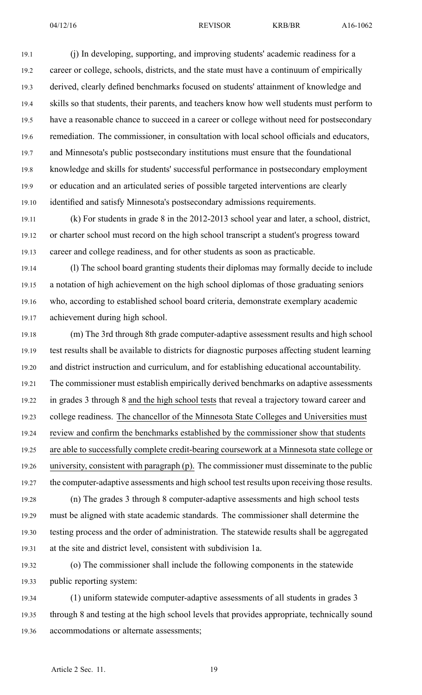19.1 (j) In developing, supporting, and improving students' academic readiness for <sup>a</sup> 19.2 career or college, schools, districts, and the state must have <sup>a</sup> continuum of empirically 19.3 derived, clearly defined benchmarks focused on students' attainment of knowledge and 19.4 skills so that students, their parents, and teachers know how well students must perform to 19.5 have <sup>a</sup> reasonable chance to succeed in <sup>a</sup> career or college without need for postsecondary 19.6 remediation. The commissioner, in consultation with local school officials and educators, 19.7 and Minnesota's public postsecondary institutions must ensure that the foundational 19.8 knowledge and skills for students' successful performance in postsecondary employment 19.9 or education and an articulated series of possible targeted interventions are clearly 19.10 identified and satisfy Minnesota's postsecondary admissions requirements.

19.11 (k) For students in grade 8 in the 2012-2013 school year and later, <sup>a</sup> school, district, 19.12 or charter school must record on the high school transcript <sup>a</sup> student's progress toward 19.13 career and college readiness, and for other students as soon as practicable.

19.14 (l) The school board granting students their diplomas may formally decide to include 19.15 <sup>a</sup> notation of high achievement on the high school diplomas of those graduating seniors 19.16 who, according to established school board criteria, demonstrate exemplary academic 19.17 achievement during high school.

19.18 (m) The 3rd through 8th grade computer-adaptive assessment results and high school 19.19 test results shall be available to districts for diagnostic purposes affecting student learning 19.20 and district instruction and curriculum, and for establishing educational accountability. 19.21 The commissioner must establish empirically derived benchmarks on adaptive assessments 19.22 in grades 3 through 8 and the high school tests that reveal <sup>a</sup> trajectory toward career and 19.23 college readiness. The chancellor of the Minnesota State Colleges and Universities must 19.24 review and confirm the benchmarks established by the commissioner show that students 19.25 are able to successfully complete credit-bearing coursework at <sup>a</sup> Minnesota state college or 19.26 university, consistent with paragraph (p). The commissioner must disseminate to the public 19.27 the computer-adaptive assessments and high school test results upon receiving those results. 19.28 (n) The grades 3 through 8 computer-adaptive assessments and high school tests 19.29 must be aligned with state academic standards. The commissioner shall determine the 19.30 testing process and the order of administration. The statewide results shall be aggregated

19.31 at the site and district level, consistent with subdivision 1a.

19.32 (o) The commissioner shall include the following components in the statewide 19.33 public reporting system:

19.34 (1) uniform statewide computer-adaptive assessments of all students in grades 3 19.35 through 8 and testing at the high school levels that provides appropriate, technically sound 19.36 accommodations or alternate assessments;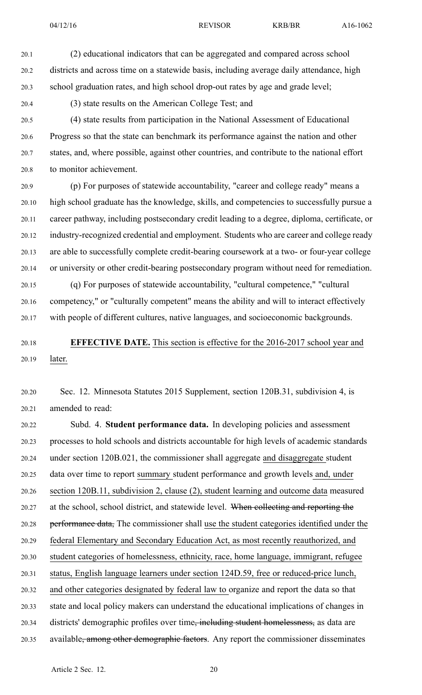20.1 (2) educational indicators that can be aggregated and compared across school 20.2 districts and across time on <sup>a</sup> statewide basis, including average daily attendance, high 20.3 school graduation rates, and high school drop-out rates by age and grade level;

20.4 (3) state results on the American College Test; and

20.5 (4) state results from participation in the National Assessment of Educational 20.6 Progress so that the state can benchmark its performance against the nation and other 20.7 states, and, where possible, against other countries, and contribute to the national effort 20.8 to monitor achievement.

20.9 (p) For purposes of statewide accountability, "career and college ready" means <sup>a</sup> 20.10 high school graduate has the knowledge, skills, and competencies to successfully pursue <sup>a</sup> 20.11 career pathway, including postsecondary credit leading to <sup>a</sup> degree, diploma, certificate, or 20.12 industry-recognized credential and employment. Students who are career and college ready 20.13 are able to successfully complete credit-bearing coursework at <sup>a</sup> two- or four-year college 20.14 or university or other credit-bearing postsecondary program without need for remediation.

20.15 (q) For purposes of statewide accountability, "cultural competence," "cultural 20.16 competency," or "culturally competent" means the ability and will to interact effectively 20.17 with people of different cultures, native languages, and socioeconomic backgrounds.

20.18 **EFFECTIVE DATE.** This section is effective for the 2016-2017 school year and 20.19 later.

20.20 Sec. 12. Minnesota Statutes 2015 Supplement, section 120B.31, subdivision 4, is 20.21 amended to read:

20.22 Subd. 4. **Student performance data.** In developing policies and assessment 20.23 processes to hold schools and districts accountable for high levels of academic standards 20.24 under section 120B.021, the commissioner shall aggregate and disaggregate student 20.25 data over time to repor<sup>t</sup> summary student performance and growth levels and, under 20.26 section 120B.11, subdivision 2, clause (2), student learning and outcome data measured 20.27 at the school, school district, and statewide level. When collecting and reporting the 20.28 performance data, The commissioner shall use the student categories identified under the 20.29 federal Elementary and Secondary Education Act, as most recently reauthorized, and 20.30 student categories of homelessness, ethnicity, race, home language, immigrant, refugee 20.31 status, English language learners under section 124D.59, free or reduced-price lunch, 20.32 and other categories designated by federal law to organize and repor<sup>t</sup> the data so that 20.33 state and local policy makers can understand the educational implications of changes in 20.34 districts' demographic profiles over time<del>, including student homelessness,</del> as data are 20.35 available, among other demographic factors. Any report the commissioner disseminates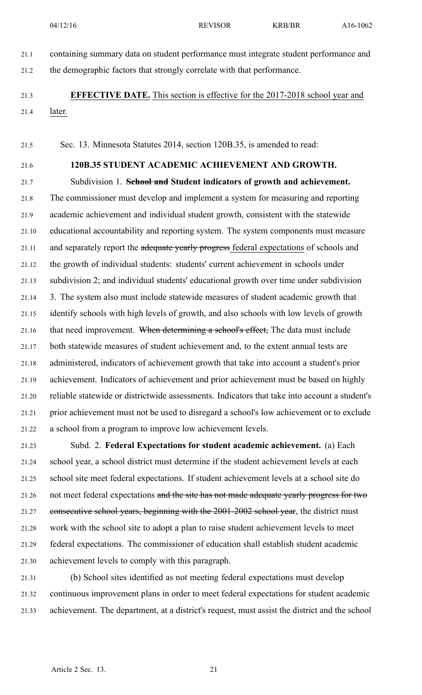- 
- 21.1 containing summary data on student performance must integrate student performance and 21.2 the demographic factors that strongly correlate with that performance.

## 21.3 **EFFECTIVE DATE.** This section is effective for the 2017-2018 school year and 21.4 later.

21.5 Sec. 13. Minnesota Statutes 2014, section 120B.35, is amended to read:

## 21.6 **120B.35 STUDENT ACADEMIC ACHIEVEMENT AND GROWTH.**

21.7 Subdivision 1. **School and Student indicators of growth and achievement.** 21.8 The commissioner must develop and implement <sup>a</sup> system for measuring and reporting 21.9 academic achievement and individual student growth, consistent with the statewide 21.10 educational accountability and reporting system. The system components must measure 21.11 and separately report the adequate yearly progress federal expectations of schools and 21.12 the growth of individual students: students' current achievement in schools under 21.13 subdivision 2; and individual students' educational growth over time under subdivision 21.14 3. The system also must include statewide measures of student academic growth that 21.15 identify schools with high levels of growth, and also schools with low levels of growth 21.16 that need improvement. When determining a school's effect, The data must include 21.17 both statewide measures of student achievement and, to the extent annual tests are 21.18 administered, indicators of achievement growth that take into account <sup>a</sup> student's prior 21.19 achievement. Indicators of achievement and prior achievement must be based on highly 21.20 reliable statewide or districtwide assessments. Indicators that take into account <sup>a</sup> student's 21.21 prior achievement must not be used to disregard <sup>a</sup> school's low achievement or to exclude 21.22 <sup>a</sup> school from <sup>a</sup> program to improve low achievement levels.

21.23 Subd. 2. **Federal Expectations for student academic achievement.** (a) Each 21.24 school year, <sup>a</sup> school district must determine if the student achievement levels at each 21.25 school site meet federal expectations. If student achievement levels at <sup>a</sup> school site do 21.26 not meet federal expectations and the site has not made adequate yearly progress for two 21.27 consecutive school years, beginning with the 2001-2002 school year, the district must 21.28 work with the school site to adopt <sup>a</sup> plan to raise student achievement levels to meet 21.29 federal expectations. The commissioner of education shall establish student academic 21.30 achievement levels to comply with this paragraph.

21.31 (b) School sites identified as not meeting federal expectations must develop 21.32 continuous improvement plans in order to meet federal expectations for student academic 21.33 achievement. The department, at <sup>a</sup> district's request, must assist the district and the school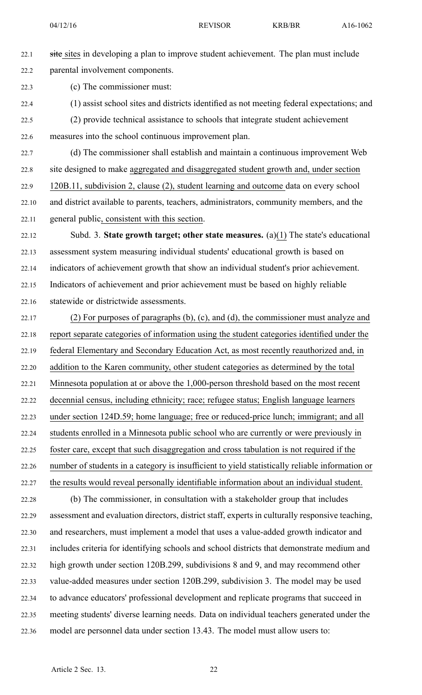22.1 site sites in developing a plan to improve student achievement. The plan must include 22.2 parental involvement components.

22.3 (c) The commissioner must:

- 22.4 (1) assist school sites and districts identified as not meeting federal expectations; and
- 22.5 (2) provide technical assistance to schools that integrate student achievement 22.6 measures into the school continuous improvement plan.

22.7 (d) The commissioner shall establish and maintain <sup>a</sup> continuous improvement Web 22.8 site designed to make aggregated and disaggregated student growth and, under section 22.9 120B.11, subdivision 2, clause (2), student learning and outcome data on every school 22.10 and district available to parents, teachers, administrators, community members, and the 22.11 general public, consistent with this section.

22.12 Subd. 3. **State growth target; other state measures.** (a)(1) The state's educational 22.13 assessment system measuring individual students' educational growth is based on 22.14 indicators of achievement growth that show an individual student's prior achievement. 22.15 Indicators of achievement and prior achievement must be based on highly reliable 22.16 statewide or districtwide assessments.

22.17 (2) For purposes of paragraphs (b), (c), and (d), the commissioner must analyze and 22.18 repor<sup>t</sup> separate categories of information using the student categories identified under the 22.19 federal Elementary and Secondary Education Act, as most recently reauthorized and, in 22.20 addition to the Karen community, other student categories as determined by the total 22.21 Minnesota population at or above the 1,000-person threshold based on the most recent 22.22 decennial census, including ethnicity; race; refugee status; English language learners 22.23 under section 124D.59; home language; free or reduced-price lunch; immigrant; and all 22.24 students enrolled in <sup>a</sup> Minnesota public school who are currently or were previously in 22.25 foster care, excep<sup>t</sup> that such disaggregation and cross tabulation is not required if the 22.26 number of students in <sup>a</sup> category is insufficient to yield statistically reliable information or 22.27 the results would reveal personally identifiable information about an individual student.

22.28 (b) The commissioner, in consultation with <sup>a</sup> stakeholder group that includes 22.29 assessment and evaluation directors, district staff, experts in culturally responsive teaching, 22.30 and researchers, must implement <sup>a</sup> model that uses <sup>a</sup> value-added growth indicator and 22.31 includes criteria for identifying schools and school districts that demonstrate medium and 22.32 high growth under section 120B.299, subdivisions 8 and 9, and may recommend other 22.33 value-added measures under section 120B.299, subdivision 3. The model may be used 22.34 to advance educators' professional development and replicate programs that succeed in 22.35 meeting students' diverse learning needs. Data on individual teachers generated under the 22.36 model are personnel data under section 13.43. The model must allow users to: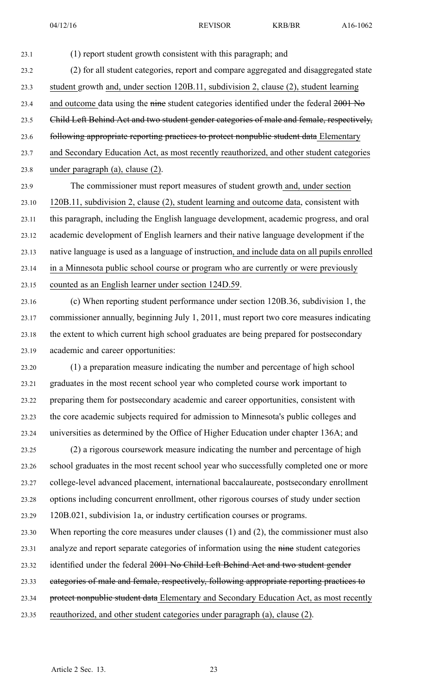23.1 (1) repor<sup>t</sup> student growth consistent with this paragraph; and 23.2 (2) for all student categories, repor<sup>t</sup> and compare aggregated and disaggregated state 23.3 student growth and, under section 120B.11, subdivision 2, clause (2), student learning 23.4 and outcome data using the nine student categories identified under the federal 2001 No 23.5 Child Left Behind Act and two student gender categories of male and female, respectively, 23.6 following appropriate reporting practices to protect nonpublic student data Elementary 23.7 and Secondary Education Act, as most recently reauthorized, and other student categories 23.8 under paragraph (a), clause (2). 23.9 The commissioner must repor<sup>t</sup> measures of student growth and, under section 23.10 120B.11, subdivision 2, clause (2), student learning and outcome data, consistent with 23.11 this paragraph, including the English language development, academic progress, and oral 23.12 academic development of English learners and their native language development if the 23.13 native language is used as <sup>a</sup> language of instruction, and include data on all pupils enrolled 23.14 in <sup>a</sup> Minnesota public school course or program who are currently or were previously 23.15 counted as an English learner under section 124D.59. 23.16 (c) When reporting student performance under section 120B.36, subdivision 1, the 23.17 commissioner annually, beginning July 1, 2011, must repor<sup>t</sup> two core measures indicating 23.18 the extent to which current high school graduates are being prepared for postsecondary 23.19 academic and career opportunities: 23.20 (1) <sup>a</sup> preparation measure indicating the number and percentage of high school 23.21 graduates in the most recent school year who completed course work important to 23.22 preparing them for postsecondary academic and career opportunities, consistent with 23.23 the core academic subjects required for admission to Minnesota's public colleges and 23.24 universities as determined by the Office of Higher Education under chapter 136A; and 23.25 (2) <sup>a</sup> rigorous coursework measure indicating the number and percentage of high 23.26 school graduates in the most recent school year who successfully completed one or more 23.27 college-level advanced placement, international baccalaureate, postsecondary enrollment 23.28 options including concurrent enrollment, other rigorous courses of study under section 23.29 120B.021, subdivision 1a, or industry certification courses or programs. 23.30 When reporting the core measures under clauses (1) and (2), the commissioner must also 23.31 analyze and report separate categories of information using the nine student categories 23.32 identified under the federal 2001 No Child Left Behind Act and two student gender 23.33 categories of male and female, respectively, following appropriate reporting practices to 23.34 protect nonpublic student data Elementary and Secondary Education Act, as most recently

23.35 reauthorized, and other student categories under paragraph (a), clause (2).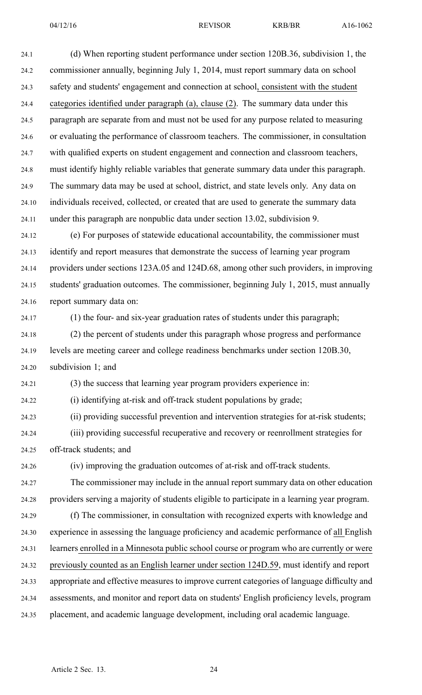24.1 (d) When reporting student performance under section 120B.36, subdivision 1, the 24.2 commissioner annually, beginning July 1, 2014, must repor<sup>t</sup> summary data on school 24.3 safety and students' engagemen<sup>t</sup> and connection at school, consistent with the student 24.4 categories identified under paragraph (a), clause (2). The summary data under this 24.5 paragraph are separate from and must not be used for any purpose related to measuring 24.6 or evaluating the performance of classroom teachers. The commissioner, in consultation 24.7 with qualified experts on student engagemen<sup>t</sup> and connection and classroom teachers, 24.8 must identify highly reliable variables that generate summary data under this paragraph. 24.9 The summary data may be used at school, district, and state levels only. Any data on 24.10 individuals received, collected, or created that are used to generate the summary data 24.11 under this paragraph are nonpublic data under section 13.02, subdivision 9.

24.12 (e) For purposes of statewide educational accountability, the commissioner must 24.13 identify and repor<sup>t</sup> measures that demonstrate the success of learning year program 24.14 providers under sections 123A.05 and 124D.68, among other such providers, in improving 24.15 students' graduation outcomes. The commissioner, beginning July 1, 2015, must annually 24.16 repor<sup>t</sup> summary data on:

24.17 (1) the four- and six-year graduation rates of students under this paragraph;

24.18 (2) the percen<sup>t</sup> of students under this paragraph whose progress and performance 24.19 levels are meeting career and college readiness benchmarks under section 120B.30, 24.20 subdivision 1; and

24.21 (3) the success that learning year program providers experience in:

24.22 (i) identifying at-risk and off-track student populations by grade;

24.23 (ii) providing successful prevention and intervention strategies for at-risk students; 24.24 (iii) providing successful recuperative and recovery or reenrollment strategies for

24.25 off-track students; and

24.26 (iv) improving the graduation outcomes of at-risk and off-track students.

24.27 The commissioner may include in the annual repor<sup>t</sup> summary data on other education 24.28 providers serving <sup>a</sup> majority of students eligible to participate in <sup>a</sup> learning year program.

24.29 (f) The commissioner, in consultation with recognized experts with knowledge and 24.30 experience in assessing the language proficiency and academic performance of all English 24.31 learners enrolled in <sup>a</sup> Minnesota public school course or program who are currently or were 24.32 previously counted as an English learner under section 124D.59, must identify and repor<sup>t</sup> 24.33 appropriate and effective measures to improve current categories of language difficulty and 24.34 assessments, and monitor and repor<sup>t</sup> data on students' English proficiency levels, program

24.35 placement, and academic language development, including oral academic language.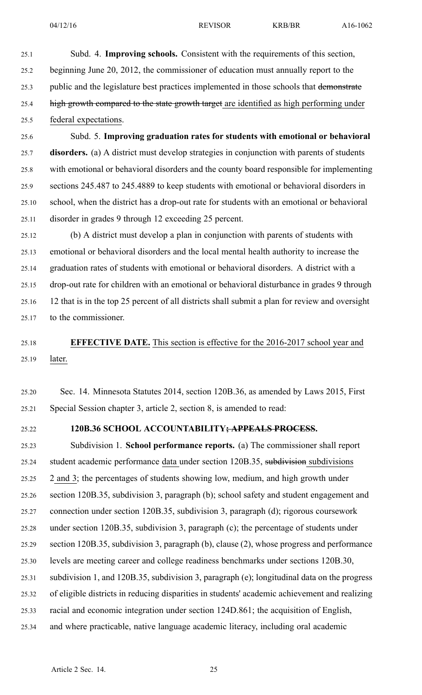- 25.1 Subd. 4. **Improving schools.** Consistent with the requirements of this section, 25.2 beginning June 20, 2012, the commissioner of education must annually repor<sup>t</sup> to the
- 25.3 public and the legislature best practices implemented in those schools that demonstrate
- 25.4 high growth compared to the state growth target are identified as high performing under 25.5 federal expectations.
- 25.6 Subd. 5. **Improving graduation rates for students with emotional or behavioral** 25.7 **disorders.** (a) A district must develop strategies in conjunction with parents of students 25.8 with emotional or behavioral disorders and the county board responsible for implementing 25.9 sections 245.487 to 245.4889 to keep students with emotional or behavioral disorders in 25.10 school, when the district has <sup>a</sup> drop-out rate for students with an emotional or behavioral 25.11 disorder in grades 9 through 12 exceeding 25 percent.
- 25.12 (b) A district must develop <sup>a</sup> plan in conjunction with parents of students with 25.13 emotional or behavioral disorders and the local mental health authority to increase the 25.14 graduation rates of students with emotional or behavioral disorders. A district with <sup>a</sup> 25.15 drop-out rate for children with an emotional or behavioral disturbance in grades 9 through 25.16 12 that is in the top 25 percen<sup>t</sup> of all districts shall submit <sup>a</sup> plan for review and oversight 25.17 to the commissioner.
- 25.18 **EFFECTIVE DATE.** This section is effective for the 2016-2017 school year and 25.19 later.
- 25.20 Sec. 14. Minnesota Statutes 2014, section 120B.36, as amended by Laws 2015, First 25.21 Special Session chapter 3, article 2, section 8, is amended to read:
- 

## 25.22 **120B.36 SCHOOL ACCOUNTABILITY; APPEALS PROCESS.**

25.23 Subdivision 1. **School performance reports.** (a) The commissioner shall repor<sup>t</sup> 25.24 student academic performance data under section 120B.35, subdivision subdivisions 25.25 2 and 3; the percentages of students showing low, medium, and high growth under 25.26 section 120B.35, subdivision 3, paragraph (b); school safety and student engagemen<sup>t</sup> and 25.27 connection under section 120B.35, subdivision 3, paragraph (d); rigorous coursework 25.28 under section 120B.35, subdivision 3, paragraph (c); the percentage of students under 25.29 section 120B.35, subdivision 3, paragraph (b), clause (2), whose progress and performance 25.30 levels are meeting career and college readiness benchmarks under sections 120B.30, 25.31 subdivision 1, and 120B.35, subdivision 3, paragraph (e); longitudinal data on the progress 25.32 of eligible districts in reducing disparities in students' academic achievement and realizing 25.33 racial and economic integration under section 124D.861; the acquisition of English, 25.34 and where practicable, native language academic literacy, including oral academic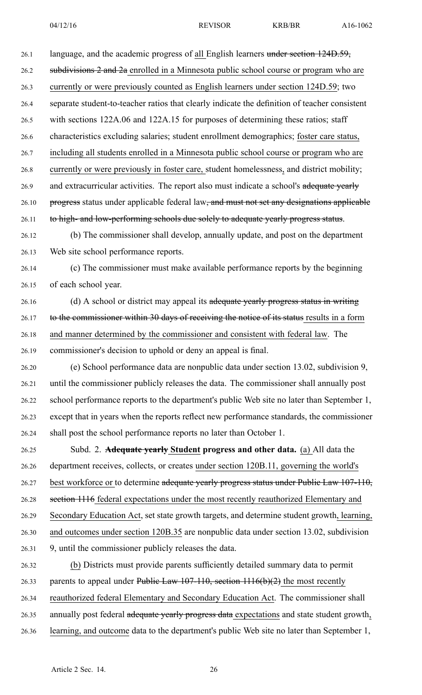26.1 language, and the academic progress of all English learners under section 124D.59, 26.2 subdivisions 2 and 2a enrolled in a Minnesota public school course or program who are 26.3 currently or were previously counted as English learners under section 124D.59; two 26.4 separate student-to-teacher ratios that clearly indicate the definition of teacher consistent 26.5 with sections 122A.06 and 122A.15 for purposes of determining these ratios; staff 26.6 characteristics excluding salaries; student enrollment demographics; foster care status, 26.7 including all students enrolled in <sup>a</sup> Minnesota public school course or program who are 26.8 currently or were previously in foster care, student homelessness, and district mobility; 26.9 and extracurricular activities. The report also must indicate a school's adequate yearly 26.10 progress status under applicable federal law, and must not set any designations applicable 26.11 to high- and low-performing schools due solely to adequate yearly progress status. 26.12 (b) The commissioner shall develop, annually update, and pos<sup>t</sup> on the department 26.13 Web site school performance reports. 26.14 (c) The commissioner must make available performance reports by the beginning 26.15 of each school year. 26.16 (d) A school or district may appeal its adequate yearly progress status in writing 26.17 to the commissioner within 30 days of receiving the notice of its status results in a form 26.18 and manner determined by the commissioner and consistent with federal law. The 26.19 commissioner's decision to uphold or deny an appeal is final. 26.20 (e) School performance data are nonpublic data under section 13.02, subdivision 9, 26.21 until the commissioner publicly releases the data. The commissioner shall annually pos<sup>t</sup> 26.22 school performance reports to the department's public Web site no later than September 1, 26.23 excep<sup>t</sup> that in years when the reports reflect new performance standards, the commissioner 26.24 shall pos<sup>t</sup> the school performance reports no later than October 1. 26.25 Subd. 2. **Adequate yearly Student progress and other data.** (a) All data the 26.26 department receives, collects, or creates under section 120B.11, governing the world's 26.27 best workforce or to determine adequate yearly progress status under Public Law 107-110, 26.28 section 1116 federal expectations under the most recently reauthorized Elementary and 26.29 Secondary Education Act, set state growth targets, and determine student growth, learning, 26.30 and outcomes under section 120B.35 are nonpublic data under section 13.02, subdivision 26.31 9, until the commissioner publicly releases the data. 26.32 (b) Districts must provide parents sufficiently detailed summary data to permit 26.33 parents to appeal under Public Law  $107-110$ , section  $1116(b)(2)$  the most recently 26.34 reauthorized federal Elementary and Secondary Education Act. The commissioner shall

26.35 annually post federal adequate yearly progress data expectations and state student growth,

26.36 learning, and outcome data to the department's public Web site no later than September 1,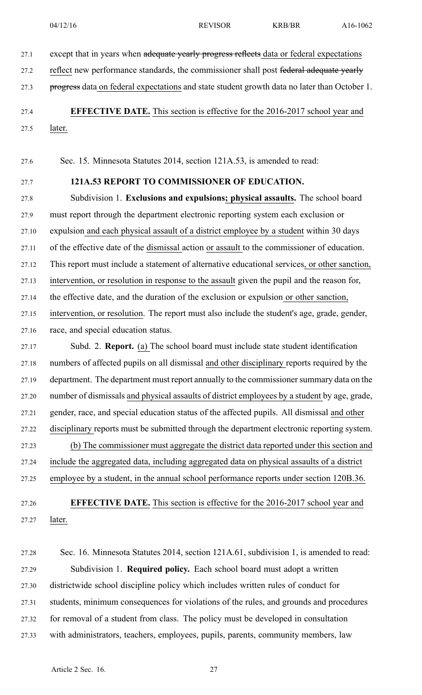27.1 except that in years when adequate yearly progress reflects data or federal expectations

27.2 reflect new performance standards, the commissioner shall post federal adequate yearly

27.3 progress data on federal expectations and state student growth data no later than October 1.

27.4 **EFFECTIVE DATE.** This section is effective for the 2016-2017 school year and

27.5 later.

27.6 Sec. 15. Minnesota Statutes 2014, section 121A.53, is amended to read:

## 27.7 **121A.53 REPORT TO COMMISSIONER OF EDUCATION.**

27.8 Subdivision 1. **Exclusions and expulsions; physical assaults.** The school board 27.9 must repor<sup>t</sup> through the department electronic reporting system each exclusion or 27.10 expulsion and each physical assault of <sup>a</sup> district employee by <sup>a</sup> student within 30 days 27.11 of the effective date of the dismissal action or assault to the commissioner of education. 27.12 This repor<sup>t</sup> must include <sup>a</sup> statement of alternative educational services, or other sanction, 27.13 intervention, or resolution in response to the assault given the pupil and the reason for, 27.14 the effective date, and the duration of the exclusion or expulsion or other sanction, 27.15 intervention, or resolution. The repor<sup>t</sup> must also include the student's age, grade, gender, 27.16 race, and special education status.

27.17 Subd. 2. **Report.** (a) The school board must include state student identification 27.18 numbers of affected pupils on all dismissal and other disciplinary reports required by the 27.19 department. The department must report annually to the commissioner summary data on the 27.20 number of dismissals and physical assaults of district employees by <sup>a</sup> student by age, grade, 27.21 gender, race, and special education status of the affected pupils. All dismissal and other 27.22 disciplinary reports must be submitted through the department electronic reporting system. 27.23 (b) The commissioner must aggregate the district data reported under this section and 27.24 include the aggregated data, including aggregated data on physical assaults of <sup>a</sup> district 27.25 employee by <sup>a</sup> student, in the annual school performance reports under section 120B.36.

27.26 **EFFECTIVE DATE.** This section is effective for the 2016-2017 school year and 27.27 later.

27.28 Sec. 16. Minnesota Statutes 2014, section 121A.61, subdivision 1, is amended to read: 27.29 Subdivision 1. **Required policy.** Each school board must adopt <sup>a</sup> written 27.30 districtwide school discipline policy which includes written rules of conduct for 27.31 students, minimum consequences for violations of the rules, and grounds and procedures 27.32 for removal of <sup>a</sup> student from class. The policy must be developed in consultation 27.33 with administrators, teachers, employees, pupils, parents, community members, law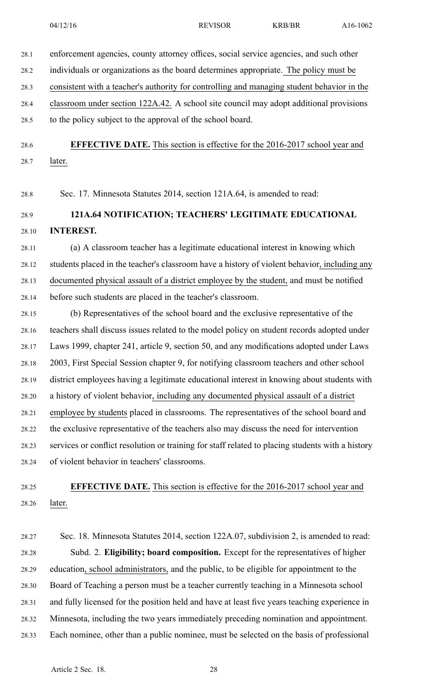28.1 enforcement agencies, county attorney offices, social service agencies, and such other 28.2 individuals or organizations as the board determines appropriate. The policy must be 28.3 consistent with <sup>a</sup> teacher's authority for controlling and managing student behavior in the 28.4 classroom under section 122A.42. A school site council may adopt additional provisions 28.5 to the policy subject to the approval of the school board.

28.6 **EFFECTIVE DATE.** This section is effective for the 2016-2017 school year and 28.7 later.

28.8 Sec. 17. Minnesota Statutes 2014, section 121A.64, is amended to read:

28.9 **121A.64 NOTIFICATION; TEACHERS' LEGITIMATE EDUCATIONAL** 28.10 **INTEREST.**

28.11 (a) A classroom teacher has <sup>a</sup> legitimate educational interest in knowing which 28.12 students placed in the teacher's classroom have <sup>a</sup> history of violent behavior, including any 28.13 documented physical assault of <sup>a</sup> district employee by the student, and must be notified 28.14 before such students are placed in the teacher's classroom.

28.15 (b) Representatives of the school board and the exclusive representative of the 28.16 teachers shall discuss issues related to the model policy on student records adopted under 28.17 Laws 1999, chapter 241, article 9, section 50, and any modifications adopted under Laws 28.18 2003, First Special Session chapter 9, for notifying classroom teachers and other school 28.19 district employees having <sup>a</sup> legitimate educational interest in knowing about students with 28.20 <sup>a</sup> history of violent behavior, including any documented physical assault of <sup>a</sup> district 28.21 employee by students placed in classrooms. The representatives of the school board and 28.22 the exclusive representative of the teachers also may discuss the need for intervention 28.23 services or conflict resolution or training for staff related to placing students with <sup>a</sup> history 28.24 of violent behavior in teachers' classrooms.

28.25 **EFFECTIVE DATE.** This section is effective for the 2016-2017 school year and 28.26 later.

28.27 Sec. 18. Minnesota Statutes 2014, section 122A.07, subdivision 2, is amended to read: 28.28 Subd. 2. **Eligibility; board composition.** Except for the representatives of higher 28.29 education, school administrators, and the public, to be eligible for appointment to the 28.30 Board of Teaching <sup>a</sup> person must be <sup>a</sup> teacher currently teaching in <sup>a</sup> Minnesota school 28.31 and fully licensed for the position held and have at least five years teaching experience in 28.32 Minnesota, including the two years immediately preceding nomination and appointment. 28.33 Each nominee, other than <sup>a</sup> public nominee, must be selected on the basis of professional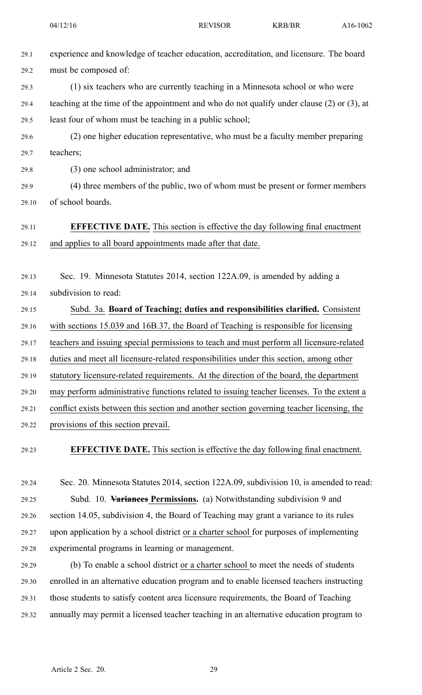- 29.1 experience and knowledge of teacher education, accreditation, and licensure. The board 29.2 must be composed of:
- 29.3 (1) six teachers who are currently teaching in <sup>a</sup> Minnesota school or who were 29.4 teaching at the time of the appointment and who do not qualify under clause (2) or (3), at 29.5 least four of whom must be teaching in <sup>a</sup> public school;
- 29.6 (2) one higher education representative, who must be <sup>a</sup> faculty member preparing 29.7 teachers;
- 

29.8 (3) one school administrator; and

29.9 (4) three members of the public, two of whom must be presen<sup>t</sup> or former members 29.10 of school boards.

## 29.11 **EFFECTIVE DATE.** This section is effective the day following final enactment 29.12 and applies to all board appointments made after that date.

29.13 Sec. 19. Minnesota Statutes 2014, section 122A.09, is amended by adding <sup>a</sup> 29.14 subdivision to read:

- 29.15 Subd. 3a. **Board of Teaching; duties and responsibilities clarified.** Consistent 29.16 with sections 15.039 and 16B.37, the Board of Teaching is responsible for licensing 29.17 teachers and issuing special permissions to teach and must perform all licensure-related 29.18 duties and meet all licensure-related responsibilities under this section, among other 29.19 statutory licensure-related requirements. At the direction of the board, the department 29.20 may perform administrative functions related to issuing teacher licenses. To the extent <sup>a</sup> 29.21 conflict exists between this section and another section governing teacher licensing, the 29.22 provisions of this section prevail.
- 

29.23 **EFFECTIVE DATE.** This section is effective the day following final enactment.

- 29.24 Sec. 20. Minnesota Statutes 2014, section 122A.09, subdivision 10, is amended to read: 29.25 Subd. 10. **Variances Permissions.** (a) Notwithstanding subdivision 9 and 29.26 section 14.05, subdivision 4, the Board of Teaching may gran<sup>t</sup> <sup>a</sup> variance to its rules 29.27 upon application by <sup>a</sup> school district or <sup>a</sup> charter school for purposes of implementing 29.28 experimental programs in learning or management.
- 29.29 (b) To enable <sup>a</sup> school district or <sup>a</sup> charter school to meet the needs of students 29.30 enrolled in an alternative education program and to enable licensed teachers instructing 29.31 those students to satisfy content area licensure requirements, the Board of Teaching 29.32 annually may permit <sup>a</sup> licensed teacher teaching in an alternative education program to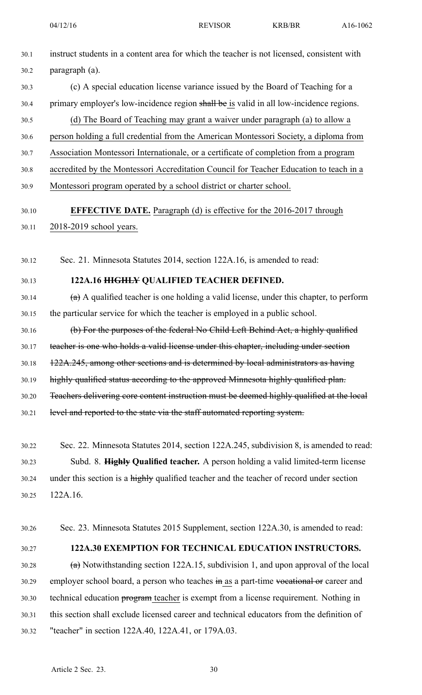- 30.1 instruct students in <sup>a</sup> content area for which the teacher is not licensed, consistent with 30.2 paragraph (a). 30.3 (c) A special education license variance issued by the Board of Teaching for <sup>a</sup> 30.4 primary employer's low-incidence region shall be is valid in all low-incidence regions. 30.5 (d) The Board of Teaching may gran<sup>t</sup> <sup>a</sup> waiver under paragraph (a) to allow <sup>a</sup> 30.6 person holding <sup>a</sup> full credential from the American Montessori Society, <sup>a</sup> diploma from 30.7 Association Montessori Internationale, or <sup>a</sup> certificate of completion from <sup>a</sup> program 30.8 accredited by the Montessori Accreditation Council for Teacher Education to teach in <sup>a</sup> 30.9 Montessori program operated by <sup>a</sup> school district or charter school.
- 30.10 **EFFECTIVE DATE.** Paragraph (d) is effective for the 2016-2017 through 30.11 2018-2019 school years.

30.12 Sec. 21. Minnesota Statutes 2014, section 122A.16, is amended to read:

#### 30.13 **122A.16 HIGHLY QUALIFIED TEACHER DEFINED.**

- 30.14  $(a)$  A qualified teacher is one holding a valid license, under this chapter, to perform 30.15 the particular service for which the teacher is employed in <sup>a</sup> public school.
- 30.16 (b) For the purposes of the federal No Child Left Behind Act, <sup>a</sup> highly qualified 30.17 teacher is one who holds <sup>a</sup> valid license under this chapter, including under section 30.18 122A.245, among other sections and is determined by local administrators as having 30.19 highly qualified status according to the approved Minnesota highly qualified plan. 30.20 Teachers delivering core content instruction must be deemed highly qualified at the local
- 30.21 level and reported to the state via the staff automated reporting system.
- 30.22 Sec. 22. Minnesota Statutes 2014, section 122A.245, subdivision 8, is amended to read: 30.23 Subd. 8. **Highly Qualified teacher.** A person holding <sup>a</sup> valid limited-term license 30.24 under this section is a highly qualified teacher and the teacher of record under section 30.25 122A.16.
- 30.26 Sec. 23. Minnesota Statutes 2015 Supplement, section 122A.30, is amended to read:
- 

## 30.27 **122A.30 EXEMPTION FOR TECHNICAL EDUCATION INSTRUCTORS.**

30.28  $(a)$  Notwithstanding section 122A.15, subdivision 1, and upon approval of the local 30.29 employer school board, a person who teaches in as a part-time vocational or career and 30.30 technical education program teacher is exemp<sup>t</sup> from <sup>a</sup> license requirement. Nothing in 30.31 this section shall exclude licensed career and technical educators from the definition of 30.32 "teacher" in section 122A.40, 122A.41, or 179A.03.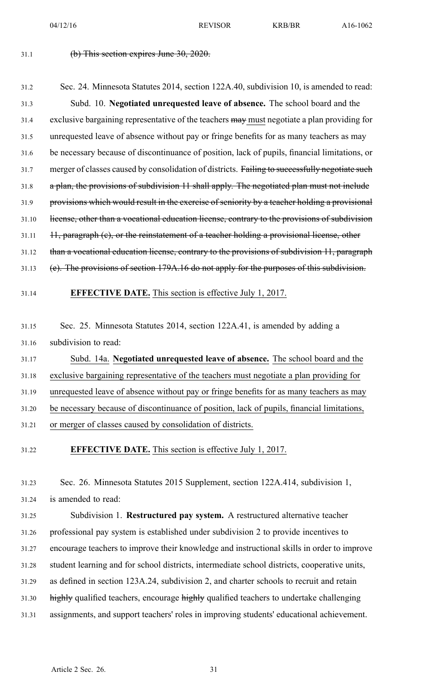04/12/16 REVISOR KRB/BR A16-1062

#### $31.1$  (b) This section expires June  $30, 2020$ .

# 31.2 Sec. 24. Minnesota Statutes 2014, section 122A.40, subdivision 10, is amended to read: 31.3 Subd. 10. **Negotiated unrequested leave of absence.** The school board and the 31.4 exclusive bargaining representative of the teachers may must negotiate a plan providing for 31.5 unrequested leave of absence without pay or fringe benefits for as many teachers as may 31.6 be necessary because of discontinuance of position, lack of pupils, financial limitations, or 31.7 merger of classes caused by consolidation of districts. Failing to successfully negotiate such 31.8 <sup>a</sup> plan, the provisions of subdivision 11 shall apply. The negotiated plan must not include 31.9 provisions which would result in the exercise of seniority by <sup>a</sup> teacher holding <sup>a</sup> provisional 31.10 license, other than a vocational education license, contrary to the provisions of subdivision  $31.11$   $11,$  paragraph (c), or the reinstatement of a teacher holding a provisional license, other 31.12 than a vocational education license, contrary to the provisions of subdivision 11, paragraph 31.13 (e). The provisions of section 179A.16 do not apply for the purposes of this subdivision.

31.14 **EFFECTIVE DATE.** This section is effective July 1, 2017.

31.15 Sec. 25. Minnesota Statutes 2014, section 122A.41, is amended by adding <sup>a</sup> 31.16 subdivision to read:

31.17 Subd. 14a. **Negotiated unrequested leave of absence.** The school board and the 31.18 exclusive bargaining representative of the teachers must negotiate <sup>a</sup> plan providing for

31.19 unrequested leave of absence without pay or fringe benefits for as many teachers as may

31.20 be necessary because of discontinuance of position, lack of pupils, financial limitations,

31.21 or merger of classes caused by consolidation of districts.

31.22 **EFFECTIVE DATE.** This section is effective July 1, 2017.

31.23 Sec. 26. Minnesota Statutes 2015 Supplement, section 122A.414, subdivision 1, 31.24 is amended to read:

31.25 Subdivision 1. **Restructured pay system.** A restructured alternative teacher 31.26 professional pay system is established under subdivision 2 to provide incentives to 31.27 encourage teachers to improve their knowledge and instructional skills in order to improve 31.28 student learning and for school districts, intermediate school districts, cooperative units, 31.29 as defined in section 123A.24, subdivision 2, and charter schools to recruit and retain 31.30 highly qualified teachers, encourage highly qualified teachers to undertake challenging 31.31 assignments, and suppor<sup>t</sup> teachers' roles in improving students' educational achievement.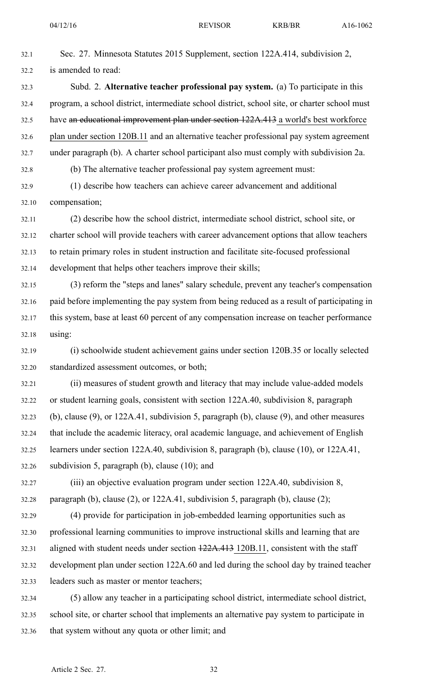- 32.1 Sec. 27. Minnesota Statutes 2015 Supplement, section 122A.414, subdivision 2, 32.2 is amended to read: 32.3 Subd. 2. **Alternative teacher professional pay system.** (a) To participate in this 32.4 program, <sup>a</sup> school district, intermediate school district, school site, or charter school must 32.5 have an educational improvement plan under section 122A.413 <sup>a</sup> world's best workforce 32.6 plan under section 120B.11 and an alternative teacher professional pay system agreemen<sup>t</sup> 32.7 under paragraph (b). A charter school participant also must comply with subdivision 2a. 32.8 (b) The alternative teacher professional pay system agreemen<sup>t</sup> must:
- 32.9 (1) describe how teachers can achieve career advancement and additional 32.10 compensation;
- 32.11 (2) describe how the school district, intermediate school district, school site, or 32.12 charter school will provide teachers with career advancement options that allow teachers 32.13 to retain primary roles in student instruction and facilitate site-focused professional 32.14 development that helps other teachers improve their skills;
- 32.15 (3) reform the "steps and lanes" salary schedule, preven<sup>t</sup> any teacher's compensation 32.16 paid before implementing the pay system from being reduced as <sup>a</sup> result of participating in 32.17 this system, base at least 60 percen<sup>t</sup> of any compensation increase on teacher performance 32.18 using:
- 32.19 (i) schoolwide student achievement gains under section 120B.35 or locally selected 32.20 standardized assessment outcomes, or both;
- 32.21 (ii) measures of student growth and literacy that may include value-added models 32.22 or student learning goals, consistent with section 122A.40, subdivision 8, paragraph 32.23 (b), clause (9), or 122A.41, subdivision 5, paragraph (b), clause (9), and other measures 32.24 that include the academic literacy, oral academic language, and achievement of English 32.25 learners under section 122A.40, subdivision 8, paragraph (b), clause (10), or 122A.41,
- 32.26 subdivision 5, paragraph (b), clause (10); and
- 32.27 (iii) an objective evaluation program under section 122A.40, subdivision 8, 32.28 paragraph (b), clause (2), or 122A.41, subdivision 5, paragraph (b), clause (2);
- 32.29 (4) provide for participation in job-embedded learning opportunities such as 32.30 professional learning communities to improve instructional skills and learning that are 32.31 aligned with student needs under section 122A.413 120B.11, consistent with the staff 32.32 development plan under section 122A.60 and led during the school day by trained teacher 32.33 leaders such as master or mentor teachers;
- 32.34 (5) allow any teacher in <sup>a</sup> participating school district, intermediate school district, 32.35 school site, or charter school that implements an alternative pay system to participate in 32.36 that system without any quota or other limit; and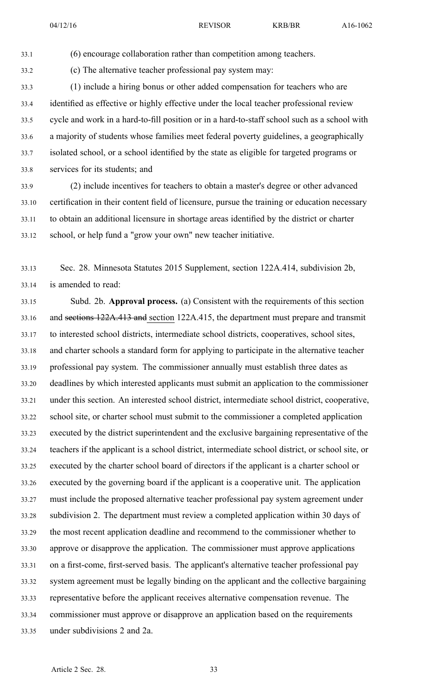33.1 (6) encourage collaboration rather than competition among teachers.

33.2 (c) The alternative teacher professional pay system may:

33.3 (1) include <sup>a</sup> hiring bonus or other added compensation for teachers who are 33.4 identified as effective or highly effective under the local teacher professional review 33.5 cycle and work in <sup>a</sup> hard-to-fill position or in <sup>a</sup> hard-to-staff school such as <sup>a</sup> school with 33.6 <sup>a</sup> majority of students whose families meet federal poverty guidelines, <sup>a</sup> geographically 33.7 isolated school, or <sup>a</sup> school identified by the state as eligible for targeted programs or 33.8 services for its students; and

33.9 (2) include incentives for teachers to obtain <sup>a</sup> master's degree or other advanced 33.10 certification in their content field of licensure, pursue the training or education necessary 33.11 to obtain an additional licensure in shortage areas identified by the district or charter 33.12 school, or help fund <sup>a</sup> "grow your own" new teacher initiative.

33.13 Sec. 28. Minnesota Statutes 2015 Supplement, section 122A.414, subdivision 2b, 33.14 is amended to read:

33.15 Subd. 2b. **Approval process.** (a) Consistent with the requirements of this section 33.16 and sections 122A.413 and section 122A.415, the department must prepare and transmit 33.17 to interested school districts, intermediate school districts, cooperatives, school sites, 33.18 and charter schools <sup>a</sup> standard form for applying to participate in the alternative teacher 33.19 professional pay system. The commissioner annually must establish three dates as 33.20 deadlines by which interested applicants must submit an application to the commissioner 33.21 under this section. An interested school district, intermediate school district, cooperative, 33.22 school site, or charter school must submit to the commissioner <sup>a</sup> completed application 33.23 executed by the district superintendent and the exclusive bargaining representative of the 33.24 teachers if the applicant is <sup>a</sup> school district, intermediate school district, or school site, or 33.25 executed by the charter school board of directors if the applicant is <sup>a</sup> charter school or 33.26 executed by the governing board if the applicant is <sup>a</sup> cooperative unit. The application 33.27 must include the proposed alternative teacher professional pay system agreemen<sup>t</sup> under 33.28 subdivision 2. The department must review <sup>a</sup> completed application within 30 days of 33.29 the most recent application deadline and recommend to the commissioner whether to 33.30 approve or disapprove the application. The commissioner must approve applications 33.31 on <sup>a</sup> first-come, first-served basis. The applicant's alternative teacher professional pay 33.32 system agreemen<sup>t</sup> must be legally binding on the applicant and the collective bargaining 33.33 representative before the applicant receives alternative compensation revenue. The 33.34 commissioner must approve or disapprove an application based on the requirements 33.35 under subdivisions 2 and 2a.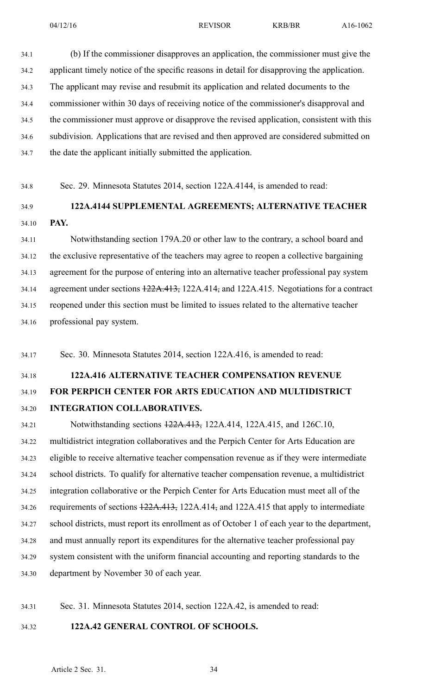34.1 (b) If the commissioner disapproves an application, the commissioner must give the 34.2 applicant timely notice of the specific reasons in detail for disapproving the application. 34.3 The applicant may revise and resubmit its application and related documents to the 34.4 commissioner within 30 days of receiving notice of the commissioner's disapproval and 34.5 the commissioner must approve or disapprove the revised application, consistent with this 34.6 subdivision. Applications that are revised and then approved are considered submitted on 34.7 the date the applicant initially submitted the application.

34.8 Sec. 29. Minnesota Statutes 2014, section 122A.4144, is amended to read:

## 34.9 **122A.4144 SUPPLEMENTAL AGREEMENTS; ALTERNATIVE TEACHER** 34.10 **PAY.**

34.11 Notwithstanding section 179A.20 or other law to the contrary, <sup>a</sup> school board and 34.12 the exclusive representative of the teachers may agree to reopen <sup>a</sup> collective bargaining 34.13 agreemen<sup>t</sup> for the purpose of entering into an alternative teacher professional pay system 34.14 agreemen<sup>t</sup> under sections 122A.413, 122A.414, and 122A.415. Negotiations for <sup>a</sup> contract 34.15 reopened under this section must be limited to issues related to the alternative teacher 34.16 professional pay system.

34.17 Sec. 30. Minnesota Statutes 2014, section 122A.416, is amended to read:

## 34.18 **122A.416 ALTERNATIVE TEACHER COMPENSATION REVENUE** 34.19 **FOR PERPICH CENTER FOR ARTS EDUCATION AND MULTIDISTRICT** 34.20 **INTEGRATION COLLABORATIVES.**

34.21 Notwithstanding sections 122A.413, 122A.414, 122A.415, and 126C.10, 34.22 multidistrict integration collaboratives and the Perpich Center for Arts Education are 34.23 eligible to receive alternative teacher compensation revenue as if they were intermediate 34.24 school districts. To qualify for alternative teacher compensation revenue, <sup>a</sup> multidistrict 34.25 integration collaborative or the Perpich Center for Arts Education must meet all of the 34.26 requirements of sections 122A.413, 122A.414, and 122A.415 that apply to intermediate 34.27 school districts, must repor<sup>t</sup> its enrollment as of October 1 of each year to the department, 34.28 and must annually repor<sup>t</sup> its expenditures for the alternative teacher professional pay 34.29 system consistent with the uniform financial accounting and reporting standards to the 34.30 department by November 30 of each year.

34.31 Sec. 31. Minnesota Statutes 2014, section 122A.42, is amended to read:

## 34.32 **122A.42 GENERAL CONTROL OF SCHOOLS.**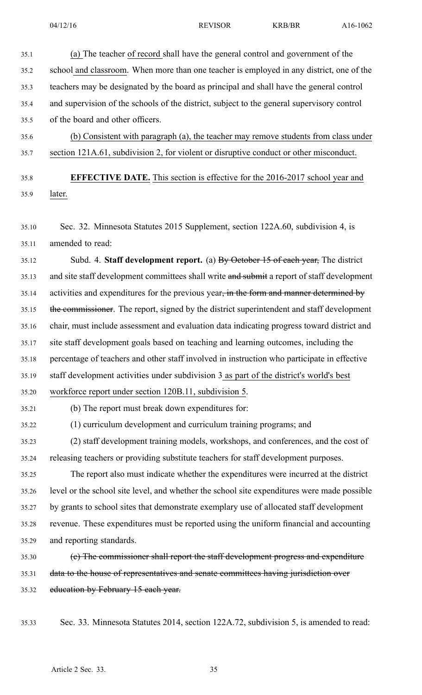35.1 (a) The teacher of record shall have the general control and governmen<sup>t</sup> of the 35.2 school and classroom. When more than one teacher is employed in any district, one of the 35.3 teachers may be designated by the board as principal and shall have the general control 35.4 and supervision of the schools of the district, subject to the general supervisory control 35.5 of the board and other officers. 35.6 (b) Consistent with paragraph (a), the teacher may remove students from class under 35.7 section 121A.61, subdivision 2, for violent or disruptive conduct or other misconduct. 35.8 **EFFECTIVE DATE.** This section is effective for the 2016-2017 school year and 35.9 later. 35.10 Sec. 32. Minnesota Statutes 2015 Supplement, section 122A.60, subdivision 4, is 35.11 amended to read: 35.12 Subd. 4. **Staff development report.** (a) By October 15 of each year, The district 35.13 and site staff development committees shall write and submit a report of staff development 35.14 activities and expenditures for the previous year, in the form and manner determined by 35.15 the commissioner. The report, signed by the district superintendent and staff development 35.16 chair, must include assessment and evaluation data indicating progress toward district and 35.17 site staff development goals based on teaching and learning outcomes, including the 35.18 percentage of teachers and other staff involved in instruction who participate in effective 35.19 staff development activities under subdivision 3 as par<sup>t</sup> of the district's world's best 35.20 workforce repor<sup>t</sup> under section 120B.11, subdivision 5. 35.21 (b) The repor<sup>t</sup> must break down expenditures for: 35.22 (1) curriculum development and curriculum training programs; and 35.23 (2) staff development training models, workshops, and conferences, and the cost of 35.24 releasing teachers or providing substitute teachers for staff development purposes. 35.25 The repor<sup>t</sup> also must indicate whether the expenditures were incurred at the district 35.26 level or the school site level, and whether the school site expenditures were made possible 35.27 by grants to school sites that demonstrate exemplary use of allocated staff development 35.28 revenue. These expenditures must be reported using the uniform financial and accounting 35.29 and reporting standards. 35.30 (c) The commissioner shall repor<sup>t</sup> the staff development progress and expenditure 35.31 data to the house of representatives and senate committees having jurisdiction over 35.32 education by February 15 each year. 35.33 Sec. 33. Minnesota Statutes 2014, section 122A.72, subdivision 5, is amended to read:

Article 2 Sec. 33. 35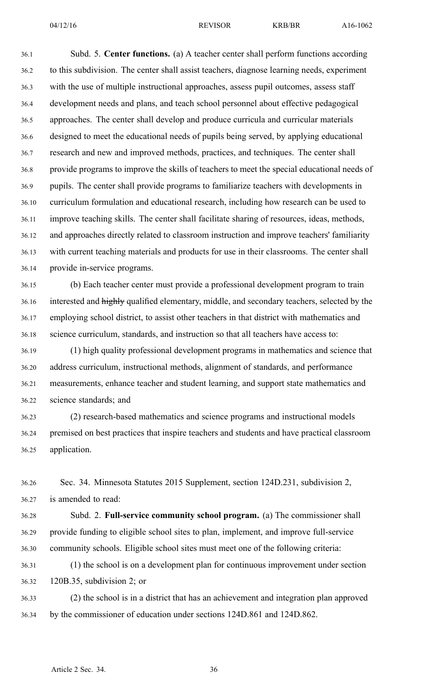36.1 Subd. 5. **Center functions.** (a) A teacher center shall perform functions according 36.2 to this subdivision. The center shall assist teachers, diagnose learning needs, experiment 36.3 with the use of multiple instructional approaches, assess pupil outcomes, assess staff 36.4 development needs and plans, and teach school personnel about effective pedagogical 36.5 approaches. The center shall develop and produce curricula and curricular materials 36.6 designed to meet the educational needs of pupils being served, by applying educational 36.7 research and new and improved methods, practices, and techniques. The center shall 36.8 provide programs to improve the skills of teachers to meet the special educational needs of 36.9 pupils. The center shall provide programs to familiarize teachers with developments in 36.10 curriculum formulation and educational research, including how research can be used to 36.11 improve teaching skills. The center shall facilitate sharing of resources, ideas, methods, 36.12 and approaches directly related to classroom instruction and improve teachers' familiarity 36.13 with current teaching materials and products for use in their classrooms. The center shall 36.14 provide in-service programs.

36.15 (b) Each teacher center must provide <sup>a</sup> professional development program to train 36.16 interested and highly qualified elementary, middle, and secondary teachers, selected by the 36.17 employing school district, to assist other teachers in that district with mathematics and 36.18 science curriculum, standards, and instruction so that all teachers have access to:

36.19 (1) high quality professional development programs in mathematics and science that 36.20 address curriculum, instructional methods, alignment of standards, and performance 36.21 measurements, enhance teacher and student learning, and suppor<sup>t</sup> state mathematics and 36.22 science standards; and

36.23 (2) research-based mathematics and science programs and instructional models 36.24 premised on best practices that inspire teachers and students and have practical classroom 36.25 application.

36.26 Sec. 34. Minnesota Statutes 2015 Supplement, section 124D.231, subdivision 2, 36.27 is amended to read:

36.28 Subd. 2. **Full-service community school program.** (a) The commissioner shall 36.29 provide funding to eligible school sites to plan, implement, and improve full-service 36.30 community schools. Eligible school sites must meet one of the following criteria:

36.31 (1) the school is on <sup>a</sup> development plan for continuous improvement under section 36.32 120B.35, subdivision 2; or

36.33 (2) the school is in <sup>a</sup> district that has an achievement and integration plan approved 36.34 by the commissioner of education under sections 124D.861 and 124D.862.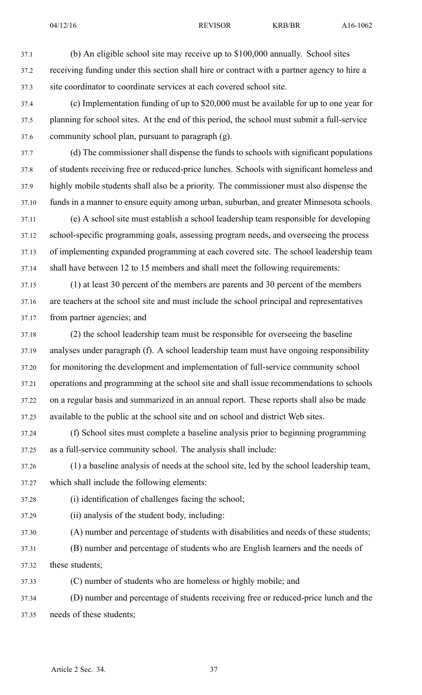37.1 (b) An eligible school site may receive up to \$100,000 annually. School sites 37.2 receiving funding under this section shall hire or contract with <sup>a</sup> partner agency to hire <sup>a</sup> 37.3 site coordinator to coordinate services at each covered school site.

- 37.4 (c) Implementation funding of up to \$20,000 must be available for up to one year for 37.5 planning for school sites. At the end of this period, the school must submit <sup>a</sup> full-service 37.6 community school plan, pursuan<sup>t</sup> to paragraph (g).
- 37.7 (d) The commissioner shall dispense the funds to schools with significant populations 37.8 of students receiving free or reduced-price lunches. Schools with significant homeless and 37.9 highly mobile students shall also be <sup>a</sup> priority. The commissioner must also dispense the 37.10 funds in <sup>a</sup> manner to ensure equity among urban, suburban, and greater Minnesota schools.
- 37.11 (e) A school site must establish <sup>a</sup> school leadership team responsible for developing 37.12 school-specific programming goals, assessing program needs, and overseeing the process 37.13 of implementing expanded programming at each covered site. The school leadership team 37.14 shall have between 12 to 15 members and shall meet the following requirements:
- 37.15 (1) at least 30 percen<sup>t</sup> of the members are parents and 30 percen<sup>t</sup> of the members 37.16 are teachers at the school site and must include the school principal and representatives 37.17 from partner agencies; and
- 37.18 (2) the school leadership team must be responsible for overseeing the baseline 37.19 analyses under paragraph (f). A school leadership team must have ongoing responsibility 37.20 for monitoring the development and implementation of full-service community school 37.21 operations and programming at the school site and shall issue recommendations to schools 37.22 on <sup>a</sup> regular basis and summarized in an annual report. These reports shall also be made 37.23 available to the public at the school site and on school and district Web sites.
- 37.24 (f) School sites must complete <sup>a</sup> baseline analysis prior to beginning programming 37.25 as <sup>a</sup> full-service community school. The analysis shall include:
- 37.26 (1) <sup>a</sup> baseline analysis of needs at the school site, led by the school leadership team, 37.27 which shall include the following elements:
- 37.28 (i) identification of challenges facing the school;
- 37.29 (ii) analysis of the student body, including:
- 37.30 (A) number and percentage of students with disabilities and needs of these students;
- 37.31 (B) number and percentage of students who are English learners and the needs of 37.32 these students;
- 37.33 (C) number of students who are homeless or highly mobile; and
- 37.34 (D) number and percentage of students receiving free or reduced-price lunch and the 37.35 needs of these students;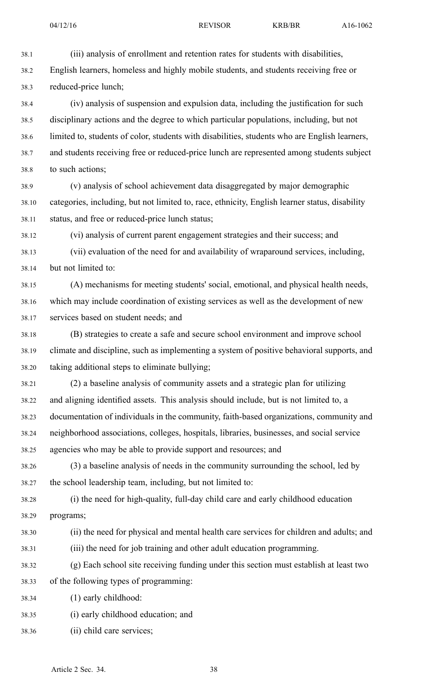38.1 (iii) analysis of enrollment and retention rates for students with disabilities, 38.2 English learners, homeless and highly mobile students, and students receiving free or 38.3 reduced-price lunch;

38.4 (iv) analysis of suspension and expulsion data, including the justification for such 38.5 disciplinary actions and the degree to which particular populations, including, but not 38.6 limited to, students of color, students with disabilities, students who are English learners, 38.7 and students receiving free or reduced-price lunch are represented among students subject 38.8 to such actions;

38.9 (v) analysis of school achievement data disaggregated by major demographic 38.10 categories, including, but not limited to, race, ethnicity, English learner status, disability 38.11 status, and free or reduced-price lunch status;

38.12 (vi) analysis of current paren<sup>t</sup> engagemen<sup>t</sup> strategies and their success; and 38.13 (vii) evaluation of the need for and availability of wraparound services, including, 38.14 but not limited to:

38.15 (A) mechanisms for meeting students' social, emotional, and physical health needs, 38.16 which may include coordination of existing services as well as the development of new 38.17 services based on student needs; and

38.18 (B) strategies to create <sup>a</sup> safe and secure school environment and improve school 38.19 climate and discipline, such as implementing <sup>a</sup> system of positive behavioral supports, and 38.20 taking additional steps to eliminate bullying;

38.21 (2) <sup>a</sup> baseline analysis of community assets and <sup>a</sup> strategic plan for utilizing 38.22 and aligning identified assets. This analysis should include, but is not limited to, <sup>a</sup> 38.23 documentation of individuals in the community, faith-based organizations, community and 38.24 neighborhood associations, colleges, hospitals, libraries, businesses, and social service 38.25 agencies who may be able to provide suppor<sup>t</sup> and resources; and

38.26 (3) <sup>a</sup> baseline analysis of needs in the community surrounding the school, led by 38.27 the school leadership team, including, but not limited to:

38.28 (i) the need for high-quality, full-day child care and early childhood education 38.29 programs;

38.30 (ii) the need for physical and mental health care services for children and adults; and 38.31 (iii) the need for job training and other adult education programming.

38.32 (g) Each school site receiving funding under this section must establish at least two 38.33 of the following types of programming:

38.34 (1) early childhood:

38.35 (i) early childhood education; and

38.36 (ii) child care services;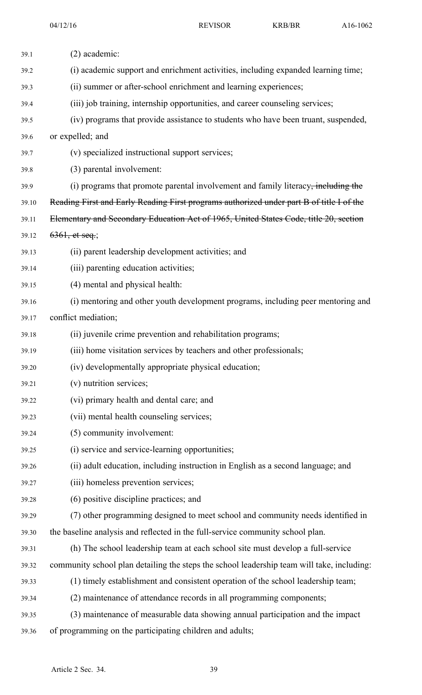| 39.1  | $(2)$ academic:                                                                               |
|-------|-----------------------------------------------------------------------------------------------|
| 39.2  | (i) academic support and enrichment activities, including expanded learning time;             |
| 39.3  | (ii) summer or after-school enrichment and learning experiences;                              |
| 39.4  | (iii) job training, internship opportunities, and career counseling services;                 |
| 39.5  | (iv) programs that provide assistance to students who have been truant, suspended,            |
| 39.6  | or expelled; and                                                                              |
| 39.7  | (v) specialized instructional support services;                                               |
| 39.8  | (3) parental involvement:                                                                     |
| 39.9  | (i) programs that promote parental involvement and family literacy <del>, including the</del> |
| 39.10 | Reading First and Early Reading First programs authorized under part B of title I of the      |
| 39.11 | Elementary and Secondary Education Act of 1965, United States Code, title 20, section         |
| 39.12 | $6361,$ et seq.;                                                                              |
| 39.13 | (ii) parent leadership development activities; and                                            |
| 39.14 | (iii) parenting education activities;                                                         |
| 39.15 | (4) mental and physical health:                                                               |
| 39.16 | (i) mentoring and other youth development programs, including peer mentoring and              |
| 39.17 | conflict mediation;                                                                           |
| 39.18 | (ii) juvenile crime prevention and rehabilitation programs;                                   |
| 39.19 | (iii) home visitation services by teachers and other professionals;                           |
| 39.20 | (iv) developmentally appropriate physical education;                                          |
| 39.21 | (v) nutrition services;                                                                       |
| 39.22 | (vi) primary health and dental care; and                                                      |
| 39.23 | (vii) mental health counseling services;                                                      |
| 39.24 | (5) community involvement:                                                                    |
| 39.25 | (i) service and service-learning opportunities;                                               |
| 39.26 | (ii) adult education, including instruction in English as a second language; and              |
| 39.27 | (iii) homeless prevention services;                                                           |
| 39.28 | (6) positive discipline practices; and                                                        |
| 39.29 | (7) other programming designed to meet school and community needs identified in               |
| 39.30 | the baseline analysis and reflected in the full-service community school plan.                |
| 39.31 | (h) The school leadership team at each school site must develop a full-service                |
| 39.32 | community school plan detailing the steps the school leadership team will take, including:    |
| 39.33 | (1) timely establishment and consistent operation of the school leadership team;              |
| 39.34 | (2) maintenance of attendance records in all programming components;                          |
| 39.35 | (3) maintenance of measurable data showing annual participation and the impact                |
| 39.36 | of programming on the participating children and adults;                                      |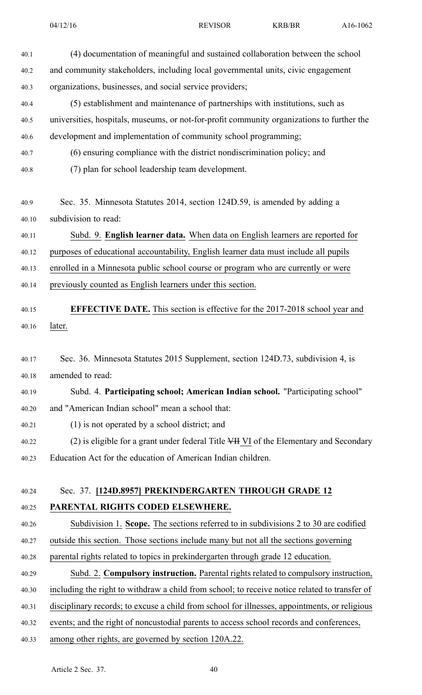- 40.1 (4) documentation of meaningful and sustained collaboration between the school 40.2 and community stakeholders, including local governmental units, civic engagemen<sup>t</sup> 40.3 organizations, businesses, and social service providers; 40.4 (5) establishment and maintenance of partnerships with institutions, such as 40.5 universities, hospitals, museums, or not-for-profit community organizations to further the 40.6 development and implementation of community school programming; 40.7 (6) ensuring compliance with the district nondiscrimination policy; and 40.8 (7) plan for school leadership team development. 40.9 Sec. 35. Minnesota Statutes 2014, section 124D.59, is amended by adding <sup>a</sup> 40.10 subdivision to read: 40.11 Subd. 9. **English learner data.** When data on English learners are reported for 40.12 purposes of educational accountability, English learner data must include all pupils 40.13 enrolled in <sup>a</sup> Minnesota public school course or program who are currently or were 40.14 previously counted as English learners under this section. 40.15 **EFFECTIVE DATE.** This section is effective for the 2017-2018 school year and 40.16 later. 40.17 Sec. 36. Minnesota Statutes 2015 Supplement, section 124D.73, subdivision 4, is 40.18 amended to read: 40.19 Subd. 4. **Participating school; American Indian school.** "Participating school" 40.20 and "American Indian school" mean <sup>a</sup> school that: 40.21 (1) is not operated by <sup>a</sup> school district; and 40.22 (2) is eligible for a grant under federal Title VH VI of the Elementary and Secondary 40.23 Education Act for the education of American Indian children. 40.24 Sec. 37. **[124D.8957] PREKINDERGARTEN THROUGH GRADE 12** 40.25 **PARENTAL RIGHTS CODED ELSEWHERE.** 40.26 Subdivision 1. **Scope.** The sections referred to in subdivisions 2 to 30 are codified
- 40.27 outside this section. Those sections include many but not all the sections governing
- 40.28 parental rights related to topics in prekindergarten through grade 12 education.
- 40.29 Subd. 2. **Compulsory instruction.** Parental rights related to compulsory instruction, 40.30 including the right to withdraw <sup>a</sup> child from school; to receive notice related to transfer of 40.31 disciplinary records; to excuse <sup>a</sup> child from school for illnesses, appointments, or religious 40.32 events; and the right of noncustodial parents to access school records and conferences,
- 
- 40.33 among other rights, are governed by section 120A.22.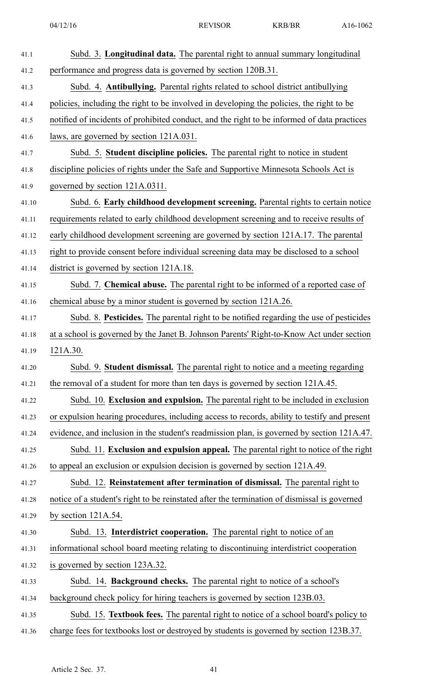| 41.1  | Subd. 3. Longitudinal data. The parental right to annual summary longitudinal                |
|-------|----------------------------------------------------------------------------------------------|
| 41.2  | performance and progress data is governed by section 120B.31.                                |
| 41.3  | Subd. 4. Antibullying. Parental rights related to school district antibullying               |
| 41.4  | policies, including the right to be involved in developing the policies, the right to be     |
| 41.5  | notified of incidents of prohibited conduct, and the right to be informed of data practices  |
| 41.6  | laws, are governed by section 121A.031.                                                      |
| 41.7  | Subd. 5. Student discipline policies. The parental right to notice in student                |
| 41.8  | discipline policies of rights under the Safe and Supportive Minnesota Schools Act is         |
| 41.9  | governed by section 121A.0311.                                                               |
| 41.10 | Subd. 6. Early childhood development screening. Parental rights to certain notice            |
| 41.11 | requirements related to early childhood development screening and to receive results of      |
| 41.12 | early childhood development screening are governed by section 121A.17. The parental          |
| 41.13 | right to provide consent before individual screening data may be disclosed to a school       |
| 41.14 | district is governed by section 121A.18.                                                     |
| 41.15 | Subd. 7. Chemical abuse. The parental right to be informed of a reported case of             |
| 41.16 | chemical abuse by a minor student is governed by section 121A.26.                            |
| 41.17 | Subd. 8. Pesticides. The parental right to be notified regarding the use of pesticides       |
| 41.18 | at a school is governed by the Janet B. Johnson Parents' Right-to-Know Act under section     |
| 41.19 | 121A.30.                                                                                     |
| 41.20 | Subd. 9. Student dismissal. The parental right to notice and a meeting regarding             |
| 41.21 | the removal of a student for more than ten days is governed by section 121A.45.              |
| 41.22 | Subd. 10. Exclusion and expulsion. The parental right to be included in exclusion            |
| 41.23 | or expulsion hearing procedures, including access to records, ability to testify and present |
| 41.24 | evidence, and inclusion in the student's readmission plan, is governed by section 121A.47.   |
| 41.25 | Subd. 11. Exclusion and expulsion appeal. The parental right to notice of the right          |
| 41.26 | to appeal an exclusion or expulsion decision is governed by section 121A.49.                 |
| 41.27 | Subd. 12. Reinstatement after termination of dismissal. The parental right to                |
| 41.28 | notice of a student's right to be reinstated after the termination of dismissal is governed  |
| 41.29 | by section $121A.54$ .                                                                       |
| 41.30 | Subd. 13. Interdistrict cooperation. The parental right to notice of an                      |
| 41.31 | informational school board meeting relating to discontinuing interdistrict cooperation       |
| 41.32 | is governed by section 123A.32.                                                              |
| 41.33 | Subd. 14. Background checks. The parental right to notice of a school's                      |
| 41.34 | background check policy for hiring teachers is governed by section 123B.03.                  |
| 41.35 | Subd. 15. Textbook fees. The parental right to notice of a school board's policy to          |
| 41.36 | charge fees for textbooks lost or destroyed by students is governed by section 123B.37.      |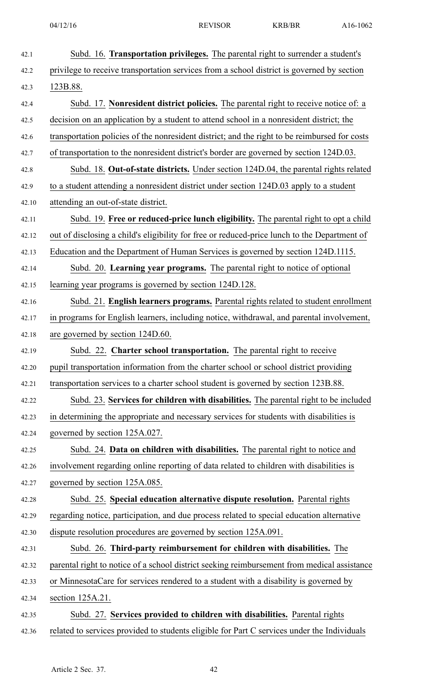| 42.1  | Subd. 16. Transportation privileges. The parental right to surrender a student's              |
|-------|-----------------------------------------------------------------------------------------------|
| 42.2  | privilege to receive transportation services from a school district is governed by section    |
| 42.3  | 123B.88.                                                                                      |
| 42.4  | Subd. 17. Nonresident district policies. The parental right to receive notice of: a           |
| 42.5  | decision on an application by a student to attend school in a nonresident district; the       |
| 42.6  | transportation policies of the nonresident district; and the right to be reimbursed for costs |
| 42.7  | of transportation to the nonresident district's border are governed by section 124D.03.       |
| 42.8  | Subd. 18. Out-of-state districts. Under section 124D.04, the parental rights related          |
| 42.9  | to a student attending a nonresident district under section 124D.03 apply to a student        |
| 42.10 | attending an out-of-state district.                                                           |
| 42.11 | Subd. 19. Free or reduced-price lunch eligibility. The parental right to opt a child          |
| 42.12 | out of disclosing a child's eligibility for free or reduced-price lunch to the Department of  |
| 42.13 | Education and the Department of Human Services is governed by section 124D.1115.              |
| 42.14 | Subd. 20. Learning year programs. The parental right to notice of optional                    |
| 42.15 | learning year programs is governed by section 124D.128.                                       |
| 42.16 | Subd. 21. English learners programs. Parental rights related to student enrollment            |
| 42.17 | in programs for English learners, including notice, withdrawal, and parental involvement,     |
| 42.18 | are governed by section 124D.60.                                                              |
| 42.19 | Subd. 22. Charter school transportation. The parental right to receive                        |
| 42.20 | pupil transportation information from the charter school or school district providing         |
| 42.21 | transportation services to a charter school student is governed by section 123B.88.           |
| 42.22 | Subd. 23. Services for children with disabilities. The parental right to be included          |
| 42.23 | in determining the appropriate and necessary services for students with disabilities is       |
| 42.24 | governed by section 125A.027.                                                                 |
| 42.25 | Subd. 24. Data on children with disabilities. The parental right to notice and                |
| 42.26 | involvement regarding online reporting of data related to children with disabilities is       |
| 42.27 | governed by section 125A.085.                                                                 |
| 42.28 | Subd. 25. Special education alternative dispute resolution. Parental rights                   |
| 42.29 | regarding notice, participation, and due process related to special education alternative     |
| 42.30 | dispute resolution procedures are governed by section 125A.091.                               |
| 42.31 | Subd. 26. Third-party reimbursement for children with disabilities. The                       |
| 42.32 | parental right to notice of a school district seeking reimbursement from medical assistance   |
| 42.33 | or Minnesota Care for services rendered to a student with a disability is governed by         |
| 42.34 | section 125A.21.                                                                              |
| 42.35 | Subd. 27. Services provided to children with disabilities. Parental rights                    |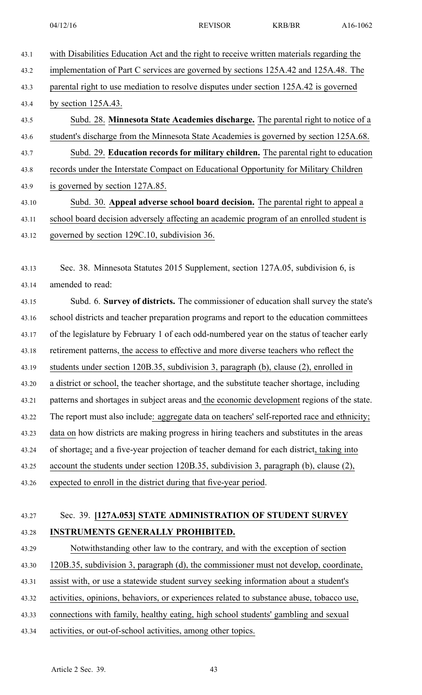- 43.1 with Disabilities Education Act and the right to receive written materials regarding the 43.2 implementation of Part C services are governed by sections 125A.42 and 125A.48. The 43.3 parental right to use mediation to resolve disputes under section 125A.42 is governed 43.4 by section 125A.43. 43.5 Subd. 28. **Minnesota State Academies discharge.** The parental right to notice of <sup>a</sup> 43.6 student's discharge from the Minnesota State Academies is governed by section 125A.68. 43.7 Subd. 29. **Education records for military children.** The parental right to education 43.8 records under the Interstate Compact on Educational Opportunity for Military Children 43.9 is governed by section 127A.85. 43.10 Subd. 30. **Appeal adverse school board decision.** The parental right to appeal <sup>a</sup> 43.11 school board decision adversely affecting an academic program of an enrolled student is
- 43.12 governed by section 129C.10, subdivision 36.

43.13 Sec. 38. Minnesota Statutes 2015 Supplement, section 127A.05, subdivision 6, is 43.14 amended to read:

43.15 Subd. 6. **Survey of districts.** The commissioner of education shall survey the state's 43.16 school districts and teacher preparation programs and repor<sup>t</sup> to the education committees 43.17 of the legislature by February 1 of each odd-numbered year on the status of teacher early 43.18 retirement patterns, the access to effective and more diverse teachers who reflect the 43.19 students under section 120B.35, subdivision 3, paragraph (b), clause (2), enrolled in 43.20 <sup>a</sup> district or school, the teacher shortage, and the substitute teacher shortage, including 43.21 patterns and shortages in subject areas and the economic development regions of the state. 43.22 The repor<sup>t</sup> must also include: aggregate data on teachers' self-reported race and ethnicity; 43.23 data on how districts are making progress in hiring teachers and substitutes in the areas 43.24 of shortage; and <sup>a</sup> five-year projection of teacher demand for each district, taking into 43.25 account the students under section 120B.35, subdivision 3, paragraph (b), clause (2), 43.26 expected to enroll in the district during that five-year period.

## 43.27 Sec. 39. **[127A.053] STATE ADMINISTRATION OF STUDENT SURVEY** 43.28 **INSTRUMENTS GENERALLY PROHIBITED.**

43.29 Notwithstanding other law to the contrary, and with the exception of section

43.30 120B.35, subdivision 3, paragraph (d), the commissioner must not develop, coordinate,

43.31 assist with, or use <sup>a</sup> statewide student survey seeking information about <sup>a</sup> student's

43.32 activities, opinions, behaviors, or experiences related to substance abuse, tobacco use,

43.33 connections with family, healthy eating, high school students' gambling and sexual

43.34 activities, or out-of-school activities, among other topics.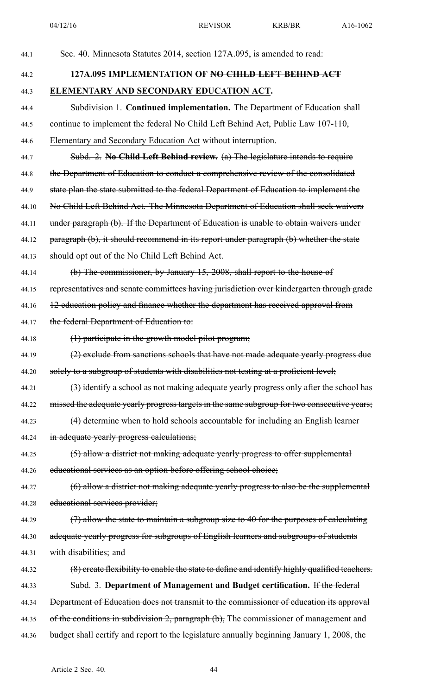| 44.1  | Sec. 40. Minnesota Statutes 2014, section 127A.095, is amended to read:                      |
|-------|----------------------------------------------------------------------------------------------|
| 44.2  | 127A,095 IMPLEMENTATION OF NO CHILD LEFT BEHIND ACT                                          |
| 44.3  | ELEMENTARY AND SECONDARY EDUCATION ACT.                                                      |
| 44.4  | Subdivision 1. Continued implementation. The Department of Education shall                   |
| 44.5  | continue to implement the federal No Child Left Behind Act, Public Law 107-110,              |
| 44.6  | Elementary and Secondary Education Act without interruption.                                 |
| 44.7  | Subd. 2. No Child Left Behind review. (a) The legislature intends to require                 |
| 44.8  | the Department of Education to conduct a comprehensive review of the consolidated            |
| 44.9  | state plan the state submitted to the federal Department of Education to implement the       |
| 44.10 | No Child Left Behind Act. The Minnesota Department of Education shall seek waivers           |
| 44.11 | under paragraph (b). If the Department of Education is unable to obtain waivers under        |
| 44.12 | paragraph (b), it should recommend in its report under paragraph (b) whether the state       |
| 44.13 | should opt out of the No Child Left Behind Act.                                              |
| 44.14 | (b) The commissioner, by January 15, 2008, shall report to the house of                      |
| 44.15 | representatives and senate committees having jurisdiction over kindergarten through grade    |
| 44.16 | 12 education policy and finance whether the department has received approval from            |
| 44.17 | the federal Department of Education to:                                                      |
| 44.18 | $(1)$ participate in the growth model pilot program;                                         |
| 44.19 | (2) exclude from sanctions schools that have not made adequate yearly progress due           |
| 44.20 | solely to a subgroup of students with disabilities not testing at a proficient level;        |
| 44.21 | (3) identify a school as not making adequate yearly progress only after the school has       |
| 44.22 | missed the adequate yearly progress targets in the same subgroup for two consecutive years;  |
| 44.23 | (4) determine when to hold schools accountable for including an English learner              |
| 44.24 | in adequate yearly progress calculations;                                                    |
| 44.25 | (5) allow a district not making adequate yearly progress to offer supplemental               |
| 44.26 | educational services as an option before offering school choice;                             |
| 44.27 | (6) allow a district not making adequate yearly progress to also be the supplemental         |
| 44.28 | educational services provider;                                                               |
| 44.29 | (7) allow the state to maintain a subgroup size to 40 for the purposes of calculating        |
| 44.30 | adequate yearly progress for subgroups of English learners and subgroups of students         |
| 44.31 | with disabilities; and                                                                       |
| 44.32 | (8) create flexibility to enable the state to define and identify highly qualified teachers. |
| 44.33 | Subd. 3. Department of Management and Budget certification. If the federal                   |
| 44.34 | Department of Education does not transmit to the commissioner of education its approval      |
| 44.35 | of the conditions in subdivision 2, paragraph (b), The commissioner of management and        |
| 44.36 | budget shall certify and report to the legislature annually beginning January 1, 2008, the   |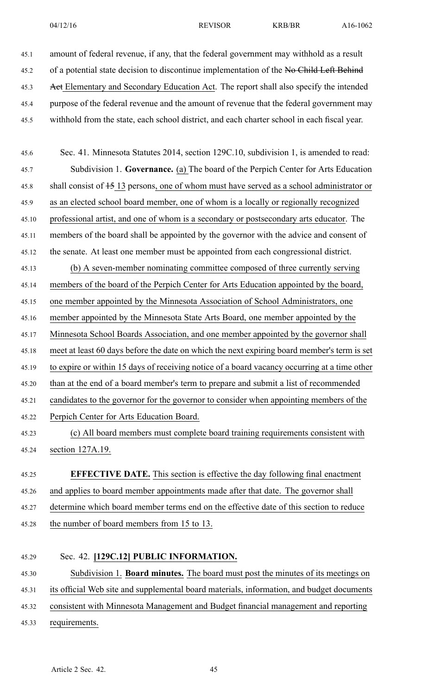45.1 amount of federal revenue, if any, that the federal governmen<sup>t</sup> may withhold as <sup>a</sup> result 45.2 of a potential state decision to discontinue implementation of the No Child Left Behind 45.3 Act Elementary and Secondary Education Act. The report shall also specify the intended 45.4 purpose of the federal revenue and the amount of revenue that the federal governmen<sup>t</sup> may 45.5 withhold from the state, each school district, and each charter school in each fiscal year.

45.6 Sec. 41. Minnesota Statutes 2014, section 129C.10, subdivision 1, is amended to read: 45.7 Subdivision 1. **Governance.** (a) The board of the Perpich Center for Arts Education 45.8 shall consist of  $\frac{15}{13}$  persons, one of whom must have served as a school administrator or 45.9 as an elected school board member, one of whom is <sup>a</sup> locally or regionally recognized 45.10 professional artist, and one of whom is <sup>a</sup> secondary or postsecondary arts educator. The 45.11 members of the board shall be appointed by the governor with the advice and consent of 45.12 the senate. At least one member must be appointed from each congressional district. 45.13 (b) A seven-member nominating committee composed of three currently serving 45.14 members of the board of the Perpich Center for Arts Education appointed by the board, 45.15 one member appointed by the Minnesota Association of School Administrators, one 45.16 member appointed by the Minnesota State Arts Board, one member appointed by the 45.17 Minnesota School Boards Association, and one member appointed by the governor shall 45.18 meet at least 60 days before the date on which the next expiring board member's term is set 45.19 to expire or within 15 days of receiving notice of <sup>a</sup> board vacancy occurring at <sup>a</sup> time other 45.20 than at the end of <sup>a</sup> board member's term to prepare and submit <sup>a</sup> list of recommended 45.21 candidates to the governor for the governor to consider when appointing members of the 45.22 Perpich Center for Arts Education Board. 45.23 (c) All board members must complete board training requirements consistent with 45.24 section 127A.19. 45.25 **EFFECTIVE DATE.** This section is effective the day following final enactment 45.26 and applies to board member appointments made after that date. The governor shall

- 45.27 determine which board member terms end on the effective date of this section to reduce
- 45.28 the number of board members from 15 to 13.

# 45.29 Sec. 42. **[129C.12] PUBLIC INFORMATION.** 45.30 Subdivision 1. **Board minutes.** The board must pos<sup>t</sup> the minutes of its meetings on 45.31 its official Web site and supplemental board materials, information, and budget documents 45.32 consistent with Minnesota Management and Budget financial managemen<sup>t</sup> and reporting 45.33 requirements.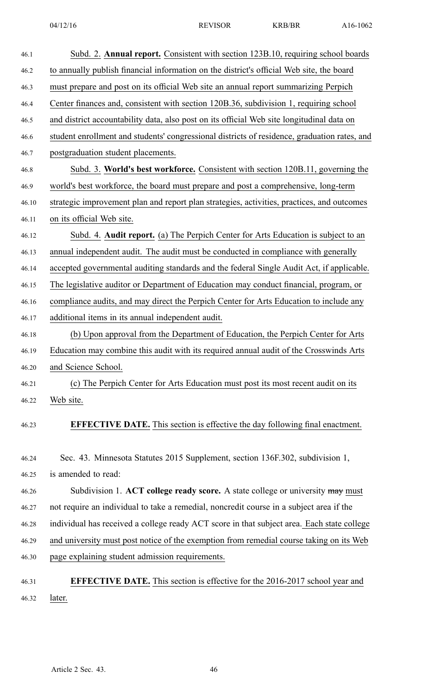| 46.1  | Subd. 2. Annual report. Consistent with section 123B.10, requiring school boards             |
|-------|----------------------------------------------------------------------------------------------|
| 46.2  | to annually publish financial information on the district's official Web site, the board     |
| 46.3  | must prepare and post on its official Web site an annual report summarizing Perpich          |
| 46.4  | Center finances and, consistent with section 120B.36, subdivision 1, requiring school        |
| 46.5  | and district accountability data, also post on its official Web site longitudinal data on    |
| 46.6  | student enrollment and students' congressional districts of residence, graduation rates, and |
| 46.7  | postgraduation student placements.                                                           |
| 46.8  | Subd. 3. World's best workforce. Consistent with section 120B.11, governing the              |
| 46.9  | world's best workforce, the board must prepare and post a comprehensive, long-term           |
| 46.10 | strategic improvement plan and report plan strategies, activities, practices, and outcomes   |
| 46.11 | on its official Web site.                                                                    |
| 46.12 | Subd. 4. Audit report. (a) The Perpich Center for Arts Education is subject to an            |
| 46.13 | annual independent audit. The audit must be conducted in compliance with generally           |
| 46.14 | accepted governmental auditing standards and the federal Single Audit Act, if applicable.    |
| 46.15 | The legislative auditor or Department of Education may conduct financial, program, or        |
| 46.16 | compliance audits, and may direct the Perpich Center for Arts Education to include any       |
| 46.17 | additional items in its annual independent audit.                                            |
| 46.18 | (b) Upon approval from the Department of Education, the Perpich Center for Arts              |
| 46.19 | Education may combine this audit with its required annual audit of the Crosswinds Arts       |
| 46.20 | and Science School.                                                                          |
| 46.21 | (c) The Perpich Center for Arts Education must post its most recent audit on its             |
| 46.22 | Web site.                                                                                    |
| 46.23 | <b>EFFECTIVE DATE.</b> This section is effective the day following final enactment.          |
| 46.24 | Sec. 43. Minnesota Statutes 2015 Supplement, section 136F.302, subdivision 1,                |
| 46.25 | is amended to read:                                                                          |
| 46.26 | Subdivision 1. ACT college ready score. A state college or university may must               |
| 46.27 | not require an individual to take a remedial, noncredit course in a subject area if the      |
| 46.28 | individual has received a college ready ACT score in that subject area. Each state college   |
| 46.29 | and university must post notice of the exemption from remedial course taking on its Web      |
| 46.30 | page explaining student admission requirements.                                              |
| 46.31 | <b>EFFECTIVE DATE.</b> This section is effective for the 2016-2017 school year and           |
| 46.32 | later.                                                                                       |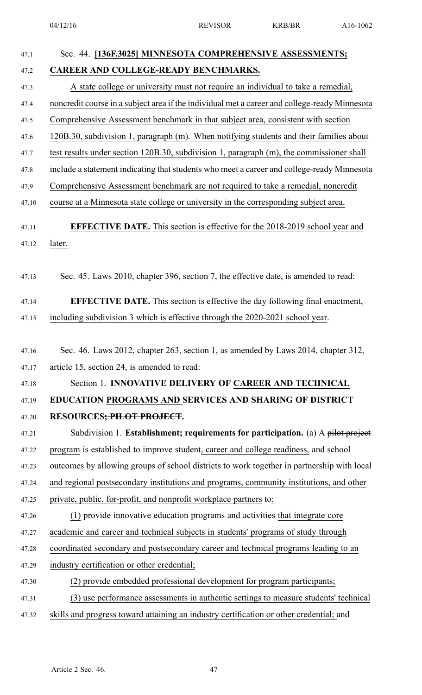| 47.1  | Sec. 44. [136F.3025] MINNESOTA COMPREHENSIVE ASSESSMENTS;                                     |
|-------|-----------------------------------------------------------------------------------------------|
| 47.2  | CAREER AND COLLEGE-READY BENCHMARKS.                                                          |
| 47.3  | A state college or university must not require an individual to take a remedial,              |
| 47.4  | noncredit course in a subject area if the individual met a career and college-ready Minnesota |
| 47.5  | Comprehensive Assessment benchmark in that subject area, consistent with section              |
| 47.6  | 120B.30, subdivision 1, paragraph (m). When notifying students and their families about       |
| 47.7  | test results under section 120B.30, subdivision 1, paragraph (m), the commissioner shall      |
| 47.8  | include a statement indicating that students who meet a career and college-ready Minnesota    |
| 47.9  | Comprehensive Assessment benchmark are not required to take a remedial, noncredit             |
| 47.10 | course at a Minnesota state college or university in the corresponding subject area.          |
| 47.11 | <b>EFFECTIVE DATE.</b> This section is effective for the 2018-2019 school year and            |
| 47.12 | later.                                                                                        |
|       |                                                                                               |
| 47.13 | Sec. 45. Laws 2010, chapter 396, section 7, the effective date, is amended to read:           |
| 47.14 | <b>EFFECTIVE DATE.</b> This section is effective the day following final enactment,           |
| 47.15 | including subdivision 3 which is effective through the 2020-2021 school year.                 |
|       |                                                                                               |
| 47.16 | Sec. 46. Laws 2012, chapter 263, section 1, as amended by Laws 2014, chapter 312,             |
| 47.17 | article 15, section 24, is amended to read:                                                   |
| 47.18 | Section 1. INNOVATIVE DELIVERY OF CAREER AND TECHNICAL                                        |
| 47.19 | EDUCATION PROGRAMS AND SERVICES AND SHARING OF DISTRICT                                       |
| 47.20 | RESOURCES <del>; PILOT PROJECT</del> .                                                        |
| 47.21 | Subdivision 1. Establishment; requirements for participation. (a) A pilot project             |
| 47.22 | program is established to improve student, career and college readiness, and school           |
| 47.23 | outcomes by allowing groups of school districts to work together in partnership with local    |
| 47.24 | and regional postsecondary institutions and programs, community institutions, and other       |
| 47.25 | private, public, for-profit, and nonprofit workplace partners to:                             |
| 47.26 | (1) provide innovative education programs and activities that integrate core                  |
| 47.27 | academic and career and technical subjects in students' programs of study through             |
| 47.28 | coordinated secondary and postsecondary career and technical programs leading to an           |
| 47.29 | industry certification or other credential;                                                   |
| 47.30 | (2) provide embedded professional development for program participants;                       |
| 47.31 | (3) use performance assessments in authentic settings to measure students' technical          |
| 47.32 | skills and progress toward attaining an industry certification or other credential; and       |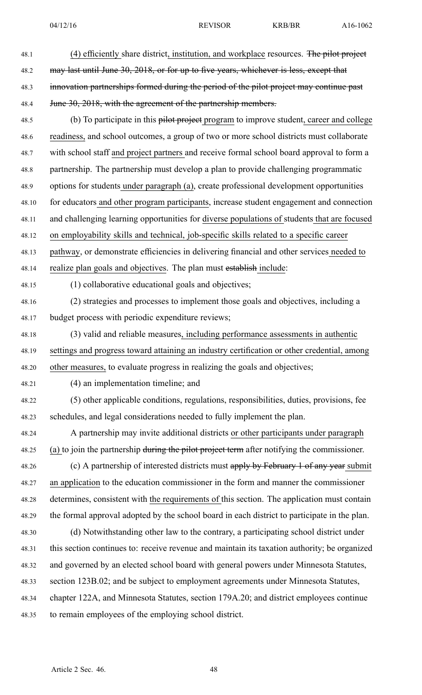48.1 (4) efficiently share district, institution, and workplace resources. The pilot project 48.2 may last until June 30, 2018, or for up to five years, whichever is less, except that 48.3 innovation partnerships formed during the period of the pilot project may continue past 48.4 June 30, 2018, with the agreement of the partnership members. 48.5 (b) To participate in this pilot project program to improve student, career and college 48.6 readiness, and school outcomes, <sup>a</sup> group of two or more school districts must collaborate 48.7 with school staff and project partners and receive formal school board approval to form <sup>a</sup> 48.8 partnership. The partnership must develop <sup>a</sup> plan to provide challenging programmatic 48.9 options for students under paragraph (a), create professional development opportunities 48.10 for educators and other program participants, increase student engagemen<sup>t</sup> and connection 48.11 and challenging learning opportunities for diverse populations of students that are focused 48.12 on employability skills and technical, job-specific skills related to <sup>a</sup> specific career 48.13 pathway, or demonstrate efficiencies in delivering financial and other services needed to 48.14 realize plan goals and objectives. The plan must establish include: 48.15 (1) collaborative educational goals and objectives; 48.16 (2) strategies and processes to implement those goals and objectives, including <sup>a</sup> 48.17 budget process with periodic expenditure reviews; 48.18 (3) valid and reliable measures, including performance assessments in authentic 48.19 settings and progress toward attaining an industry certification or other credential, among 48.20 other measures, to evaluate progress in realizing the goals and objectives; 48.21 (4) an implementation timeline; and 48.22 (5) other applicable conditions, regulations, responsibilities, duties, provisions, fee 48.23 schedules, and legal considerations needed to fully implement the plan. 48.24 A partnership may invite additional districts or other participants under paragraph 48.25 (a) to join the partnership during the pilot project term after notifying the commissioner. 48.26 (c) A partnership of interested districts must apply by February 1 of any year submit 48.27 an application to the education commissioner in the form and manner the commissioner 48.28 determines, consistent with the requirements of this section. The application must contain 48.29 the formal approval adopted by the school board in each district to participate in the plan. 48.30 (d) Notwithstanding other law to the contrary, <sup>a</sup> participating school district under 48.31 this section continues to: receive revenue and maintain its taxation authority; be organized 48.32 and governed by an elected school board with general powers under Minnesota Statutes, 48.33 section 123B.02; and be subject to employment agreements under Minnesota Statutes, 48.34 chapter 122A, and Minnesota Statutes, section 179A.20; and district employees continue

48.35 to remain employees of the employing school district.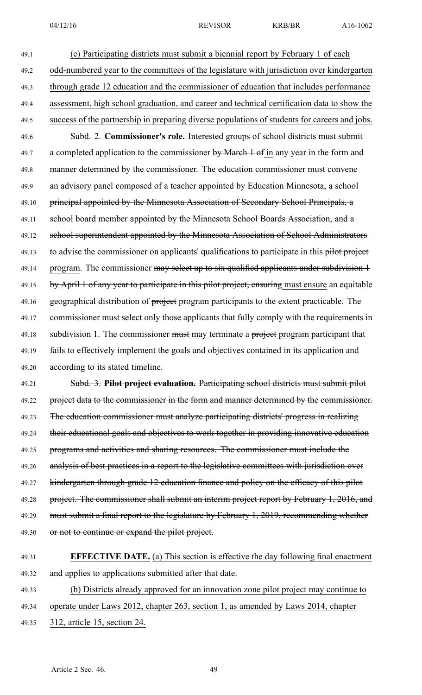49.1 (e) Participating districts must submit <sup>a</sup> biennial repor<sup>t</sup> by February 1 of each 49.2 odd-numbered year to the committees of the legislature with jurisdiction over kindergarten 49.3 through grade 12 education and the commissioner of education that includes performance 49.4 assessment, high school graduation, and career and technical certification data to show the 49.5 success of the partnership in preparing diverse populations of students for careers and jobs. 49.6 Subd. 2. **Commissioner's role.** Interested groups of school districts must submit 49.7 a completed application to the commissioner by March 1 of in any year in the form and 49.8 manner determined by the commissioner. The education commissioner must convene 49.9 an advisory panel composed of a teacher appointed by Education Minnesota, a school 49.10 principal appointed by the Minnesota Association of Secondary School Principals, a 49.11 school board member appointed by the Minnesota School Boards Association, and a 49.12 school superintendent appointed by the Minnesota Association of School Administrators 49.13 to advise the commissioner on applicants' qualifications to participate in this pilot project 49.14 program. The commissioner may select up to six qualified applicants under subdivision 1 49.15 by April 1 of any year to participate in this pilot project, ensuring must ensure an equitable 49.16 geographical distribution of project program participants to the extent practicable. The 49.17 commissioner must select only those applicants that fully comply with the requirements in 49.18 subdivision 1. The commissioner must may terminate a project program participant that 49.19 fails to effectively implement the goals and objectives contained in its application and 49.20 according to its stated timeline.

49.21 Subd. 3. **Pilot project evaluation.** Participating school districts must submit pilot 49.22 project data to the commissioner in the form and manner determined by the commissioner. 49.23 The education commissioner must analyze participating districts' progress in realizing 49.24 their educational goals and objectives to work together in providing innovative education 49.25 programs and activities and sharing resources. The commissioner must include the 49.26 analysis of best practices in a report to the legislative committees with jurisdiction over 49.27 kindergarten through grade 12 education finance and policy on the efficacy of this pilot 49.28 project. The commissioner shall submit an interim project report by February 1, 2016, and 49.29 must submit a final report to the legislature by February 1, 2019, recommending whether 49.30 or not to continue or expand the pilot project.

# 49.31 **EFFECTIVE DATE.** (a) This section is effective the day following final enactment 49.32 and applies to applications submitted after that date. 49.33 (b) Districts already approved for an innovation zone pilot project may continue to

- 49.34 operate under Laws 2012, chapter 263, section 1, as amended by Laws 2014, chapter
- 49.35 312, article 15, section 24.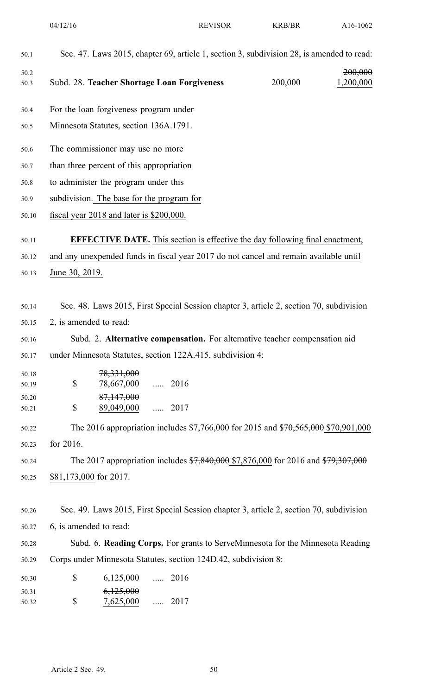| 50.1                                                                                            | Sec. 47. Laws 2015, chapter 69, article 1, section 3, subdivision 28, is amended to read:                                                                                                                                                                                                                                                                                                                                                                                                                                                   |               |         |                      |
|-------------------------------------------------------------------------------------------------|---------------------------------------------------------------------------------------------------------------------------------------------------------------------------------------------------------------------------------------------------------------------------------------------------------------------------------------------------------------------------------------------------------------------------------------------------------------------------------------------------------------------------------------------|---------------|---------|----------------------|
| 50.2<br>50.3                                                                                    | Subd. 28. Teacher Shortage Loan Forgiveness                                                                                                                                                                                                                                                                                                                                                                                                                                                                                                 |               | 200,000 | 200,000<br>1,200,000 |
| 50.4                                                                                            | For the loan forgiveness program under                                                                                                                                                                                                                                                                                                                                                                                                                                                                                                      |               |         |                      |
| 50.5                                                                                            | Minnesota Statutes, section 136A.1791.                                                                                                                                                                                                                                                                                                                                                                                                                                                                                                      |               |         |                      |
| 50.6                                                                                            | The commissioner may use no more                                                                                                                                                                                                                                                                                                                                                                                                                                                                                                            |               |         |                      |
| 50.7                                                                                            | than three percent of this appropriation                                                                                                                                                                                                                                                                                                                                                                                                                                                                                                    |               |         |                      |
| 50.8                                                                                            | to administer the program under this                                                                                                                                                                                                                                                                                                                                                                                                                                                                                                        |               |         |                      |
| 50.9                                                                                            | subdivision. The base for the program for                                                                                                                                                                                                                                                                                                                                                                                                                                                                                                   |               |         |                      |
| 50.10                                                                                           | fiscal year 2018 and later is \$200,000.                                                                                                                                                                                                                                                                                                                                                                                                                                                                                                    |               |         |                      |
| 50.11                                                                                           | <b>EFFECTIVE DATE.</b> This section is effective the day following final enactment,                                                                                                                                                                                                                                                                                                                                                                                                                                                         |               |         |                      |
| 50.12                                                                                           | and any unexpended funds in fiscal year 2017 do not cancel and remain available until                                                                                                                                                                                                                                                                                                                                                                                                                                                       |               |         |                      |
| 50.13                                                                                           | June 30, 2019.                                                                                                                                                                                                                                                                                                                                                                                                                                                                                                                              |               |         |                      |
| 50.14<br>50.15<br>50.16<br>50.17<br>50.18<br>50.19<br>50.20<br>50.21<br>50.22<br>50.23<br>50.24 | Sec. 48. Laws 2015, First Special Session chapter 3, article 2, section 70, subdivision<br>2, is amended to read:<br>Subd. 2. Alternative compensation. For alternative teacher compensation aid<br>under Minnesota Statutes, section 122A.415, subdivision 4:<br>78,331,000<br>\$<br>78,667,000<br>$\ldots$ 2016<br>87,147,000<br>\$<br>89,049,000<br>The 2016 appropriation includes \$7,766,000 for 2015 and \$70,565,000 \$70,901,000<br>for 2016.<br>The 2017 appropriation includes \$7,840,000 \$7,876,000 for 2016 and \$79,307,000 | $\ldots$ 2017 |         |                      |
| 50.25                                                                                           | \$81,173,000 for 2017.                                                                                                                                                                                                                                                                                                                                                                                                                                                                                                                      |               |         |                      |
| 50.26<br>50.27                                                                                  | Sec. 49. Laws 2015, First Special Session chapter 3, article 2, section 70, subdivision<br>6, is amended to read:                                                                                                                                                                                                                                                                                                                                                                                                                           |               |         |                      |
|                                                                                                 | Subd. 6. Reading Corps. For grants to ServeMinnesota for the Minnesota Reading                                                                                                                                                                                                                                                                                                                                                                                                                                                              |               |         |                      |
| 50.28<br>50.29                                                                                  | Corps under Minnesota Statutes, section 124D.42, subdivision 8:                                                                                                                                                                                                                                                                                                                                                                                                                                                                             |               |         |                      |
| 50.30                                                                                           | \$<br>6,125,000<br>$\ldots$ 2016                                                                                                                                                                                                                                                                                                                                                                                                                                                                                                            |               |         |                      |
| 50.31<br>50.32                                                                                  | 6,125,000<br>\$<br>7,625,000                                                                                                                                                                                                                                                                                                                                                                                                                                                                                                                | $\ldots$ 2017 |         |                      |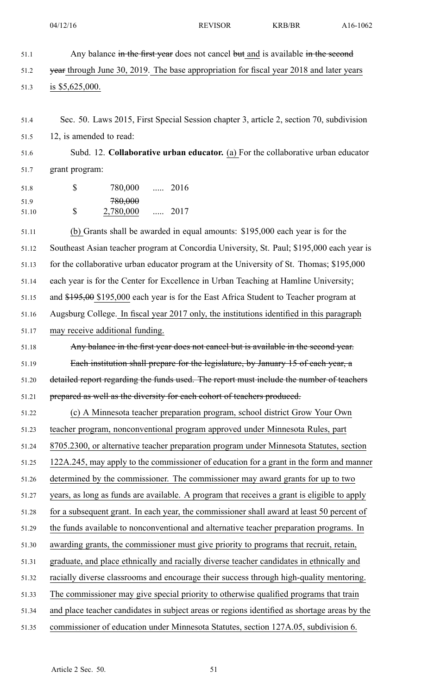- 51.1 Any balance in the first year does not cancel but and is available in the second 51.2 year through June 30, 2019. The base appropriation for fiscal year 2018 and later years 51.3 is \$5,625,000.
- 51.4 Sec. 50. Laws 2015, First Special Session chapter 3, article 2, section 70, subdivision 51.5 12, is amended to read:

51.6 Subd. 12. **Collaborative urban educator.** (a) For the collaborative urban educator 51.7 grant program:

51.8 \$ 780,000 ..... 2016 \$  $780,000$ 51.10 2,780,000 ..... 2017

51.11 (b) Grants shall be awarded in equal amounts: \$195,000 each year is for the 51.12 Southeast Asian teacher program at Concordia University, St. Paul; \$195,000 each year is 51.13 for the collaborative urban educator program at the University of St. Thomas; \$195,000 51.14 each year is for the Center for Excellence in Urban Teaching at Hamline University; 51.15 and \$195,00 \$195,000 each year is for the East Africa Student to Teacher program at 51.16 Augsburg College. In fiscal year 2017 only, the institutions identified in this paragraph 51.17 may receive additional funding. 51.18 Any balance in the first year does not cancel but is available in the second year. 51.19 Each institution shall prepare for the legislature, by January 15 of each year, <sup>a</sup> 51.20 detailed repor<sup>t</sup> regarding the funds used. The repor<sup>t</sup> must include the number of teachers 51.21 prepared as well as the diversity for each cohort of teachers produced. 51.22 (c) A Minnesota teacher preparation program, school district Grow Your Own 51.23 teacher program, nonconventional program approved under Minnesota Rules, par<sup>t</sup> 51.24 8705.2300, or alternative teacher preparation program under Minnesota Statutes, section 51.25 122A.245, may apply to the commissioner of education for <sup>a</sup> gran<sup>t</sup> in the form and manner 51.26 determined by the commissioner. The commissioner may award grants for up to two 51.27 years, as long as funds are available. A program that receives <sup>a</sup> gran<sup>t</sup> is eligible to apply 51.28 for <sup>a</sup> subsequent grant. In each year, the commissioner shall award at least 50 percen<sup>t</sup> of 51.29 the funds available to nonconventional and alternative teacher preparation programs. In 51.30 awarding grants, the commissioner must give priority to programs that recruit, retain, 51.31 graduate, and place ethnically and racially diverse teacher candidates in ethnically and 51.32 racially diverse classrooms and encourage their success through high-quality mentoring. 51.33 The commissioner may give special priority to otherwise qualified programs that train 51.34 and place teacher candidates in subject areas or regions identified as shortage areas by the 51.35 commissioner of education under Minnesota Statutes, section 127A.05, subdivision 6.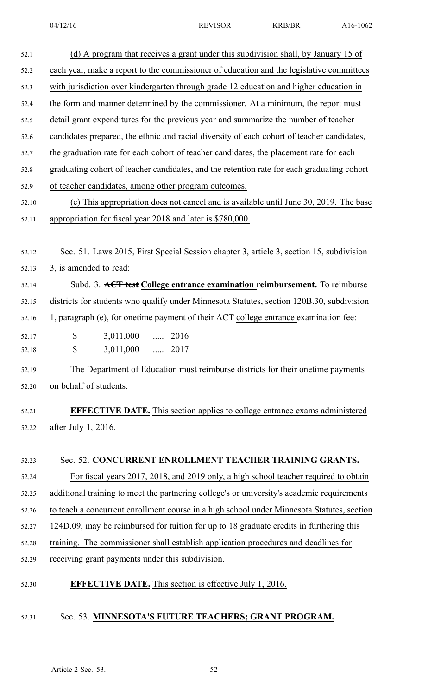| 52.1  | (d) A program that receives a grant under this subdivision shall, by January 15 of         |
|-------|--------------------------------------------------------------------------------------------|
| 52.2  | each year, make a report to the commissioner of education and the legislative committees   |
| 52.3  | with jurisdiction over kindergarten through grade 12 education and higher education in     |
| 52.4  | the form and manner determined by the commissioner. At a minimum, the report must          |
| 52.5  | detail grant expenditures for the previous year and summarize the number of teacher        |
| 52.6  | candidates prepared, the ethnic and racial diversity of each cohort of teacher candidates, |
| 52.7  | the graduation rate for each cohort of teacher candidates, the placement rate for each     |
| 52.8  | graduating cohort of teacher candidates, and the retention rate for each graduating cohort |
| 52.9  | of teacher candidates, among other program outcomes.                                       |
| 52.10 | (e) This appropriation does not cancel and is available until June 30, 2019. The base      |
| 52.11 | appropriation for fiscal year 2018 and later is \$780,000.                                 |
|       |                                                                                            |
| 52.12 | Sec. 51. Laws 2015, First Special Session chapter 3, article 3, section 15, subdivision    |
| 52.13 | 3, is amended to read:                                                                     |
| 52.14 | Subd. 3. ACT test College entrance examination reimbursement. To reimburse                 |
| 52.15 | districts for students who qualify under Minnesota Statutes, section 120B.30, subdivision  |
| 52.16 | 1, paragraph (e), for onetime payment of their ACT college entrance examination fee:       |
| 52.17 | \$<br>3,011,000<br>$\ldots$ 2016                                                           |
| 52.18 | \$<br>3,011,000<br>$\ldots$ 2017                                                           |
| 52.19 | The Department of Education must reimburse districts for their onetime payments            |
| 52.20 | on behalf of students.                                                                     |
|       |                                                                                            |
| 52.21 | <b>EFFECTIVE DATE.</b> This section applies to college entrance exams administered         |
| 52.22 | after July 1, 2016.                                                                        |
|       |                                                                                            |
| 52.23 | Sec. 52. CONCURRENT ENROLLMENT TEACHER TRAINING GRANTS.                                    |
| 52.24 | For fiscal years 2017, 2018, and 2019 only, a high school teacher required to obtain       |
| 52.25 | additional training to meet the partnering college's or university's academic requirements |
| 52.26 | to teach a concurrent enrollment course in a high school under Minnesota Statutes, section |
| 52.27 | 124D.09, may be reimbursed for tuition for up to 18 graduate credits in furthering this    |
| 52.28 | training. The commissioner shall establish application procedures and deadlines for        |
| 52.29 | receiving grant payments under this subdivision.                                           |
| 52.30 | <b>EFFECTIVE DATE.</b> This section is effective July 1, 2016.                             |
| 52.31 | Sec. 53. MINNESOTA'S FUTURE TEACHERS; GRANT PROGRAM.                                       |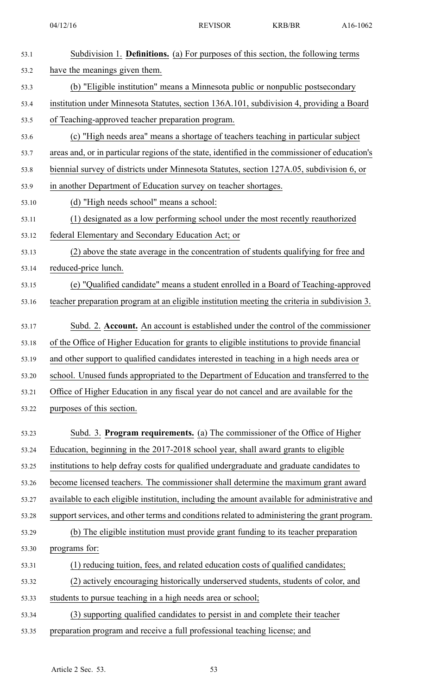| 53.1  | Subdivision 1. <b>Definitions.</b> (a) For purposes of this section, the following terms        |
|-------|-------------------------------------------------------------------------------------------------|
| 53.2  | have the meanings given them.                                                                   |
| 53.3  | (b) "Eligible institution" means a Minnesota public or nonpublic postsecondary                  |
| 53.4  | institution under Minnesota Statutes, section 136A.101, subdivision 4, providing a Board        |
| 53.5  | of Teaching-approved teacher preparation program.                                               |
| 53.6  | (c) "High needs area" means a shortage of teachers teaching in particular subject               |
| 53.7  | areas and, or in particular regions of the state, identified in the commissioner of education's |
| 53.8  | biennial survey of districts under Minnesota Statutes, section 127A.05, subdivision 6, or       |
| 53.9  | in another Department of Education survey on teacher shortages.                                 |
| 53.10 | (d) "High needs school" means a school:                                                         |
| 53.11 | (1) designated as a low performing school under the most recently reauthorized                  |
| 53.12 | federal Elementary and Secondary Education Act; or                                              |
| 53.13 | (2) above the state average in the concentration of students qualifying for free and            |
| 53.14 | reduced-price lunch.                                                                            |
| 53.15 | (e) "Qualified candidate" means a student enrolled in a Board of Teaching-approved              |
| 53.16 | teacher preparation program at an eligible institution meeting the criteria in subdivision 3.   |
| 53.17 | Subd. 2. Account. An account is established under the control of the commissioner               |
| 53.18 | of the Office of Higher Education for grants to eligible institutions to provide financial      |
| 53.19 | and other support to qualified candidates interested in teaching in a high needs area or        |
| 53.20 | school. Unused funds appropriated to the Department of Education and transferred to the         |
| 53.21 | Office of Higher Education in any fiscal year do not cancel and are available for the           |
| 53.22 | purposes of this section.                                                                       |
| 53.23 | Subd. 3. Program requirements. (a) The commissioner of the Office of Higher                     |
| 53.24 | Education, beginning in the 2017-2018 school year, shall award grants to eligible               |
| 53.25 | institutions to help defray costs for qualified undergraduate and graduate candidates to        |
| 53.26 | become licensed teachers. The commissioner shall determine the maximum grant award              |
| 53.27 | available to each eligible institution, including the amount available for administrative and   |
| 53.28 | support services, and other terms and conditions related to administering the grant program.    |
| 53.29 | (b) The eligible institution must provide grant funding to its teacher preparation              |
| 53.30 | programs for:                                                                                   |
| 53.31 | (1) reducing tuition, fees, and related education costs of qualified candidates;                |
| 53.32 | (2) actively encouraging historically underserved students, students of color, and              |
| 53.33 | students to pursue teaching in a high needs area or school;                                     |
| 53.34 | (3) supporting qualified candidates to persist in and complete their teacher                    |
| 53.35 | preparation program and receive a full professional teaching license; and                       |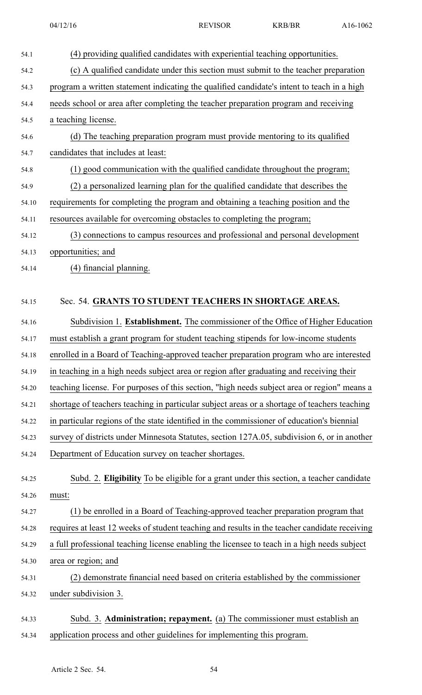54.1 (4) providing qualified candidates with experiential teaching opportunities. 54.2 (c) A qualified candidate under this section must submit to the teacher preparation 54.3 program <sup>a</sup> written statement indicating the qualified candidate's intent to teach in <sup>a</sup> high 54.4 needs school or area after completing the teacher preparation program and receiving 54.5 <sup>a</sup> teaching license. 54.6 (d) The teaching preparation program must provide mentoring to its qualified 54.7 candidates that includes at least: 54.8 (1) good communication with the qualified candidate throughout the program; 54.9 (2) <sup>a</sup> personalized learning plan for the qualified candidate that describes the 54.10 requirements for completing the program and obtaining <sup>a</sup> teaching position and the 54.11 resources available for overcoming obstacles to completing the program; 54.12 (3) connections to campus resources and professional and personal development 54.13 opportunities; and 54.14 (4) financial planning. 54.15 Sec. 54. **GRANTS TO STUDENT TEACHERS IN SHORTAGE AREAS.** 54.16 Subdivision 1. **Establishment.** The commissioner of the Office of Higher Education 54.17 must establish <sup>a</sup> gran<sup>t</sup> program for student teaching stipends for low-income students 54.18 enrolled in <sup>a</sup> Board of Teaching-approved teacher preparation program who are interested 54.19 in teaching in <sup>a</sup> high needs subject area or region after graduating and receiving their 54.20 teaching license. For purposes of this section, "high needs subject area or region" means <sup>a</sup> 54.21 shortage of teachers teaching in particular subject areas or <sup>a</sup> shortage of teachers teaching 54.22 in particular regions of the state identified in the commissioner of education's biennial 54.23 survey of districts under Minnesota Statutes, section 127A.05, subdivision 6, or in another 54.24 Department of Education survey on teacher shortages. 54.25 Subd. 2. **Eligibility** To be eligible for <sup>a</sup> gran<sup>t</sup> under this section, <sup>a</sup> teacher candidate 54.26 must: 54.27 (1) be enrolled in <sup>a</sup> Board of Teaching-approved teacher preparation program that 54.28 requires at least 12 weeks of student teaching and results in the teacher candidate receiving 54.29 <sup>a</sup> full professional teaching license enabling the licensee to teach in <sup>a</sup> high needs subject 54.30 area or region; and 54.31 (2) demonstrate financial need based on criteria established by the commissioner 54.32 under subdivision 3. 54.33 Subd. 3. **Administration; repayment.** (a) The commissioner must establish an 54.34 application process and other guidelines for implementing this program.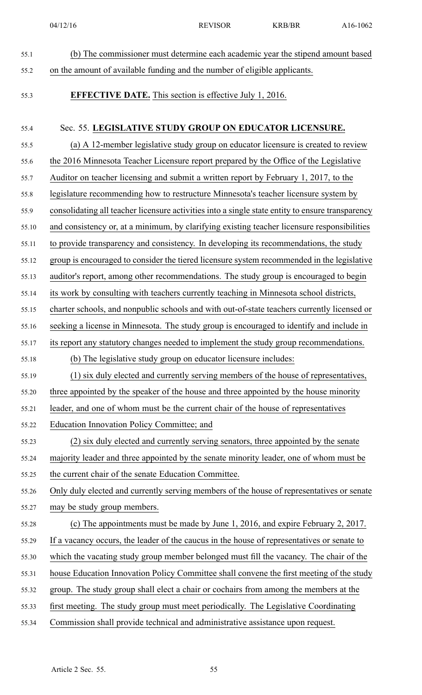- 55.1 (b) The commissioner must determine each academic year the stipend amount based 55.2 on the amount of available funding and the number of eligible applicants. 55.3 **EFFECTIVE DATE.** This section is effective July 1, 2016. 55.4 Sec. 55. **LEGISLATIVE STUDY GROUP ON EDUCATOR LICENSURE.** 55.5 (a) A 12-member legislative study group on educator licensure is created to review 55.6 the 2016 Minnesota Teacher Licensure repor<sup>t</sup> prepared by the Office of the Legislative 55.7 Auditor on teacher licensing and submit <sup>a</sup> written repor<sup>t</sup> by February 1, 2017, to the 55.8 legislature recommending how to restructure Minnesota's teacher licensure system by 55.9 consolidating all teacher licensure activities into <sup>a</sup> single state entity to ensure transparency 55.10 and consistency or, at <sup>a</sup> minimum, by clarifying existing teacher licensure responsibilities 55.11 to provide transparency and consistency. In developing its recommendations, the study 55.12 group is encouraged to consider the tiered licensure system recommended in the legislative 55.13 auditor's report, among other recommendations. The study group is encouraged to begin 55.14 its work by consulting with teachers currently teaching in Minnesota school districts, 55.15 charter schools, and nonpublic schools and with out-of-state teachers currently licensed or 55.16 seeking <sup>a</sup> license in Minnesota. The study group is encouraged to identify and include in 55.17 its repor<sup>t</sup> any statutory changes needed to implement the study group recommendations. 55.18 (b) The legislative study group on educator licensure includes: 55.19 (1) six duly elected and currently serving members of the house of representatives, 55.20 three appointed by the speaker of the house and three appointed by the house minority 55.21 leader, and one of whom must be the current chair of the house of representatives 55.22 Education Innovation Policy Committee; and 55.23 (2) six duly elected and currently serving senators, three appointed by the senate 55.24 majority leader and three appointed by the senate minority leader, one of whom must be 55.25 the current chair of the senate Education Committee. 55.26 Only duly elected and currently serving members of the house of representatives or senate 55.27 may be study group members. 55.28 (c) The appointments must be made by June 1, 2016, and expire February 2, 2017. 55.29 If <sup>a</sup> vacancy occurs, the leader of the caucus in the house of representatives or senate to 55.30 which the vacating study group member belonged must fill the vacancy. The chair of the 55.31 house Education Innovation Policy Committee shall convene the first meeting of the study 55.32 group. The study group shall elect <sup>a</sup> chair or cochairs from among the members at the 55.33 first meeting. The study group must meet periodically. The Legislative Coordinating
- 55.34 Commission shall provide technical and administrative assistance upon request.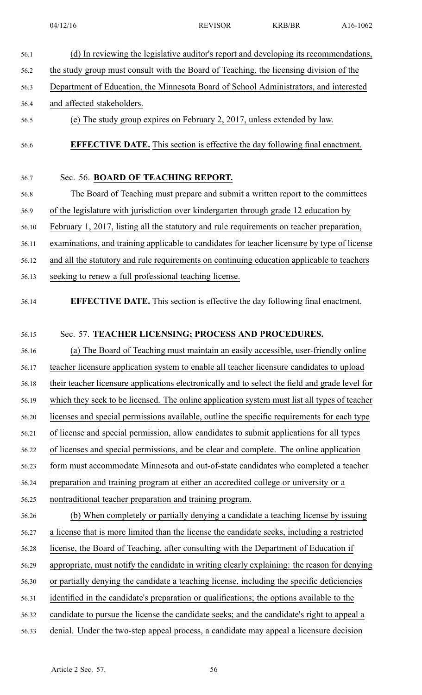- 56.1 (d) In reviewing the legislative auditor's repor<sup>t</sup> and developing its recommendations, 56.2 the study group must consult with the Board of Teaching, the licensing division of the 56.3 Department of Education, the Minnesota Board of School Administrators, and interested 56.4 and affected stakeholders. 56.5 (e) The study group expires on February 2, 2017, unless extended by law.
- 

56.6 **EFFECTIVE DATE.** This section is effective the day following final enactment.

#### 56.7 Sec. 56. **BOARD OF TEACHING REPORT.**

56.8 The Board of Teaching must prepare and submit <sup>a</sup> written repor<sup>t</sup> to the committees 56.9 of the legislature with jurisdiction over kindergarten through grade 12 education by 56.10 February 1, 2017, listing all the statutory and rule requirements on teacher preparation, 56.11 examinations, and training applicable to candidates for teacher licensure by type of license 56.12 and all the statutory and rule requirements on continuing education applicable to teachers 56.13 seeking to renew <sup>a</sup> full professional teaching license.

56.14 **EFFECTIVE DATE.** This section is effective the day following final enactment.

#### 56.15 Sec. 57. **TEACHER LICENSING; PROCESS AND PROCEDURES.**

56.16 (a) The Board of Teaching must maintain an easily accessible, user-friendly online 56.17 teacher licensure application system to enable all teacher licensure candidates to upload 56.18 their teacher licensure applications electronically and to select the field and grade level for 56.19 which they seek to be licensed. The online application system must list all types of teacher 56.20 licenses and special permissions available, outline the specific requirements for each type 56.21 of license and special permission, allow candidates to submit applications for all types 56.22 of licenses and special permissions, and be clear and complete. The online application 56.23 form must accommodate Minnesota and out-of-state candidates who completed <sup>a</sup> teacher 56.24 preparation and training program at either an accredited college or university or <sup>a</sup> 56.25 nontraditional teacher preparation and training program. 56.26 (b) When completely or partially denying <sup>a</sup> candidate <sup>a</sup> teaching license by issuing 56.27 <sup>a</sup> license that is more limited than the license the candidate seeks, including <sup>a</sup> restricted 56.28 license, the Board of Teaching, after consulting with the Department of Education if 56.29 appropriate, must notify the candidate in writing clearly explaining: the reason for denying 56.30 or partially denying the candidate <sup>a</sup> teaching license, including the specific deficiencies 56.31 identified in the candidate's preparation or qualifications; the options available to the 56.32 candidate to pursue the license the candidate seeks; and the candidate's right to appeal <sup>a</sup> 56.33 denial. Under the two-step appeal process, <sup>a</sup> candidate may appeal <sup>a</sup> licensure decision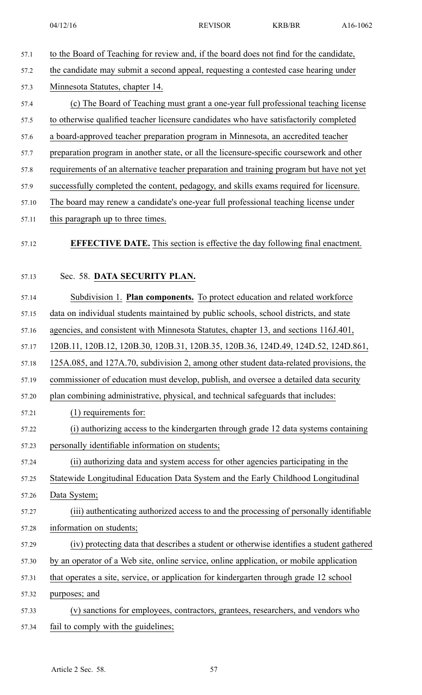57.1 to the Board of Teaching for review and, if the board does not find for the candidate, 57.2 the candidate may submit <sup>a</sup> second appeal, requesting <sup>a</sup> contested case hearing under 57.3 Minnesota Statutes, chapter 14. 57.4 (c) The Board of Teaching must gran<sup>t</sup> <sup>a</sup> one-year full professional teaching license 57.5 to otherwise qualified teacher licensure candidates who have satisfactorily completed 57.6 <sup>a</sup> board-approved teacher preparation program in Minnesota, an accredited teacher 57.7 preparation program in another state, or all the licensure-specific coursework and other 57.8 requirements of an alternative teacher preparation and training program but have not ye<sup>t</sup> 57.9 successfully completed the content, pedagogy, and skills exams required for licensure. 57.10 The board may renew <sup>a</sup> candidate's one-year full professional teaching license under 57.11 this paragraph up to three times. 57.12 **EFFECTIVE DATE.** This section is effective the day following final enactment. 57.13 Sec. 58. **DATA SECURITY PLAN.** 57.14 Subdivision 1. **Plan components.** To protect education and related workforce 57.15 data on individual students maintained by public schools, school districts, and state 57.16 agencies, and consistent with Minnesota Statutes, chapter 13, and sections 116J.401, 57.17 120B.11, 120B.12, 120B.30, 120B.31, 120B.35, 120B.36, 124D.49, 124D.52, 124D.861, 57.18 125A.085, and 127A.70, subdivision 2, among other student data-related provisions, the 57.19 commissioner of education must develop, publish, and oversee <sup>a</sup> detailed data security 57.20 plan combining administrative, physical, and technical safeguards that includes: 57.21 (1) requirements for: 57.22 (i) authorizing access to the kindergarten through grade 12 data systems containing 57.23 personally identifiable information on students; 57.24 (ii) authorizing data and system access for other agencies participating in the 57.25 Statewide Longitudinal Education Data System and the Early Childhood Longitudinal 57.26 Data System; 57.27 (iii) authenticating authorized access to and the processing of personally identifiable 57.28 information on students; 57.29 (iv) protecting data that describes <sup>a</sup> student or otherwise identifies <sup>a</sup> student gathered 57.30 by an operator of <sup>a</sup> Web site, online service, online application, or mobile application 57.31 that operates <sup>a</sup> site, service, or application for kindergarten through grade 12 school 57.32 purposes; and 57.33 (v) sanctions for employees, contractors, grantees, researchers, and vendors who 57.34 fail to comply with the guidelines;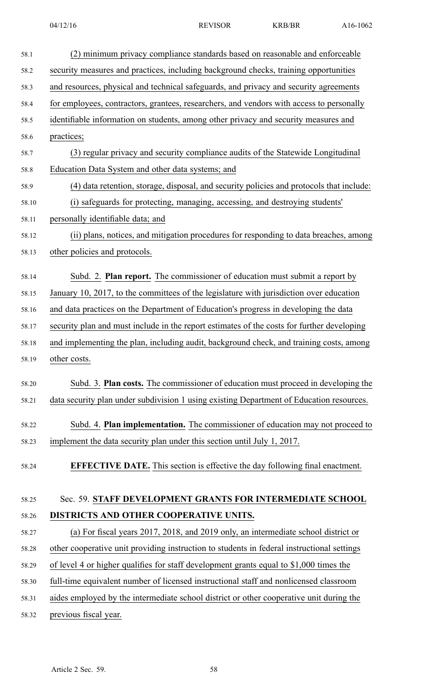| 58.1  | (2) minimum privacy compliance standards based on reasonable and enforceable               |
|-------|--------------------------------------------------------------------------------------------|
| 58.2  | security measures and practices, including background checks, training opportunities       |
| 58.3  | and resources, physical and technical safeguards, and privacy and security agreements      |
| 58.4  | for employees, contractors, grantees, researchers, and vendors with access to personally   |
| 58.5  | identifiable information on students, among other privacy and security measures and        |
| 58.6  | practices;                                                                                 |
| 58.7  | (3) regular privacy and security compliance audits of the Statewide Longitudinal           |
| 58.8  | Education Data System and other data systems; and                                          |
| 58.9  | (4) data retention, storage, disposal, and security policies and protocols that include:   |
| 58.10 | (i) safeguards for protecting, managing, accessing, and destroying students'               |
| 58.11 | personally identifiable data; and                                                          |
| 58.12 | (ii) plans, notices, and mitigation procedures for responding to data breaches, among      |
| 58.13 | other policies and protocols.                                                              |
| 58.14 | Subd. 2. <b>Plan report.</b> The commissioner of education must submit a report by         |
| 58.15 | January 10, 2017, to the committees of the legislature with jurisdiction over education    |
| 58.16 | and data practices on the Department of Education's progress in developing the data        |
| 58.17 | security plan and must include in the report estimates of the costs for further developing |
| 58.18 | and implementing the plan, including audit, background check, and training costs, among    |
| 58.19 | other costs.                                                                               |
|       |                                                                                            |
| 58.20 | Subd. 3. Plan costs. The commissioner of education must proceed in developing the          |
| 58.21 | data security plan under subdivision 1 using existing Department of Education resources.   |
| 58.22 | Subd. 4. Plan implementation. The commissioner of education may not proceed to             |
| 58.23 | implement the data security plan under this section until July 1, 2017.                    |
|       |                                                                                            |
| 58.24 | <b>EFFECTIVE DATE.</b> This section is effective the day following final enactment.        |
|       |                                                                                            |
| 58.25 | Sec. 59. STAFF DEVELOPMENT GRANTS FOR INTERMEDIATE SCHOOL                                  |
| 58.26 | DISTRICTS AND OTHER COOPERATIVE UNITS.                                                     |
| 58.27 | (a) For fiscal years 2017, 2018, and 2019 only, an intermediate school district or         |
| 58.28 | other cooperative unit providing instruction to students in federal instructional settings |
| 58.29 | of level 4 or higher qualifies for staff development grants equal to \$1,000 times the     |
| 58.30 | full-time equivalent number of licensed instructional staff and nonlicensed classroom      |
| 58.31 | aides employed by the intermediate school district or other cooperative unit during the    |
| 58.32 | previous fiscal year.                                                                      |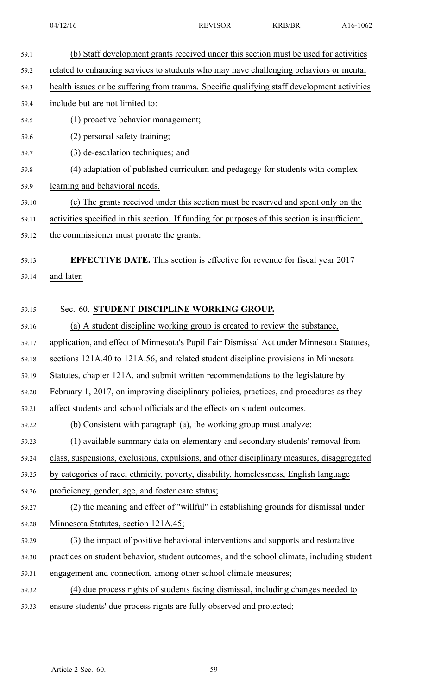| 59.1  | (b) Staff development grants received under this section must be used for activities           |
|-------|------------------------------------------------------------------------------------------------|
| 59.2  | related to enhancing services to students who may have challenging behaviors or mental         |
| 59.3  | health issues or be suffering from trauma. Specific qualifying staff development activities    |
| 59.4  | include but are not limited to:                                                                |
| 59.5  | (1) proactive behavior management;                                                             |
| 59.6  | (2) personal safety training;                                                                  |
| 59.7  | (3) de-escalation techniques; and                                                              |
| 59.8  | (4) adaptation of published curriculum and pedagogy for students with complex                  |
| 59.9  | learning and behavioral needs.                                                                 |
| 59.10 | (c) The grants received under this section must be reserved and spent only on the              |
| 59.11 | activities specified in this section. If funding for purposes of this section is insufficient, |
| 59.12 | the commissioner must prorate the grants.                                                      |
| 59.13 | <b>EFFECTIVE DATE.</b> This section is effective for revenue for fiscal year 2017              |
| 59.14 | and later.                                                                                     |
|       |                                                                                                |
| 59.15 | Sec. 60. STUDENT DISCIPLINE WORKING GROUP.                                                     |
| 59.16 | (a) A student discipline working group is created to review the substance,                     |
| 59.17 | application, and effect of Minnesota's Pupil Fair Dismissal Act under Minnesota Statutes,      |
| 59.18 | sections 121A.40 to 121A.56, and related student discipline provisions in Minnesota            |
| 59.19 | Statutes, chapter 121A, and submit written recommendations to the legislature by               |
| 59.20 | February 1, 2017, on improving disciplinary policies, practices, and procedures as they        |
| 59.21 | affect students and school officials and the effects on student outcomes.                      |
| 59.22 | (b) Consistent with paragraph (a), the working group must analyze:                             |
| 59.23 | (1) available summary data on elementary and secondary students' removal from                  |
| 59.24 | class, suspensions, exclusions, expulsions, and other disciplinary measures, disaggregated     |
| 59.25 | by categories of race, ethnicity, poverty, disability, homelessness, English language          |
| 59.26 | proficiency, gender, age, and foster care status;                                              |
| 59.27 | (2) the meaning and effect of "willful" in establishing grounds for dismissal under            |
| 59.28 | Minnesota Statutes, section 121A.45;                                                           |
| 59.29 | (3) the impact of positive behavioral interventions and supports and restorative               |
| 59.30 | practices on student behavior, student outcomes, and the school climate, including student     |
| 59.31 | engagement and connection, among other school climate measures;                                |
| 59.32 | (4) due process rights of students facing dismissal, including changes needed to               |
| 59.33 | ensure students' due process rights are fully observed and protected;                          |
|       |                                                                                                |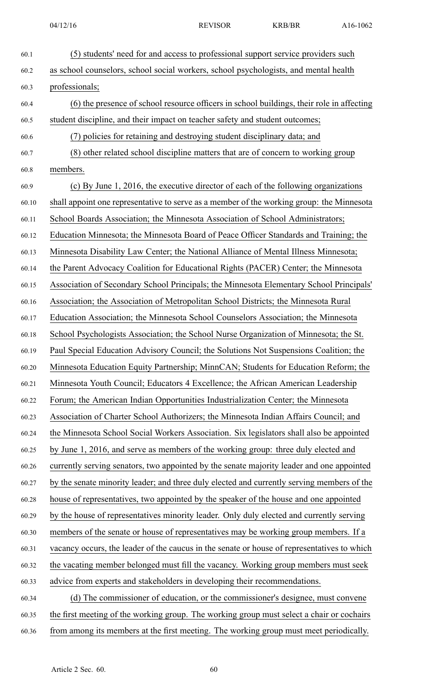| 60.1  | (5) students' need for and access to professional support service providers such            |
|-------|---------------------------------------------------------------------------------------------|
| 60.2  | as school counselors, school social workers, school psychologists, and mental health        |
| 60.3  | professionals;                                                                              |
| 60.4  | (6) the presence of school resource officers in school buildings, their role in affecting   |
| 60.5  | student discipline, and their impact on teacher safety and student outcomes;                |
| 60.6  | (7) policies for retaining and destroying student disciplinary data; and                    |
| 60.7  | (8) other related school discipline matters that are of concern to working group            |
| 60.8  | members.                                                                                    |
| 60.9  | (c) By June 1, 2016, the executive director of each of the following organizations          |
| 60.10 | shall appoint one representative to serve as a member of the working group: the Minnesota   |
| 60.11 | School Boards Association; the Minnesota Association of School Administrators;              |
| 60.12 | Education Minnesota; the Minnesota Board of Peace Officer Standards and Training; the       |
| 60.13 | Minnesota Disability Law Center; the National Alliance of Mental Illness Minnesota;         |
| 60.14 | the Parent Advocacy Coalition for Educational Rights (PACER) Center; the Minnesota          |
| 60.15 | Association of Secondary School Principals; the Minnesota Elementary School Principals'     |
| 60.16 | Association; the Association of Metropolitan School Districts; the Minnesota Rural          |
| 60.17 | Education Association; the Minnesota School Counselors Association; the Minnesota           |
| 60.18 | School Psychologists Association; the School Nurse Organization of Minnesota; the St.       |
| 60.19 | Paul Special Education Advisory Council; the Solutions Not Suspensions Coalition; the       |
| 60.20 | Minnesota Education Equity Partnership; MinnCAN; Students for Education Reform; the         |
| 60.21 | Minnesota Youth Council; Educators 4 Excellence; the African American Leadership            |
| 60.22 | Forum; the American Indian Opportunities Industrialization Center; the Minnesota            |
| 60.23 | Association of Charter School Authorizers; the Minnesota Indian Affairs Council; and        |
| 60.24 | the Minnesota School Social Workers Association. Six legislators shall also be appointed    |
| 60.25 | by June 1, 2016, and serve as members of the working group: three duly elected and          |
| 60.26 | currently serving senators, two appointed by the senate majority leader and one appointed   |
| 60.27 | by the senate minority leader; and three duly elected and currently serving members of the  |
| 60.28 | house of representatives, two appointed by the speaker of the house and one appointed       |
| 60.29 | by the house of representatives minority leader. Only duly elected and currently serving    |
| 60.30 | members of the senate or house of representatives may be working group members. If a        |
| 60.31 | vacancy occurs, the leader of the caucus in the senate or house of representatives to which |
| 60.32 | the vacating member belonged must fill the vacancy. Working group members must seek         |
| 60.33 | advice from experts and stakeholders in developing their recommendations.                   |
| 60.34 | (d) The commissioner of education, or the commissioner's designee, must convene             |
| 60.35 | the first meeting of the working group. The working group must select a chair or cochairs   |
| 60.36 | from among its members at the first meeting. The working group must meet periodically.      |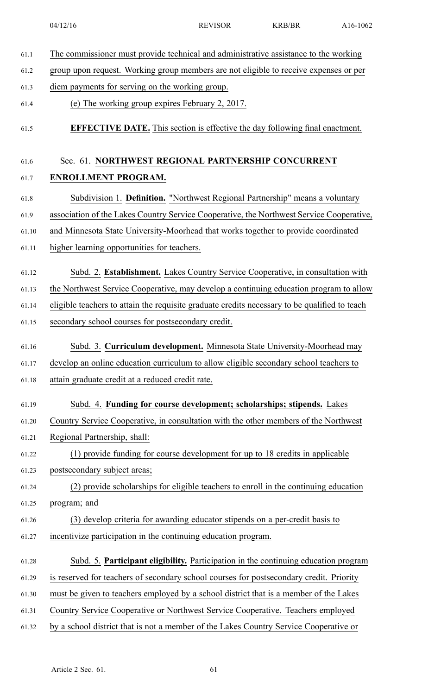| 61.1  | The commissioner must provide technical and administrative assistance to the working          |  |
|-------|-----------------------------------------------------------------------------------------------|--|
| 61.2  | group upon request. Working group members are not eligible to receive expenses or per         |  |
| 61.3  | diem payments for serving on the working group.                                               |  |
| 61.4  | (e) The working group expires February 2, 2017.                                               |  |
| 61.5  | <b>EFFECTIVE DATE.</b> This section is effective the day following final enactment.           |  |
| 61.6  | Sec. 61. NORTHWEST REGIONAL PARTNERSHIP CONCURRENT                                            |  |
| 61.7  | ENROLLMENT PROGRAM.                                                                           |  |
| 61.8  | Subdivision 1. Definition. "Northwest Regional Partnership" means a voluntary                 |  |
| 61.9  | association of the Lakes Country Service Cooperative, the Northwest Service Cooperative,      |  |
| 61.10 | and Minnesota State University-Moorhead that works together to provide coordinated            |  |
| 61.11 | higher learning opportunities for teachers.                                                   |  |
| 61.12 | Subd. 2. Establishment. Lakes Country Service Cooperative, in consultation with               |  |
| 61.13 | the Northwest Service Cooperative, may develop a continuing education program to allow        |  |
| 61.14 | eligible teachers to attain the requisite graduate credits necessary to be qualified to teach |  |
| 61.15 | secondary school courses for postsecondary credit.                                            |  |
| 61.16 | Subd. 3. Curriculum development. Minnesota State University-Moorhead may                      |  |
| 61.17 | develop an online education curriculum to allow eligible secondary school teachers to         |  |
| 61.18 | attain graduate credit at a reduced credit rate.                                              |  |
| 61.19 | Subd. 4. Funding for course development; scholarships; stipends. Lakes                        |  |
| 61.20 | Country Service Cooperative, in consultation with the other members of the Northwest          |  |
| 61.21 | Regional Partnership, shall:                                                                  |  |
| 61.22 | (1) provide funding for course development for up to 18 credits in applicable                 |  |
| 61.23 | postsecondary subject areas;                                                                  |  |
| 61.24 | (2) provide scholarships for eligible teachers to enroll in the continuing education          |  |
| 61.25 | program; and                                                                                  |  |
| 61.26 | (3) develop criteria for awarding educator stipends on a per-credit basis to                  |  |
| 61.27 | incentivize participation in the continuing education program.                                |  |
| 61.28 | Subd. 5. Participant eligibility. Participation in the continuing education program           |  |
| 61.29 | is reserved for teachers of secondary school courses for postsecondary credit. Priority       |  |
| 61.30 | must be given to teachers employed by a school district that is a member of the Lakes         |  |
| 61.31 | Country Service Cooperative or Northwest Service Cooperative. Teachers employed               |  |
| 61.32 | by a school district that is not a member of the Lakes Country Service Cooperative or         |  |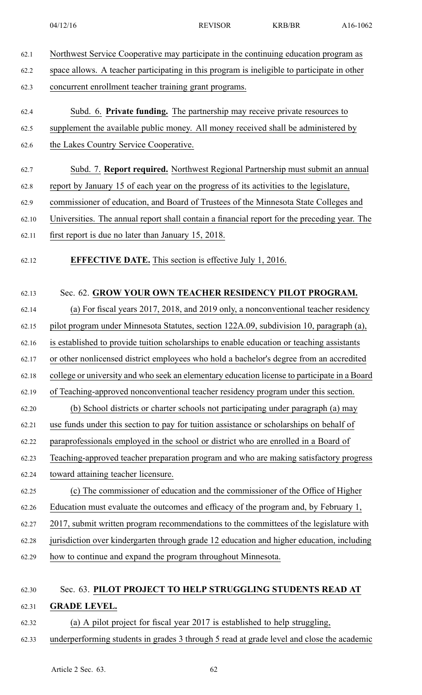- 62.1 Northwest Service Cooperative may participate in the continuing education program as
- 62.2 space allows. A teacher participating in this program is ineligible to participate in other

62.3 concurrent enrollment teacher training gran<sup>t</sup> programs.

- 62.4 Subd. 6. **Private funding.** The partnership may receive private resources to
- 62.5 supplement the available public money. All money received shall be administered by
- 62.6 the Lakes Country Service Cooperative.
- 62.7 Subd. 7. **Report required.** Northwest Regional Partnership must submit an annual
- 62.8 repor<sup>t</sup> by January 15 of each year on the progress of its activities to the legislature,
- 62.9 commissioner of education, and Board of Trustees of the Minnesota State Colleges and
- 62.10 Universities. The annual repor<sup>t</sup> shall contain <sup>a</sup> financial repor<sup>t</sup> for the preceding year. The
- 62.11 first repor<sup>t</sup> is due no later than January 15, 2018.
- 62.12 **EFFECTIVE DATE.** This section is effective July 1, 2016.

### 62.13 Sec. 62. **GROW YOUR OWN TEACHER RESIDENCY PILOT PROGRAM.**

62.14 (a) For fiscal years 2017, 2018, and 2019 only, <sup>a</sup> nonconventional teacher residency 62.15 pilot program under Minnesota Statutes, section 122A.09, subdivision 10, paragraph (a), 62.16 is established to provide tuition scholarships to enable education or teaching assistants 62.17 or other nonlicensed district employees who hold <sup>a</sup> bachelor's degree from an accredited 62.18 college or university and who seek an elementary education license to participate in <sup>a</sup> Board 62.19 of Teaching-approved nonconventional teacher residency program under this section. 62.20 (b) School districts or charter schools not participating under paragraph (a) may 62.21 use funds under this section to pay for tuition assistance or scholarships on behalf of 62.22 paraprofessionals employed in the school or district who are enrolled in <sup>a</sup> Board of

- 62.23 Teaching-approved teacher preparation program and who are making satisfactory progress
- 62.24 toward attaining teacher licensure.
- 62.25 (c) The commissioner of education and the commissioner of the Office of Higher 62.26 Education must evaluate the outcomes and efficacy of the program and, by February 1,
- 62.27 2017, submit written program recommendations to the committees of the legislature with
- 62.28 jurisdiction over kindergarten through grade 12 education and higher education, including
- 62.29 how to continue and expand the program throughout Minnesota.

## 62.30 Sec. 63. **PILOT PROJECT TO HELP STRUGGLING STUDENTS READ AT** 62.31 **GRADE LEVEL.**

- 62.32 (a) A pilot project for fiscal year 2017 is established to help struggling,
- 62.33 underperforming students in grades 3 through 5 read at grade level and close the academic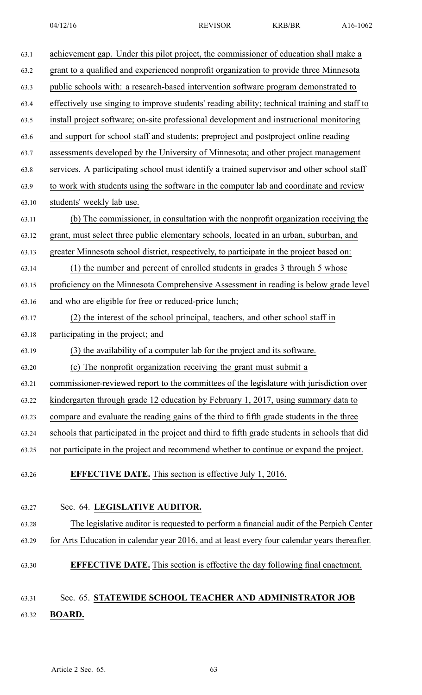| 63.1  | achievement gap. Under this pilot project, the commissioner of education shall make a          |
|-------|------------------------------------------------------------------------------------------------|
| 63.2  | grant to a qualified and experienced nonprofit organization to provide three Minnesota         |
| 63.3  | public schools with: a research-based intervention software program demonstrated to            |
| 63.4  | effectively use singing to improve students' reading ability; technical training and staff to  |
| 63.5  | install project software; on-site professional development and instructional monitoring        |
| 63.6  | and support for school staff and students; preproject and postproject online reading           |
| 63.7  | assessments developed by the University of Minnesota; and other project management             |
| 63.8  | services. A participating school must identify a trained supervisor and other school staff     |
| 63.9  | to work with students using the software in the computer lab and coordinate and review         |
| 63.10 | students' weekly lab use.                                                                      |
| 63.11 | (b) The commissioner, in consultation with the nonprofit organization receiving the            |
| 63.12 | grant, must select three public elementary schools, located in an urban, suburban, and         |
| 63.13 | greater Minnesota school district, respectively, to participate in the project based on:       |
| 63.14 | (1) the number and percent of enrolled students in grades 3 through 5 whose                    |
| 63.15 | proficiency on the Minnesota Comprehensive Assessment in reading is below grade level          |
| 63.16 | and who are eligible for free or reduced-price lunch;                                          |
| 63.17 | (2) the interest of the school principal, teachers, and other school staff in                  |
| 63.18 | participating in the project; and                                                              |
| 63.19 | (3) the availability of a computer lab for the project and its software.                       |
| 63.20 | (c) The nonprofit organization receiving the grant must submit a                               |
| 63.21 | commissioner-reviewed report to the committees of the legislature with jurisdiction over       |
| 63.22 | kindergarten through grade 12 education by February 1, 2017, using summary data to             |
| 63.23 | compare and evaluate the reading gains of the third to fifth grade students in the three       |
| 63.24 | schools that participated in the project and third to fifth grade students in schools that did |
| 63.25 | not participate in the project and recommend whether to continue or expand the project.        |
| 63.26 | <b>EFFECTIVE DATE.</b> This section is effective July 1, 2016.                                 |
|       |                                                                                                |
| 63.27 | Sec. 64. LEGISLATIVE AUDITOR.                                                                  |
| 63.28 | The legislative auditor is requested to perform a financial audit of the Perpich Center        |
| 63.29 | for Arts Education in calendar year 2016, and at least every four calendar years thereafter.   |
| 63.30 | <b>EFFECTIVE DATE.</b> This section is effective the day following final enactment.            |
| 63.31 | Sec. 65. STATEWIDE SCHOOL TEACHER AND ADMINISTRATOR JOB                                        |

63.32 **BOARD.**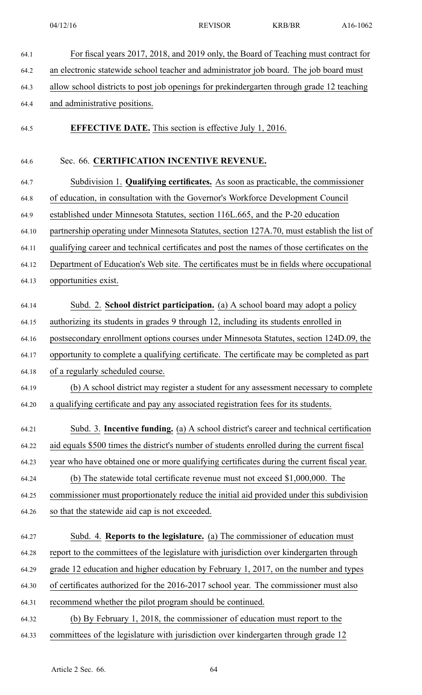| For fiscal years 2017, 2018, and 2019 only, the Board of Teaching must contract for          |
|----------------------------------------------------------------------------------------------|
| an electronic statewide school teacher and administrator job board. The job board must       |
| allow school districts to post job openings for prekindergarten through grade 12 teaching    |
| and administrative positions.                                                                |
| <b>EFFECTIVE DATE.</b> This section is effective July 1, 2016.                               |
| Sec. 66. CERTIFICATION INCENTIVE REVENUE.                                                    |
| Subdivision 1. Qualifying certificates. As soon as practicable, the commissioner             |
| of education, in consultation with the Governor's Workforce Development Council              |
| established under Minnesota Statutes, section 116L.665, and the P-20 education               |
| partnership operating under Minnesota Statutes, section 127A.70, must establish the list of  |
| qualifying career and technical certificates and post the names of those certificates on the |
| Department of Education's Web site. The certificates must be in fields where occupational    |
| opportunities exist.                                                                         |
| Subd. 2. School district participation. (a) A school board may adopt a policy                |
| authorizing its students in grades 9 through 12, including its students enrolled in          |
| postsecondary enrollment options courses under Minnesota Statutes, section 124D.09, the      |
| opportunity to complete a qualifying certificate. The certificate may be completed as part   |
| of a regularly scheduled course.                                                             |
| (b) A school district may register a student for any assessment necessary to complete        |
| a qualifying certificate and pay any associated registration fees for its students.          |
| Subd. 3. Incentive funding. (a) A school district's career and technical certification       |
| aid equals \$500 times the district's number of students enrolled during the current fiscal  |
| year who have obtained one or more qualifying certificates during the current fiscal year.   |
| (b) The statewide total certificate revenue must not exceed $$1,000,000$ . The               |
| commissioner must proportionately reduce the initial aid provided under this subdivision     |
| so that the statewide aid cap is not exceeded.                                               |
| Subd. 4. <b>Reports to the legislature.</b> (a) The commissioner of education must           |
| report to the committees of the legislature with jurisdiction over kindergarten through      |
| grade 12 education and higher education by February 1, 2017, on the number and types         |
| of certificates authorized for the 2016-2017 school year. The commissioner must also         |
| recommend whether the pilot program should be continued.                                     |
| (b) By February 1, 2018, the commissioner of education must report to the                    |
| committees of the legislature with jurisdiction over kindergarten through grade 12           |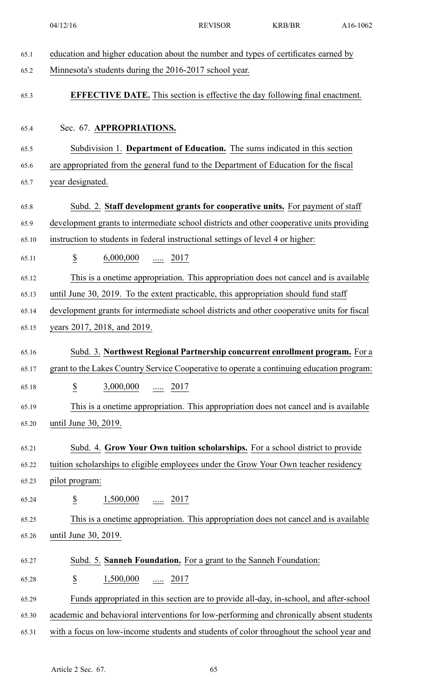|       | 04/12/16                                                                                    | <b>REVISOR</b> | <b>KRB/BR</b> | A16-1062 |
|-------|---------------------------------------------------------------------------------------------|----------------|---------------|----------|
| 65.1  | education and higher education about the number and types of certificates earned by         |                |               |          |
| 65.2  | Minnesota's students during the 2016-2017 school year.                                      |                |               |          |
| 65.3  | <b>EFFECTIVE DATE.</b> This section is effective the day following final enactment.         |                |               |          |
| 65.4  | Sec. 67. APPROPRIATIONS.                                                                    |                |               |          |
| 65.5  | Subdivision 1. Department of Education. The sums indicated in this section                  |                |               |          |
| 65.6  | are appropriated from the general fund to the Department of Education for the fiscal        |                |               |          |
| 65.7  | year designated.                                                                            |                |               |          |
| 65.8  | Subd. 2. Staff development grants for cooperative units. For payment of staff               |                |               |          |
| 65.9  | development grants to intermediate school districts and other cooperative units providing   |                |               |          |
| 65.10 | instruction to students in federal instructional settings of level 4 or higher:             |                |               |          |
| 65.11 | $\underline{\$}$<br>$6,000,000$ 2017                                                        |                |               |          |
| 65.12 | This is a onetime appropriation. This appropriation does not cancel and is available        |                |               |          |
| 65.13 | until June 30, 2019. To the extent practicable, this appropriation should fund staff        |                |               |          |
| 65.14 | development grants for intermediate school districts and other cooperative units for fiscal |                |               |          |
| 65.15 | years 2017, 2018, and 2019.                                                                 |                |               |          |
| 65.16 | Subd. 3. Northwest Regional Partnership concurrent enrollment program. For a                |                |               |          |
| 65.17 | grant to the Lakes Country Service Cooperative to operate a continuing education program:   |                |               |          |
| 65.18 | $\frac{\mathcal{S}}{\mathcal{S}}$<br>$3,000,000$ 2017                                       |                |               |          |
| 65.19 | This is a onetime appropriation. This appropriation does not cancel and is available        |                |               |          |
| 65.20 | until June 30, 2019.                                                                        |                |               |          |
| 65.21 | Subd. 4. Grow Your Own tuition scholarships. For a school district to provide               |                |               |          |
| 65.22 | tuition scholarships to eligible employees under the Grow Your Own teacher residency        |                |               |          |
| 65.23 | pilot program:                                                                              |                |               |          |
| 65.24 | S<br>$1,500,000$ 2017                                                                       |                |               |          |
| 65.25 | This is a onetime appropriation. This appropriation does not cancel and is available        |                |               |          |
| 65.26 | until June 30, 2019.                                                                        |                |               |          |
| 65.27 | Subd. 5. Sanneh Foundation. For a grant to the Sanneh Foundation:                           |                |               |          |
| 65.28 | $\underline{\$}$<br>$1,500,000$ 2017                                                        |                |               |          |
| 65.29 | Funds appropriated in this section are to provide all-day, in-school, and after-school      |                |               |          |
| 65.30 | academic and behavioral interventions for low-performing and chronically absent students    |                |               |          |
| 65.31 | with a focus on low-income students and students of color throughout the school year and    |                |               |          |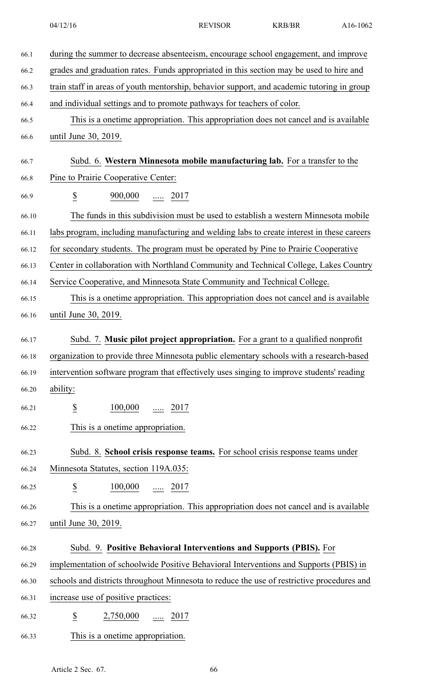|       | 04/12/16                                                                                   | <b>REVISOR</b> | <b>KRB/BR</b> | A16-1062 |
|-------|--------------------------------------------------------------------------------------------|----------------|---------------|----------|
| 66.1  | during the summer to decrease absenteeism, encourage school engagement, and improve        |                |               |          |
| 66.2  | grades and graduation rates. Funds appropriated in this section may be used to hire and    |                |               |          |
| 66.3  | train staff in areas of youth mentorship, behavior support, and academic tutoring in group |                |               |          |
| 66.4  | and individual settings and to promote pathways for teachers of color.                     |                |               |          |
| 66.5  | This is a onetime appropriation. This appropriation does not cancel and is available       |                |               |          |
| 66.6  | until June 30, 2019.                                                                       |                |               |          |
| 66.7  | Subd. 6. Western Minnesota mobile manufacturing lab. For a transfer to the                 |                |               |          |
| 66.8  | Pine to Prairie Cooperative Center:                                                        |                |               |          |
| 66.9  | $\underline{\$}$<br>$900,000$ 2017                                                         |                |               |          |
| 66.10 | The funds in this subdivision must be used to establish a western Minnesota mobile         |                |               |          |
| 66.11 | labs program, including manufacturing and welding labs to create interest in these careers |                |               |          |
| 66.12 | for secondary students. The program must be operated by Pine to Prairie Cooperative        |                |               |          |
| 66.13 | Center in collaboration with Northland Community and Technical College, Lakes Country      |                |               |          |
| 66.14 | Service Cooperative, and Minnesota State Community and Technical College.                  |                |               |          |
| 66.15 | This is a onetime appropriation. This appropriation does not cancel and is available       |                |               |          |
| 66.16 | until June 30, 2019.                                                                       |                |               |          |
| 66.17 | Subd. 7. Music pilot project appropriation. For a grant to a qualified nonprofit           |                |               |          |
| 66.18 | organization to provide three Minnesota public elementary schools with a research-based    |                |               |          |
| 66.19 | intervention software program that effectively uses singing to improve students' reading   |                |               |          |
| 66.20 | ability:                                                                                   |                |               |          |
| 66.21 | $\underline{\$}$<br>100,000<br><u></u> 2017                                                |                |               |          |
| 66.22 | This is a onetime appropriation.                                                           |                |               |          |
| 66.23 | Subd. 8. School crisis response teams. For school crisis response teams under              |                |               |          |
|       |                                                                                            |                |               |          |

66.24 Minnesota Statutes, section 119A.035:

- 66.25  $\frac{\$}{}$   $\frac{100,000}{...}$  ..... 2017
- 66.26 This is <sup>a</sup> onetime appropriation. This appropriation does not cancel and is available 66.27 until June 30, 2019.

## 66.28 Subd. 9. **Positive Behavioral Interventions and Supports (PBIS).** For

- 66.29 implementation of schoolwide Positive Behavioral Interventions and Supports (PBIS) in
- 66.30 schools and districts throughout Minnesota to reduce the use of restrictive procedures and
- 66.31 increase use of positive practices:
- 66.32 **\$** 2,750,000 ..... 2017
- 66.33 This is <sup>a</sup> onetime appropriation.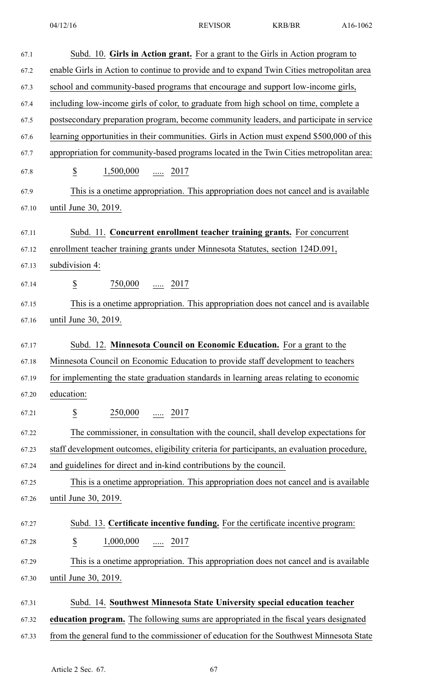| 67.1  | Subd. 10. Girls in Action grant. For a grant to the Girls in Action program to              |
|-------|---------------------------------------------------------------------------------------------|
| 67.2  | enable Girls in Action to continue to provide and to expand Twin Cities metropolitan area   |
| 67.3  | school and community-based programs that encourage and support low-income girls,            |
| 67.4  | including low-income girls of color, to graduate from high school on time, complete a       |
| 67.5  | postsecondary preparation program, become community leaders, and participate in service     |
| 67.6  | learning opportunities in their communities. Girls in Action must expend \$500,000 of this  |
| 67.7  | appropriation for community-based programs located in the Twin Cities metropolitan area:    |
| 67.8  | $\frac{1}{2}$<br>$1,500,000$ 2017                                                           |
| 67.9  | This is a onetime appropriation. This appropriation does not cancel and is available        |
| 67.10 | until June 30, 2019.                                                                        |
| 67.11 | Subd. 11. Concurrent enrollment teacher training grants. For concurrent                     |
| 67.12 | enrollment teacher training grants under Minnesota Statutes, section 124D.091,              |
| 67.13 | subdivision 4:                                                                              |
| 67.14 | $\overline{\mathcal{E}}$<br>$\frac{750,000}{\cdots}$ 2017                                   |
| 67.15 | This is a onetime appropriation. This appropriation does not cancel and is available        |
| 67.16 | until June 30, 2019.                                                                        |
| 67.17 | Subd. 12. Minnesota Council on Economic Education. For a grant to the                       |
| 67.18 | Minnesota Council on Economic Education to provide staff development to teachers            |
| 67.19 | for implementing the state graduation standards in learning areas relating to economic      |
| 67.20 | education:                                                                                  |
| 67.21 | $\frac{250,000}{}$ 2017<br>$\overline{\mathcal{E}}$                                         |
| 67.22 | The commissioner, in consultation with the council, shall develop expectations for          |
| 67.23 | staff development outcomes, eligibility criteria for participants, an evaluation procedure, |
| 67.24 | and guidelines for direct and in-kind contributions by the council.                         |
| 67.25 | This is a onetime appropriation. This appropriation does not cancel and is available        |
| 67.26 | until June 30, 2019.                                                                        |
| 67.27 | Subd. 13. Certificate incentive funding. For the certificate incentive program:             |
| 67.28 | $\overline{\mathcal{E}}$<br>$1,000,000$ 2017                                                |
| 67.29 | This is a onetime appropriation. This appropriation does not cancel and is available        |
| 67.30 | until June 30, 2019.                                                                        |
| 67.31 | Subd. 14. Southwest Minnesota State University special education teacher                    |
| 67.32 | education program. The following sums are appropriated in the fiscal years designated       |
| 67.33 | from the general fund to the commissioner of education for the Southwest Minnesota State    |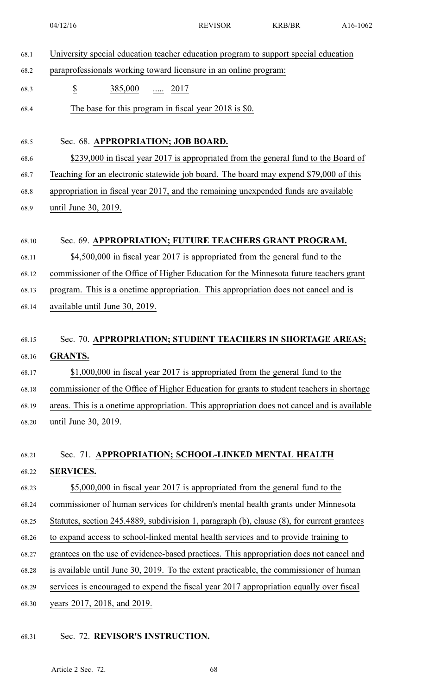|       | 04/12/16                                                                                    | <b>REVISOR</b> | <b>KRB/BR</b> | A16-1062 |
|-------|---------------------------------------------------------------------------------------------|----------------|---------------|----------|
| 68.1  | University special education teacher education program to support special education         |                |               |          |
| 68.2  | paraprofessionals working toward licensure in an online program:                            |                |               |          |
| 68.3  | $\overline{\mathcal{E}}$<br>$\frac{385,000}{}$ 2017                                         |                |               |          |
| 68.4  | The base for this program in fiscal year 2018 is \$0.                                       |                |               |          |
|       |                                                                                             |                |               |          |
| 68.5  | Sec. 68. APPROPRIATION; JOB BOARD.                                                          |                |               |          |
| 68.6  | \$239,000 in fiscal year 2017 is appropriated from the general fund to the Board of         |                |               |          |
| 68.7  | Teaching for an electronic statewide job board. The board may expend \$79,000 of this       |                |               |          |
| 68.8  | appropriation in fiscal year 2017, and the remaining unexpended funds are available         |                |               |          |
| 68.9  | until June 30, 2019.                                                                        |                |               |          |
|       |                                                                                             |                |               |          |
| 68.10 | Sec. 69. APPROPRIATION; FUTURE TEACHERS GRANT PROGRAM.                                      |                |               |          |
| 68.11 | \$4,500,000 in fiscal year 2017 is appropriated from the general fund to the                |                |               |          |
| 68.12 | commissioner of the Office of Higher Education for the Minnesota future teachers grant      |                |               |          |
| 68.13 | program. This is a onetime appropriation. This appropriation does not cancel and is         |                |               |          |
| 68.14 | available until June 30, 2019.                                                              |                |               |          |
|       |                                                                                             |                |               |          |
| 68.15 | Sec. 70. APPROPRIATION; STUDENT TEACHERS IN SHORTAGE AREAS;                                 |                |               |          |
| 68.16 | <b>GRANTS.</b>                                                                              |                |               |          |
| 68.17 | \$1,000,000 in fiscal year 2017 is appropriated from the general fund to the                |                |               |          |
| 68.18 | commissioner of the Office of Higher Education for grants to student teachers in shortage   |                |               |          |
| 68.19 | areas. This is a onetime appropriation. This appropriation does not cancel and is available |                |               |          |
| 68.20 | until June 30, 2019.                                                                        |                |               |          |
|       |                                                                                             |                |               |          |
| 68.21 | Sec. 71. APPROPRIATION; SCHOOL-LINKED MENTAL HEALTH                                         |                |               |          |
| 68.22 | <b>SERVICES.</b>                                                                            |                |               |          |
| 68.23 | \$5,000,000 in fiscal year 2017 is appropriated from the general fund to the                |                |               |          |
| 68.24 | commissioner of human services for children's mental health grants under Minnesota          |                |               |          |
| 68.25 | Statutes, section 245.4889, subdivision 1, paragraph (b), clause (8), for current grantees  |                |               |          |
| 68.26 | to expand access to school-linked mental health services and to provide training to         |                |               |          |
| 68.27 | grantees on the use of evidence-based practices. This appropriation does not cancel and     |                |               |          |
| 68.28 | is available until June 30, 2019. To the extent practicable, the commissioner of human      |                |               |          |
| 68.29 | services is encouraged to expend the fiscal year 2017 appropriation equally over fiscal     |                |               |          |
| 68.30 | years 2017, 2018, and 2019.                                                                 |                |               |          |

# 68.31 Sec. 72. **REVISOR'S INSTRUCTION.**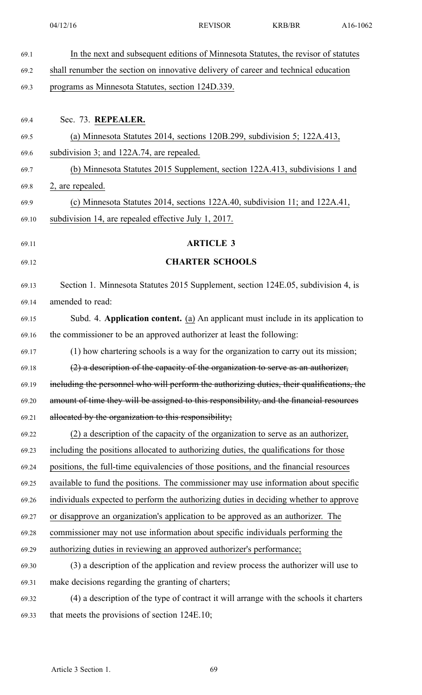| 69.1  | In the next and subsequent editions of Minnesota Statutes, the revisor of statutes         |
|-------|--------------------------------------------------------------------------------------------|
| 69.2  | shall renumber the section on innovative delivery of career and technical education        |
| 69.3  | programs as Minnesota Statutes, section 124D.339.                                          |
|       |                                                                                            |
| 69.4  | Sec. 73. REPEALER.                                                                         |
| 69.5  | (a) Minnesota Statutes 2014, sections $120B.299$ , subdivision 5; $122A.413$ ,             |
| 69.6  | subdivision 3; and 122A.74, are repealed.                                                  |
| 69.7  | (b) Minnesota Statutes 2015 Supplement, section 122A.413, subdivisions 1 and               |
| 69.8  | 2, are repealed.                                                                           |
| 69.9  | (c) Minnesota Statutes 2014, sections 122A.40, subdivision 11; and 122A.41,                |
| 69.10 | subdivision 14, are repealed effective July 1, 2017.                                       |
| 69.11 | <b>ARTICLE 3</b>                                                                           |
|       |                                                                                            |
| 69.12 | <b>CHARTER SCHOOLS</b>                                                                     |
| 69.13 | Section 1. Minnesota Statutes 2015 Supplement, section 124E.05, subdivision 4, is          |
| 69.14 | amended to read:                                                                           |
| 69.15 | Subd. 4. Application content. (a) An applicant must include in its application to          |
| 69.16 | the commissioner to be an approved authorizer at least the following:                      |
| 69.17 | (1) how chartering schools is a way for the organization to carry out its mission;         |
| 69.18 | $(2)$ a description of the capacity of the organization to serve as an authorizer,         |
| 69.19 | including the personnel who will perform the authorizing duties, their qualifications, the |
| 69.20 | amount of time they will be assigned to this responsibility, and the financial resources   |
| 69.21 | allocated by the organization to this responsibility;                                      |
| 69.22 | (2) a description of the capacity of the organization to serve as an authorizer,           |
| 69.23 | including the positions allocated to authorizing duties, the qualifications for those      |
| 69.24 | positions, the full-time equivalencies of those positions, and the financial resources     |
| 69.25 | available to fund the positions. The commissioner may use information about specific       |
| 69.26 | individuals expected to perform the authorizing duties in deciding whether to approve      |
| 69.27 | or disapprove an organization's application to be approved as an authorizer. The           |
| 69.28 | commissioner may not use information about specific individuals performing the             |
| 69.29 | authorizing duties in reviewing an approved authorizer's performance;                      |
| 69.30 | (3) a description of the application and review process the authorizer will use to         |
| 69.31 | make decisions regarding the granting of charters;                                         |
| 69.32 | (4) a description of the type of contract it will arrange with the schools it charters     |
| 69.33 | that meets the provisions of section 124E.10;                                              |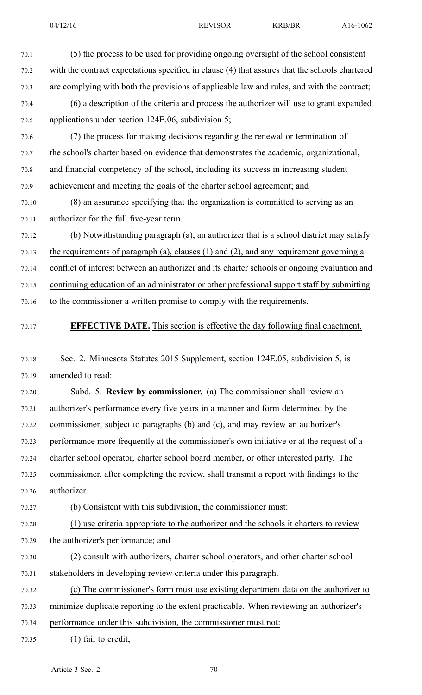70.1 (5) the process to be used for providing ongoing oversight of the school consistent

| 70.2  | with the contract expectations specified in clause (4) that assures that the schools chartered |
|-------|------------------------------------------------------------------------------------------------|
| 70.3  | are complying with both the provisions of applicable law and rules, and with the contract;     |
| 70.4  | (6) a description of the criteria and process the authorizer will use to grant expanded        |
| 70.5  | applications under section 124E.06, subdivision 5;                                             |
| 70.6  | (7) the process for making decisions regarding the renewal or termination of                   |
| 70.7  | the school's charter based on evidence that demonstrates the academic, organizational,         |
| 70.8  | and financial competency of the school, including its success in increasing student            |
| 70.9  | achievement and meeting the goals of the charter school agreement; and                         |
| 70.10 | (8) an assurance specifying that the organization is committed to serving as an                |
| 70.11 | authorizer for the full five-year term.                                                        |
| 70.12 | (b) Notwithstanding paragraph (a), an authorizer that is a school district may satisfy         |
| 70.13 | the requirements of paragraph (a), clauses $(1)$ and $(2)$ , and any requirement governing a   |
| 70.14 | conflict of interest between an authorizer and its charter schools or ongoing evaluation and   |
| 70.15 | continuing education of an administrator or other professional support staff by submitting     |
| 70.16 | to the commissioner a written promise to comply with the requirements.                         |
| 70.17 | <b>EFFECTIVE DATE.</b> This section is effective the day following final enactment.            |
| 70.18 | Sec. 2. Minnesota Statutes 2015 Supplement, section 124E.05, subdivision 5, is                 |
| 70.19 | amended to read:                                                                               |
| 70.20 | Subd. 5. Review by commissioner. (a) The commissioner shall review an                          |
| 70.21 | authorizer's performance every five years in a manner and form determined by the               |
| 70.22 | commissioner, subject to paragraphs (b) and (c), and may review an authorizer's                |
| 70.23 | performance more frequently at the commissioner's own initiative or at the request of a        |
| 70.24 | charter school operator, charter school board member, or other interested party. The           |
| 70.25 | commissioner, after completing the review, shall transmit a report with findings to the        |
| 70.26 | authorizer.                                                                                    |
| 70.27 | (b) Consistent with this subdivision, the commissioner must:                                   |
| 70.28 | (1) use criteria appropriate to the authorizer and the schools it charters to review           |
| 70.29 | the authorizer's performance; and                                                              |
| 70.30 | (2) consult with authorizers, charter school operators, and other charter school               |
| 70.31 | stakeholders in developing review criteria under this paragraph.                               |
| 70.32 | (c) The commissioner's form must use existing department data on the authorizer to             |
| 70.33 | minimize duplicate reporting to the extent practicable. When reviewing an authorizer's         |
| 70.34 | performance under this subdivision, the commissioner must not:                                 |
| 70.35 | $(1)$ fail to credit;                                                                          |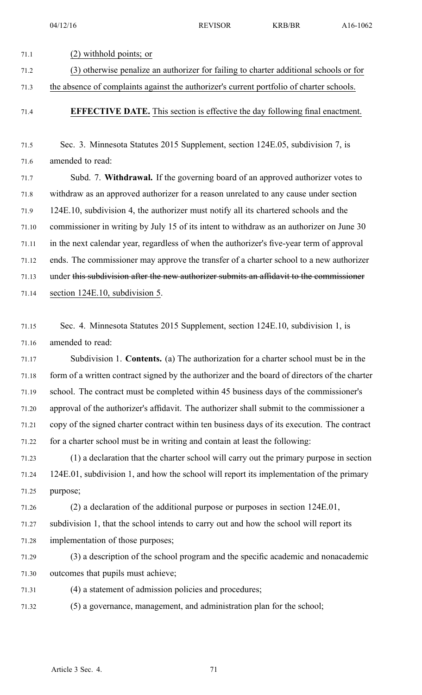04/12/16 REVISOR KRB/BR A16-1062 71.1 (2) withhold points; or 71.2 (3) otherwise penalize an authorizer for failing to charter additional schools or for 71.3 the absence of complaints against the authorizer's current portfolio of charter schools. 71.4 **EFFECTIVE DATE.** This section is effective the day following final enactment. 71.5 Sec. 3. Minnesota Statutes 2015 Supplement, section 124E.05, subdivision 7, is 71.6 amended to read: 71.7 Subd. 7. **Withdrawal.** If the governing board of an approved authorizer votes to 71.8 withdraw as an approved authorizer for <sup>a</sup> reason unrelated to any cause under section 71.9 124E.10, subdivision 4, the authorizer must notify all its chartered schools and the 71.10 commissioner in writing by July 15 of its intent to withdraw as an authorizer on June 30 71.11 in the next calendar year, regardless of when the authorizer's five-year term of approval 71.12 ends. The commissioner may approve the transfer of <sup>a</sup> charter school to <sup>a</sup> new authorizer 71.13 under this subdivision after the new authorizer submits an affidavit to the commissioner 71.14 section 124E.10, subdivision 5. 71.15 Sec. 4. Minnesota Statutes 2015 Supplement, section 124E.10, subdivision 1, is 71.16 amended to read: 71.17 Subdivision 1. **Contents.** (a) The authorization for <sup>a</sup> charter school must be in the 71.18 form of <sup>a</sup> written contract signed by the authorizer and the board of directors of the charter 71.19 school. The contract must be completed within 45 business days of the commissioner's 71.20 approval of the authorizer's affidavit. The authorizer shall submit to the commissioner <sup>a</sup> 71.21 copy of the signed charter contract within ten business days of its execution. The contract 71.22 for <sup>a</sup> charter school must be in writing and contain at least the following: 71.23 (1) <sup>a</sup> declaration that the charter school will carry out the primary purpose in section 71.24 124E.01, subdivision 1, and how the school will repor<sup>t</sup> its implementation of the primary 71.25 purpose; 71.26 (2) <sup>a</sup> declaration of the additional purpose or purposes in section 124E.01, 71.27 subdivision 1, that the school intends to carry out and how the school will repor<sup>t</sup> its 71.28 implementation of those purposes; 71.29 (3) <sup>a</sup> description of the school program and the specific academic and nonacademic 71.30 outcomes that pupils must achieve; 71.31 (4) <sup>a</sup> statement of admission policies and procedures; 71.32 (5) <sup>a</sup> governance, management, and administration plan for the school;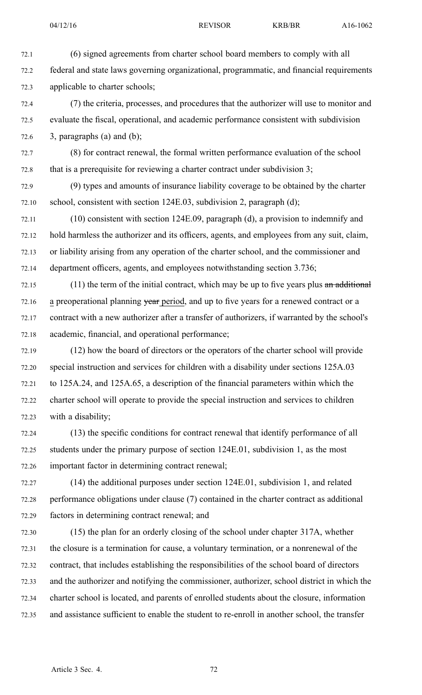72.1 (6) signed agreements from charter school board members to comply with all 72.2 federal and state laws governing organizational, programmatic, and financial requirements 72.3 applicable to charter schools;

72.4 (7) the criteria, processes, and procedures that the authorizer will use to monitor and 72.5 evaluate the fiscal, operational, and academic performance consistent with subdivision  $72.6$  3, paragraphs (a) and (b);

72.7 (8) for contract renewal, the formal written performance evaluation of the school 72.8 that is <sup>a</sup> prerequisite for reviewing <sup>a</sup> charter contract under subdivision 3;

72.9 (9) types and amounts of insurance liability coverage to be obtained by the charter 72.10 school, consistent with section 124E.03, subdivision 2, paragraph (d);

72.11 (10) consistent with section 124E.09, paragraph (d), <sup>a</sup> provision to indemnify and 72.12 hold harmless the authorizer and its officers, agents, and employees from any suit, claim, 72.13 or liability arising from any operation of the charter school, and the commissioner and 72.14 department officers, agents, and employees notwithstanding section 3.736;

 $72.15$  (11) the term of the initial contract, which may be up to five years plus an additional 72.16 a preoperational planning year period, and up to five years for a renewed contract or a 72.17 contract with <sup>a</sup> new authorizer after <sup>a</sup> transfer of authorizers, if warranted by the school's 72.18 academic, financial, and operational performance;

72.19 (12) how the board of directors or the operators of the charter school will provide 72.20 special instruction and services for children with <sup>a</sup> disability under sections 125A.03 72.21 to 125A.24, and 125A.65, <sup>a</sup> description of the financial parameters within which the 72.22 charter school will operate to provide the special instruction and services to children 72.23 with <sup>a</sup> disability;

72.24 (13) the specific conditions for contract renewal that identify performance of all 72.25 students under the primary purpose of section 124E.01, subdivision 1, as the most 72.26 important factor in determining contract renewal;

72.27 (14) the additional purposes under section 124E.01, subdivision 1, and related 72.28 performance obligations under clause (7) contained in the charter contract as additional 72.29 factors in determining contract renewal; and

72.30 (15) the plan for an orderly closing of the school under chapter 317A, whether 72.31 the closure is <sup>a</sup> termination for cause, <sup>a</sup> voluntary termination, or <sup>a</sup> nonrenewal of the 72.32 contract, that includes establishing the responsibilities of the school board of directors 72.33 and the authorizer and notifying the commissioner, authorizer, school district in which the 72.34 charter school is located, and parents of enrolled students about the closure, information 72.35 and assistance sufficient to enable the student to re-enroll in another school, the transfer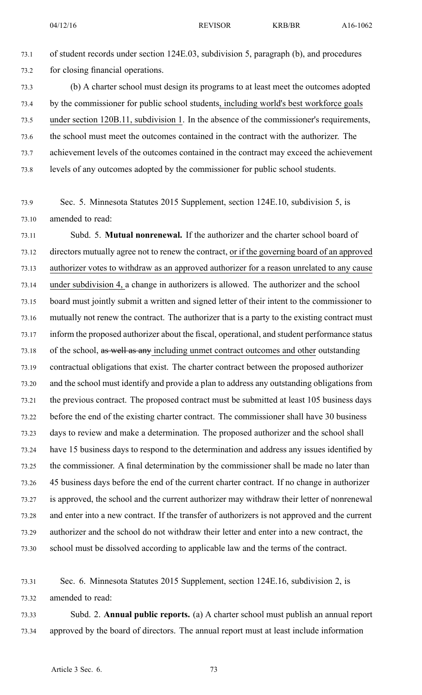73.1 of student records under section 124E.03, subdivision 5, paragraph (b), and procedures 73.2 for closing financial operations.

73.3 (b) A charter school must design its programs to at least meet the outcomes adopted 73.4 by the commissioner for public school students, including world's best workforce goals 73.5 under section 120B.11, subdivision 1. In the absence of the commissioner's requirements, 73.6 the school must meet the outcomes contained in the contract with the authorizer. The 73.7 achievement levels of the outcomes contained in the contract may exceed the achievement 73.8 levels of any outcomes adopted by the commissioner for public school students.

73.9 Sec. 5. Minnesota Statutes 2015 Supplement, section 124E.10, subdivision 5, is 73.10 amended to read:

73.11 Subd. 5. **Mutual nonrenewal.** If the authorizer and the charter school board of 73.12 directors mutually agree not to renew the contract, or if the governing board of an approved 73.13 authorizer votes to withdraw as an approved authorizer for <sup>a</sup> reason unrelated to any cause 73.14 under subdivision 4, <sup>a</sup> change in authorizers is allowed. The authorizer and the school 73.15 board must jointly submit <sup>a</sup> written and signed letter of their intent to the commissioner to 73.16 mutually not renew the contract. The authorizer that is <sup>a</sup> party to the existing contract must 73.17 inform the proposed authorizer about the fiscal, operational, and student performance status 73.18 of the school, as well as any including unmet contract outcomes and other outstanding 73.19 contractual obligations that exist. The charter contract between the proposed authorizer 73.20 and the school must identify and provide <sup>a</sup> plan to address any outstanding obligations from 73.21 the previous contract. The proposed contract must be submitted at least 105 business days 73.22 before the end of the existing charter contract. The commissioner shall have 30 business 73.23 days to review and make <sup>a</sup> determination. The proposed authorizer and the school shall 73.24 have 15 business days to respond to the determination and address any issues identified by 73.25 the commissioner. A final determination by the commissioner shall be made no later than 73.26 45 business days before the end of the current charter contract. If no change in authorizer 73.27 is approved, the school and the current authorizer may withdraw their letter of nonrenewal 73.28 and enter into <sup>a</sup> new contract. If the transfer of authorizers is not approved and the current 73.29 authorizer and the school do not withdraw their letter and enter into <sup>a</sup> new contract, the 73.30 school must be dissolved according to applicable law and the terms of the contract.

73.31 Sec. 6. Minnesota Statutes 2015 Supplement, section 124E.16, subdivision 2, is 73.32 amended to read:

73.33 Subd. 2. **Annual public reports.** (a) A charter school must publish an annual repor<sup>t</sup> 73.34 approved by the board of directors. The annual repor<sup>t</sup> must at least include information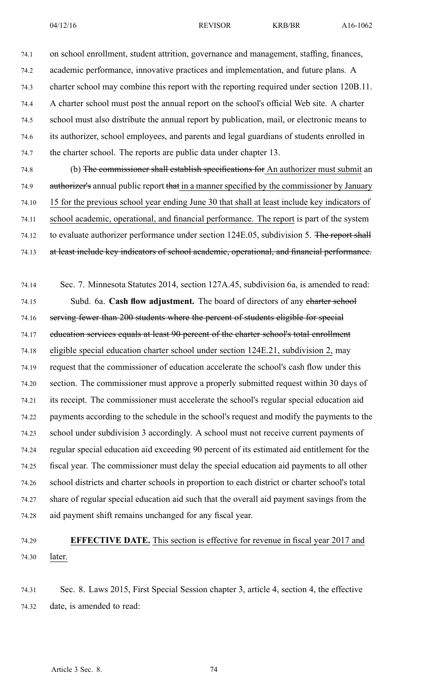74.1 on school enrollment, student attrition, governance and management, staffing, finances, 74.2 academic performance, innovative practices and implementation, and future plans. A 74.3 charter school may combine this repor<sup>t</sup> with the reporting required under section 120B.11. 74.4 A charter school must pos<sup>t</sup> the annual repor<sup>t</sup> on the school's official Web site. A charter 74.5 school must also distribute the annual repor<sup>t</sup> by publication, mail, or electronic means to 74.6 its authorizer, school employees, and parents and legal guardians of students enrolled in 74.7 the charter school. The reports are public data under chapter 13. 74.8 (b) The commissioner shall establish specifications for An authorizer must submit an 74.9 authorizer's annual public report that in a manner specified by the commissioner by January 74.10 15 for the previous school year ending June 30 that shall at least include key indicators of 74.11 school academic, operational, and financial performance. The repor<sup>t</sup> is par<sup>t</sup> of the system 74.12 to evaluate authorizer performance under section 124E.05, subdivision 5. The report shall 74.13 at least include key indicators of school academic, operational, and financial performance. 74.14 Sec. 7. Minnesota Statutes 2014, section 127A.45, subdivision 6a, is amended to read: 74.15 Subd. 6a. **Cash flow adjustment.** The board of directors of any charter school 74.16 serving fewer than 200 students where the percen<sup>t</sup> of students eligible for special 74.17 education services equals at least 90 percent of the charter school's total enrollment 74.18 eligible special education charter school under section 124E.21, subdivision 2, may 74.19 reques<sup>t</sup> that the commissioner of education accelerate the school's cash flow under this 74.20 section. The commissioner must approve <sup>a</sup> properly submitted reques<sup>t</sup> within 30 days of 74.21 its receipt. The commissioner must accelerate the school's regular special education aid 74.22 payments according to the schedule in the school's reques<sup>t</sup> and modify the payments to the 74.23 school under subdivision 3 accordingly. A school must not receive current payments of 74.24 regular special education aid exceeding 90 percen<sup>t</sup> of its estimated aid entitlement for the 74.25 fiscal year. The commissioner must delay the special education aid payments to all other 74.26 school districts and charter schools in proportion to each district or charter school's total 74.27 share of regular special education aid such that the overall aid paymen<sup>t</sup> savings from the

74.28 aid paymen<sup>t</sup> shift remains unchanged for any fiscal year.

# 74.29 **EFFECTIVE DATE.** This section is effective for revenue in fiscal year 2017 and 74.30 later.

74.31 Sec. 8. Laws 2015, First Special Session chapter 3, article 4, section 4, the effective 74.32 date, is amended to read: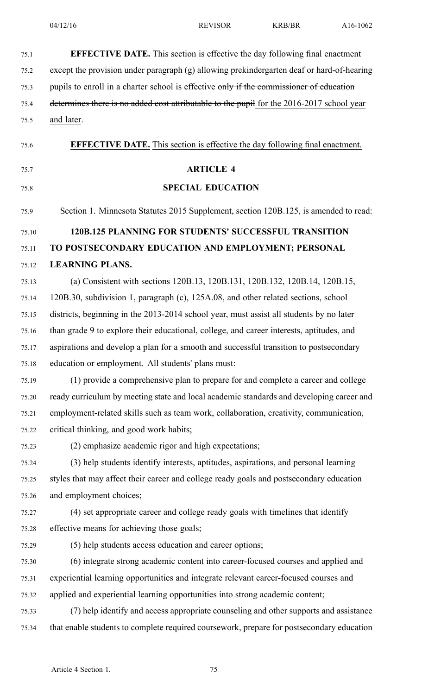| 75.1  | <b>EFFECTIVE DATE.</b> This section is effective the day following final enactment        |
|-------|-------------------------------------------------------------------------------------------|
| 75.2  | except the provision under paragraph (g) allowing prekindergarten deaf or hard-of-hearing |
| 75.3  | pupils to enroll in a charter school is effective only if the commissioner of education   |
| 75.4  | determines there is no added cost attributable to the pupil for the 2016-2017 school year |
| 75.5  | and later.                                                                                |
| 75.6  | <b>EFFECTIVE DATE.</b> This section is effective the day following final enactment.       |
| 75.7  | <b>ARTICLE 4</b>                                                                          |
| 75.8  | <b>SPECIAL EDUCATION</b>                                                                  |
| 75.9  | Section 1. Minnesota Statutes 2015 Supplement, section 120B.125, is amended to read:      |
| 75.10 | <b>120B.125 PLANNING FOR STUDENTS' SUCCESSFUL TRANSITION</b>                              |
| 75.11 | TO POSTSECONDARY EDUCATION AND EMPLOYMENT; PERSONAL                                       |
| 75.12 | <b>LEARNING PLANS.</b>                                                                    |
| 75.13 | (a) Consistent with sections 120B.13, 120B.131, 120B.132, 120B.14, 120B.15,               |
| 75.14 | 120B.30, subdivision 1, paragraph (c), 125A.08, and other related sections, school        |
| 75.15 | districts, beginning in the 2013-2014 school year, must assist all students by no later   |
| 75.16 | than grade 9 to explore their educational, college, and career interests, aptitudes, and  |
| 75.17 | aspirations and develop a plan for a smooth and successful transition to postsecondary    |
| 75.18 | education or employment. All students' plans must:                                        |
| 75.19 | (1) provide a comprehensive plan to prepare for and complete a career and college         |
| 75.20 | ready curriculum by meeting state and local academic standards and developing career and  |
| 75.21 | employment-related skills such as team work, collaboration, creativity, communication,    |
| 75.22 | critical thinking, and good work habits;                                                  |
| 75.23 | (2) emphasize academic rigor and high expectations;                                       |
| 75.24 | (3) help students identify interests, aptitudes, aspirations, and personal learning       |
| 75.25 | styles that may affect their career and college ready goals and postsecondary education   |
| 75.26 | and employment choices;                                                                   |
| 75.27 | (4) set appropriate career and college ready goals with timelines that identify           |
| 75.28 | effective means for achieving those goals;                                                |
| 75.29 | (5) help students access education and career options;                                    |
| 75.30 | (6) integrate strong academic content into career-focused courses and applied and         |
| 75.31 | experiential learning opportunities and integrate relevant career-focused courses and     |
| 75.32 | applied and experiential learning opportunities into strong academic content;             |
| 75.33 | (7) help identify and access appropriate counseling and other supports and assistance     |
| 75.34 | that enable students to complete required coursework, prepare for postsecondary education |
|       |                                                                                           |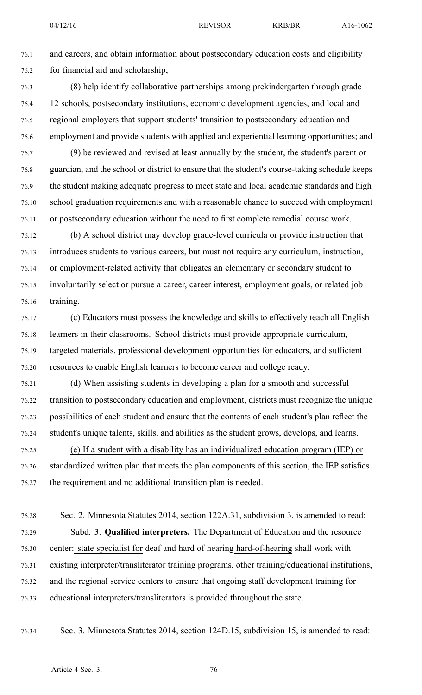76.1 and careers, and obtain information about postsecondary education costs and eligibility 76.2 for financial aid and scholarship;

- 76.3 (8) help identify collaborative partnerships among prekindergarten through grade 76.4 12 schools, postsecondary institutions, economic development agencies, and local and 76.5 regional employers that suppor<sup>t</sup> students' transition to postsecondary education and 76.6 employment and provide students with applied and experiential learning opportunities; and
- 76.7 (9) be reviewed and revised at least annually by the student, the student's paren<sup>t</sup> or 76.8 guardian, and the school or district to ensure that the student's course-taking schedule keeps 76.9 the student making adequate progress to meet state and local academic standards and high 76.10 school graduation requirements and with <sup>a</sup> reasonable chance to succeed with employment 76.11 or postsecondary education without the need to first complete remedial course work.
- 76.12 (b) A school district may develop grade-level curricula or provide instruction that 76.13 introduces students to various careers, but must not require any curriculum, instruction, 76.14 or employment-related activity that obligates an elementary or secondary student to 76.15 involuntarily select or pursue <sup>a</sup> career, career interest, employment goals, or related job 76.16 training.
- 76.17 (c) Educators must possess the knowledge and skills to effectively teach all English 76.18 learners in their classrooms. School districts must provide appropriate curriculum, 76.19 targeted materials, professional development opportunities for educators, and sufficient 76.20 resources to enable English learners to become career and college ready.
- 76.21 (d) When assisting students in developing <sup>a</sup> plan for <sup>a</sup> smooth and successful 76.22 transition to postsecondary education and employment, districts must recognize the unique 76.23 possibilities of each student and ensure that the contents of each student's plan reflect the 76.24 student's unique talents, skills, and abilities as the student grows, develops, and learns.
- 76.25 (e) If <sup>a</sup> student with <sup>a</sup> disability has an individualized education program (IEP) or 76.26 standardized written plan that meets the plan components of this section, the IEP satisfies 76.27 the requirement and no additional transition plan is needed.
- 76.28 Sec. 2. Minnesota Statutes 2014, section 122A.31, subdivision 3, is amended to read: 76.29 Subd. 3. **Qualified interpreters.** The Department of Education and the resource 76.30 eenter: state specialist for deaf and hard of hearing hard-of-hearing shall work with 76.31 existing interpreter/transliterator training programs, other training/educational institutions, 76.32 and the regional service centers to ensure that ongoing staff development training for 76.33 educational interpreters/transliterators is provided throughout the state.
- 

76.34 Sec. 3. Minnesota Statutes 2014, section 124D.15, subdivision 15, is amended to read: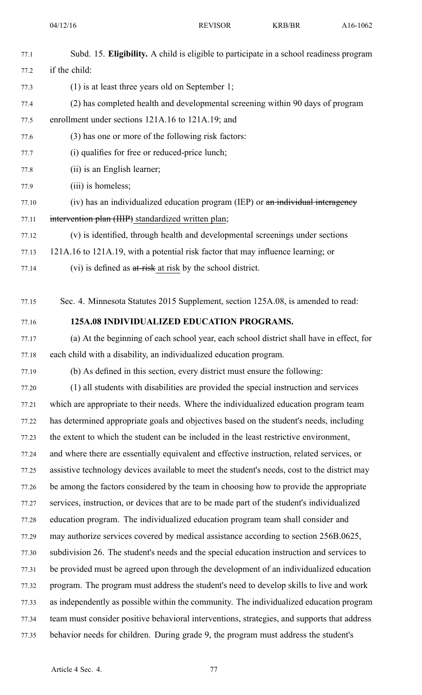04/12/16 REVISOR KRB/BR A16-1062

| 77.1  | Subd. 15. Eligibility. A child is eligible to participate in a school readiness program      |
|-------|----------------------------------------------------------------------------------------------|
| 77.2  | if the child:                                                                                |
| 77.3  | $(1)$ is at least three years old on September 1;                                            |
| 77.4  | (2) has completed health and developmental screening within 90 days of program               |
| 77.5  | enrollment under sections 121A.16 to 121A.19; and                                            |
| 77.6  | (3) has one or more of the following risk factors:                                           |
| 77.7  | (i) qualifies for free or reduced-price lunch;                                               |
| 77.8  | (ii) is an English learner;                                                                  |
| 77.9  | (iii) is homeless;                                                                           |
| 77.10 | (iv) has an individualized education program (IEP) or an individual interagency              |
| 77.11 | intervention plan (IIIP) standardized written plan;                                          |
| 77.12 | (v) is identified, through health and developmental screenings under sections                |
| 77.13 | 121A.16 to 121A.19, with a potential risk factor that may influence learning; or             |
| 77.14 | (vi) is defined as at-risk at risk by the school district.                                   |
| 77.15 | Sec. 4. Minnesota Statutes 2015 Supplement, section 125A.08, is amended to read:             |
| 77.16 | 125A.08 INDIVIDUALIZED EDUCATION PROGRAMS.                                                   |
| 77.17 | (a) At the beginning of each school year, each school district shall have in effect, for     |
| 77.18 | each child with a disability, an individualized education program.                           |
| 77.19 | (b) As defined in this section, every district must ensure the following:                    |
| 77.20 | (1) all students with disabilities are provided the special instruction and services         |
| 77.21 | which are appropriate to their needs. Where the individualized education program team        |
| 77.22 | has determined appropriate goals and objectives based on the student's needs, including      |
| 77.23 | the extent to which the student can be included in the least restrictive environment,        |
| 77.24 | and where there are essentially equivalent and effective instruction, related services, or   |
| 77.25 | assistive technology devices available to meet the student's needs, cost to the district may |
| 77.26 | be among the factors considered by the team in choosing how to provide the appropriate       |
| 77.27 | services, instruction, or devices that are to be made part of the student's individualized   |
| 77.28 | education program. The individualized education program team shall consider and              |
| 77.29 | may authorize services covered by medical assistance according to section 256B.0625,         |
| 77.30 | subdivision 26. The student's needs and the special education instruction and services to    |
| 77.31 | be provided must be agreed upon through the development of an individualized education       |
| 77.32 | program. The program must address the student's need to develop skills to live and work      |
| 77.33 | as independently as possible within the community. The individualized education program      |
| 77.34 | team must consider positive behavioral interventions, strategies, and supports that address  |
| 77.35 | behavior needs for children. During grade 9, the program must address the student's          |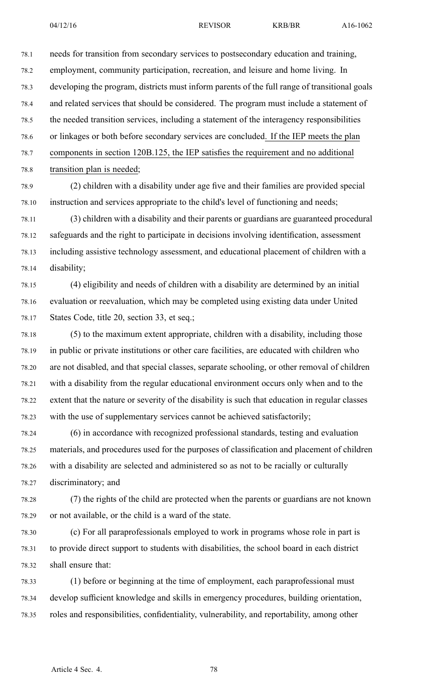78.1 needs for transition from secondary services to postsecondary education and training, 78.2 employment, community participation, recreation, and leisure and home living. In 78.3 developing the program, districts must inform parents of the full range of transitional goals 78.4 and related services that should be considered. The program must include <sup>a</sup> statement of 78.5 the needed transition services, including <sup>a</sup> statement of the interagency responsibilities 78.6 or linkages or both before secondary services are concluded. If the IEP meets the plan 78.7 components in section 120B.125, the IEP satisfies the requirement and no additional

78.8 transition plan is needed;

78.9 (2) children with <sup>a</sup> disability under age five and their families are provided special 78.10 instruction and services appropriate to the child's level of functioning and needs;

78.11 (3) children with <sup>a</sup> disability and their parents or guardians are guaranteed procedural 78.12 safeguards and the right to participate in decisions involving identification, assessment 78.13 including assistive technology assessment, and educational placement of children with <sup>a</sup> 78.14 disability;

78.15 (4) eligibility and needs of children with <sup>a</sup> disability are determined by an initial 78.16 evaluation or reevaluation, which may be completed using existing data under United 78.17 States Code, title 20, section 33, et seq.;

78.18 (5) to the maximum extent appropriate, children with <sup>a</sup> disability, including those 78.19 in public or private institutions or other care facilities, are educated with children who 78.20 are not disabled, and that special classes, separate schooling, or other removal of children 78.21 with <sup>a</sup> disability from the regular educational environment occurs only when and to the 78.22 extent that the nature or severity of the disability is such that education in regular classes 78.23 with the use of supplementary services cannot be achieved satisfactorily;

78.24 (6) in accordance with recognized professional standards, testing and evaluation 78.25 materials, and procedures used for the purposes of classification and placement of children 78.26 with <sup>a</sup> disability are selected and administered so as not to be racially or culturally 78.27 discriminatory; and

78.28 (7) the rights of the child are protected when the parents or guardians are not known 78.29 or not available, or the child is <sup>a</sup> ward of the state.

78.30 (c) For all paraprofessionals employed to work in programs whose role in par<sup>t</sup> is 78.31 to provide direct suppor<sup>t</sup> to students with disabilities, the school board in each district 78.32 shall ensure that:

78.33 (1) before or beginning at the time of employment, each paraprofessional must 78.34 develop sufficient knowledge and skills in emergency procedures, building orientation, 78.35 roles and responsibilities, confidentiality, vulnerability, and reportability, among other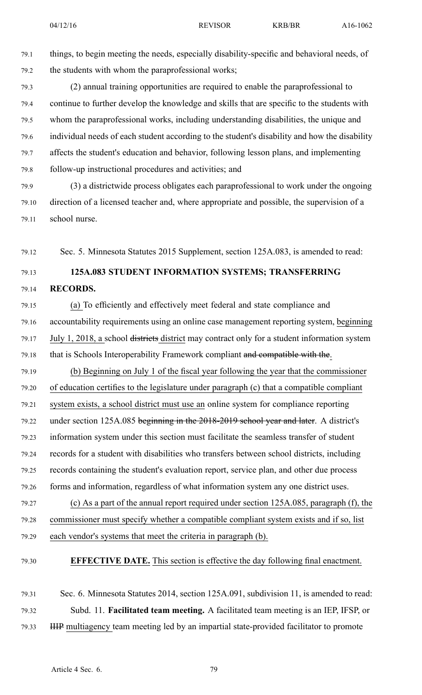79.1 things, to begin meeting the needs, especially disability-specific and behavioral needs, of 79.2 the students with whom the paraprofessional works;

79.3 (2) annual training opportunities are required to enable the paraprofessional to 79.4 continue to further develop the knowledge and skills that are specific to the students with 79.5 whom the paraprofessional works, including understanding disabilities, the unique and 79.6 individual needs of each student according to the student's disability and how the disability 79.7 affects the student's education and behavior, following lesson plans, and implementing 79.8 follow-up instructional procedures and activities; and

79.9 (3) <sup>a</sup> districtwide process obligates each paraprofessional to work under the ongoing 79.10 direction of <sup>a</sup> licensed teacher and, where appropriate and possible, the supervision of <sup>a</sup> 79.11 school nurse.

79.12 Sec. 5. Minnesota Statutes 2015 Supplement, section 125A.083, is amended to read:

## 79.13 **125A.083 STUDENT INFORMATION SYSTEMS; TRANSFERRING**

#### 79.14 **RECORDS.**

79.15 (a) To efficiently and effectively meet federal and state compliance and 79.16 accountability requirements using an online case managemen<sup>t</sup> reporting system, beginning 79.17 July 1, 2018, a school <del>districts</del> district may contract only for a student information system 79.18 that is Schools Interoperability Framework compliant and compatible with the.

79.19 (b) Beginning on July 1 of the fiscal year following the year that the commissioner 79.20 of education certifies to the legislature under paragraph (c) that <sup>a</sup> compatible compliant 79.21 system exists, <sup>a</sup> school district must use an online system for compliance reporting 79.22 under section 125A.085 beginning in the 2018-2019 school year and later. A district's 79.23 information system under this section must facilitate the seamless transfer of student 79.24 records for <sup>a</sup> student with disabilities who transfers between school districts, including 79.25 records containing the student's evaluation report, service plan, and other due process 79.26 forms and information, regardless of what information system any one district uses. 79.27 (c) As <sup>a</sup> par<sup>t</sup> of the annual repor<sup>t</sup> required under section 125A.085, paragraph (f), the

79.28 commissioner must specify whether <sup>a</sup> compatible compliant system exists and if so, list 79.29 each vendor's systems that meet the criteria in paragraph (b).

79.30 **EFFECTIVE DATE.** This section is effective the day following final enactment.

79.31 Sec. 6. Minnesota Statutes 2014, section 125A.091, subdivision 11, is amended to read: 79.32 Subd. 11. **Facilitated team meeting.** A facilitated team meeting is an IEP, IFSP, or 79.33 IIIP multiagency team meeting led by an impartial state-provided facilitator to promote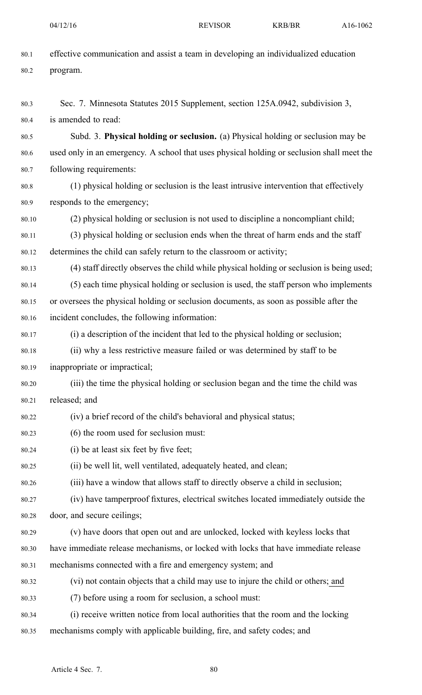| 80.1  | effective communication and assist a team in developing an individualized education        |
|-------|--------------------------------------------------------------------------------------------|
| 80.2  | program.                                                                                   |
|       |                                                                                            |
| 80.3  | Sec. 7. Minnesota Statutes 2015 Supplement, section 125A.0942, subdivision 3,              |
| 80.4  | is amended to read:                                                                        |
| 80.5  | Subd. 3. Physical holding or seclusion. (a) Physical holding or seclusion may be           |
| 80.6  | used only in an emergency. A school that uses physical holding or seclusion shall meet the |
| 80.7  | following requirements:                                                                    |
| 80.8  | (1) physical holding or seclusion is the least intrusive intervention that effectively     |
| 80.9  | responds to the emergency;                                                                 |
| 80.10 | (2) physical holding or seclusion is not used to discipline a noncompliant child;          |
| 80.11 | (3) physical holding or seclusion ends when the threat of harm ends and the staff          |
| 80.12 | determines the child can safely return to the classroom or activity;                       |
| 80.13 | (4) staff directly observes the child while physical holding or seclusion is being used;   |
| 80.14 | (5) each time physical holding or seclusion is used, the staff person who implements       |
| 80.15 | or oversees the physical holding or seclusion documents, as soon as possible after the     |
| 80.16 | incident concludes, the following information:                                             |
| 80.17 | (i) a description of the incident that led to the physical holding or seclusion;           |
| 80.18 | (ii) why a less restrictive measure failed or was determined by staff to be                |
| 80.19 | inappropriate or impractical;                                                              |
| 80.20 | (iii) the time the physical holding or seclusion began and the time the child was          |
| 80.21 | released; and                                                                              |
| 80.22 | (iv) a brief record of the child's behavioral and physical status;                         |
| 80.23 | (6) the room used for seclusion must:                                                      |
| 80.24 | (i) be at least six feet by five feet;                                                     |
| 80.25 | (ii) be well lit, well ventilated, adequately heated, and clean;                           |
| 80.26 | (iii) have a window that allows staff to directly observe a child in seclusion;            |
| 80.27 | (iv) have tamperproof fixtures, electrical switches located immediately outside the        |
| 80.28 | door, and secure ceilings;                                                                 |
| 80.29 | (v) have doors that open out and are unlocked, locked with keyless locks that              |
| 80.30 | have immediate release mechanisms, or locked with locks that have immediate release        |
| 80.31 | mechanisms connected with a fire and emergency system; and                                 |
| 80.32 | (vi) not contain objects that a child may use to injure the child or others; and           |
| 80.33 | (7) before using a room for seclusion, a school must:                                      |
| 80.34 | (i) receive written notice from local authorities that the room and the locking            |
| 80.35 | mechanisms comply with applicable building, fire, and safety codes; and                    |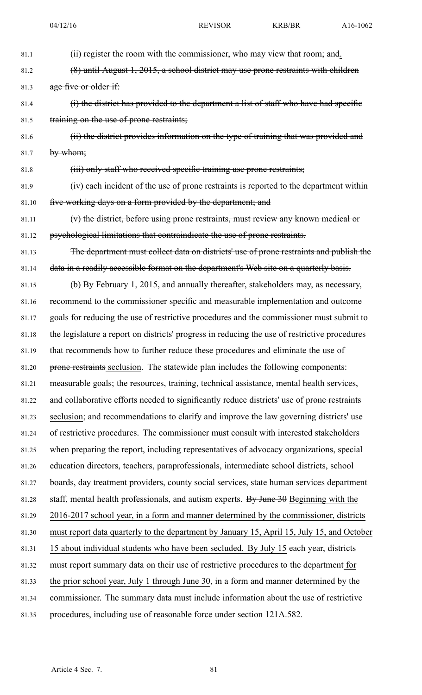| 81.1  | (ii) register the room with the commissioner, who may view that room, and.                    |
|-------|-----------------------------------------------------------------------------------------------|
| 81.2  | (8) until August 1, 2015, a school district may use prone restraints with children            |
| 81.3  | age five or older if:                                                                         |
| 81.4  | (i) the district has provided to the department a list of staff who have had specific         |
| 81.5  | training on the use of prone restraints;                                                      |
| 81.6  | (ii) the district provides information on the type of training that was provided and          |
| 81.7  | by whom;                                                                                      |
| 81.8  | (iii) only staff who received specific training use prone restraints;                         |
| 81.9  | (iv) each incident of the use of prone restraints is reported to the department within        |
| 81.10 | five working days on a form provided by the department; and                                   |
| 81.11 | (v) the district, before using prone restraints, must review any known medical or             |
| 81.12 | psychological limitations that contraindicate the use of prone restraints.                    |
| 81.13 | The department must collect data on districts' use of prone restraints and publish the        |
| 81.14 | data in a readily accessible format on the department's Web site on a quarterly basis.        |
| 81.15 | (b) By February 1, 2015, and annually thereafter, stakeholders may, as necessary,             |
| 81.16 | recommend to the commissioner specific and measurable implementation and outcome              |
| 81.17 | goals for reducing the use of restrictive procedures and the commissioner must submit to      |
| 81.18 | the legislature a report on districts' progress in reducing the use of restrictive procedures |
| 81.19 | that recommends how to further reduce these procedures and eliminate the use of               |
| 81.20 | prone restraints seclusion. The statewide plan includes the following components:             |
| 81.21 | measurable goals; the resources, training, technical assistance, mental health services,      |
| 81.22 | and collaborative efforts needed to significantly reduce districts' use of prone restraints   |
| 81.23 | seclusion; and recommendations to clarify and improve the law governing districts' use        |
| 81.24 | of restrictive procedures. The commissioner must consult with interested stakeholders         |
| 81.25 | when preparing the report, including representatives of advocacy organizations, special       |
| 81.26 | education directors, teachers, paraprofessionals, intermediate school districts, school       |
| 81.27 | boards, day treatment providers, county social services, state human services department      |
| 81.28 | staff, mental health professionals, and autism experts. By June $30$ Beginning with the       |
| 81.29 | 2016-2017 school year, in a form and manner determined by the commissioner, districts         |
| 81.30 | must report data quarterly to the department by January 15, April 15, July 15, and October    |
| 81.31 | 15 about individual students who have been secluded. By July 15 each year, districts          |
| 81.32 | must report summary data on their use of restrictive procedures to the department for         |
| 81.33 | the prior school year, July 1 through June 30, in a form and manner determined by the         |
| 81.34 | commissioner. The summary data must include information about the use of restrictive          |
| 81.35 | procedures, including use of reasonable force under section 121A.582.                         |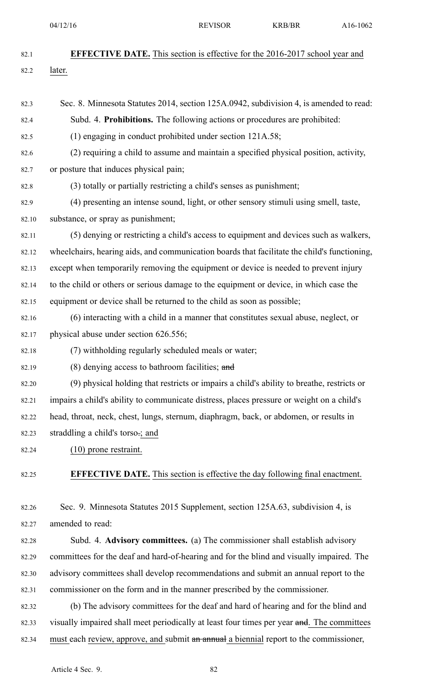| 82.1  | <b>EFFECTIVE DATE.</b> This section is effective for the 2016-2017 school year and           |
|-------|----------------------------------------------------------------------------------------------|
| 82.2  | later.                                                                                       |
|       |                                                                                              |
| 82.3  | Sec. 8. Minnesota Statutes 2014, section 125A.0942, subdivision 4, is amended to read:       |
| 82.4  | Subd. 4. Prohibitions. The following actions or procedures are prohibited:                   |
| 82.5  | $(1)$ engaging in conduct prohibited under section 121A.58;                                  |
| 82.6  | (2) requiring a child to assume and maintain a specified physical position, activity,        |
| 82.7  | or posture that induces physical pain;                                                       |
| 82.8  | (3) totally or partially restricting a child's senses as punishment;                         |
| 82.9  | (4) presenting an intense sound, light, or other sensory stimuli using smell, taste,         |
| 82.10 | substance, or spray as punishment;                                                           |
| 82.11 | (5) denying or restricting a child's access to equipment and devices such as walkers,        |
| 82.12 | wheelchairs, hearing aids, and communication boards that facilitate the child's functioning, |
| 82.13 | except when temporarily removing the equipment or device is needed to prevent injury         |
| 82.14 | to the child or others or serious damage to the equipment or device, in which case the       |
| 82.15 | equipment or device shall be returned to the child as soon as possible;                      |
| 82.16 | (6) interacting with a child in a manner that constitutes sexual abuse, neglect, or          |
| 82.17 | physical abuse under section 626.556;                                                        |
| 82.18 | (7) withholding regularly scheduled meals or water;                                          |
| 82.19 | (8) denying access to bathroom facilities; and                                               |
| 82.20 | (9) physical holding that restricts or impairs a child's ability to breathe, restricts or    |
| 82.21 | impairs a child's ability to communicate distress, places pressure or weight on a child's    |
| 82.22 | head, throat, neck, chest, lungs, sternum, diaphragm, back, or abdomen, or results in        |
| 82.23 | straddling a child's torso.; and                                                             |
| 82.24 | $(10)$ prone restraint.                                                                      |
| 82.25 | <b>EFFECTIVE DATE.</b> This section is effective the day following final enactment.          |
| 82.26 | Sec. 9. Minnesota Statutes 2015 Supplement, section 125A.63, subdivision 4, is               |
| 82.27 | amended to read:                                                                             |
| 82.28 | Subd. 4. Advisory committees. (a) The commissioner shall establish advisory                  |
| 82.29 | committees for the deaf and hard-of-hearing and for the blind and visually impaired. The     |
| 82.30 | advisory committees shall develop recommendations and submit an annual report to the         |
| 82.31 | commissioner on the form and in the manner prescribed by the commissioner.                   |
| 82.32 | (b) The advisory committees for the deaf and hard of hearing and for the blind and           |
| 82.33 | visually impaired shall meet periodically at least four times per year and. The committees   |
| 82.34 | must each review, approve, and submit an annual a biennial report to the commissioner,       |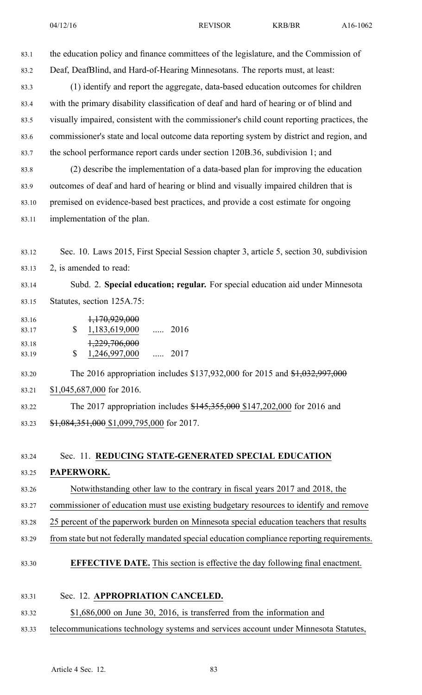04/12/16 REVISOR KRB/BR A16-1062

83.1 the education policy and finance committees of the legislature, and the Commission of 83.2 Deaf, DeafBlind, and Hard-of-Hearing Minnesotans. The reports must, at least: 83.3 (1) identify and repor<sup>t</sup> the aggregate, data-based education outcomes for children 83.4 with the primary disability classification of deaf and hard of hearing or of blind and 83.5 visually impaired, consistent with the commissioner's child count reporting practices, the 83.6 commissioner's state and local outcome data reporting system by district and region, and 83.7 the school performance repor<sup>t</sup> cards under section 120B.36, subdivision 1; and 83.8 (2) describe the implementation of <sup>a</sup> data-based plan for improving the education 83.9 outcomes of deaf and hard of hearing or blind and visually impaired children that is

- 83.10 premised on evidence-based best practices, and provide <sup>a</sup> cost estimate for ongoing 83.11 implementation of the plan.
- 83.12 Sec. 10. Laws 2015, First Special Session chapter 3, article 5, section 30, subdivision 83.13 2, is amended to read:

83.14 Subd. 2. **Special education; regular.** For special education aid under Minnesota 83.15 Statutes, section 125A.75:

\$ 83.16 1,170,929,000 83.17 1,183,619,000 ..... 2016  $\mathbf S$ 83.18 1,229,706,000 83.19 1,246,997,000 ..... 2017

83.20 The 2016 appropriation includes \$137,932,000 for 2015 and \$1,032,997,000 83.21 \$1,045,687,000 for 2016.

83.22 The 2017 appropriation includes \$145,355,000 \$147,202,000 for 2016 and 83.23 \$1,084,351,000 \$1,099,795,000 for 2017.

## 83.24 Sec. 11. **REDUCING STATE-GENERATED SPECIAL EDUCATION** 83.25 **PAPERWORK.**

- 83.26 Notwithstanding other law to the contrary in fiscal years 2017 and 2018, the
- 83.27 commissioner of education must use existing budgetary resources to identify and remove
- 83.28 25 percent of the paperwork burden on Minnesota special education teachers that results
- 83.29 from state but not federally mandated special education compliance reporting requirements.

### 83.30 **EFFECTIVE DATE.** This section is effective the day following final enactment.

#### 83.31 Sec. 12. **APPROPRIATION CANCELED.**

#### 83.32 \$1,686,000 on June 30, 2016, is transferred from the information and

83.33 telecommunications technology systems and services account under Minnesota Statutes,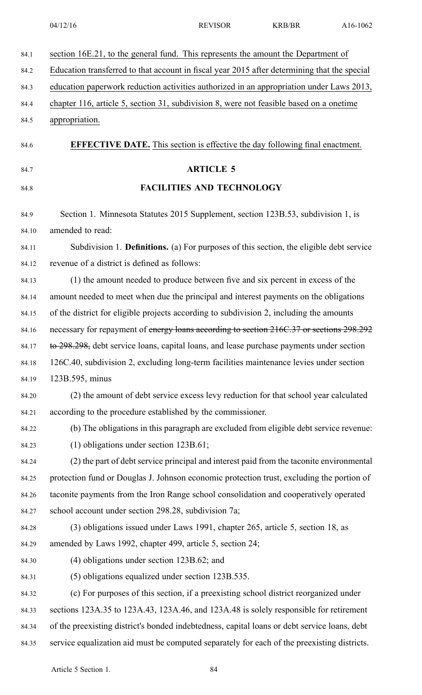04/12/16 REVISOR KRB/BR A16-1062

| section 16E.21, to the general fund. This represents the amount the Department of            |
|----------------------------------------------------------------------------------------------|
| Education transferred to that account in fiscal year 2015 after determining that the special |
| education paperwork reduction activities authorized in an appropriation under Laws 2013,     |
| chapter 116, article 5, section 31, subdivision 8, were not feasible based on a onetime      |
| appropriation.                                                                               |
| <b>EFFECTIVE DATE.</b> This section is effective the day following final enactment.          |
| <b>ARTICLE 5</b>                                                                             |
| <b>FACILITIES AND TECHNOLOGY</b>                                                             |
| Section 1. Minnesota Statutes 2015 Supplement, section 123B.53, subdivision 1, is            |
| amended to read:                                                                             |
| Subdivision 1. Definitions. (a) For purposes of this section, the eligible debt service      |
| revenue of a district is defined as follows:                                                 |
| (1) the amount needed to produce between five and six percent in excess of the               |
| amount needed to meet when due the principal and interest payments on the obligations        |
| of the district for eligible projects according to subdivision 2, including the amounts      |
| necessary for repayment of energy loans according to section 216C.37 or sections 298.292     |
| to 298.298, debt service loans, capital loans, and lease purchase payments under section     |
| 126C.40, subdivision 2, excluding long-term facilities maintenance levies under section      |
| 123B.595, minus                                                                              |
| (2) the amount of debt service excess levy reduction for that school year calculated         |
| according to the procedure established by the commissioner.                                  |
| (b) The obligations in this paragraph are excluded from eligible debt service revenue:       |
| $(1)$ obligations under section 123B.61;                                                     |
| (2) the part of debt service principal and interest paid from the taconite environmental     |
| protection fund or Douglas J. Johnson economic protection trust, excluding the portion of    |
| taconite payments from the Iron Range school consolidation and cooperatively operated        |
| school account under section 298.28, subdivision 7a;                                         |
| (3) obligations issued under Laws 1991, chapter 265, article 5, section 18, as               |
| amended by Laws 1992, chapter 499, article 5, section 24;                                    |
| $(4)$ obligations under section 123B.62; and                                                 |
| (5) obligations equalized under section 123B.535.                                            |
| (c) For purposes of this section, if a preexisting school district reorganized under         |
| sections 123A.35 to 123A.43, 123A.46, and 123A.48 is solely responsible for retirement       |
| of the preexisting district's bonded indebtedness, capital loans or debt service loans, debt |
| service equalization aid must be computed separately for each of the preexisting districts.  |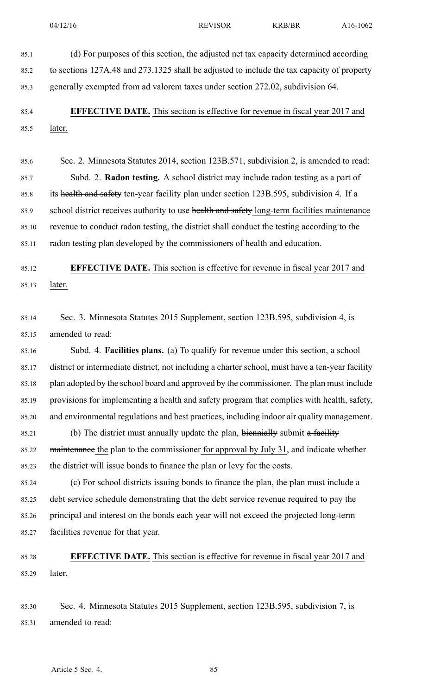85.1 (d) For purposes of this section, the adjusted net tax capacity determined according 85.2 to sections 127A.48 and 273.1325 shall be adjusted to include the tax capacity of property

85.3 generally exempted from ad valorem taxes under section 272.02, subdivision 64.

85.4 **EFFECTIVE DATE.** This section is effective for revenue in fiscal year 2017 and 85.5 later.

85.6 Sec. 2. Minnesota Statutes 2014, section 123B.571, subdivision 2, is amended to read: 85.7 Subd. 2. **Radon testing.** A school district may include radon testing as <sup>a</sup> par<sup>t</sup> of 85.8 its health and safety ten-year facility plan under section 123B.595, subdivision 4. If a 85.9 school district receives authority to use health and safety long-term facilities maintenance 85.10 revenue to conduct radon testing, the district shall conduct the testing according to the 85.11 radon testing plan developed by the commissioners of health and education.

## 85.12 **EFFECTIVE DATE.** This section is effective for revenue in fiscal year 2017 and 85.13 later.

85.14 Sec. 3. Minnesota Statutes 2015 Supplement, section 123B.595, subdivision 4, is 85.15 amended to read:

85.16 Subd. 4. **Facilities plans.** (a) To qualify for revenue under this section, <sup>a</sup> school 85.17 district or intermediate district, not including <sup>a</sup> charter school, must have <sup>a</sup> ten-year facility 85.18 plan adopted by the school board and approved by the commissioner. The plan must include 85.19 provisions for implementing <sup>a</sup> health and safety program that complies with health, safety, 85.20 and environmental regulations and best practices, including indoor air quality management.

85.21 (b) The district must annually update the plan, biennially submit a facility 85.22 maintenance the plan to the commissioner for approval by July 31, and indicate whether 85.23 the district will issue bonds to finance the plan or levy for the costs.

85.24 (c) For school districts issuing bonds to finance the plan, the plan must include <sup>a</sup> 85.25 debt service schedule demonstrating that the debt service revenue required to pay the 85.26 principal and interest on the bonds each year will not exceed the projected long-term 85.27 facilities revenue for that year.

## 85.28 **EFFECTIVE DATE.** This section is effective for revenue in fiscal year 2017 and 85.29 later.

85.30 Sec. 4. Minnesota Statutes 2015 Supplement, section 123B.595, subdivision 7, is 85.31 amended to read: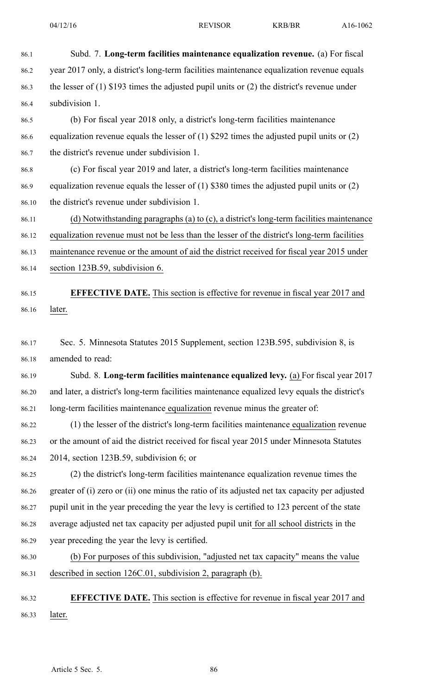86.1 Subd. 7. **Long-term facilities maintenance equalization revenue.** (a) For fiscal 86.2 year 2017 only, <sup>a</sup> district's long-term facilities maintenance equalization revenue equals 86.3 the lesser of (1) \$193 times the adjusted pupil units or (2) the district's revenue under 86.4 subdivision 1. 86.5 (b) For fiscal year 2018 only, <sup>a</sup> district's long-term facilities maintenance 86.6 equalization revenue equals the lesser of (1) \$292 times the adjusted pupil units or (2) 86.7 the district's revenue under subdivision 1. 86.8 (c) For fiscal year 2019 and later, <sup>a</sup> district's long-term facilities maintenance 86.9 equalization revenue equals the lesser of (1) \$380 times the adjusted pupil units or (2) 86.10 the district's revenue under subdivision 1. 86.11 (d) Notwithstanding paragraphs (a) to (c), <sup>a</sup> district's long-term facilities maintenance 86.12 equalization revenue must not be less than the lesser of the district's long-term facilities 86.13 maintenance revenue or the amount of aid the district received for fiscal year 2015 under 86.14 section 123B.59, subdivision 6. 86.15 **EFFECTIVE DATE.** This section is effective for revenue in fiscal year 2017 and 86.16 later. 86.17 Sec. 5. Minnesota Statutes 2015 Supplement, section 123B.595, subdivision 8, is 86.18 amended to read: 86.19 Subd. 8. **Long-term facilities maintenance equalized levy.** (a) For fiscal year 2017 86.20 and later, <sup>a</sup> district's long-term facilities maintenance equalized levy equals the district's 86.21 long-term facilities maintenance equalization revenue minus the greater of: 86.22 (1) the lesser of the district's long-term facilities maintenance equalization revenue 86.23 or the amount of aid the district received for fiscal year 2015 under Minnesota Statutes 86.24 2014, section 123B.59, subdivision 6; or 86.25 (2) the district's long-term facilities maintenance equalization revenue times the 86.26 greater of (i) zero or (ii) one minus the ratio of its adjusted net tax capacity per adjusted 86.27 pupil unit in the year preceding the year the levy is certified to 123 percen<sup>t</sup> of the state 86.28 average adjusted net tax capacity per adjusted pupil unit for all school districts in the 86.29 year preceding the year the levy is certified. 86.30 (b) For purposes of this subdivision, "adjusted net tax capacity" means the value 86.31 described in section 126C.01, subdivision 2, paragraph (b). 86.32 **EFFECTIVE DATE.** This section is effective for revenue in fiscal year 2017 and 86.33 later.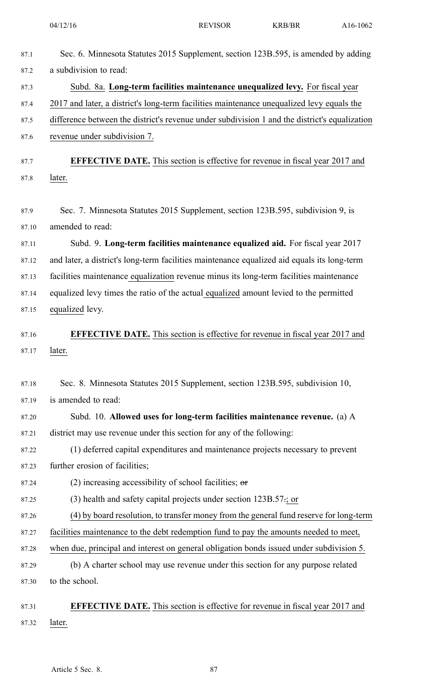04/12/16 REVISOR KRB/BR A16-1062

| 87.1  | Sec. 6. Minnesota Statutes 2015 Supplement, section 123B.595, is amended by adding            |
|-------|-----------------------------------------------------------------------------------------------|
| 87.2  | a subdivision to read:                                                                        |
| 87.3  | Subd. 8a. Long-term facilities maintenance unequalized levy. For fiscal year                  |
| 87.4  | 2017 and later, a district's long-term facilities maintenance unequalized levy equals the     |
| 87.5  | difference between the district's revenue under subdivision 1 and the district's equalization |
| 87.6  | revenue under subdivision 7.                                                                  |
| 87.7  | <b>EFFECTIVE DATE.</b> This section is effective for revenue in fiscal year 2017 and          |
| 87.8  | later.                                                                                        |
| 87.9  | Sec. 7. Minnesota Statutes 2015 Supplement, section 123B.595, subdivision 9, is               |
| 87.10 | amended to read:                                                                              |
| 87.11 | Subd. 9. Long-term facilities maintenance equalized aid. For fiscal year 2017                 |
| 87.12 | and later, a district's long-term facilities maintenance equalized aid equals its long-term   |
| 87.13 | facilities maintenance equalization revenue minus its long-term facilities maintenance        |
| 87.14 | equalized levy times the ratio of the actual equalized amount levied to the permitted         |
| 87.15 | equalized levy.                                                                               |
| 87.16 | <b>EFFECTIVE DATE.</b> This section is effective for revenue in fiscal year 2017 and          |
| 87.17 | later.                                                                                        |
| 87.18 | Sec. 8. Minnesota Statutes 2015 Supplement, section 123B.595, subdivision 10,                 |
| 87.19 | is amended to read:                                                                           |
| 87.20 | Subd. 10. Allowed uses for long-term facilities maintenance revenue. (a) A                    |
| 87.21 | district may use revenue under this section for any of the following:                         |
| 87.22 | (1) deferred capital expenditures and maintenance projects necessary to prevent               |
| 87.23 | further erosion of facilities;                                                                |
| 87.24 | (2) increasing accessibility of school facilities; $\theta$                                   |
| 87.25 | $(3)$ health and safety capital projects under section 123B.57 $\div$ ; or                    |
| 87.26 | (4) by board resolution, to transfer money from the general fund reserve for long-term        |
| 87.27 | facilities maintenance to the debt redemption fund to pay the amounts needed to meet,         |
| 87.28 | when due, principal and interest on general obligation bonds issued under subdivision 5.      |
| 87.29 | (b) A charter school may use revenue under this section for any purpose related               |
| 87.30 | to the school.                                                                                |
| 87.31 | <b>EFFECTIVE DATE.</b> This section is effective for revenue in fiscal year 2017 and          |
| 87.32 | later.                                                                                        |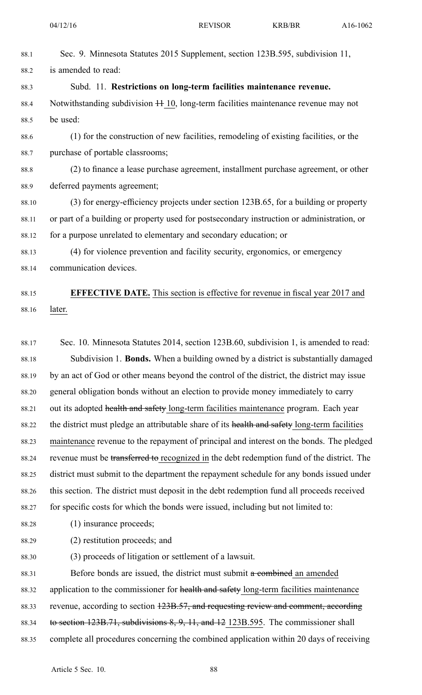| 88.1  | Sec. 9. Minnesota Statutes 2015 Supplement, section 123B.595, subdivision 11,                |
|-------|----------------------------------------------------------------------------------------------|
| 88.2  | is amended to read:                                                                          |
| 88.3  | Subd. 11. Restrictions on long-term facilities maintenance revenue.                          |
| 88.4  | Notwithstanding subdivision + 10, long-term facilities maintenance revenue may not           |
| 88.5  | be used:                                                                                     |
| 88.6  | (1) for the construction of new facilities, remodeling of existing facilities, or the        |
| 88.7  | purchase of portable classrooms;                                                             |
| 88.8  | (2) to finance a lease purchase agreement, installment purchase agreement, or other          |
| 88.9  | deferred payments agreement;                                                                 |
| 88.10 | (3) for energy-efficiency projects under section 123B.65, for a building or property         |
| 88.11 | or part of a building or property used for postsecondary instruction or administration, or   |
| 88.12 | for a purpose unrelated to elementary and secondary education; or                            |
| 88.13 | (4) for violence prevention and facility security, ergonomics, or emergency                  |
| 88.14 | communication devices.                                                                       |
| 88.15 | <b>EFFECTIVE DATE.</b> This section is effective for revenue in fiscal year 2017 and         |
| 88.16 | later.                                                                                       |
|       |                                                                                              |
| 88.17 | Sec. 10. Minnesota Statutes 2014, section 123B.60, subdivision 1, is amended to read:        |
| 88.18 | Subdivision 1. Bonds. When a building owned by a district is substantially damaged           |
| 88.19 | by an act of God or other means beyond the control of the district, the district may issue   |
| 88.20 | general obligation bonds without an election to provide money immediately to carry           |
| 88.21 | out its adopted health and safety long-term facilities maintenance program. Each year        |
| 88.22 | the district must pledge an attributable share of its health and safety long-term facilities |
| 88.23 | maintenance revenue to the repayment of principal and interest on the bonds. The pledged     |
| 88.24 | revenue must be transferred to recognized in the debt redemption fund of the district. The   |
| 88.25 | district must submit to the department the repayment schedule for any bonds issued under     |
| 88.26 | this section. The district must deposit in the debt redemption fund all proceeds received    |
| 88.27 | for specific costs for which the bonds were issued, including but not limited to:            |
| 88.28 | (1) insurance proceeds;                                                                      |
| 88.29 | (2) restitution proceeds; and                                                                |
| 88.30 | (3) proceeds of litigation or settlement of a lawsuit.                                       |
| 88.31 | Before bonds are issued, the district must submit a combined an amended                      |
| 88.32 | application to the commissioner for health and safety long-term facilities maintenance       |
| 88.33 | revenue, according to section 123B.57, and requesting review and comment, according          |
| 88.34 | to section 123B.71, subdivisions 8, 9, 11, and 12 123B.595. The commissioner shall           |

88.35 complete all procedures concerning the combined application within 20 days of receiving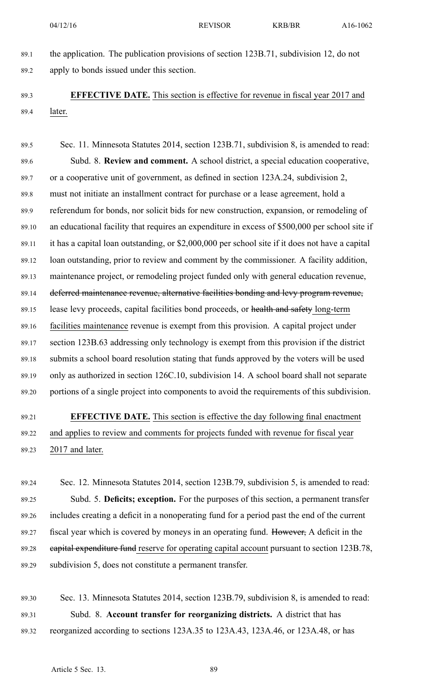89.1 the application. The publication provisions of section 123B.71, subdivision 12, do not 89.2 apply to bonds issued under this section.

89.3 **EFFECTIVE DATE.** This section is effective for revenue in fiscal year 2017 and 89.4 later.

89.5 Sec. 11. Minnesota Statutes 2014, section 123B.71, subdivision 8, is amended to read: 89.6 Subd. 8. **Review and comment.** A school district, <sup>a</sup> special education cooperative, 89.7 or <sup>a</sup> cooperative unit of government, as defined in section 123A.24, subdivision 2, 89.8 must not initiate an installment contract for purchase or <sup>a</sup> lease agreement, hold <sup>a</sup> 89.9 referendum for bonds, nor solicit bids for new construction, expansion, or remodeling of 89.10 an educational facility that requires an expenditure in excess of \$500,000 per school site if 89.11 it has <sup>a</sup> capital loan outstanding, or \$2,000,000 per school site if it does not have <sup>a</sup> capital 89.12 loan outstanding, prior to review and comment by the commissioner. A facility addition, 89.13 maintenance project, or remodeling project funded only with general education revenue, 89.14 deferred maintenance revenue, alternative facilities bonding and levy program revenue, 89.15 lease levy proceeds, capital facilities bond proceeds, or health and safety long-term 89.16 facilities maintenance revenue is exemp<sup>t</sup> from this provision. A capital project under 89.17 section 123B.63 addressing only technology is exemp<sup>t</sup> from this provision if the district 89.18 submits <sup>a</sup> school board resolution stating that funds approved by the voters will be used 89.19 only as authorized in section 126C.10, subdivision 14. A school board shall not separate 89.20 portions of <sup>a</sup> single project into components to avoid the requirements of this subdivision.

# 89.21 **EFFECTIVE DATE.** This section is effective the day following final enactment 89.22 and applies to review and comments for projects funded with revenue for fiscal year 89.23 2017 and later.

89.24 Sec. 12. Minnesota Statutes 2014, section 123B.79, subdivision 5, is amended to read: 89.25 Subd. 5. **Deficits; exception.** For the purposes of this section, <sup>a</sup> permanen<sup>t</sup> transfer 89.26 includes creating <sup>a</sup> deficit in <sup>a</sup> nonoperating fund for <sup>a</sup> period pas<sup>t</sup> the end of the current 89.27 fiscal year which is covered by moneys in an operating fund. However, A deficit in the 89.28 capital expenditure fund reserve for operating capital account pursuan<sup>t</sup> to section 123B.78, 89.29 subdivision 5, does not constitute <sup>a</sup> permanen<sup>t</sup> transfer.

89.30 Sec. 13. Minnesota Statutes 2014, section 123B.79, subdivision 8, is amended to read: 89.31 Subd. 8. **Account transfer for reorganizing districts.** A district that has 89.32 reorganized according to sections 123A.35 to 123A.43, 123A.46, or 123A.48, or has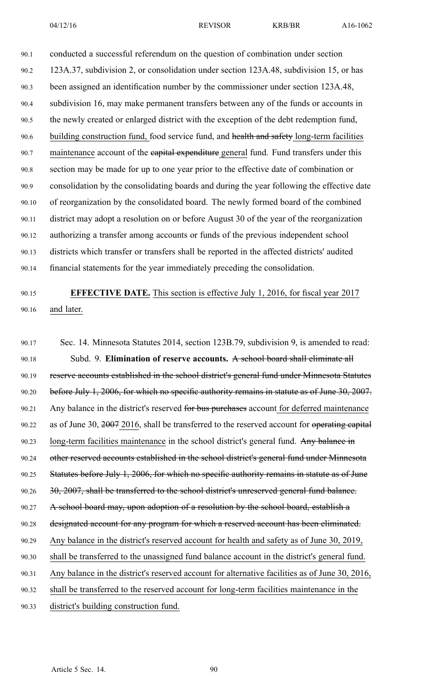90.1 conducted <sup>a</sup> successful referendum on the question of combination under section 90.2 123A.37, subdivision 2, or consolidation under section 123A.48, subdivision 15, or has 90.3 been assigned an identification number by the commissioner under section 123A.48, 90.4 subdivision 16, may make permanen<sup>t</sup> transfers between any of the funds or accounts in 90.5 the newly created or enlarged district with the exception of the debt redemption fund, 90.6 building construction fund, food service fund, and health and safety long-term facilities 90.7 maintenance account of the eapital expenditure general fund. Fund transfers under this 90.8 section may be made for up to one year prior to the effective date of combination or 90.9 consolidation by the consolidating boards and during the year following the effective date 90.10 of reorganization by the consolidated board. The newly formed board of the combined 90.11 district may adopt <sup>a</sup> resolution on or before August 30 of the year of the reorganization 90.12 authorizing <sup>a</sup> transfer among accounts or funds of the previous independent school 90.13 districts which transfer or transfers shall be reported in the affected districts' audited 90.14 financial statements for the year immediately preceding the consolidation.

# 90.15 **EFFECTIVE DATE.** This section is effective July 1, 2016, for fiscal year 2017 90.16 and later.

90.17 Sec. 14. Minnesota Statutes 2014, section 123B.79, subdivision 9, is amended to read: 90.18 Subd. 9. **Elimination of reserve accounts.** A school board shall eliminate all 90.19 reserve accounts established in the school district's general fund under Minnesota Statutes 90.20 before July 1, 2006, for which no specific authority remains in statute as of June 30, 2007. 90.21 Any balance in the district's reserved for bus purchases account for deferred maintenance 90.22 as of June 30, 2007 2016, shall be transferred to the reserved account for operating capital 90.23 long-term facilities maintenance in the school district's general fund. Any balance in 90.24 other reserved accounts established in the school district's general fund under Minnesota 90.25 Statutes before July 1, 2006, for which no specific authority remains in statute as of June 90.26 30, 2007, shall be transferred to the school district's unreserved general fund balance. 90.27 A school board may, upon adoption of a resolution by the school board, establish a 90.28 designated account for any program for which a reserved account has been eliminated. 90.29 Any balance in the district's reserved account for health and safety as of June 30, 2019, 90.30 shall be transferred to the unassigned fund balance account in the district's general fund. 90.31 Any balance in the district's reserved account for alternative facilities as of June 30, 2016, 90.32 shall be transferred to the reserved account for long-term facilities maintenance in the 90.33 district's building construction fund.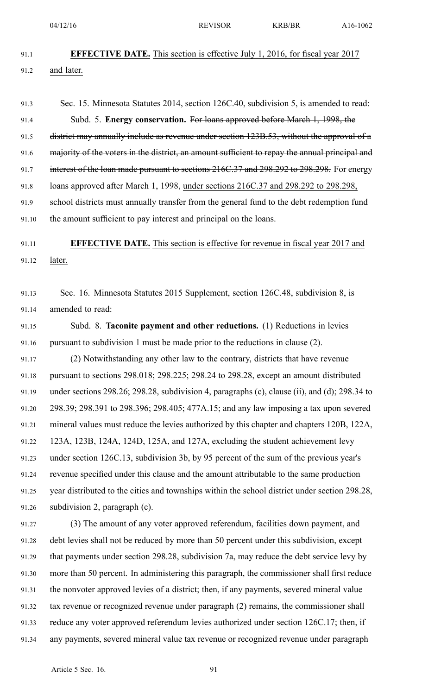- 91.1 **EFFECTIVE DATE.** This section is effective July 1, 2016, for fiscal year 2017 91.2 and later. 91.3 Sec. 15. Minnesota Statutes 2014, section 126C.40, subdivision 5, is amended to read: 91.4 Subd. 5. **Energy conservation.** For loans approved before March 1, 1998, the 91.5 district may annually include as revenue under section 123B.53, without the approval of a 91.6 majority of the voters in the district, an amount sufficient to repay the annual principal and 91.7 interest of the loan made pursuant to sections 216C.37 and 298.292 to 298.298. For energy 91.8 loans approved after March 1, 1998, under sections 216C.37 and 298.292 to 298.298, 91.9 school districts must annually transfer from the general fund to the debt redemption fund 91.10 the amount sufficient to pay interest and principal on the loans. 91.11 **EFFECTIVE DATE.** This section is effective for revenue in fiscal year 2017 and 91.12 later. 91.13 Sec. 16. Minnesota Statutes 2015 Supplement, section 126C.48, subdivision 8, is 91.14 amended to read: 91.15 Subd. 8. **Taconite paymen<sup>t</sup> and other reductions.** (1) Reductions in levies 91.16 pursuan<sup>t</sup> to subdivision 1 must be made prior to the reductions in clause (2). 91.17 (2) Notwithstanding any other law to the contrary, districts that have revenue 91.18 pursuan<sup>t</sup> to sections 298.018; 298.225; 298.24 to 298.28, excep<sup>t</sup> an amount distributed 91.19 under sections 298.26; 298.28, subdivision 4, paragraphs (c), clause (ii), and (d); 298.34 to 91.20 298.39; 298.391 to 298.396; 298.405; 477A.15; and any law imposing <sup>a</sup> tax upon severed 91.21 mineral values must reduce the levies authorized by this chapter and chapters 120B, 122A, 91.22 123A, 123B, 124A, 124D, 125A, and 127A, excluding the student achievement levy 91.23 under section 126C.13, subdivision 3b, by 95 percen<sup>t</sup> of the sum of the previous year's 91.24 revenue specified under this clause and the amount attributable to the same production 91.25 year distributed to the cities and townships within the school district under section 298.28, 91.26 subdivision 2, paragraph (c). 91.27 (3) The amount of any voter approved referendum, facilities down payment, and 91.28 debt levies shall not be reduced by more than 50 percen<sup>t</sup> under this subdivision, excep<sup>t</sup> 91.29 that payments under section 298.28, subdivision 7a, may reduce the debt service levy by 91.30 more than 50 percent. In administering this paragraph, the commissioner shall first reduce 91.31 the nonvoter approved levies of <sup>a</sup> district; then, if any payments, severed mineral value 91.32 tax revenue or recognized revenue under paragraph (2) remains, the commissioner shall
- 91.33 reduce any voter approved referendum levies authorized under section 126C.17; then, if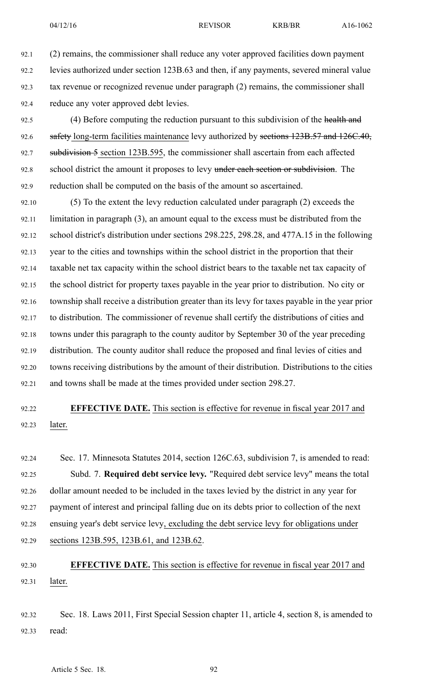92.1 (2) remains, the commissioner shall reduce any voter approved facilities down paymen<sup>t</sup> 92.2 levies authorized under section 123B.63 and then, if any payments, severed mineral value 92.3 tax revenue or recognized revenue under paragraph (2) remains, the commissioner shall 92.4 reduce any voter approved debt levies.

- 92.5 (4) Before computing the reduction pursuant to this subdivision of the health and 92.6 safety long-term facilities maintenance levy authorized by sections 123B.57 and 126C.40, 92.7 subdivision 5 section 123B.595, the commissioner shall ascertain from each affected 92.8 school district the amount it proposes to levy under each section or subdivision. The 92.9 reduction shall be computed on the basis of the amount so ascertained.
- 92.10 (5) To the extent the levy reduction calculated under paragraph (2) exceeds the 92.11 limitation in paragraph (3), an amount equal to the excess must be distributed from the 92.12 school district's distribution under sections 298.225, 298.28, and 477A.15 in the following 92.13 year to the cities and townships within the school district in the proportion that their 92.14 taxable net tax capacity within the school district bears to the taxable net tax capacity of 92.15 the school district for property taxes payable in the year prior to distribution. No city or 92.16 township shall receive <sup>a</sup> distribution greater than its levy for taxes payable in the year prior 92.17 to distribution. The commissioner of revenue shall certify the distributions of cities and 92.18 towns under this paragraph to the county auditor by September 30 of the year preceding 92.19 distribution. The county auditor shall reduce the proposed and final levies of cities and 92.20 towns receiving distributions by the amount of their distribution. Distributions to the cities 92.21 and towns shall be made at the times provided under section 298.27.

# 92.22 **EFFECTIVE DATE.** This section is effective for revenue in fiscal year 2017 and 92.23 later.

92.24 Sec. 17. Minnesota Statutes 2014, section 126C.63, subdivision 7, is amended to read: 92.25 Subd. 7. **Required debt service levy.** "Required debt service levy" means the total 92.26 dollar amount needed to be included in the taxes levied by the district in any year for 92.27 paymen<sup>t</sup> of interest and principal falling due on its debts prior to collection of the next 92.28 ensuing year's debt service levy, excluding the debt service levy for obligations under 92.29 sections 123B.595, 123B.61, and 123B.62.

# 92.30 **EFFECTIVE DATE.** This section is effective for revenue in fiscal year 2017 and 92.31 later.

92.32 Sec. 18. Laws 2011, First Special Session chapter 11, article 4, section 8, is amended to 92.33 read: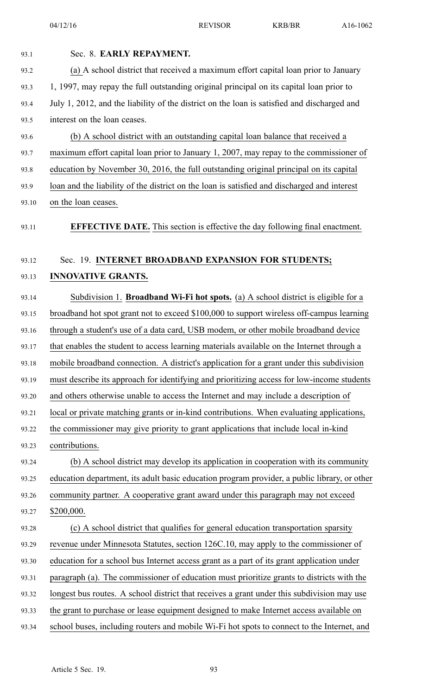| 93.1  | Sec. 8. EARLY REPAYMENT.                                                                     |
|-------|----------------------------------------------------------------------------------------------|
| 93.2  | (a) A school district that received a maximum effort capital loan prior to January           |
| 93.3  | 1, 1997, may repay the full outstanding original principal on its capital loan prior to      |
| 93.4  | July 1, 2012, and the liability of the district on the loan is satisfied and discharged and  |
| 93.5  | interest on the loan ceases.                                                                 |
| 93.6  | (b) A school district with an outstanding capital loan balance that received a               |
| 93.7  | maximum effort capital loan prior to January 1, 2007, may repay to the commissioner of       |
| 93.8  | education by November 30, 2016, the full outstanding original principal on its capital       |
| 93.9  | loan and the liability of the district on the loan is satisfied and discharged and interest  |
| 93.10 | on the loan ceases.                                                                          |
| 93.11 | <b>EFFECTIVE DATE.</b> This section is effective the day following final enactment.          |
| 93.12 | Sec. 19. INTERNET BROADBAND EXPANSION FOR STUDENTS;                                          |
| 93.13 | <b>INNOVATIVE GRANTS.</b>                                                                    |
| 93.14 | Subdivision 1. Broadband Wi-Fi hot spots. (a) A school district is eligible for a            |
| 93.15 | broadband hot spot grant not to exceed \$100,000 to support wireless off-campus learning     |
| 93.16 | through a student's use of a data card, USB modem, or other mobile broadband device          |
| 93.17 | that enables the student to access learning materials available on the Internet through a    |
| 93.18 | mobile broadband connection. A district's application for a grant under this subdivision     |
| 93.19 | must describe its approach for identifying and prioritizing access for low-income students   |
| 93.20 | and others otherwise unable to access the Internet and may include a description of          |
| 93.21 | local or private matching grants or in-kind contributions. When evaluating applications,     |
| 93.22 | the commissioner may give priority to grant applications that include local in-kind          |
| 93.23 | contributions.                                                                               |
| 93.24 | (b) A school district may develop its application in cooperation with its community          |
| 93.25 | education department, its adult basic education program provider, a public library, or other |
| 93.26 | community partner. A cooperative grant award under this paragraph may not exceed             |
| 93.27 | \$200,000.                                                                                   |
| 93.28 | (c) A school district that qualifies for general education transportation sparsity           |
| 93.29 | revenue under Minnesota Statutes, section 126C.10, may apply to the commissioner of          |
| 93.30 | education for a school bus Internet access grant as a part of its grant application under    |
| 93.31 | paragraph (a). The commissioner of education must prioritize grants to districts with the    |
| 93.32 | longest bus routes. A school district that receives a grant under this subdivision may use   |
| 93.33 | the grant to purchase or lease equipment designed to make Internet access available on       |
| 93.34 | school buses, including routers and mobile Wi-Fi hot spots to connect to the Internet, and   |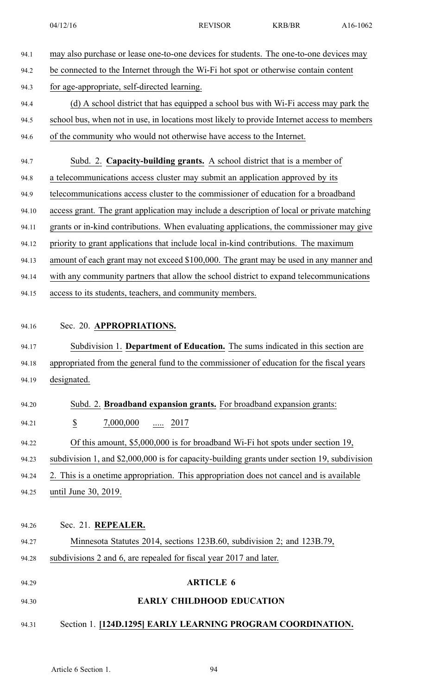| 94.1                             | may also purchase or lease one-to-one devices for students. The one-to-one devices may                                                                                                                                |
|----------------------------------|-----------------------------------------------------------------------------------------------------------------------------------------------------------------------------------------------------------------------|
| 94.2                             | be connected to the Internet through the Wi-Fi hot spot or otherwise contain content                                                                                                                                  |
| 94.3                             | for age-appropriate, self-directed learning.                                                                                                                                                                          |
| 94.4                             | (d) A school district that has equipped a school bus with Wi-Fi access may park the                                                                                                                                   |
| 94.5                             | school bus, when not in use, in locations most likely to provide Internet access to members                                                                                                                           |
| 94.6                             | of the community who would not otherwise have access to the Internet.                                                                                                                                                 |
| 94.7                             | Subd. 2. Capacity-building grants. A school district that is a member of                                                                                                                                              |
| 94.8                             | a telecommunications access cluster may submit an application approved by its                                                                                                                                         |
| 94.9                             | telecommunications access cluster to the commissioner of education for a broadband                                                                                                                                    |
| 94.10                            | access grant. The grant application may include a description of local or private matching                                                                                                                            |
| 94.11                            | grants or in-kind contributions. When evaluating applications, the commissioner may give                                                                                                                              |
| 94.12                            | priority to grant applications that include local in-kind contributions. The maximum                                                                                                                                  |
| 94.13                            | amount of each grant may not exceed \$100,000. The grant may be used in any manner and                                                                                                                                |
| 94.14                            | with any community partners that allow the school district to expand telecommunications                                                                                                                               |
| 94.15                            | access to its students, teachers, and community members.                                                                                                                                                              |
| 94.16<br>94.17<br>94.18<br>94.19 | Sec. 20. APPROPRIATIONS.<br>Subdivision 1. Department of Education. The sums indicated in this section are<br>appropriated from the general fund to the commissioner of education for the fiscal years<br>designated. |
|                                  |                                                                                                                                                                                                                       |
| 94.20                            | Subd. 2. Broadband expansion grants. For broadband expansion grants:                                                                                                                                                  |
| 94.21                            | $\underline{\$}$<br>7,000,000<br><u></u> 2017                                                                                                                                                                         |
| 94.22                            | Of this amount, \$5,000,000 is for broadband Wi-Fi hot spots under section 19,                                                                                                                                        |
| 94.23                            | subdivision 1, and \$2,000,000 is for capacity-building grants under section 19, subdivision                                                                                                                          |
| 94.24                            | 2. This is a onetime appropriation. This appropriation does not cancel and is available                                                                                                                               |
| 94.25                            | until June 30, 2019.                                                                                                                                                                                                  |
|                                  |                                                                                                                                                                                                                       |
| 94.26                            | Sec. 21. REPEALER.                                                                                                                                                                                                    |
| 94.27                            | Minnesota Statutes 2014, sections 123B.60, subdivision 2; and 123B.79,                                                                                                                                                |
| 94.28                            | subdivisions 2 and 6, are repealed for fiscal year 2017 and later.                                                                                                                                                    |
| 94.29                            | <b>ARTICLE 6</b>                                                                                                                                                                                                      |
| 94.30                            | <b>EARLY CHILDHOOD EDUCATION</b>                                                                                                                                                                                      |
| 94.31                            | Section 1. [124D.1295] EARLY LEARNING PROGRAM COORDINATION.                                                                                                                                                           |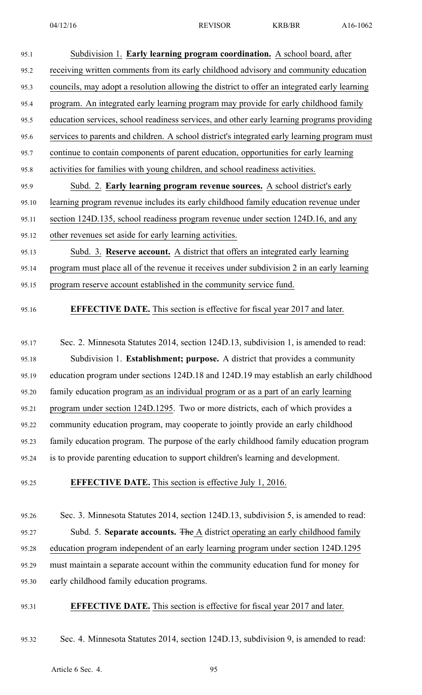| 95.1  | Subdivision 1. Early learning program coordination. A school board, after                    |
|-------|----------------------------------------------------------------------------------------------|
| 95.2  | receiving written comments from its early childhood advisory and community education         |
| 95.3  | councils, may adopt a resolution allowing the district to offer an integrated early learning |
| 95.4  | program. An integrated early learning program may provide for early childhood family         |
| 95.5  | education services, school readiness services, and other early learning programs providing   |
| 95.6  | services to parents and children. A school district's integrated early learning program must |
| 95.7  | continue to contain components of parent education, opportunities for early learning         |
| 95.8  | activities for families with young children, and school readiness activities.                |
| 95.9  | Subd. 2. Early learning program revenue sources. A school district's early                   |
| 95.10 | learning program revenue includes its early childhood family education revenue under         |
| 95.11 | section 124D.135, school readiness program revenue under section 124D.16, and any            |
| 95.12 | other revenues set aside for early learning activities.                                      |
| 95.13 | Subd. 3. Reserve account. A district that offers an integrated early learning                |
| 95.14 | program must place all of the revenue it receives under subdivision 2 in an early learning   |
| 95.15 | program reserve account established in the community service fund.                           |
| 95.16 | <b>EFFECTIVE DATE.</b> This section is effective for fiscal year 2017 and later.             |
| 95.17 | Sec. 2. Minnesota Statutes 2014, section 124D.13, subdivision 1, is amended to read:         |
| 95.18 | Subdivision 1. Establishment; purpose. A district that provides a community                  |
| 95.19 | education program under sections 124D.18 and 124D.19 may establish an early childhood        |
| 95.20 | family education program as an individual program or as a part of an early learning          |
| 95.21 | program under section 124D.1295. Two or more districts, each of which provides a             |
| 95.22 | community education program, may cooperate to jointly provide an early childhood             |
| 95.23 | family education program. The purpose of the early childhood family education program        |
| 95.24 | is to provide parenting education to support children's learning and development.            |
|       |                                                                                              |

95.25 **EFFECTIVE DATE.** This section is effective July 1, 2016.

95.26 Sec. 3. Minnesota Statutes 2014, section 124D.13, subdivision 5, is amended to read: 95.27 Subd. 5. **Separate accounts.** The A district operating an early childhood family 95.28 education program independent of an early learning program under section 124D.1295 95.29 must maintain <sup>a</sup> separate account within the community education fund for money for 95.30 early childhood family education programs.

#### 95.31 **EFFECTIVE DATE.** This section is effective for fiscal year 2017 and later.

95.32 Sec. 4. Minnesota Statutes 2014, section 124D.13, subdivision 9, is amended to read: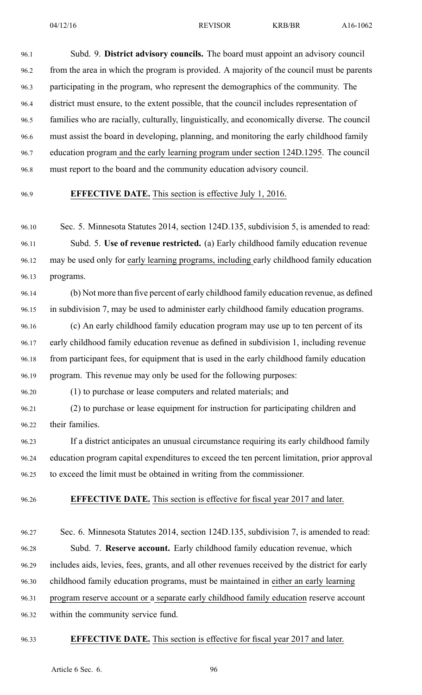96.1 Subd. 9. **District advisory councils.** The board must appoint an advisory council 96.2 from the area in which the program is provided. A majority of the council must be parents 96.3 participating in the program, who represen<sup>t</sup> the demographics of the community. The 96.4 district must ensure, to the extent possible, that the council includes representation of 96.5 families who are racially, culturally, linguistically, and economically diverse. The council 96.6 must assist the board in developing, planning, and monitoring the early childhood family 96.7 education program and the early learning program under section 124D.1295. The council 96.8 must repor<sup>t</sup> to the board and the community education advisory council.

#### 96.9 **EFFECTIVE DATE.** This section is effective July 1, 2016.

96.10 Sec. 5. Minnesota Statutes 2014, section 124D.135, subdivision 5, is amended to read: 96.11 Subd. 5. **Use of revenue restricted.** (a) Early childhood family education revenue 96.12 may be used only for early learning programs, including early childhood family education 96.13 programs.

96.14 (b) Not more than five percen<sup>t</sup> of early childhood family education revenue, as defined 96.15 in subdivision 7, may be used to administer early childhood family education programs.

96.16 (c) An early childhood family education program may use up to ten percen<sup>t</sup> of its 96.17 early childhood family education revenue as defined in subdivision 1, including revenue 96.18 from participant fees, for equipment that is used in the early childhood family education 96.19 program. This revenue may only be used for the following purposes:

96.20 (1) to purchase or lease computers and related materials; and

96.21 (2) to purchase or lease equipment for instruction for participating children and 96.22 their families.

96.23 If <sup>a</sup> district anticipates an unusual circumstance requiring its early childhood family 96.24 education program capital expenditures to exceed the ten percen<sup>t</sup> limitation, prior approval 96.25 to exceed the limit must be obtained in writing from the commissioner.

96.26 **EFFECTIVE DATE.** This section is effective for fiscal year 2017 and later.

96.27 Sec. 6. Minnesota Statutes 2014, section 124D.135, subdivision 7, is amended to read: 96.28 Subd. 7. **Reserve account.** Early childhood family education revenue, which 96.29 includes aids, levies, fees, grants, and all other revenues received by the district for early 96.30 childhood family education programs, must be maintained in either an early learning 96.31 program reserve account or <sup>a</sup> separate early childhood family education reserve account 96.32 within the community service fund.

#### 96.33 **EFFECTIVE DATE.** This section is effective for fiscal year 2017 and later.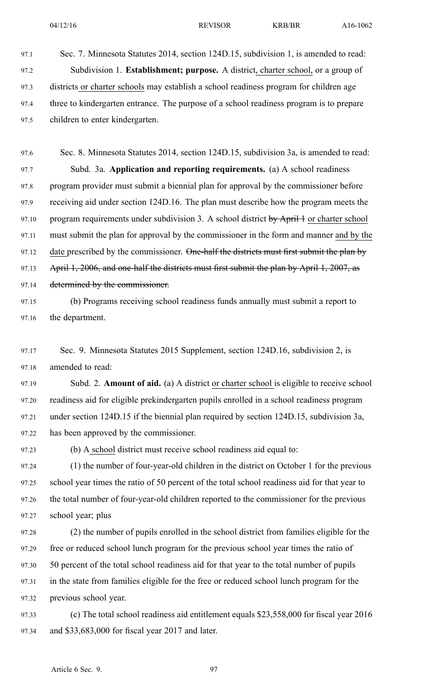97.1 Sec. 7. Minnesota Statutes 2014, section 124D.15, subdivision 1, is amended to read: 97.2 Subdivision 1. **Establishment; purpose.** A district, charter school, or <sup>a</sup> group of 97.3 districts or charter schools may establish <sup>a</sup> school readiness program for children age 97.4 three to kindergarten entrance. The purpose of <sup>a</sup> school readiness program is to prepare 97.5 children to enter kindergarten.

97.6 Sec. 8. Minnesota Statutes 2014, section 124D.15, subdivision 3a, is amended to read: 97.7 Subd. 3a. **Application and reporting requirements.** (a) A school readiness 97.8 program provider must submit <sup>a</sup> biennial plan for approval by the commissioner before 97.9 receiving aid under section 124D.16. The plan must describe how the program meets the 97.10 program requirements under subdivision 3. A school district by April 1 or charter school 97.11 must submit the plan for approval by the commissioner in the form and manner and by the 97.12 date prescribed by the commissioner. One-half the districts must first submit the plan by 97.13 April 1, 2006, and one-half the districts must first submit the plan by April 1, 2007, as 97.14 determined by the commissioner.

- 97.15 (b) Programs receiving school readiness funds annually must submit <sup>a</sup> repor<sup>t</sup> to 97.16 the department.
- 97.17 Sec. 9. Minnesota Statutes 2015 Supplement, section 124D.16, subdivision 2, is 97.18 amended to read:

97.19 Subd. 2. **Amount of aid.** (a) A district or charter school is eligible to receive school 97.20 readiness aid for eligible prekindergarten pupils enrolled in <sup>a</sup> school readiness program 97.21 under section 124D.15 if the biennial plan required by section 124D.15, subdivision 3a, 97.22 has been approved by the commissioner.

97.23 (b) A school district must receive school readiness aid equal to:

97.24 (1) the number of four-year-old children in the district on October 1 for the previous 97.25 school year times the ratio of 50 percen<sup>t</sup> of the total school readiness aid for that year to 97.26 the total number of four-year-old children reported to the commissioner for the previous 97.27 school year; plus

97.28 (2) the number of pupils enrolled in the school district from families eligible for the 97.29 free or reduced school lunch program for the previous school year times the ratio of 97.30 50 percen<sup>t</sup> of the total school readiness aid for that year to the total number of pupils 97.31 in the state from families eligible for the free or reduced school lunch program for the 97.32 previous school year.

97.33 (c) The total school readiness aid entitlement equals \$23,558,000 for fiscal year 2016 97.34 and \$33,683,000 for fiscal year 2017 and later.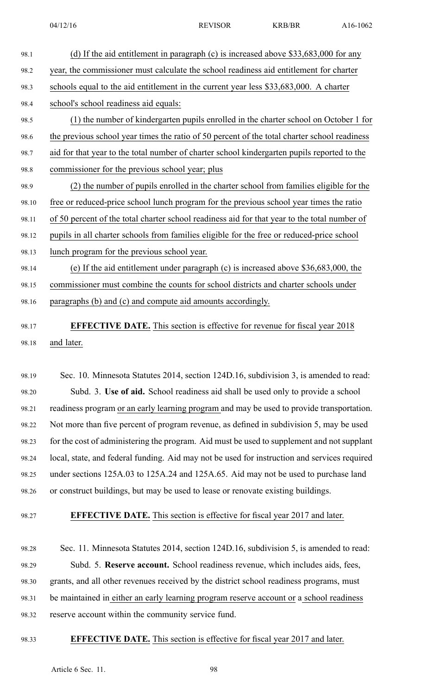- 98.1 (d) If the aid entitlement in paragraph (c) is increased above \$33,683,000 for any 98.2 year, the commissioner must calculate the school readiness aid entitlement for charter 98.3 schools equal to the aid entitlement in the current year less \$33,683,000. A charter 98.4 school's school readiness aid equals: 98.5 (1) the number of kindergarten pupils enrolled in the charter school on October 1 for 98.6 the previous school year times the ratio of 50 percen<sup>t</sup> of the total charter school readiness 98.7 aid for that year to the total number of charter school kindergarten pupils reported to the 98.8 commissioner for the previous school year; plus 98.9 (2) the number of pupils enrolled in the charter school from families eligible for the 98.10 free or reduced-price school lunch program for the previous school year times the ratio 98.11 of 50 percen<sup>t</sup> of the total charter school readiness aid for that year to the total number of 98.12 pupils in all charter schools from families eligible for the free or reduced-price school
- 98.13 lunch program for the previous school year.

98.14 (e) If the aid entitlement under paragraph (c) is increased above \$36,683,000, the 98.15 commissioner must combine the counts for school districts and charter schools under 98.16 paragraphs (b) and (c) and compute aid amounts accordingly.

98.17 **EFFECTIVE DATE.** This section is effective for revenue for fiscal year 2018 98.18 and later.

98.19 Sec. 10. Minnesota Statutes 2014, section 124D.16, subdivision 3, is amended to read: 98.20 Subd. 3. **Use of aid.** School readiness aid shall be used only to provide <sup>a</sup> school 98.21 readiness program or an early learning program and may be used to provide transportation. 98.22 Not more than five percen<sup>t</sup> of program revenue, as defined in subdivision 5, may be used 98.23 for the cost of administering the program. Aid must be used to supplement and not supplant 98.24 local, state, and federal funding. Aid may not be used for instruction and services required 98.25 under sections 125A.03 to 125A.24 and 125A.65. Aid may not be used to purchase land 98.26 or construct buildings, but may be used to lease or renovate existing buildings.

98.27 **EFFECTIVE DATE.** This section is effective for fiscal year 2017 and later.

98.28 Sec. 11. Minnesota Statutes 2014, section 124D.16, subdivision 5, is amended to read: 98.29 Subd. 5. **Reserve account.** School readiness revenue, which includes aids, fees, 98.30 grants, and all other revenues received by the district school readiness programs, must 98.31 be maintained in either an early learning program reserve account or <sup>a</sup> school readiness 98.32 reserve account within the community service fund.

#### 98.33 **EFFECTIVE DATE.** This section is effective for fiscal year 2017 and later.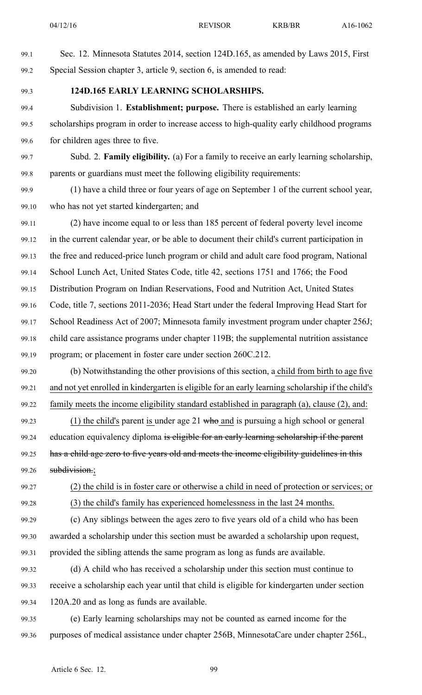- 99.1 Sec. 12. Minnesota Statutes 2014, section 124D.165, as amended by Laws 2015, First 99.2 Special Session chapter 3, article 9, section 6, is amended to read:
- 

## 99.3 **124D.165 EARLY LEARNING SCHOLARSHIPS.**

- 99.4 Subdivision 1. **Establishment; purpose.** There is established an early learning 99.5 scholarships program in order to increase access to high-quality early childhood programs 99.6 for children ages three to five.
- 99.7 Subd. 2. **Family eligibility.** (a) For <sup>a</sup> family to receive an early learning scholarship, 99.8 parents or guardians must meet the following eligibility requirements:
- 99.9 (1) have <sup>a</sup> child three or four years of age on September 1 of the current school year, 99.10 who has not ye<sup>t</sup> started kindergarten; and
- 99.11 (2) have income equal to or less than 185 percen<sup>t</sup> of federal poverty level income 99.12 in the current calendar year, or be able to document their child's current participation in 99.13 the free and reduced-price lunch program or child and adult care food program, National 99.14 School Lunch Act, United States Code, title 42, sections 1751 and 1766; the Food 99.15 Distribution Program on Indian Reservations, Food and Nutrition Act, United States 99.16 Code, title 7, sections 2011-2036; Head Start under the federal Improving Head Start for 99.17 School Readiness Act of 2007; Minnesota family investment program under chapter 256J; 99.18 child care assistance programs under chapter 119B; the supplemental nutrition assistance 99.19 program; or placement in foster care under section 260C.212.
- 99.20 (b) Notwithstanding the other provisions of this section, <sup>a</sup> child from birth to age five 99.21 and not ye<sup>t</sup> enrolled in kindergarten is eligible for an early learning scholarship if the child's 99.22 family meets the income eligibility standard established in paragraph (a), clause (2), and:
- 99.23 (1) the child's parent is under age 21 who and is pursuing a high school or general 99.24 education equivalency diploma is eligible for an early learning scholarship if the parent 99.25 has a child age zero to five years old and meets the income eligibility guidelines in this 99.26 **subdivision**.;
- 99.27 (2) the child is in foster care or otherwise <sup>a</sup> child in need of protection or services; or 99.28 (3) the child's family has experienced homelessness in the last 24 months.
	- 99.29 (c) Any siblings between the ages zero to five years old of <sup>a</sup> child who has been 99.30 awarded <sup>a</sup> scholarship under this section must be awarded <sup>a</sup> scholarship upon request, 99.31 provided the sibling attends the same program as long as funds are available.
	- 99.32 (d) A child who has received <sup>a</sup> scholarship under this section must continue to 99.33 receive <sup>a</sup> scholarship each year until that child is eligible for kindergarten under section 99.34 120A.20 and as long as funds are available.
	- 99.35 (e) Early learning scholarships may not be counted as earned income for the 99.36 purposes of medical assistance under chapter 256B, MinnesotaCare under chapter 256L,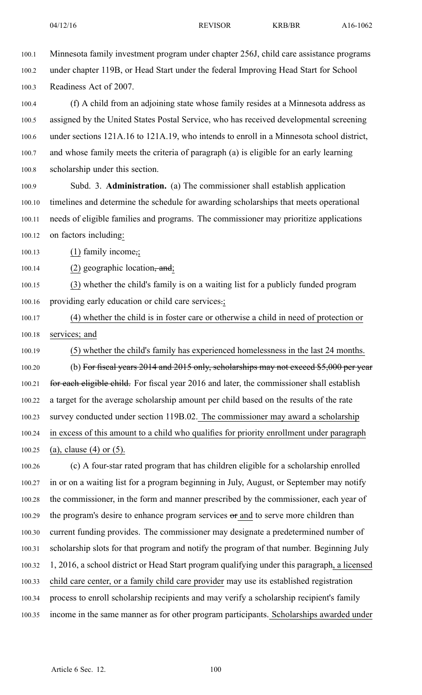- 100.1 Minnesota family investment program under chapter 256J, child care assistance programs 100.2 under chapter 119B, or Head Start under the federal Improving Head Start for School 100.3 Readiness Act of 2007. 100.4 (f) A child from an adjoining state whose family resides at <sup>a</sup> Minnesota address as 100.5 assigned by the United States Postal Service, who has received developmental screening 100.6 under sections 121A.16 to 121A.19, who intends to enroll in <sup>a</sup> Minnesota school district, 100.7 and whose family meets the criteria of paragraph (a) is eligible for an early learning 100.8 scholarship under this section. 100.9 Subd. 3. **Administration.** (a) The commissioner shall establish application 100.10 timelines and determine the schedule for awarding scholarships that meets operational 100.11 needs of eligible families and programs. The commissioner may prioritize applications 100.12 on factors including: 100.13 (1) family income,; 100.14 (2) geographic location,  $\frac{100.14}{2}$ 100.15 (3) whether the child's family is on <sup>a</sup> waiting list for <sup>a</sup> publicly funded program 100.16 providing early education or child care services.; 100.17 (4) whether the child is in foster care or otherwise <sup>a</sup> child in need of protection or 100.18 services; and 100.19 (5) whether the child's family has experienced homelessness in the last 24 months. 100.20 (b) For fiscal years 2014 and 2015 only, scholarships may not exceed \$5,000 per year 100.21 for each eligible child. For fiscal year 2016 and later, the commissioner shall establish 100.22 <sup>a</sup> target for the average scholarship amount per child based on the results of the rate 100.23 survey conducted under section 119B.02. The commissioner may award <sup>a</sup> scholarship 100.24 in excess of this amount to <sup>a</sup> child who qualifies for priority enrollment under paragraph 100.25 (a), clause (4) or (5). 100.26 (c) A four-star rated program that has children eligible for <sup>a</sup> scholarship enrolled 100.27 in or on <sup>a</sup> waiting list for <sup>a</sup> program beginning in July, August, or September may notify 100.28 the commissioner, in the form and manner prescribed by the commissioner, each year of 100.29 the program's desire to enhance program services or and to serve more children than 100.30 current funding provides. The commissioner may designate <sup>a</sup> predetermined number of 100.31 scholarship slots for that program and notify the program of that number. Beginning July 100.32 1, 2016, <sup>a</sup> school district or Head Start program qualifying under this paragraph, <sup>a</sup> licensed 100.33 child care center, or <sup>a</sup> family child care provider may use its established registration 100.34 process to enroll scholarship recipients and may verify <sup>a</sup> scholarship recipient's family
- 100.35 income in the same manner as for other program participants. Scholarships awarded under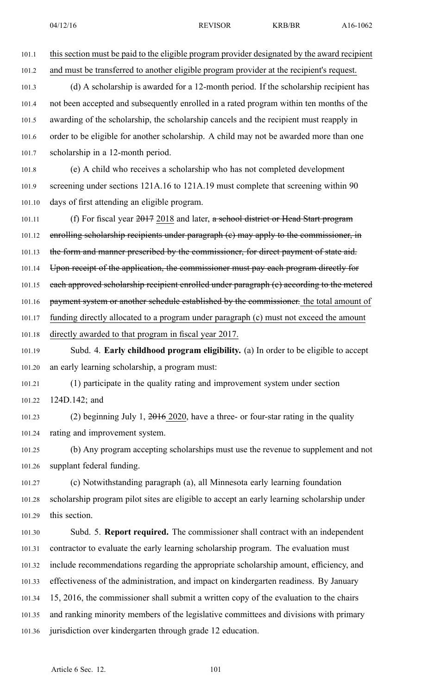101.1 this section must be paid to the eligible program provider designated by the award recipient 101.2 and must be transferred to another eligible program provider at the recipient's request.

101.3 (d) A scholarship is awarded for <sup>a</sup> 12-month period. If the scholarship recipient has 101.4 not been accepted and subsequently enrolled in <sup>a</sup> rated program within ten months of the 101.5 awarding of the scholarship, the scholarship cancels and the recipient must reapply in 101.6 order to be eligible for another scholarship. A child may not be awarded more than one 101.7 scholarship in <sup>a</sup> 12-month period.

101.8 (e) A child who receives <sup>a</sup> scholarship who has not completed development 101.9 screening under sections 121A.16 to 121A.19 must complete that screening within 90 101.10 days of first attending an eligible program.

101.11 (f) For fiscal year 2017 2018 and later, a school district or Head Start program 101.12 enrolling scholarship recipients under paragraph (e) may apply to the commissioner, in

101.13 the form and manner prescribed by the commissioner, for direct payment of state aid.

101.14 Upon receipt of the application, the commissioner must pay each program directly for

101.15 each approved scholarship recipient enrolled under paragraph (e) according to the metered

101.16 payment system or another schedule established by the commissioner. the total amount of

101.17 funding directly allocated to <sup>a</sup> program under paragraph (c) must not exceed the amount 101.18 directly awarded to that program in fiscal year 2017.

101.19 Subd. 4. **Early childhood program eligibility.** (a) In order to be eligible to accep<sup>t</sup> 101.20 an early learning scholarship, <sup>a</sup> program must:

101.21 (1) participate in the quality rating and improvement system under section 101.22 124D.142; and

101.23 (2) beginning July 1, 2016 2020, have <sup>a</sup> three- or four-star rating in the quality 101.24 rating and improvement system.

101.25 (b) Any program accepting scholarships must use the revenue to supplement and not 101.26 supplant federal funding.

101.27 (c) Notwithstanding paragraph (a), all Minnesota early learning foundation 101.28 scholarship program pilot sites are eligible to accep<sup>t</sup> an early learning scholarship under 101.29 this section.

101.30 Subd. 5. **Report required.** The commissioner shall contract with an independent 101.31 contractor to evaluate the early learning scholarship program. The evaluation must 101.32 include recommendations regarding the appropriate scholarship amount, efficiency, and 101.33 effectiveness of the administration, and impact on kindergarten readiness. By January 101.34 15, 2016, the commissioner shall submit <sup>a</sup> written copy of the evaluation to the chairs 101.35 and ranking minority members of the legislative committees and divisions with primary 101.36 jurisdiction over kindergarten through grade 12 education.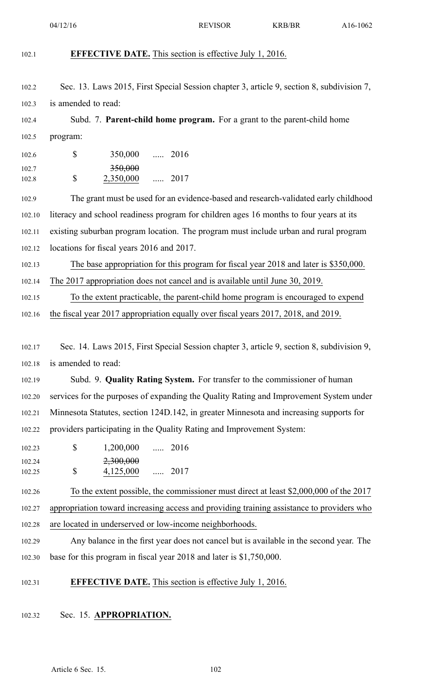| 102.1          | <b>EFFECTIVE DATE.</b> This section is effective July 1, 2016.                            |
|----------------|-------------------------------------------------------------------------------------------|
|                |                                                                                           |
| 102.2          | Sec. 13. Laws 2015, First Special Session chapter 3, article 9, section 8, subdivision 7, |
| 102.3          | is amended to read:                                                                       |
| 102.4          | Subd. 7. Parent-child home program. For a grant to the parent-child home                  |
| 102.5          | program:                                                                                  |
| 102.6          | \$<br>350,000  2016                                                                       |
| 102.7<br>102.8 | <del>350,000</del><br>\$<br>2,350,000<br>$\ldots$ 2017                                    |
| 102.9          | The grant must be used for an evidence-based and research-validated early childhood       |
| 102.10         | literacy and school readiness program for children ages 16 months to four years at its    |
| 102.11         | existing suburban program location. The program must include urban and rural program      |
| 102.12         | locations for fiscal years 2016 and 2017.                                                 |
| 102.13         | The base appropriation for this program for fiscal year 2018 and later is \$350,000.      |
| 102.14         | The 2017 appropriation does not cancel and is available until June 30, 2019.              |
| 102.15         | To the extent practicable, the parent-child home program is encouraged to expend          |
| 102.16         | the fiscal year 2017 appropriation equally over fiscal years 2017, 2018, and 2019.        |
|                |                                                                                           |
| 102.17         | Sec. 14. Laws 2015, First Special Session chapter 3, article 9, section 8, subdivision 9, |
| 102.18         | is amended to read:                                                                       |
| 102.19         | Subd. 9. Quality Rating System. For transfer to the commissioner of human                 |
| 102.20         | services for the purposes of expanding the Quality Rating and Improvement System under    |
| 102.21         | Minnesota Statutes, section 124D.142, in greater Minnesota and increasing supports for    |
| 102.22         | providers participating in the Quality Rating and Improvement System:                     |
| 102.23         | $\mathbb{S}$<br>$1,200,000$ 2016                                                          |
| 102.24         | 2,300,000<br>\$                                                                           |
| 102.25         | 4,125,000<br>$\ldots$ 2017                                                                |
| 102.26         | To the extent possible, the commissioner must direct at least \$2,000,000 of the 2017     |
| 102.27         | appropriation toward increasing access and providing training assistance to providers who |
| 102.28         | are located in underserved or low-income neighborhoods.                                   |
| 102.29         | Any balance in the first year does not cancel but is available in the second year. The    |
| 102.30         | base for this program in fiscal year 2018 and later is \$1,750,000.                       |
| 102.31         | <b>EFFECTIVE DATE.</b> This section is effective July 1, 2016.                            |
| 102.32         | Sec. 15. APPROPRIATION.                                                                   |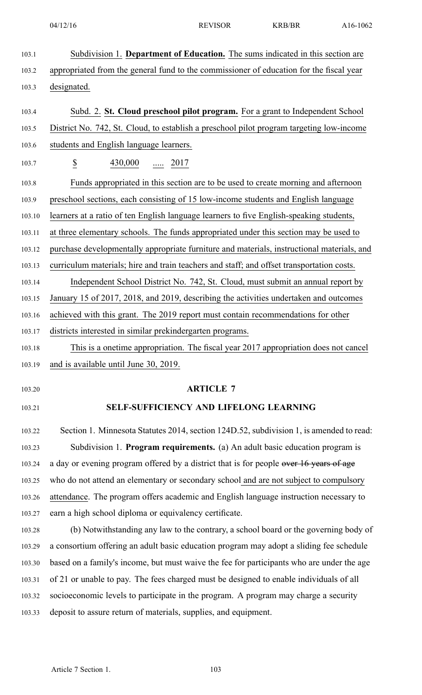103.1 Subdivision 1. **Department of Education.** The sums indicated in this section are 103.2 appropriated from the general fund to the commissioner of education for the fiscal year 103.3 designated. 103.4 Subd. 2. **St. Cloud preschool pilot program.** For <sup>a</sup> gran<sup>t</sup> to Independent School 103.5 District No. 742, St. Cloud, to establish <sup>a</sup> preschool pilot program targeting low-income 103.6 students and English language learners. 103.7 \$ 430,000 ..... 2017 103.8 Funds appropriated in this section are to be used to create morning and afternoon 103.9 preschool sections, each consisting of 15 low-income students and English language 103.10 learners at <sup>a</sup> ratio of ten English language learners to five English-speaking students, 103.11 at three elementary schools. The funds appropriated under this section may be used to 103.12 purchase developmentally appropriate furniture and materials, instructional materials, and 103.13 curriculum materials; hire and train teachers and staff; and offset transportation costs. 103.14 Independent School District No. 742, St. Cloud, must submit an annual repor<sup>t</sup> by 103.15 January 15 of 2017, 2018, and 2019, describing the activities undertaken and outcomes 103.16 achieved with this grant. The 2019 repor<sup>t</sup> must contain recommendations for other 103.17 districts interested in similar prekindergarten programs. 103.18 This is <sup>a</sup> onetime appropriation. The fiscal year 2017 appropriation does not cancel 103.19 and is available until June 30, 2019. 103.20 **ARTICLE 7** 103.21 **SELF-SUFFICIENCY AND LIFELONG LEARNING** 103.22 Section 1. Minnesota Statutes 2014, section 124D.52, subdivision 1, is amended to read: 103.23 Subdivision 1. **Program requirements.** (a) An adult basic education program is 103.24 a day or evening program offered by a district that is for people over 16 years of age 103.25 who do not attend an elementary or secondary school and are not subject to compulsory 103.26 attendance. The program offers academic and English language instruction necessary to 103.27 earn <sup>a</sup> high school diploma or equivalency certificate. 103.28 (b) Notwithstanding any law to the contrary, <sup>a</sup> school board or the governing body of 103.29 <sup>a</sup> consortium offering an adult basic education program may adopt <sup>a</sup> sliding fee schedule 103.30 based on <sup>a</sup> family's income, but must waive the fee for participants who are under the age 103.31 of 21 or unable to pay. The fees charged must be designed to enable individuals of all 103.32 socioeconomic levels to participate in the program. A program may charge <sup>a</sup> security 103.33 deposit to assure return of materials, supplies, and equipment.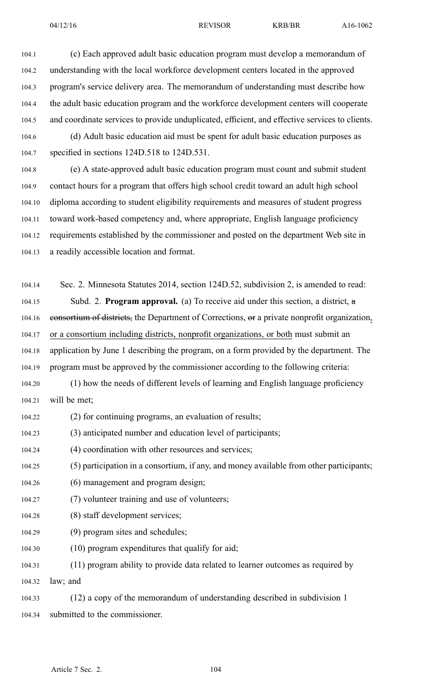04/12/16 REVISOR KRB/BR A16-1062

104.1 (c) Each approved adult basic education program must develop <sup>a</sup> memorandum of 104.2 understanding with the local workforce development centers located in the approved 104.3 program's service delivery area. The memorandum of understanding must describe how 104.4 the adult basic education program and the workforce development centers will cooperate 104.5 and coordinate services to provide unduplicated, efficient, and effective services to clients. 104.6 (d) Adult basic education aid must be spen<sup>t</sup> for adult basic education purposes as

104.7 specified in sections 124D.518 to 124D.531.

104.8 (e) A state-approved adult basic education program must count and submit student 104.9 contact hours for <sup>a</sup> program that offers high school credit toward an adult high school 104.10 diploma according to student eligibility requirements and measures of student progress 104.11 toward work-based competency and, where appropriate, English language proficiency 104.12 requirements established by the commissioner and posted on the department Web site in 104.13 <sup>a</sup> readily accessible location and format.

104.14 Sec. 2. Minnesota Statutes 2014, section 124D.52, subdivision 2, is amended to read: 104.15 Subd. 2. **Program approval.** (a) To receive aid under this section, <sup>a</sup> district, <sup>a</sup> 104.16 consortium of districts, the Department of Corrections, or a private nonprofit organization, 104.17 or <sup>a</sup> consortium including districts, nonprofit organizations, or both must submit an 104.18 application by June 1 describing the program, on <sup>a</sup> form provided by the department. The 104.19 program must be approved by the commissioner according to the following criteria:

104.20 (1) how the needs of different levels of learning and English language proficiency 104.21 will be met;

104.22 (2) for continuing programs, an evaluation of results;

104.23 (3) anticipated number and education level of participants;

104.24 (4) coordination with other resources and services;

104.25 (5) participation in <sup>a</sup> consortium, if any, and money available from other participants;

- 104.26 (6) managemen<sup>t</sup> and program design;
- 104.27 (7) volunteer training and use of volunteers;
- 104.28 (8) staff development services;
- 104.29 (9) program sites and schedules;
- 104.30 (10) program expenditures that qualify for aid;

104.31 (11) program ability to provide data related to learner outcomes as required by 104.32 law; and

104.33 (12) <sup>a</sup> copy of the memorandum of understanding described in subdivision 1 104.34 submitted to the commissioner.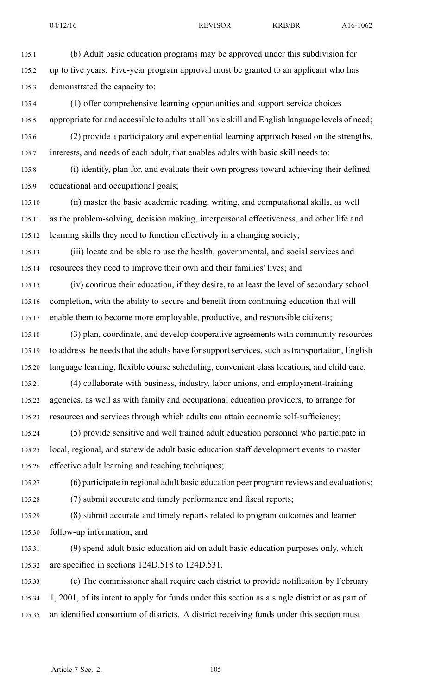105.1 (b) Adult basic education programs may be approved under this subdivision for 105.2 up to five years. Five-year program approval must be granted to an applicant who has 105.3 demonstrated the capacity to: 105.4 (1) offer comprehensive learning opportunities and suppor<sup>t</sup> service choices 105.5 appropriate for and accessible to adults at all basic skill and English language levels of need; 105.6 (2) provide <sup>a</sup> participatory and experiential learning approach based on the strengths,

105.7 interests, and needs of each adult, that enables adults with basic skill needs to:

105.8 (i) identify, plan for, and evaluate their own progress toward achieving their defined 105.9 educational and occupational goals;

105.10 (ii) master the basic academic reading, writing, and computational skills, as well 105.11 as the problem-solving, decision making, interpersonal effectiveness, and other life and 105.12 learning skills they need to function effectively in <sup>a</sup> changing society;

105.13 (iii) locate and be able to use the health, governmental, and social services and 105.14 resources they need to improve their own and their families' lives; and

105.15 (iv) continue their education, if they desire, to at least the level of secondary school 105.16 completion, with the ability to secure and benefit from continuing education that will 105.17 enable them to become more employable, productive, and responsible citizens;

105.18 (3) plan, coordinate, and develop cooperative agreements with community resources 105.19 to address the needs that the adults have for support services, such as transportation, English 105.20 language learning, flexible course scheduling, convenient class locations, and child care;

105.21 (4) collaborate with business, industry, labor unions, and employment-training 105.22 agencies, as well as with family and occupational education providers, to arrange for 105.23 resources and services through which adults can attain economic self-sufficiency;

105.24 (5) provide sensitive and well trained adult education personnel who participate in 105.25 local, regional, and statewide adult basic education staff development events to master 105.26 effective adult learning and teaching techniques;

105.27 (6) participate in regional adult basic education peer program reviews and evaluations;

105.28 (7) submit accurate and timely performance and fiscal reports;

105.29 (8) submit accurate and timely reports related to program outcomes and learner 105.30 follow-up information; and

105.31 (9) spend adult basic education aid on adult basic education purposes only, which 105.32 are specified in sections 124D.518 to 124D.531.

105.33 (c) The commissioner shall require each district to provide notification by February 105.34 1, 2001, of its intent to apply for funds under this section as <sup>a</sup> single district or as par<sup>t</sup> of 105.35 an identified consortium of districts. A district receiving funds under this section must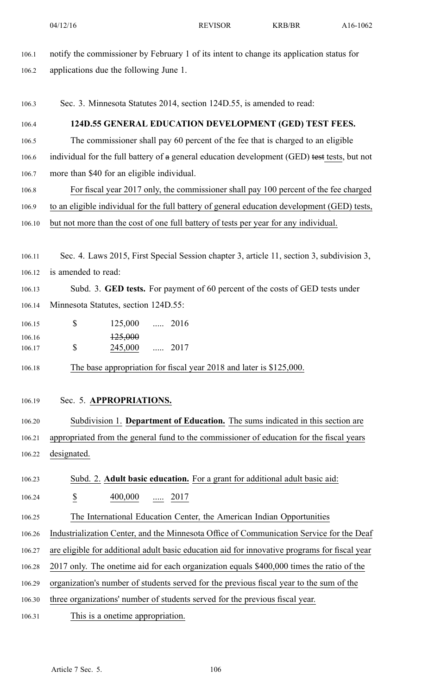- 106.1 notify the commissioner by February 1 of its intent to change its application status for 106.2 applications due the following June 1. 106.3 Sec. 3. Minnesota Statutes 2014, section 124D.55, is amended to read: 106.4 **124D.55 GENERAL EDUCATION DEVELOPMENT (GED) TEST FEES.** 106.5 The commissioner shall pay 60 percen<sup>t</sup> of the fee that is charged to an eligible 106.6 individual for the full battery of a general education development (GED) test tests, but not 106.7 more than \$40 for an eligible individual. 106.8 For fiscal year 2017 only, the commissioner shall pay 100 percen<sup>t</sup> of the fee charged 106.9 to an eligible individual for the full battery of general education development (GED) tests, 106.10 but not more than the cost of one full battery of tests per year for any individual. 106.11 Sec. 4. Laws 2015, First Special Session chapter 3, article 11, section 3, subdivision 3, 106.12 is amended to read: 106.13 Subd. 3. **GED tests.** For paymen<sup>t</sup> of 60 percen<sup>t</sup> of the costs of GED tests under 106.14 Minnesota Statutes, section 124D.55: 106.15 **\$** 125,000 ..... 2016 \$ 106.16 125,000 106.17 245,000 ..... 2017 106.18 The base appropriation for fiscal year 2018 and later is \$125,000. 106.19 Sec. 5. **APPROPRIATIONS.** 106.20 Subdivision 1. **Department of Education.** The sums indicated in this section are 106.21 appropriated from the general fund to the commissioner of education for the fiscal years 106.22 designated. 106.23 Subd. 2. **Adult basic education.** For <sup>a</sup> gran<sup>t</sup> for additional adult basic aid: 106.24 \$ 400,000 ..... 2017 106.25 The International Education Center, the American Indian Opportunities 106.26 Industrialization Center, and the Minnesota Office of Communication Service for the Deaf 106.27 are eligible for additional adult basic education aid for innovative programs for fiscal year 106.28 2017 only. The onetime aid for each organization equals \$400,000 times the ratio of the 106.29 organization's number of students served for the previous fiscal year to the sum of the 106.30 three organizations' number of students served for the previous fiscal year.
- 106.31 This is <sup>a</sup> onetime appropriation.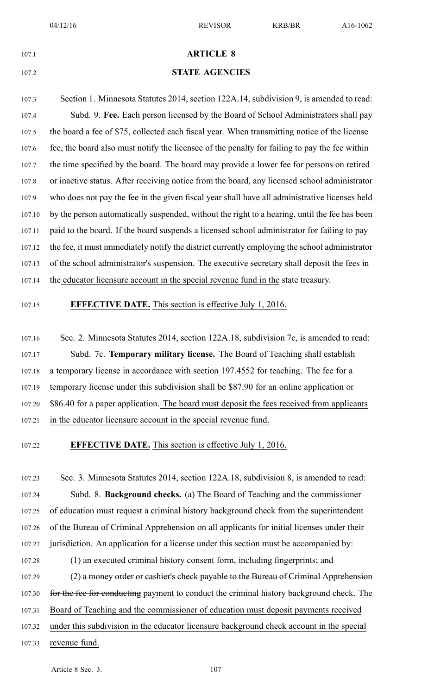| 107.1  | <b>ARTICLE 8</b>                                                                              |
|--------|-----------------------------------------------------------------------------------------------|
| 107.2  | <b>STATE AGENCIES</b>                                                                         |
| 107.3  | Section 1. Minnesota Statutes 2014, section 122A.14, subdivision 9, is amended to read:       |
| 107.4  | Subd. 9. Fee. Each person licensed by the Board of School Administrators shall pay            |
| 107.5  | the board a fee of \$75, collected each fiscal year. When transmitting notice of the license  |
| 107.6  | fee, the board also must notify the licensee of the penalty for failing to pay the fee within |
| 107.7  | the time specified by the board. The board may provide a lower fee for persons on retired     |
| 107.8  | or inactive status. After receiving notice from the board, any licensed school administrator  |
| 107.9  | who does not pay the fee in the given fiscal year shall have all administrative licenses held |
| 107.10 | by the person automatically suspended, without the right to a hearing, until the fee has been |
| 107.11 | paid to the board. If the board suspends a licensed school administrator for failing to pay   |
| 107.12 | the fee, it must immediately notify the district currently employing the school administrator |
| 107.13 | of the school administrator's suspension. The executive secretary shall deposit the fees in   |
| 107.14 | the educator licensure account in the special revenue fund in the state treasury.             |
| 107.15 | <b>EFFECTIVE DATE.</b> This section is effective July 1, 2016.                                |
| 107.16 | Sec. 2. Minnesota Statutes 2014, section 122A.18, subdivision 7c, is amended to read:         |
| 107.17 | Subd. 7c. Temporary military license. The Board of Teaching shall establish                   |
| 107.18 | a temporary license in accordance with section 197.4552 for teaching. The fee for a           |
| 107.19 | temporary license under this subdivision shall be \$87.90 for an online application or        |
| 107.20 | \$86.40 for a paper application. The board must deposit the fees received from applicants     |
| 107.21 | in the educator licensure account in the special revenue fund.                                |
| 107.22 | <b>EFFECTIVE DATE.</b> This section is effective July 1, 2016.                                |
| 107.23 | Sec. 3. Minnesota Statutes 2014, section 122A.18, subdivision 8, is amended to read:          |
| 107.24 | Subd. 8. Background checks. (a) The Board of Teaching and the commissioner                    |
| 107.25 | of education must request a criminal history background check from the superintendent         |

107.26 of the Bureau of Criminal Apprehension on all applicants for initial licenses under their

107.27 jurisdiction. An application for <sup>a</sup> license under this section must be accompanied by:

107.28 (1) an executed criminal history consent form, including fingerprints; and

107.29 (2) a money order or cashier's check payable to the Bureau of Criminal Apprehension 107.30 for the fee for conducting payment to conduct the criminal history background check. The

107.31 Board of Teaching and the commissioner of education must deposit payments received

- 107.32 under this subdivision in the educator licensure background check account in the special
- 107.33 revenue fund.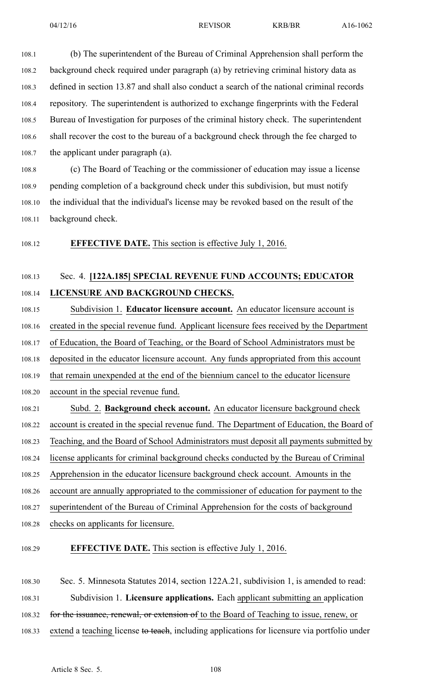108.1 (b) The superintendent of the Bureau of Criminal Apprehension shall perform the 108.2 background check required under paragraph (a) by retrieving criminal history data as 108.3 defined in section 13.87 and shall also conduct <sup>a</sup> search of the national criminal records 108.4 repository. The superintendent is authorized to exchange fingerprints with the Federal 108.5 Bureau of Investigation for purposes of the criminal history check. The superintendent 108.6 shall recover the cost to the bureau of <sup>a</sup> background check through the fee charged to 108.7 the applicant under paragraph (a).

108.8 (c) The Board of Teaching or the commissioner of education may issue <sup>a</sup> license 108.9 pending completion of <sup>a</sup> background check under this subdivision, but must notify 108.10 the individual that the individual's license may be revoked based on the result of the 108.11 background check.

108.12 **EFFECTIVE DATE.** This section is effective July 1, 2016.

## 108.13 Sec. 4. **[122A.185] SPECIAL REVENUE FUND ACCOUNTS; EDUCATOR** 108.14 **LICENSURE AND BACKGROUND CHECKS.**

108.15 Subdivision 1. **Educator licensure account.** An educator licensure account is 108.16 created in the special revenue fund. Applicant licensure fees received by the Department 108.17 of Education, the Board of Teaching, or the Board of School Administrators must be 108.18 deposited in the educator licensure account. Any funds appropriated from this account 108.19 that remain unexpended at the end of the biennium cancel to the educator licensure 108.20 account in the special revenue fund. 108.21 Subd. 2. **Background check account.** An educator licensure background check 108.22 account is created in the special revenue fund. The Department of Education, the Board of 108.23 Teaching, and the Board of School Administrators must deposit all payments submitted by 108.24 license applicants for criminal background checks conducted by the Bureau of Criminal 108.25 Apprehension in the educator licensure background check account. Amounts in the 108.26 account are annually appropriated to the commissioner of education for paymen<sup>t</sup> to the

108.27 superintendent of the Bureau of Criminal Apprehension for the costs of background

- 108.28 checks on applicants for licensure.
- 

108.29 **EFFECTIVE DATE.** This section is effective July 1, 2016.

108.30 Sec. 5. Minnesota Statutes 2014, section 122A.21, subdivision 1, is amended to read: 108.31 Subdivision 1. **Licensure applications.** Each applicant submitting an application 108.32 for the issuance, renewal, or extension of to the Board of Teaching to issue, renew, or 108.33 extend a teaching license to teach, including applications for licensure via portfolio under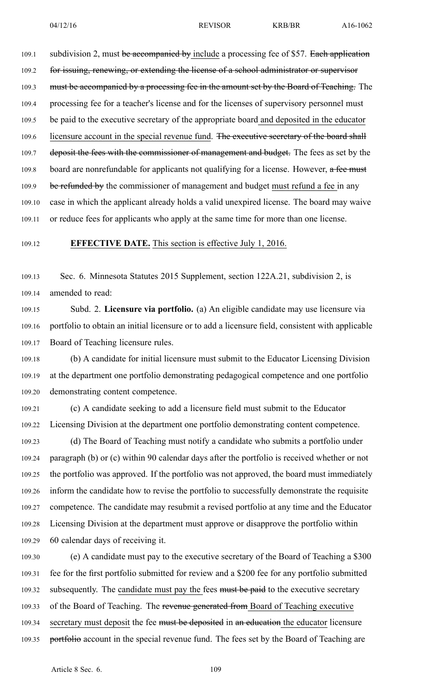109.1 subdivision 2, must be accompanied by include a processing fee of \$57. Each application 109.2 for issuing, renewing, or extending the license of a school administrator or supervisor 109.3 must be accompanied by a processing fee in the amount set by the Board of Teaching. The 109.4 processing fee for <sup>a</sup> teacher's license and for the licenses of supervisory personnel must 109.5 be paid to the executive secretary of the appropriate board and deposited in the educator 109.6 licensure account in the special revenue fund. The executive secretary of the board shall 109.7 deposit the fees with the commissioner of management and budget. The fees as set by the 109.8 board are nonrefundable for applicants not qualifying for a license. However,  $a$  fee must 109.9 be refunded by the commissioner of management and budget must refund a fee in any 109.10 case in which the applicant already holds <sup>a</sup> valid unexpired license. The board may waive 109.11 or reduce fees for applicants who apply at the same time for more than one license.

### 109.12 **EFFECTIVE DATE.** This section is effective July 1, 2016.

109.13 Sec. 6. Minnesota Statutes 2015 Supplement, section 122A.21, subdivision 2, is 109.14 amended to read:

109.15 Subd. 2. **Licensure via portfolio.** (a) An eligible candidate may use licensure via 109.16 portfolio to obtain an initial licensure or to add <sup>a</sup> licensure field, consistent with applicable 109.17 Board of Teaching licensure rules.

109.18 (b) A candidate for initial licensure must submit to the Educator Licensing Division 109.19 at the department one portfolio demonstrating pedagogical competence and one portfolio 109.20 demonstrating content competence.

109.21 (c) A candidate seeking to add <sup>a</sup> licensure field must submit to the Educator 109.22 Licensing Division at the department one portfolio demonstrating content competence.

109.23 (d) The Board of Teaching must notify <sup>a</sup> candidate who submits <sup>a</sup> portfolio under 109.24 paragraph (b) or (c) within 90 calendar days after the portfolio is received whether or not 109.25 the portfolio was approved. If the portfolio was not approved, the board must immediately 109.26 inform the candidate how to revise the portfolio to successfully demonstrate the requisite 109.27 competence. The candidate may resubmit <sup>a</sup> revised portfolio at any time and the Educator 109.28 Licensing Division at the department must approve or disapprove the portfolio within 109.29 60 calendar days of receiving it.

109.30 (e) A candidate must pay to the executive secretary of the Board of Teaching <sup>a</sup> \$300 109.31 fee for the first portfolio submitted for review and <sup>a</sup> \$200 fee for any portfolio submitted 109.32 subsequently. The candidate must pay the fees must be paid to the executive secretary 109.33 of the Board of Teaching. The revenue generated from Board of Teaching executive 109.34 secretary must deposit the fee must be deposited in an education the educator licensure 109.35 portfolio account in the special revenue fund. The fees set by the Board of Teaching are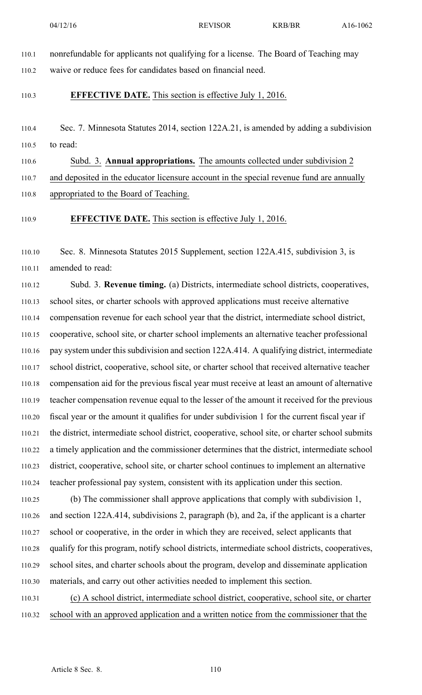110.1 nonrefundable for applicants not qualifying for <sup>a</sup> license. The Board of Teaching may

110.2 waive or reduce fees for candidates based on financial need.

### 110.3 **EFFECTIVE DATE.** This section is effective July 1, 2016.

110.4 Sec. 7. Minnesota Statutes 2014, section 122A.21, is amended by adding <sup>a</sup> subdivision 110.5 to read:

110.6 Subd. 3. **Annual appropriations.** The amounts collected under subdivision 2

110.7 and deposited in the educator licensure account in the special revenue fund are annually

110.8 appropriated to the Board of Teaching.

110.9 **EFFECTIVE DATE.** This section is effective July 1, 2016.

110.10 Sec. 8. Minnesota Statutes 2015 Supplement, section 122A.415, subdivision 3, is 110.11 amended to read:

110.12 Subd. 3. **Revenue timing.** (a) Districts, intermediate school districts, cooperatives, 110.13 school sites, or charter schools with approved applications must receive alternative 110.14 compensation revenue for each school year that the district, intermediate school district, 110.15 cooperative, school site, or charter school implements an alternative teacher professional 110.16 pay system under this subdivision and section 122A.414. A qualifying district, intermediate 110.17 school district, cooperative, school site, or charter school that received alternative teacher 110.18 compensation aid for the previous fiscal year must receive at least an amount of alternative 110.19 teacher compensation revenue equal to the lesser of the amount it received for the previous 110.20 fiscal year or the amount it qualifies for under subdivision 1 for the current fiscal year if 110.21 the district, intermediate school district, cooperative, school site, or charter school submits 110.22 <sup>a</sup> timely application and the commissioner determines that the district, intermediate school 110.23 district, cooperative, school site, or charter school continues to implement an alternative 110.24 teacher professional pay system, consistent with its application under this section.

110.25 (b) The commissioner shall approve applications that comply with subdivision 1, 110.26 and section 122A.414, subdivisions 2, paragraph (b), and 2a, if the applicant is <sup>a</sup> charter 110.27 school or cooperative, in the order in which they are received, select applicants that 110.28 qualify for this program, notify school districts, intermediate school districts, cooperatives, 110.29 school sites, and charter schools about the program, develop and disseminate application 110.30 materials, and carry out other activities needed to implement this section.

110.31 (c) A school district, intermediate school district, cooperative, school site, or charter 110.32 school with an approved application and <sup>a</sup> written notice from the commissioner that the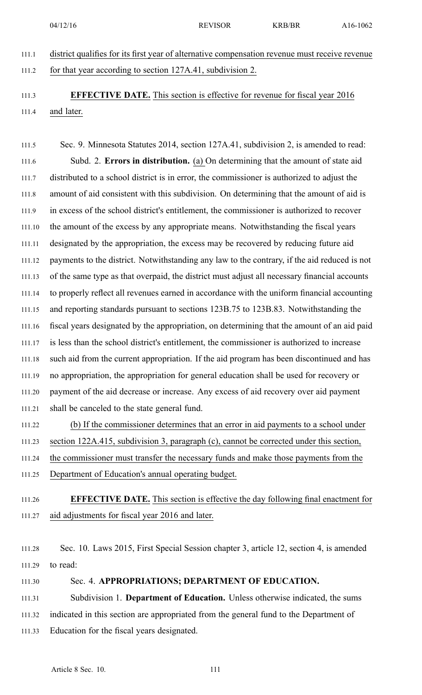04/12/16 REVISOR KRB/BR A16-1062

111.1 district qualifies for its first year of alternative compensation revenue must receive revenue 111.2 for that year according to section 127A.41, subdivision 2.

## 111.3 **EFFECTIVE DATE.** This section is effective for revenue for fiscal year 2016 111.4 and later.

111.5 Sec. 9. Minnesota Statutes 2014, section 127A.41, subdivision 2, is amended to read: 111.6 Subd. 2. **Errors in distribution.** (a) On determining that the amount of state aid 111.7 distributed to <sup>a</sup> school district is in error, the commissioner is authorized to adjust the 111.8 amount of aid consistent with this subdivision. On determining that the amount of aid is 111.9 in excess of the school district's entitlement, the commissioner is authorized to recover 111.10 the amount of the excess by any appropriate means. Notwithstanding the fiscal years 111.11 designated by the appropriation, the excess may be recovered by reducing future aid 111.12 payments to the district. Notwithstanding any law to the contrary, if the aid reduced is not 111.13 of the same type as that overpaid, the district must adjust all necessary financial accounts 111.14 to properly reflect all revenues earned in accordance with the uniform financial accounting 111.15 and reporting standards pursuan<sup>t</sup> to sections 123B.75 to 123B.83. Notwithstanding the 111.16 fiscal years designated by the appropriation, on determining that the amount of an aid paid 111.17 is less than the school district's entitlement, the commissioner is authorized to increase 111.18 such aid from the current appropriation. If the aid program has been discontinued and has 111.19 no appropriation, the appropriation for general education shall be used for recovery or 111.20 paymen<sup>t</sup> of the aid decrease or increase. Any excess of aid recovery over aid paymen<sup>t</sup> 111.21 shall be canceled to the state general fund.

- 111.22 (b) If the commissioner determines that an error in aid payments to <sup>a</sup> school under 111.23 section 122A.415, subdivision 3, paragraph (c), cannot be corrected under this section, 111.24 the commissioner must transfer the necessary funds and make those payments from the
- 111.25 Department of Education's annual operating budget.

# 111.26 **EFFECTIVE DATE.** This section is effective the day following final enactment for 111.27 aid adjustments for fiscal year 2016 and later.

111.28 Sec. 10. Laws 2015, First Special Session chapter 3, article 12, section 4, is amended 111.29 to read:

### 111.30 Sec. 4. **APPROPRIATIONS; DEPARTMENT OF EDUCATION.**

111.31 Subdivision 1. **Department of Education.** Unless otherwise indicated, the sums 111.32 indicated in this section are appropriated from the general fund to the Department of 111.33 Education for the fiscal years designated.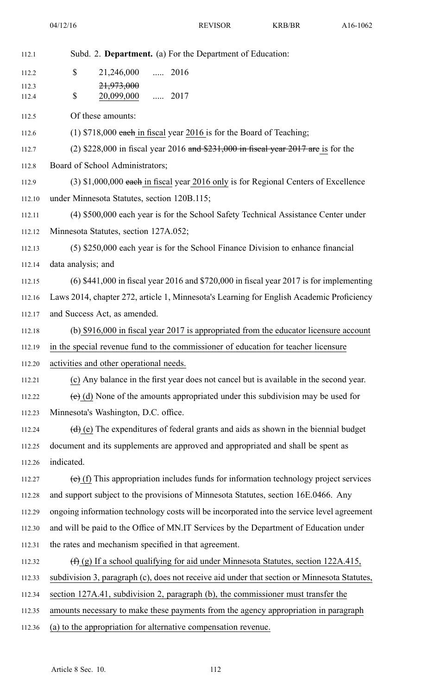| 112.1          | Subd. 2. Department. (a) For the Department of Education:                                    |
|----------------|----------------------------------------------------------------------------------------------|
| 112.2          | \$<br>21,246,000  2016                                                                       |
| 112.3<br>112.4 | 21,973,000<br>\$<br>20,099,000<br>$\cdots$ 2017                                              |
|                | Of these amounts:                                                                            |
| 112.5          |                                                                                              |
| 112.6          | $(1)$ \$718,000 each in fiscal year 2016 is for the Board of Teaching;                       |
| 112.7          | (2) $$228,000$ in fiscal year 2016 and $$231,000$ in fiscal year 2017 are is for the         |
| 112.8          | Board of School Administrators;                                                              |
| 112.9          | (3) \$1,000,000 each in fiscal year 2016 only is for Regional Centers of Excellence          |
| 112.10         | under Minnesota Statutes, section 120B.115;                                                  |
| 112.11         | (4) \$500,000 each year is for the School Safety Technical Assistance Center under           |
| 112.12         | Minnesota Statutes, section 127A.052;                                                        |
| 112.13         | (5) \$250,000 each year is for the School Finance Division to enhance financial              |
| 112.14         | data analysis; and                                                                           |
| 112.15         | $(6)$ \$441,000 in fiscal year 2016 and \$720,000 in fiscal year 2017 is for implementing    |
| 112.16         | Laws 2014, chapter 272, article 1, Minnesota's Learning for English Academic Proficiency     |
| 112.17         | and Success Act, as amended.                                                                 |
| 112.18         | (b) \$916,000 in fiscal year 2017 is appropriated from the educator licensure account        |
|                |                                                                                              |
| 112.19         | in the special revenue fund to the commissioner of education for teacher licensure           |
| 112.20         | activities and other operational needs.                                                      |
| 112.21         | (c) Any balance in the first year does not cancel but is available in the second year.       |
| 112.22         | $\overline{e}$ (d) None of the amounts appropriated under this subdivision may be used for   |
| 112.23         | Minnesota's Washington, D.C. office.                                                         |
| 112.24         | $(d)$ (e) The expenditures of federal grants and aids as shown in the biennial budget        |
| 112.25         | document and its supplements are approved and appropriated and shall be spent as             |
| 112.26         | indicated.                                                                                   |
| 112.27         | $(e)$ (f) This appropriation includes funds for information technology project services      |
| 112.28         | and support subject to the provisions of Minnesota Statutes, section 16E.0466. Any           |
| 112.29         | ongoing information technology costs will be incorporated into the service level agreement   |
| 112.30         | and will be paid to the Office of MN.IT Services by the Department of Education under        |
| 112.31         | the rates and mechanism specified in that agreement.                                         |
| 112.32         | $(\text{f})$ (g) If a school qualifying for aid under Minnesota Statutes, section 122A.415,  |
| 112.33         | subdivision 3, paragraph (c), does not receive aid under that section or Minnesota Statutes, |
| 112.34         | section 127A.41, subdivision 2, paragraph (b), the commissioner must transfer the            |
| 112.35         | amounts necessary to make these payments from the agency appropriation in paragraph          |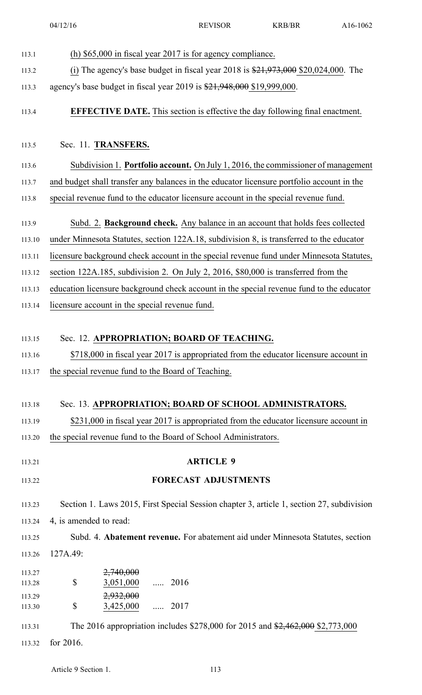04/12/16 REVISOR KRB/BR A16-1062 113.1 (h) \$65,000 in fiscal year 2017 is for agency compliance. 113.2 (i) The agency's base budget in fiscal year 2018 is  $\frac{21,973,000}{20,024,000}$ . The 113.3 agency's base budget in fiscal year 2019 is \$21,948,000 \$19,999,000. 113.4 **EFFECTIVE DATE.** This section is effective the day following final enactment. 113.5 Sec. 11. **TRANSFERS.** 113.6 Subdivision 1. **Portfolio account.** On July 1, 2016, the commissioner of managemen<sup>t</sup> 113.7 and budget shall transfer any balances in the educator licensure portfolio account in the 113.8 special revenue fund to the educator licensure account in the special revenue fund. 113.9 Subd. 2. **Background check.** Any balance in an account that holds fees collected 113.10 under Minnesota Statutes, section 122A.18, subdivision 8, is transferred to the educator 113.11 licensure background check account in the special revenue fund under Minnesota Statutes, 113.12 section 122A.185, subdivision 2. On July 2, 2016, \$80,000 is transferred from the 113.13 education licensure background check account in the special revenue fund to the educator 113.14 licensure account in the special revenue fund. 113.15 Sec. 12. **APPROPRIATION; BOARD OF TEACHING.** 113.16 \$718,000 in fiscal year 2017 is appropriated from the educator licensure account in 113.17 the special revenue fund to the Board of Teaching. 113.18 Sec. 13. **APPROPRIATION; BOARD OF SCHOOL ADMINISTRATORS.** 113.19 \$231,000 in fiscal year 2017 is appropriated from the educator licensure account in 113.20 the special revenue fund to the Board of School Administrators. 113.21 **ARTICLE 9** 113.22 **FORECAST ADJUSTMENTS** 113.23 Section 1. Laws 2015, First Special Session chapter 3, article 1, section 27, subdivision 113.24 4, is amended to read: 113.25 Subd. 4. **Abatement revenue.** For abatement aid under Minnesota Statutes, section 113.26 127A.49: \$ 113.27 2,740,000 113.28 \$ 3,051,000 ..... 2016 \$ 113.29 2,932,000 113.30 **\$** 3,425,000 ..... 2017 113.31 The 2016 appropriation includes \$278,000 for 2015 and \$2,462,000 \$2,773,000 113.32 for 2016.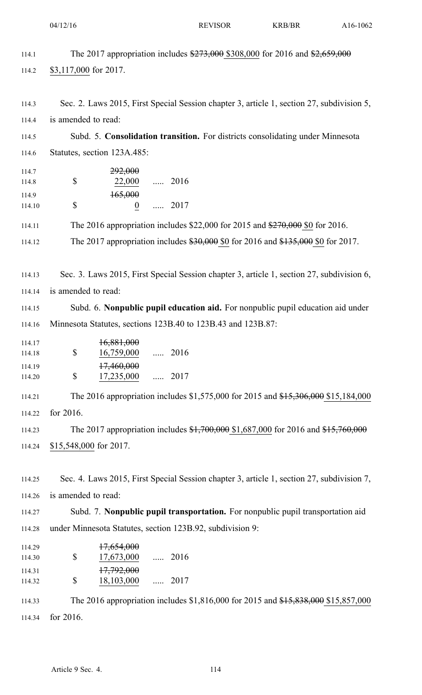|                                   | 04/12/16                                                                                                         |                                      | <b>REVISOR</b> | <b>KRB/BR</b> | A16-1062 |
|-----------------------------------|------------------------------------------------------------------------------------------------------------------|--------------------------------------|----------------|---------------|----------|
| 114.1<br>114.2                    | The 2017 appropriation includes \$273,000 \$308,000 for 2016 and \$2,659,000<br>\$3,117,000 for 2017.            |                                      |                |               |          |
| 114.3<br>114.4                    | Sec. 2. Laws 2015, First Special Session chapter 3, article 1, section 27, subdivision 5,<br>is amended to read: |                                      |                |               |          |
| 114.5                             | Subd. 5. Consolidation transition. For districts consolidating under Minnesota                                   |                                      |                |               |          |
| 114.6                             | Statutes, section 123A.485:                                                                                      |                                      |                |               |          |
| 114.7<br>114.8<br>114.9<br>114.10 | 292,000<br>\$<br>165,000<br>\$                                                                                   | 22,000  2016<br>$\underline{0}$ 2017 |                |               |          |
| 114.11                            | The 2016 appropriation includes \$22,000 for 2015 and $\frac{$270,000}{$270,000}$ \$0 for 2016.                  |                                      |                |               |          |
| 114.12                            | The 2017 appropriation includes $$30,000$ \$0 for 2016 and $$135,000$ \$0 for 2017.                              |                                      |                |               |          |
|                                   |                                                                                                                  |                                      |                |               |          |
| 114.13                            | Sec. 3. Laws 2015, First Special Session chapter 3, article 1, section 27, subdivision 6,                        |                                      |                |               |          |
| 114.14                            | is amended to read:                                                                                              |                                      |                |               |          |
| 114.15                            | Subd. 6. Nonpublic pupil education aid. For nonpublic pupil education aid under                                  |                                      |                |               |          |
| 114.16                            | Minnesota Statutes, sections 123B.40 to 123B.43 and 123B.87:                                                     |                                      |                |               |          |
| 114.17<br>114.18                  | 16,881,000<br>\$<br>16,759,000  2016                                                                             |                                      |                |               |          |
| 114.19<br>114.20                  | 17,460,000<br>\$<br>17,235,000                                                                                   | $\ldots$ 2017                        |                |               |          |
| 114.21                            | The 2016 appropriation includes \$1,575,000 for 2015 and \$15,306,000 \$15,184,000                               |                                      |                |               |          |
| 114.22                            | for 2016.                                                                                                        |                                      |                |               |          |
| 114.23                            | The 2017 appropriation includes \$1,700,000 \$1,687,000 for 2016 and \$15,760,000                                |                                      |                |               |          |
| 114.24                            | \$15,548,000 for 2017.                                                                                           |                                      |                |               |          |
|                                   |                                                                                                                  |                                      |                |               |          |
| 114.25                            | Sec. 4. Laws 2015, First Special Session chapter 3, article 1, section 27, subdivision 7,                        |                                      |                |               |          |
| 114.26                            | is amended to read:                                                                                              |                                      |                |               |          |
| 114.27                            | Subd. 7. Nonpublic pupil transportation. For nonpublic pupil transportation aid                                  |                                      |                |               |          |
| 114.28                            | under Minnesota Statutes, section 123B.92, subdivision 9:                                                        |                                      |                |               |          |
| 114.29<br>114.30                  | 17,654,000<br>\$<br>17,673,000  2016                                                                             |                                      |                |               |          |
| 114.31<br>114.32                  | 17,792,000<br>\$<br>18,103,000  2017                                                                             |                                      |                |               |          |
| 114.33                            | The 2016 appropriation includes \$1,816,000 for 2015 and \$15,838,000 \$15,857,000                               |                                      |                |               |          |

114.34 for 2016.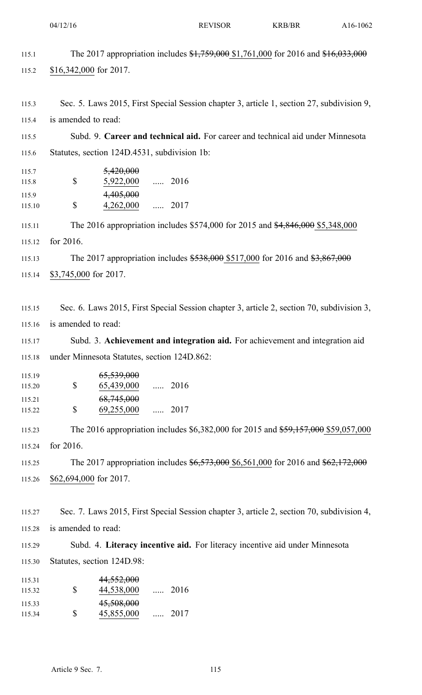|                  | 04/12/16                                                                                  | <b>REVISOR</b>                                                                     | <b>KRB/BR</b> | A16-1062 |  |
|------------------|-------------------------------------------------------------------------------------------|------------------------------------------------------------------------------------|---------------|----------|--|
| 115.1            |                                                                                           | The 2017 appropriation includes \$1,759,000 \$1,761,000 for 2016 and \$16,033,000  |               |          |  |
| 115.2            | $$16,342,000$ for 2017.                                                                   |                                                                                    |               |          |  |
| 115.3            | Sec. 5. Laws 2015, First Special Session chapter 3, article 1, section 27, subdivision 9, |                                                                                    |               |          |  |
| 115.4            | is amended to read:                                                                       |                                                                                    |               |          |  |
| 115.5            |                                                                                           | Subd. 9. Career and technical aid. For career and technical aid under Minnesota    |               |          |  |
| 115.6            | Statutes, section 124D.4531, subdivision 1b:                                              |                                                                                    |               |          |  |
| 115.7<br>115.8   | 5,420,000<br>5,922,000  2016<br>\$                                                        |                                                                                    |               |          |  |
| 115.9<br>115.10  | 4,405,000<br>\$<br>$4,262,000$ 2017                                                       |                                                                                    |               |          |  |
| 115.11           |                                                                                           | The 2016 appropriation includes \$574,000 for 2015 and \$4,846,000 \$5,348,000     |               |          |  |
| 115.12           | for 2016.                                                                                 |                                                                                    |               |          |  |
| 115.13           |                                                                                           | The 2017 appropriation includes \$538,000 \$517,000 for 2016 and \$3,867,000       |               |          |  |
| 115.14           | \$3,745,000 for 2017.                                                                     |                                                                                    |               |          |  |
| 115.15           | Sec. 6. Laws 2015, First Special Session chapter 3, article 2, section 70, subdivision 3, |                                                                                    |               |          |  |
| 115.16           | is amended to read:                                                                       |                                                                                    |               |          |  |
| 115.17           |                                                                                           | Subd. 3. Achievement and integration aid. For achievement and integration aid      |               |          |  |
| 115.18           | under Minnesota Statutes, section 124D.862:                                               |                                                                                    |               |          |  |
| 115.19<br>115.20 | 65,539,000<br>\$<br>65,439,000                                                            | $\ldots$ 2016                                                                      |               |          |  |
| 115.21<br>115.22 | 68,745,000<br>\$<br>69,255,000                                                            | $\cdots$ 2017                                                                      |               |          |  |
| 115.23           |                                                                                           | The 2016 appropriation includes \$6,382,000 for 2015 and \$59,157,000 \$59,057,000 |               |          |  |
| 115.24           | for 2016.                                                                                 |                                                                                    |               |          |  |
| 115.25           |                                                                                           | The 2017 appropriation includes \$6,573,000 \$6,561,000 for 2016 and \$62,172,000  |               |          |  |
| 115.26           | \$62,694,000 for 2017.                                                                    |                                                                                    |               |          |  |
| 115.27           | Sec. 7. Laws 2015, First Special Session chapter 3, article 2, section 70, subdivision 4, |                                                                                    |               |          |  |
| 115.28           | is amended to read:                                                                       |                                                                                    |               |          |  |
| 115.29           |                                                                                           | Subd. 4. Literacy incentive aid. For literacy incentive aid under Minnesota        |               |          |  |
| 115.30           | Statutes, section 124D.98:                                                                |                                                                                    |               |          |  |
| 115.31<br>115.32 | 44,552,000<br>\$<br>44,538,000  2016                                                      |                                                                                    |               |          |  |
| 115.33<br>115.34 | 45,508,000<br>\$<br>45,855,000                                                            | $\ldots$ 2017                                                                      |               |          |  |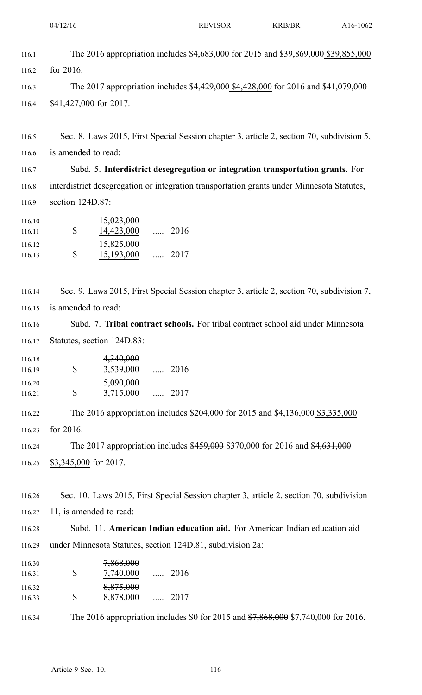| 116.1  | The 2016 appropriation includes \$4,683,000 for 2015 and \$39,869,000 \$39,855,000         |
|--------|--------------------------------------------------------------------------------------------|
| 116.2  | for $2016$ .                                                                               |
| 116.3  | The 2017 appropriation includes \$4,429,000 \$4,428,000 for 2016 and \$41,079,000          |
| 116.4  | \$41,427,000 for 2017.                                                                     |
|        |                                                                                            |
| 116.5  | Sec. 8. Laws 2015, First Special Session chapter 3, article 2, section 70, subdivision 5,  |
| 116.6  | is amended to read:                                                                        |
| 116.7  | Subd. 5. Interdistrict desegregation or integration transportation grants. For             |
| 116.8  | interdistrict desegregation or integration transportation grants under Minnesota Statutes, |
| 116.9  | section $124D.87$ :                                                                        |
| 116.10 | <del>15,023,000</del>                                                                      |

 $\mathbb{S}$ 116.11 14,423,000 ..... 2016 \$ 116.12 15,825,000 116.13 **\$** 15,193,000 ..... 2017

116.14 Sec. 9. Laws 2015, First Special Session chapter 3, article 2, section 70, subdivision 7, 116.15 is amended to read:

116.16 Subd. 7. **Tribal contract schools.** For tribal contract school aid under Minnesota 116.17 Statutes, section 124D.83:

| 116.18 |   | 4,340,000 |          |      |
|--------|---|-----------|----------|------|
| 116.19 | S | 3,539,000 | $\ldots$ | 2016 |
| 116.20 |   | 5,090,000 |          |      |
| 116.21 | S | 3,715,000 |          | 2017 |
|        |   |           |          |      |

116.22 The 2016 appropriation includes \$204,000 for 2015 and \$4,136,000 \$3,335,000 116.23 for 2016.

116.24 The 2017 appropriation includes \$459,000 \$370,000 for 2016 and \$4,631,000 116.25 \$3,345,000 for 2017.

116.26 Sec. 10. Laws 2015, First Special Session chapter 3, article 2, section 70, subdivision 116.27 11, is amended to read:

116.28 Subd. 11. **American Indian education aid.** For American Indian education aid 116.29 under Minnesota Statutes, section 124D.81, subdivision 2a:

\$ 116.30 7,868,000 116.31 **\$** 7,740,000 ..... 2016 \$ 116.32 8,875,000 116.33 **\$** 8,878,000 ..... 2017

116.34 The 2016 appropriation includes \$0 for 2015 and \$7,868,000 \$7,740,000 for 2016.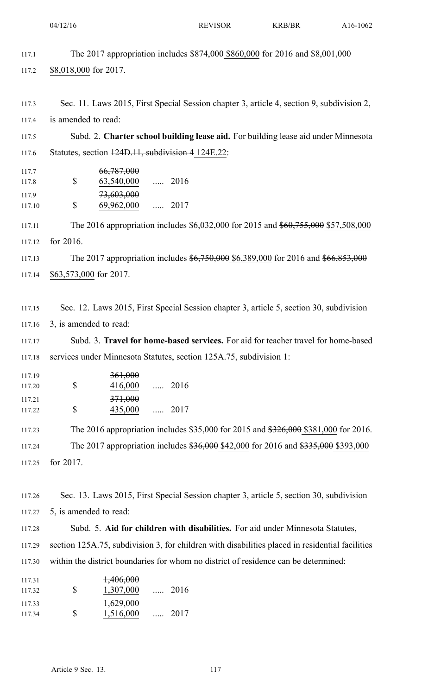|                  | 04/12/16                                                           | <b>REVISOR</b> | <b>KRB/BR</b>                                                                                   | A16-1062 |
|------------------|--------------------------------------------------------------------|----------------|-------------------------------------------------------------------------------------------------|----------|
| 117.1            |                                                                    |                | The 2017 appropriation includes \$874,000 \$860,000 for 2016 and \$8,001,000                    |          |
| 117.2            | \$8,018,000 for 2017.                                              |                |                                                                                                 |          |
|                  |                                                                    |                |                                                                                                 |          |
| 117.3            |                                                                    |                | Sec. 11. Laws 2015, First Special Session chapter 3, article 4, section 9, subdivision 2,       |          |
| 117.4            | is amended to read:                                                |                |                                                                                                 |          |
| 117.5            |                                                                    |                | Subd. 2. Charter school building lease aid. For building lease aid under Minnesota              |          |
| 117.6            | Statutes, section 124D.11, subdivision 4 124E.22:                  |                |                                                                                                 |          |
| 117.7            | 66,787,000<br>\$<br>63,540,000                                     | $\ldots$ 2016  |                                                                                                 |          |
| 117.8<br>117.9   | 73,603,000                                                         |                |                                                                                                 |          |
| 117.10           | \$<br>69,962,000                                                   | $\ldots$ 2017  |                                                                                                 |          |
| 117.11           |                                                                    |                | The 2016 appropriation includes \$6,032,000 for 2015 and \$60,755,000 \$57,508,000              |          |
| 117.12           | for 2016.                                                          |                |                                                                                                 |          |
| 117.13           |                                                                    |                | The 2017 appropriation includes \$6,750,000 \$6,389,000 for 2016 and \$66,853,000               |          |
| 117.14           | \$63,573,000 for 2017.                                             |                |                                                                                                 |          |
|                  |                                                                    |                |                                                                                                 |          |
| 117.15           |                                                                    |                | Sec. 12. Laws 2015, First Special Session chapter 3, article 5, section 30, subdivision         |          |
| 117.16           | 3, is amended to read:                                             |                |                                                                                                 |          |
| 117.17           |                                                                    |                | Subd. 3. Travel for home-based services. For aid for teacher travel for home-based              |          |
| 117.18           | services under Minnesota Statutes, section 125A.75, subdivision 1: |                |                                                                                                 |          |
| 117.19<br>117.20 | 361,000<br>\$<br>416,000                                           | $2016$         |                                                                                                 |          |
| 117.21           | 371,000                                                            |                |                                                                                                 |          |
| 117.22           | \$<br>435,000                                                      | $\ldots$ 2017  |                                                                                                 |          |
| 117.23           |                                                                    |                | The 2016 appropriation includes \$35,000 for 2015 and \$326,000 \$381,000 for 2016.             |          |
| 117.24           |                                                                    |                | The 2017 appropriation includes \$36,000 \$42,000 for 2016 and \$335,000 \$393,000              |          |
| 117.25           | for 2017.                                                          |                |                                                                                                 |          |
| 117.26           |                                                                    |                | Sec. 13. Laws 2015, First Special Session chapter 3, article 5, section 30, subdivision         |          |
| 117.27           | 5, is amended to read:                                             |                |                                                                                                 |          |
| 117.28           |                                                                    |                | Subd. 5. Aid for children with disabilities. For aid under Minnesota Statutes,                  |          |
| 117.29           |                                                                    |                | section 125A.75, subdivision 3, for children with disabilities placed in residential facilities |          |
| 117.30           |                                                                    |                | within the district boundaries for whom no district of residence can be determined:             |          |
| 117.31           | 1,406,000                                                          |                |                                                                                                 |          |
| 117.32           | \$<br>1,307,000                                                    | 2016           |                                                                                                 |          |
| 117.33<br>117.34 | $+629,000$<br>\$<br>1,516,000                                      | 2017           |                                                                                                 |          |
|                  |                                                                    |                |                                                                                                 |          |
|                  |                                                                    |                |                                                                                                 |          |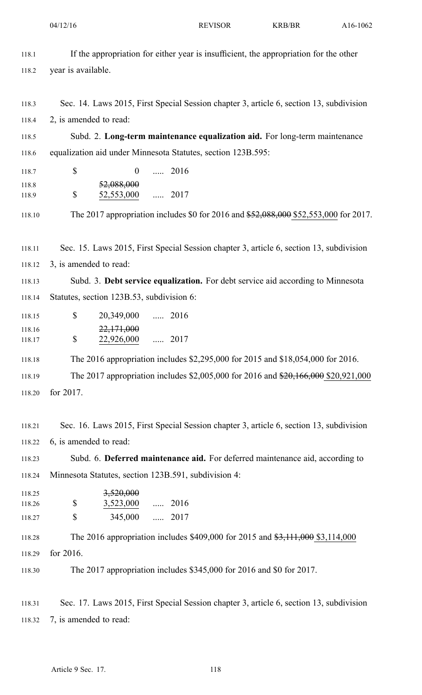04/12/16 REVISOR KRB/BR A16-1062

| 118.1  | If the appropriation for either year is insufficient, the appropriation for the other   |
|--------|-----------------------------------------------------------------------------------------|
| 118.2  | year is available.                                                                      |
|        |                                                                                         |
| 118.3  | Sec. 14. Laws 2015, First Special Session chapter 3, article 6, section 13, subdivision |
| 118.4  | 2, is amended to read:                                                                  |
| 118.5  | Subd. 2. Long-term maintenance equalization aid. For long-term maintenance              |
| 118.6  | equalization aid under Minnesota Statutes, section 123B.595:                            |
| 118.7  | \$<br>$\ldots$ 2016<br>$\boldsymbol{0}$                                                 |
| 118.8  | 52,088,000                                                                              |
| 118.9  | \$<br>52,553,000  2017                                                                  |
| 118.10 | The 2017 appropriation includes \$0 for 2016 and \$52,088,000 \$52,553,000 for 2017.    |
|        |                                                                                         |
| 118.11 | Sec. 15. Laws 2015, First Special Session chapter 3, article 6, section 13, subdivision |
| 118.12 | 3, is amended to read:                                                                  |
| 118.13 | Subd. 3. Debt service equalization. For debt service aid according to Minnesota         |
| 118.14 | Statutes, section 123B.53, subdivision 6:                                               |
| 118.15 | \$<br>20,349,000  2016                                                                  |
| 118.16 | 22,171,000                                                                              |
| 118.17 | \$<br>22,926,000  2017                                                                  |
| 118.18 | The 2016 appropriation includes \$2,295,000 for 2015 and \$18,054,000 for 2016.         |
| 118.19 | The 2017 appropriation includes \$2,005,000 for 2016 and \$20,166,000 \$20,921,000      |
| 118.20 | for 2017.                                                                               |
|        |                                                                                         |
| 118.21 | Sec. 16. Laws 2015, First Special Session chapter 3, article 6, section 13, subdivision |
| 118.22 | 6, is amended to read:                                                                  |
| 118.23 | Subd. 6. Deferred maintenance aid. For deferred maintenance aid, according to           |
| 118.24 | Minnesota Statutes, section 123B.591, subdivision 4:                                    |
| 118.25 | 3,520,000                                                                               |
| 118.26 | \$<br>3,523,000  2016                                                                   |
| 118.27 | $\mathbb{S}$<br>345,000  2017                                                           |
| 118.28 | The 2016 appropriation includes \$409,000 for 2015 and \$3,111,000 \$3,114,000          |
| 118.29 | for 2016.                                                                               |
| 118.30 | The 2017 appropriation includes \$345,000 for 2016 and \$0 for 2017.                    |
|        |                                                                                         |
| 118.31 | Sec. 17. Laws 2015, First Special Session chapter 3, article 6, section 13, subdivision |
| 118.32 | 7, is amended to read:                                                                  |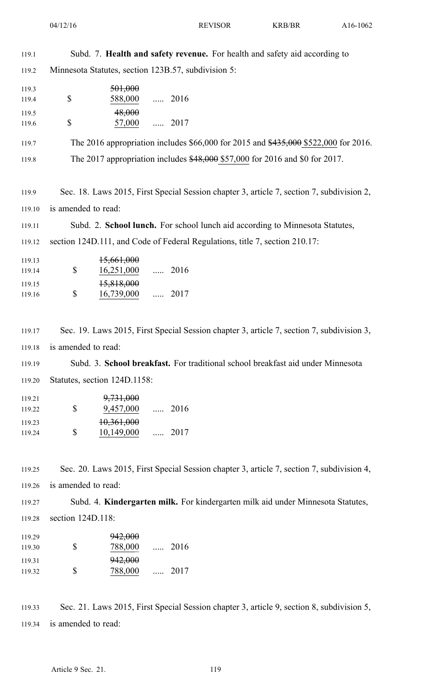| 119.1            |                              | Subd. 7. Health and safety revenue. For health and safety aid according to                |
|------------------|------------------------------|-------------------------------------------------------------------------------------------|
| 119.2            |                              | Minnesota Statutes, section 123B.57, subdivision 5:                                       |
| 119.3<br>119.4   | \$                           | 501,000<br>588,000<br>$\ldots$ 2016                                                       |
| 119.5<br>119.6   | \$                           | 48,000<br>57,000<br>$\ldots$ 2017                                                         |
| 119.7            |                              | The 2016 appropriation includes \$66,000 for 2015 and \$435,000 \$522,000 for 2016.       |
| 119.8            |                              | The 2017 appropriation includes \$48,000 \$57,000 for 2016 and \$0 for 2017.              |
| 119.9            |                              | Sec. 18. Laws 2015, First Special Session chapter 3, article 7, section 7, subdivision 2, |
| 119.10           | is amended to read:          |                                                                                           |
| 119.11           |                              | Subd. 2. School lunch. For school lunch aid according to Minnesota Statutes,              |
| 119.12           |                              | section 124D.111, and Code of Federal Regulations, title 7, section 210.17:               |
| 119.13<br>119.14 | \$                           | 15,661,000<br>16,251,000<br>$\ldots$ 2016                                                 |
| 119.15<br>119.16 | \$                           | 15,818,000<br>16,739,000<br>$\ldots$ 2017                                                 |
| 119.17           |                              | Sec. 19. Laws 2015, First Special Session chapter 3, article 7, section 7, subdivision 3, |
| 119.18           | is amended to read:          |                                                                                           |
| 119.19           |                              | Subd. 3. School breakfast. For traditional school breakfast aid under Minnesota           |
| 119.20           | Statutes, section 124D.1158: |                                                                                           |
| 119.21<br>119.22 | \$                           | 9,731,000<br>9,457,000  2016                                                              |
| 119.23<br>119.24 | \$                           | 10,361,000<br>$10,149,000$ 2017                                                           |
| 119.25           |                              | Sec. 20. Laws 2015, First Special Session chapter 3, article 7, section 7, subdivision 4, |

119.26 is amended to read:

119.27 Subd. 4. **Kindergarten milk.** For kindergarten milk aid under Minnesota Statutes,

119.28 section 124D.118:

| 119.29 |    | <del>942,000</del> |      |
|--------|----|--------------------|------|
| 119.30 | S  | 788,000            | 2016 |
| 119.31 |    | 942,000            |      |
| 119.32 | S. | 788,000            | 2017 |

119.33 Sec. 21. Laws 2015, First Special Session chapter 3, article 9, section 8, subdivision 5, 119.34 is amended to read: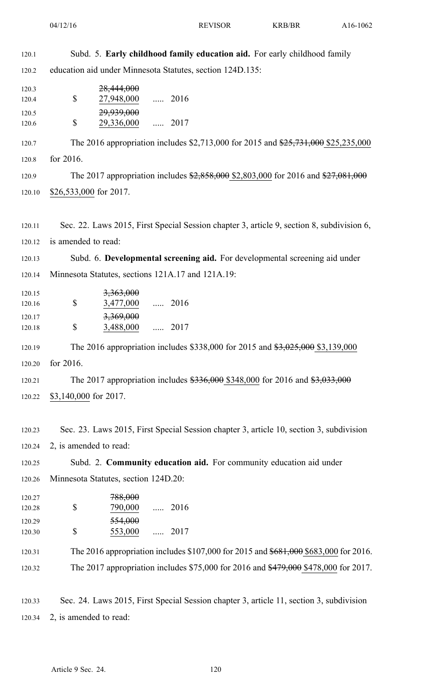| 120.1            | Subd. 5. Early childhood family education aid. For early childhood family                 |
|------------------|-------------------------------------------------------------------------------------------|
| 120.2            | education aid under Minnesota Statutes, section 124D.135:                                 |
| 120.3<br>120.4   | 28,444,000<br>\$<br>27,948,000  2016                                                      |
| 120.5<br>120.6   | 29,939,000<br>\$<br>29,336,000  2017                                                      |
| 120.7            | The 2016 appropriation includes \$2,713,000 for 2015 and \$25,731,000 \$25,235,000        |
| 120.8            | for 2016.                                                                                 |
| 120.9            | The 2017 appropriation includes \$2,858,000 \$2,803,000 for 2016 and \$27,081,000         |
| 120.10           | \$26,533,000 for 2017.                                                                    |
| 120.11           | Sec. 22. Laws 2015, First Special Session chapter 3, article 9, section 8, subdivision 6, |
| 120.12           | is amended to read:                                                                       |
| 120.13           | Subd. 6. Developmental screening aid. For developmental screening aid under               |
| 120.14           | Minnesota Statutes, sections 121A.17 and 121A.19:                                         |
| 120.15<br>120.16 | 3,363,000<br>\$<br>3,477,000  2016                                                        |
| 120.17<br>120.18 | <del>3,369,000</del><br>\$<br>3,488,000  2017                                             |
| 120.19           | The 2016 appropriation includes \$338,000 for 2015 and \$3,025,000 \$3,139,000            |
| 120.20           | for 2016.                                                                                 |
| 120.21           | The 2017 appropriation includes \$336,000 \$348,000 for 2016 and \$3,033,000              |
| 120.22           | \$3,140,000 for 2017.                                                                     |
| 120.23           | Sec. 23. Laws 2015, First Special Session chapter 3, article 10, section 3, subdivision   |
| 120.24           | 2, is amended to read:                                                                    |
| 120.25           | Subd. 2. Community education aid. For community education aid under                       |
| 120.26           | Minnesota Statutes, section 124D.20:                                                      |
| 120.27<br>120.28 | 788,000<br>\$<br>$\ldots$ 2016<br>790,000                                                 |
| 120.29<br>120.30 | 554,000<br>\$<br>553,000<br>$\ldots$ 2017                                                 |
| 120.31           | The 2016 appropriation includes \$107,000 for 2015 and \$681,000 \$683,000 for 2016.      |
| 120.32           | The 2017 appropriation includes \$75,000 for 2016 and \$479,000 \$478,000 for 2017.       |
| 120.33           | Sec. 24. Laws 2015, First Special Session chapter 3, article 11, section 3, subdivision   |
| 120.34           | 2, is amended to read:                                                                    |